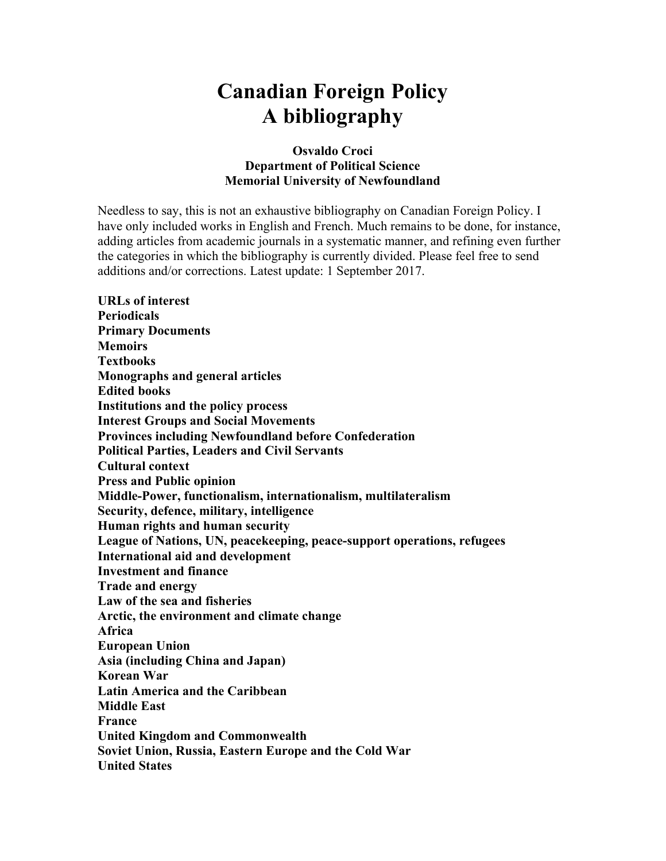# **Canadian Foreign Policy A bibliography**

## **Osvaldo Croci Department of Political Science Memorial University of Newfoundland**

Needless to say, this is not an exhaustive bibliography on Canadian Foreign Policy. I have only included works in English and French. Much remains to be done, for instance, adding articles from academic journals in a systematic manner, and refining even further the categories in which the bibliography is currently divided. Please feel free to send additions and/or corrections. Latest update: 1 September 2017.

**URLs of interest Periodicals Primary Documents Memoirs Textbooks Monographs and general articles Edited books Institutions and the policy process Interest Groups and Social Movements Provinces including Newfoundland before Confederation Political Parties, Leaders and Civil Servants Cultural context Press and Public opinion Middle-Power, functionalism, internationalism, multilateralism Security, defence, military, intelligence Human rights and human security League of Nations, UN, peacekeeping, peace-support operations, refugees International aid and development Investment and finance Trade and energy Law of the sea and fisheries Arctic, the environment and climate change Africa European Union Asia (including China and Japan) Korean War Latin America and the Caribbean Middle East France United Kingdom and Commonwealth Soviet Union, Russia, Eastern Europe and the Cold War United States**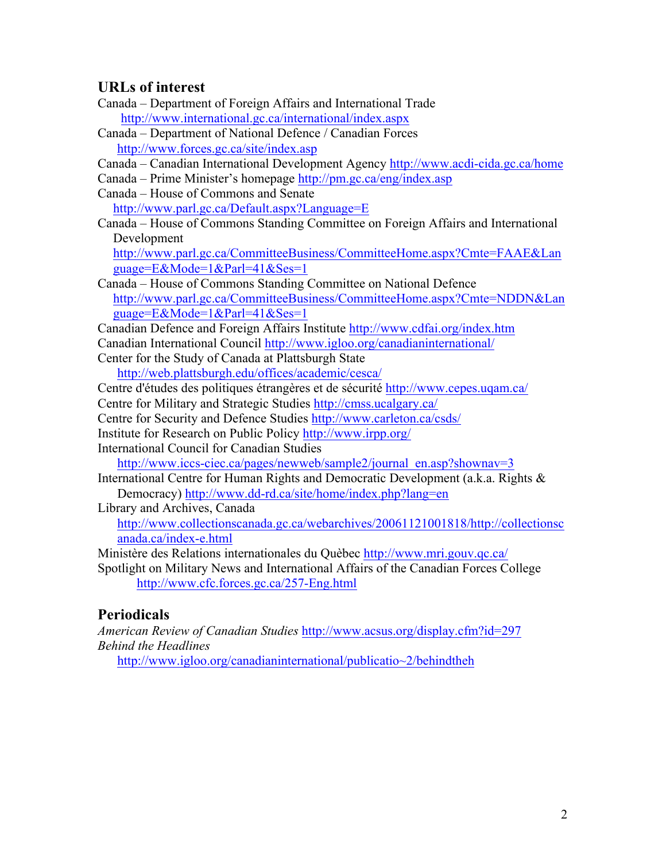# **URLs of interest**

- Canada Department of Foreign Affairs and International Trade http://www.international.gc.ca/international/index.aspx
- Canada Department of National Defence / Canadian Forces http://www.forces.gc.ca/site/index.asp
- Canada Canadian International Development Agency http://www.acdi-cida.gc.ca/home
- Canada Prime Minister's homepage http://pm.gc.ca/eng/index.asp
- Canada House of Commons and Senate

http://www.parl.gc.ca/Default.aspx?Language=E

Canada – House of Commons Standing Committee on Foreign Affairs and International Development

http://www.parl.gc.ca/CommitteeBusiness/CommitteeHome.aspx?Cmte=FAAE&Lan guage=E&Mode=1&Parl=41&Ses=1

Canada – House of Commons Standing Committee on National Defence http://www.parl.gc.ca/CommitteeBusiness/CommitteeHome.aspx?Cmte=NDDN&Lan guage=E&Mode=1&Parl=41&Ses=1

Canadian Defence and Foreign Affairs Institute http://www.cdfai.org/index.htm

Canadian International Council http://www.igloo.org/canadianinternational/

- Center for the Study of Canada at Plattsburgh State http://web.plattsburgh.edu/offices/academic/cesca/
- Centre d'études des politiques étrangères et de sécurité http://www.cepes.uqam.ca/

Centre for Military and Strategic Studies http://cmss.ucalgary.ca/

- Centre for Security and Defence Studies http://www.carleton.ca/csds/
- Institute for Research on Public Policy http://www.irpp.org/
- International Council for Canadian Studies

http://www.iccs-ciec.ca/pages/newweb/sample2/journal\_en.asp?shownav=3

International Centre for Human Rights and Democratic Development (a.k.a. Rights & Democracy) http://www.dd-rd.ca/site/home/index.php?lang=en

Library and Archives, Canada http://www.collectionscanada.gc.ca/webarchives/20061121001818/http://collectionsc anada.ca/index-e.html

Ministère des Relations internationales du Quèbec http://www.mri.gouv.qc.ca/ Spotlight on Military News and International Affairs of the Canadian Forces College http://www.cfc.forces.gc.ca/257-Eng.html

# **Periodicals**

*American Review of Canadian Studies* http://www.acsus.org/display.cfm?id=297 *Behind the Headlines*

http://www.igloo.org/canadianinternational/publicatio~2/behindtheh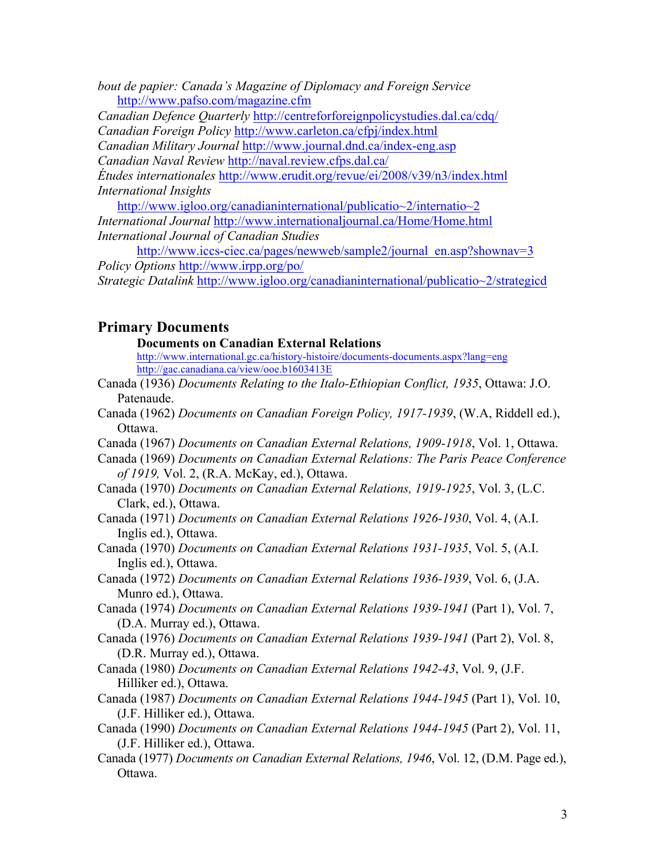*bout de papier: Canada's Magazine of Diplomacy and Foreign Service* http://www.pafso.com/magazine.cfm

*Canadian Defence Quarterly* http://centreforforeignpolicystudies.dal.ca/cdq/ *Canadian Foreign Policy* http://www.carleton.ca/cfpj/index.html

*Canadian Military Journal* http://www.journal.dnd.ca/index-eng.asp

*Canadian Naval Review* http://naval.review.cfps.dal.ca/

*Études internationales* http://www.erudit.org/revue/ei/2008/v39/n3/index.html *International Insights*

http://www.igloo.org/canadianinternational/publicatio~2/internatio~2 *International Journal* http://www.internationaljournal.ca/Home/Home.html *International Journal of Canadian Studies*

http://www.iccs-ciec.ca/pages/newweb/sample2/journal\_en.asp?shownav=3 *Policy Options* http://www.irpp.org/po/ *Strategic Datalink* http://www.igloo.org/canadianinternational/publicatio~2/strategicd

# **Primary Documents**

**Documents on Canadian External Relations**

http://www.international.gc.ca/history-histoire/documents-documents.aspx?lang=eng http://gac.canadiana.ca/view/ooe.b1603413E

- Canada (1936) *Documents Relating to the Italo-Ethiopian Conflict, 1935*, Ottawa: J.O. Patenaude.
- Canada (1962) *Documents on Canadian Foreign Policy, 1917-1939*, (W.A, Riddell ed.), Ottawa.
- Canada (1967) *Documents on Canadian External Relations, 1909-1918*, Vol. 1, Ottawa.
- Canada (1969) *Documents on Canadian External Relations: The Paris Peace Conference of 1919,* Vol. 2, (R.A. McKay, ed.), Ottawa.
- Canada (1970) *Documents on Canadian External Relations, 1919-1925*, Vol. 3, (L.C. Clark, ed.), Ottawa.
- Canada (1971) *Documents on Canadian External Relations 1926-1930*, Vol. 4, (A.I. Inglis ed.), Ottawa.
- Canada (1970) *Documents on Canadian External Relations 1931-1935*, Vol. 5, (A.I. Inglis ed.), Ottawa.
- Canada (1972) *Documents on Canadian External Relations 1936-1939*, Vol. 6, (J.A. Munro ed.), Ottawa.
- Canada (1974) *Documents on Canadian External Relations 1939-1941* (Part 1), Vol. 7, (D.A. Murray ed.), Ottawa.
- Canada (1976) *Documents on Canadian External Relations 1939-1941* (Part 2), Vol. 8, (D.R. Murray ed.), Ottawa.
- Canada (1980) *Documents on Canadian External Relations 1942-43*, Vol. 9, (J.F. Hilliker ed.), Ottawa.
- Canada (1987) *Documents on Canadian External Relations 1944-1945* (Part 1), Vol. 10, (J.F. Hilliker ed.), Ottawa.
- Canada (1990) *Documents on Canadian External Relations 1944-1945* (Part 2), Vol. 11, (J.F. Hilliker ed.), Ottawa.
- Canada (1977) *Documents on Canadian External Relations, 1946*, Vol. 12, (D.M. Page ed.), Ottawa.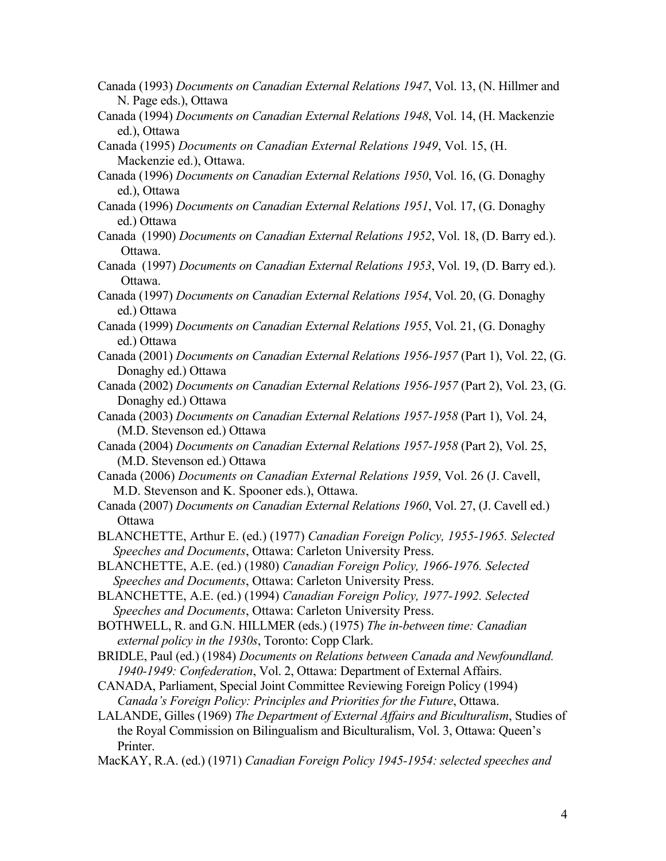- Canada (1993) *Documents on Canadian External Relations 1947*, Vol. 13, (N. Hillmer and N. Page eds.), Ottawa
- Canada (1994) *Documents on Canadian External Relations 1948*, Vol. 14, (H. Mackenzie ed.), Ottawa
- Canada (1995) *Documents on Canadian External Relations 1949*, Vol. 15, (H. Mackenzie ed.), Ottawa.
- Canada (1996) *Documents on Canadian External Relations 1950*, Vol. 16, (G. Donaghy ed.), Ottawa
- Canada (1996) *Documents on Canadian External Relations 1951*, Vol. 17, (G. Donaghy ed.) Ottawa
- Canada (1990) *Documents on Canadian External Relations 1952*, Vol. 18, (D. Barry ed.). Ottawa.
- Canada (1997) *Documents on Canadian External Relations 1953*, Vol. 19, (D. Barry ed.). Ottawa.
- Canada (1997) *Documents on Canadian External Relations 1954*, Vol. 20, (G. Donaghy ed.) Ottawa
- Canada (1999) *Documents on Canadian External Relations 1955*, Vol. 21, (G. Donaghy ed.) Ottawa
- Canada (2001) *Documents on Canadian External Relations 1956-1957* (Part 1), Vol. 22, (G. Donaghy ed.) Ottawa
- Canada (2002) *Documents on Canadian External Relations 1956-1957* (Part 2), Vol. 23, (G. Donaghy ed.) Ottawa
- Canada (2003) *Documents on Canadian External Relations 1957-1958* (Part 1), Vol. 24, (M.D. Stevenson ed.) Ottawa
- Canada (2004) *Documents on Canadian External Relations 1957-1958* (Part 2), Vol. 25, (M.D. Stevenson ed.) Ottawa
- Canada (2006) *Documents on Canadian External Relations 1959*, Vol. 26 (J. Cavell, M.D. Stevenson and K. Spooner eds.), Ottawa.
- Canada (2007) *Documents on Canadian External Relations 1960*, Vol. 27, (J. Cavell ed.) **Ottawa**
- BLANCHETTE, Arthur E. (ed.) (1977) *Canadian Foreign Policy, 1955-1965. Selected Speeches and Documents*, Ottawa: Carleton University Press.
- BLANCHETTE, A.E. (ed.) (1980) *Canadian Foreign Policy, 1966-1976. Selected Speeches and Documents*, Ottawa: Carleton University Press.
- BLANCHETTE, A.E. (ed.) (1994) *Canadian Foreign Policy, 1977-1992. Selected Speeches and Documents*, Ottawa: Carleton University Press.
- BOTHWELL, R. and G.N. HILLMER (eds.) (1975) *The in-between time: Canadian external policy in the 1930s*, Toronto: Copp Clark.
- BRIDLE, Paul (ed.) (1984) *Documents on Relations between Canada and Newfoundland. 1940-1949: Confederation*, Vol. 2, Ottawa: Department of External Affairs.
- CANADA, Parliament, Special Joint Committee Reviewing Foreign Policy (1994) *Canada's Foreign Policy: Principles and Priorities for the Future*, Ottawa.
- LALANDE, Gilles (1969) *The Department of External Affairs and Biculturalism*, Studies of the Royal Commission on Bilingualism and Biculturalism, Vol. 3, Ottawa: Queen's Printer.
- MacKAY, R.A. (ed.) (1971) *Canadian Foreign Policy 1945-1954: selected speeches and*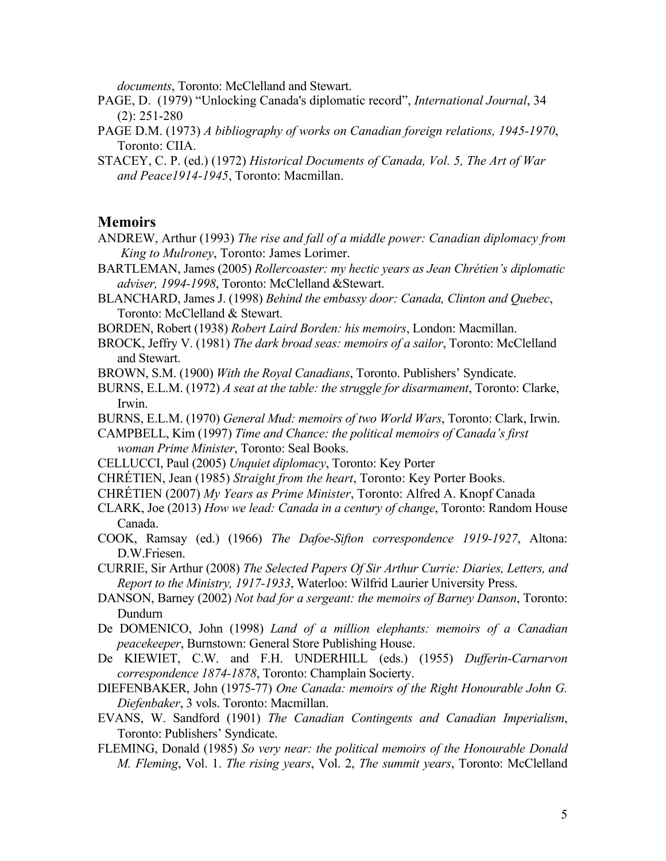*documents*, Toronto: McClelland and Stewart.

- PAGE, D. (1979) "Unlocking Canada's diplomatic record", *International Journal*, 34 (2): 251-280
- PAGE D.M. (1973) *A bibliography of works on Canadian foreign relations, 1945-1970*, Toronto: CIIA.
- STACEY, C. P. (ed.) (1972) *Historical Documents of Canada, Vol. 5, The Art of War and Peace1914-1945*, Toronto: Macmillan.

#### **Memoirs**

- ANDREW, Arthur (1993) *The rise and fall of a middle power: Canadian diplomacy from King to Mulroney*, Toronto: James Lorimer.
- BARTLEMAN, James (2005) *Rollercoaster: my hectic years as Jean Chrétien's diplomatic adviser, 1994-1998*, Toronto: McClelland &Stewart.
- BLANCHARD, James J. (1998) *Behind the embassy door: Canada, Clinton and Quebec*, Toronto: McClelland & Stewart.
- BORDEN, Robert (1938) *Robert Laird Borden: his memoirs*, London: Macmillan.
- BROCK, Jeffry V. (1981) *The dark broad seas: memoirs of a sailor*, Toronto: McClelland and Stewart.
- BROWN, S.M. (1900) *With the Royal Canadians*, Toronto. Publishers' Syndicate.
- BURNS, E.L.M. (1972) *A seat at the table: the struggle for disarmament*, Toronto: Clarke, Irwin.
- BURNS, E.L.M. (1970) *General Mud: memoirs of two World Wars*, Toronto: Clark, Irwin.
- CAMPBELL, Kim (1997) *Time and Chance: the political memoirs of Canada's first woman Prime Minister*, Toronto: Seal Books.
- CELLUCCI, Paul (2005) *Unquiet diplomacy*, Toronto: Key Porter
- CHRÉTIEN, Jean (1985) *Straight from the heart*, Toronto: Key Porter Books.
- CHRÉTIEN (2007) *My Years as Prime Minister*, Toronto: Alfred A. Knopf Canada
- CLARK, Joe (2013) *How we lead: Canada in a century of change*, Toronto: Random House Canada.
- COOK, Ramsay (ed.) (1966) *The Dafoe-Sifton correspondence 1919-1927*, Altona: D.W.Friesen.
- CURRIE, Sir Arthur (2008) *The Selected Papers Of Sir Arthur Currie: Diaries, Letters, and Report to the Ministry, 1917-1933*, Waterloo: Wilfrid Laurier University Press.
- DANSON, Barney (2002) *Not bad for a sergeant: the memoirs of Barney Danson*, Toronto: Dundurn
- De DOMENICO, John (1998) *Land of a million elephants: memoirs of a Canadian peacekeeper*, Burnstown: General Store Publishing House.
- De KIEWIET, C.W. and F.H. UNDERHILL (eds.) (1955) *Dufferin-Carnarvon correspondence 1874-1878*, Toronto: Champlain Socierty.
- DIEFENBAKER, John (1975-77) *One Canada: memoirs of the Right Honourable John G. Diefenbaker*, 3 vols. Toronto: Macmillan.
- EVANS, W. Sandford (1901) *The Canadian Contingents and Canadian Imperialism*, Toronto: Publishers' Syndicate.
- FLEMING, Donald (1985) *So very near: the political memoirs of the Honourable Donald M. Fleming*, Vol. 1. *The rising years*, Vol. 2, *The summit years*, Toronto: McClelland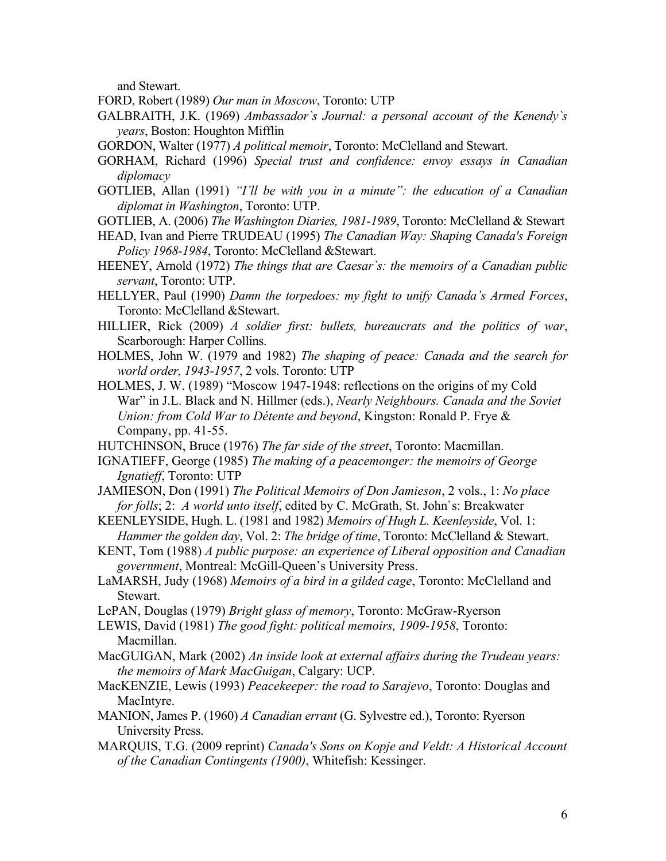and Stewart.

- FORD, Robert (1989) *Our man in Moscow*, Toronto: UTP
- GALBRAITH, J.K. (1969) *Ambassador`s Journal: a personal account of the Kenendy`s years*, Boston: Houghton Mifflin
- GORDON, Walter (1977) *A political memoir*, Toronto: McClelland and Stewart.
- GORHAM, Richard (1996) *Special trust and confidence: envoy essays in Canadian diplomacy*
- GOTLIEB, Allan (1991) *"I'll be with you in a minute": the education of a Canadian diplomat in Washington*, Toronto: UTP.
- GOTLIEB, A. (2006) *The Washington Diaries, 1981-1989*, Toronto: McClelland & Stewart
- HEAD, Ivan and Pierre TRUDEAU (1995) *The Canadian Way: Shaping Canada's Foreign Policy 1968-1984*, Toronto: McClelland &Stewart.
- HEENEY, Arnold (1972) *The things that are Caesar`s: the memoirs of a Canadian public servant*, Toronto: UTP.
- HELLYER, Paul (1990) *Damn the torpedoes: my fight to unify Canada's Armed Forces*, Toronto: McClelland &Stewart.
- HILLIER, Rick (2009) *A soldier first: bullets, bureaucrats and the politics of war*, Scarborough: Harper Collins.
- HOLMES, John W. (1979 and 1982) *The shaping of peace: Canada and the search for world order, 1943-1957*, 2 vols. Toronto: UTP
- HOLMES, J. W. (1989) "Moscow 1947-1948: reflections on the origins of my Cold War" in J.L. Black and N. Hillmer (eds.), *Nearly Neighbours. Canada and the Soviet Union: from Cold War to Détente and beyond*, Kingston: Ronald P. Frye & Company, pp. 41-55.
- HUTCHINSON, Bruce (1976) *The far side of the street*, Toronto: Macmillan.
- IGNATIEFF, George (1985) *The making of a peacemonger: the memoirs of George Ignatieff*, Toronto: UTP
- JAMIESON, Don (1991) *The Political Memoirs of Don Jamieson*, 2 vols., 1: *No place for folls*; 2: *A world unto itself*, edited by C. McGrath, St. John`s: Breakwater
- KEENLEYSIDE, Hugh. L. (1981 and 1982) *Memoirs of Hugh L. Keenleyside*, Vol. 1: *Hammer the golden day*, Vol. 2: *The bridge of time*, Toronto: McClelland & Stewart.
- KENT, Tom (1988) *A public purpose: an experience of Liberal opposition and Canadian government*, Montreal: McGill-Queen's University Press.
- LaMARSH, Judy (1968) *Memoirs of a bird in a gilded cage*, Toronto: McClelland and Stewart.
- LePAN, Douglas (1979) *Bright glass of memory*, Toronto: McGraw-Ryerson
- LEWIS, David (1981) *The good fight: political memoirs, 1909-1958*, Toronto: Macmillan.
- MacGUIGAN, Mark (2002) *An inside look at external affairs during the Trudeau years: the memoirs of Mark MacGuigan*, Calgary: UCP.
- MacKENZIE, Lewis (1993) *Peacekeeper: the road to Sarajevo*, Toronto: Douglas and MacIntyre.
- MANION, James P. (1960) *A Canadian errant* (G. Sylvestre ed.), Toronto: Ryerson University Press.
- MARQUIS, T.G. (2009 reprint) *Canada's Sons on Kopje and Veldt: A Historical Account of the Canadian Contingents (1900)*, Whitefish: Kessinger.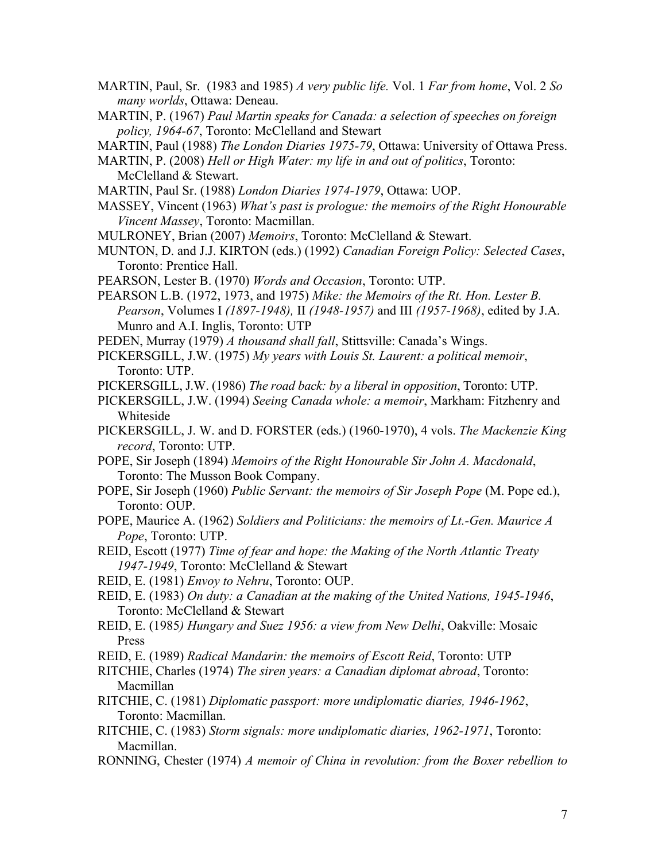- MARTIN, Paul, Sr. (1983 and 1985) *A very public life.* Vol. 1 *Far from home*, Vol. 2 *So many worlds*, Ottawa: Deneau.
- MARTIN, P. (1967) *Paul Martin speaks for Canada: a selection of speeches on foreign policy, 1964-67*, Toronto: McClelland and Stewart
- MARTIN, Paul (1988) *The London Diaries 1975-79*, Ottawa: University of Ottawa Press.
- MARTIN, P. (2008) *Hell or High Water: my life in and out of politics*, Toronto: McClelland & Stewart.
- MARTIN, Paul Sr. (1988) *London Diaries 1974-1979*, Ottawa: UOP.
- MASSEY, Vincent (1963) *What's past is prologue: the memoirs of the Right Honourable Vincent Massey*, Toronto: Macmillan.
- MULRONEY, Brian (2007) *Memoirs*, Toronto: McClelland & Stewart.
- MUNTON, D. and J.J. KIRTON (eds.) (1992) *Canadian Foreign Policy: Selected Cases*, Toronto: Prentice Hall.
- PEARSON, Lester B. (1970) *Words and Occasion*, Toronto: UTP.
- PEARSON L.B. (1972, 1973, and 1975) *Mike: the Memoirs of the Rt. Hon. Lester B. Pearson*, Volumes I *(1897-1948),* II *(1948-1957)* and III *(1957-1968)*, edited by J.A. Munro and A.I. Inglis, Toronto: UTP
- PEDEN, Murray (1979) *A thousand shall fall*, Stittsville: Canada's Wings.
- PICKERSGILL, J.W. (1975) *My years with Louis St. Laurent: a political memoir*, Toronto: UTP.
- PICKERSGILL, J.W. (1986) *The road back: by a liberal in opposition*, Toronto: UTP.
- PICKERSGILL, J.W. (1994) *Seeing Canada whole: a memoir*, Markham: Fitzhenry and Whiteside
- PICKERSGILL, J. W. and D. FORSTER (eds.) (1960-1970), 4 vols. *The Mackenzie King record*, Toronto: UTP.
- POPE, Sir Joseph (1894) *Memoirs of the Right Honourable Sir John A. Macdonald*, Toronto: The Musson Book Company.
- POPE, Sir Joseph (1960) *Public Servant: the memoirs of Sir Joseph Pope* (M. Pope ed.), Toronto: OUP.
- POPE, Maurice A. (1962) *Soldiers and Politicians: the memoirs of Lt.-Gen. Maurice A Pope*, Toronto: UTP.
- REID, Escott (1977) *Time of fear and hope: the Making of the North Atlantic Treaty 1947-1949*, Toronto: McClelland & Stewart
- REID, E. (1981) *Envoy to Nehru*, Toronto: OUP.
- REID, E. (1983) *On duty: a Canadian at the making of the United Nations, 1945-1946*, Toronto: McClelland & Stewart
- REID, E. (1985*) Hungary and Suez 1956: a view from New Delhi*, Oakville: Mosaic Press
- REID, E. (1989) *Radical Mandarin: the memoirs of Escott Reid*, Toronto: UTP
- RITCHIE, Charles (1974) *The siren years: a Canadian diplomat abroad*, Toronto: Macmillan
- RITCHIE, C. (1981) *Diplomatic passport: more undiplomatic diaries, 1946-1962*, Toronto: Macmillan.
- RITCHIE, C. (1983) *Storm signals: more undiplomatic diaries, 1962-1971*, Toronto: Macmillan.
- RONNING, Chester (1974) *A memoir of China in revolution: from the Boxer rebellion to*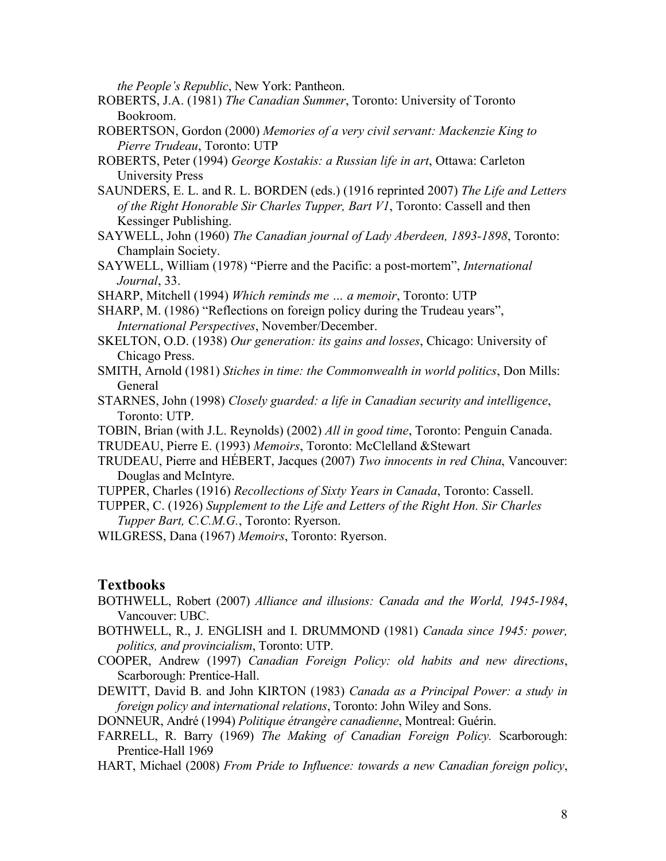*the People's Republic*, New York: Pantheon.

- ROBERTS, J.A. (1981) *The Canadian Summer*, Toronto: University of Toronto Bookroom.
- ROBERTSON, Gordon (2000) *Memories of a very civil servant: Mackenzie King to Pierre Trudeau*, Toronto: UTP
- ROBERTS, Peter (1994) *George Kostakis: a Russian life in art*, Ottawa: Carleton University Press
- SAUNDERS, E. L. and R. L. BORDEN (eds.) (1916 reprinted 2007) *The Life and Letters of the Right Honorable Sir Charles Tupper, Bart V1*, Toronto: Cassell and then Kessinger Publishing.
- SAYWELL, John (1960) *The Canadian journal of Lady Aberdeen, 1893-1898*, Toronto: Champlain Society.
- SAYWELL, William (1978) "Pierre and the Pacific: a post-mortem", *International Journal*, 33.
- SHARP, Mitchell (1994) *Which reminds me … a memoir*, Toronto: UTP

SHARP, M. (1986) "Reflections on foreign policy during the Trudeau years", *International Perspectives*, November/December.

- SKELTON, O.D. (1938) *Our generation: its gains and losses*, Chicago: University of Chicago Press.
- SMITH, Arnold (1981) *Stiches in time: the Commonwealth in world politics*, Don Mills: General
- STARNES, John (1998) *Closely guarded: a life in Canadian security and intelligence*, Toronto: UTP.
- TOBIN, Brian (with J.L. Reynolds) (2002) *All in good time*, Toronto: Penguin Canada.
- TRUDEAU, Pierre E. (1993) *Memoirs*, Toronto: McClelland &Stewart
- TRUDEAU, Pierre and HÉBERT, Jacques (2007) *Two innocents in red China*, Vancouver: Douglas and McIntyre.
- TUPPER, Charles (1916) *Recollections of Sixty Years in Canada*, Toronto: Cassell.
- TUPPER, C. (1926) *Supplement to the Life and Letters of the Right Hon. Sir Charles Tupper Bart, C.C.M.G.*, Toronto: Ryerson.

WILGRESS, Dana (1967) *Memoirs*, Toronto: Ryerson.

## **Textbooks**

- BOTHWELL, Robert (2007) *Alliance and illusions: Canada and the World, 1945-1984*, Vancouver: UBC.
- BOTHWELL, R., J. ENGLISH and I. DRUMMOND (1981) *Canada since 1945: power, politics, and provincialism*, Toronto: UTP.
- COOPER, Andrew (1997) *Canadian Foreign Policy: old habits and new directions*, Scarborough: Prentice-Hall.
- DEWITT, David B. and John KIRTON (1983) *Canada as a Principal Power: a study in foreign policy and international relations*, Toronto: John Wiley and Sons.

DONNEUR, André (1994) *Politique étrangère canadienne*, Montreal: Guérin.

- FARRELL, R. Barry (1969) *The Making of Canadian Foreign Policy.* Scarborough: Prentice-Hall 1969
- HART, Michael (2008) *From Pride to Influence: towards a new Canadian foreign policy*,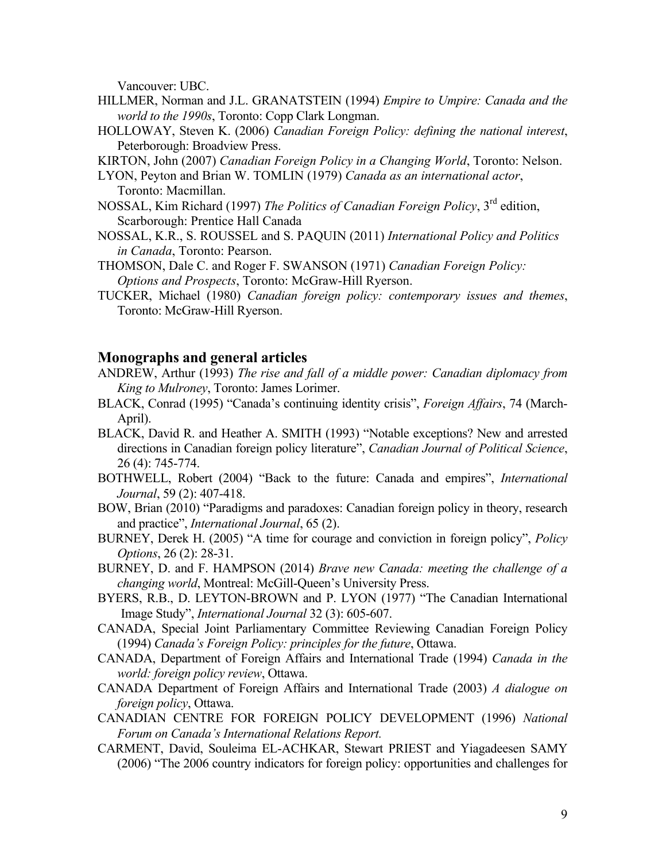Vancouver: UBC.

- HILLMER, Norman and J.L. GRANATSTEIN (1994) *Empire to Umpire: Canada and the world to the 1990s*, Toronto: Copp Clark Longman.
- HOLLOWAY, Steven K. (2006) *Canadian Foreign Policy: defining the national interest*, Peterborough: Broadview Press.

KIRTON, John (2007) *Canadian Foreign Policy in a Changing World*, Toronto: Nelson.

- LYON, Peyton and Brian W. TOMLIN (1979) *Canada as an international actor*, Toronto: Macmillan.
- NOSSAL, Kim Richard (1997) *The Politics of Canadian Foreign Policy*, 3rd edition, Scarborough: Prentice Hall Canada
- NOSSAL, K.R., S. ROUSSEL and S. PAQUIN (2011) *International Policy and Politics in Canada*, Toronto: Pearson.
- THOMSON, Dale C. and Roger F. SWANSON (1971) *Canadian Foreign Policy: Options and Prospects*, Toronto: McGraw-Hill Ryerson.
- TUCKER, Michael (1980) *Canadian foreign policy: contemporary issues and themes*, Toronto: McGraw-Hill Ryerson.

# **Monographs and general articles**

- ANDREW, Arthur (1993) *The rise and fall of a middle power: Canadian diplomacy from King to Mulroney*, Toronto: James Lorimer.
- BLACK, Conrad (1995) "Canada's continuing identity crisis", *Foreign Affairs*, 74 (March-April).
- BLACK, David R. and Heather A. SMITH (1993) "Notable exceptions? New and arrested directions in Canadian foreign policy literature", *Canadian Journal of Political Science*, 26 (4): 745-774.
- BOTHWELL, Robert (2004) "Back to the future: Canada and empires", *International Journal*, 59 (2): 407-418.
- BOW, Brian (2010) "Paradigms and paradoxes: Canadian foreign policy in theory, research and practice", *International Journal*, 65 (2).
- BURNEY, Derek H. (2005) "A time for courage and conviction in foreign policy", *Policy Options*, 26 (2): 28-31.
- BURNEY, D. and F. HAMPSON (2014) *Brave new Canada: meeting the challenge of a changing world*, Montreal: McGill-Queen's University Press.
- BYERS, R.B., D. LEYTON-BROWN and P. LYON (1977) "The Canadian International Image Study", *International Journal* 32 (3): 605-607.
- CANADA, Special Joint Parliamentary Committee Reviewing Canadian Foreign Policy (1994) *Canada's Foreign Policy: principles for the future*, Ottawa.
- CANADA, Department of Foreign Affairs and International Trade (1994) *Canada in the world: foreign policy review*, Ottawa.
- CANADA Department of Foreign Affairs and International Trade (2003) *A dialogue on foreign policy*, Ottawa.
- CANADIAN CENTRE FOR FOREIGN POLICY DEVELOPMENT (1996) *National Forum on Canada's International Relations Report.*
- CARMENT, David, Souleima EL-ACHKAR, Stewart PRIEST and Yiagadeesen SAMY (2006) "The 2006 country indicators for foreign policy: opportunities and challenges for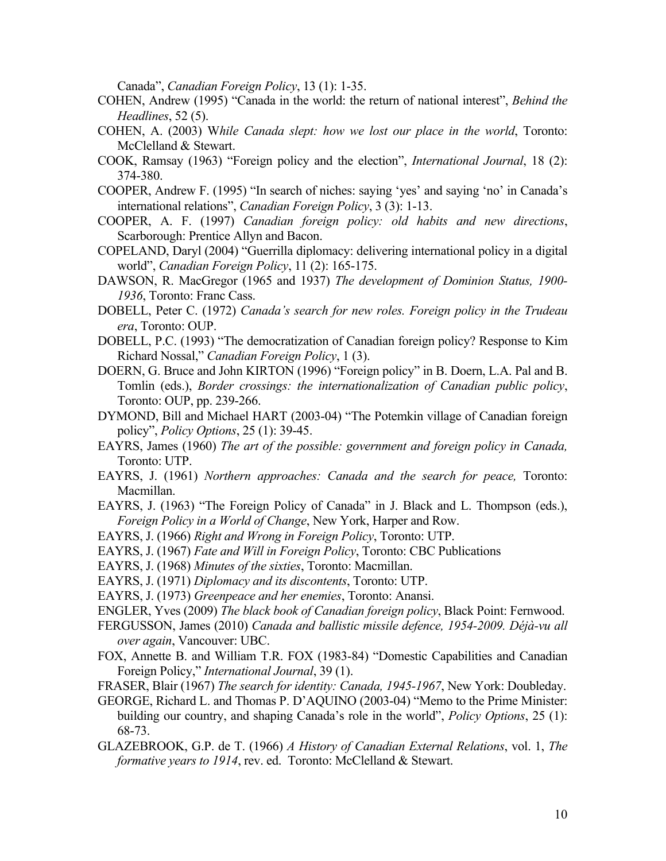Canada", *Canadian Foreign Policy*, 13 (1): 1-35.

- COHEN, Andrew (1995) "Canada in the world: the return of national interest", *Behind the Headlines*, 52 (5).
- COHEN, A. (2003) W*hile Canada slept: how we lost our place in the world*, Toronto: McClelland & Stewart.
- COOK, Ramsay (1963) "Foreign policy and the election", *International Journal*, 18 (2): 374-380.
- COOPER, Andrew F. (1995) "In search of niches: saying 'yes' and saying 'no' in Canada's international relations", *Canadian Foreign Policy*, 3 (3): 1-13.
- COOPER, A. F. (1997) *Canadian foreign policy: old habits and new directions*, Scarborough: Prentice Allyn and Bacon.
- COPELAND, Daryl (2004) "Guerrilla diplomacy: delivering international policy in a digital world", *Canadian Foreign Policy*, 11 (2): 165-175.
- DAWSON, R. MacGregor (1965 and 1937) *The development of Dominion Status, 1900- 1936*, Toronto: Franc Cass.
- DOBELL, Peter C. (1972) *Canada's search for new roles. Foreign policy in the Trudeau era*, Toronto: OUP.
- DOBELL, P.C. (1993) "The democratization of Canadian foreign policy? Response to Kim Richard Nossal," *Canadian Foreign Policy*, 1 (3).
- DOERN, G. Bruce and John KIRTON (1996) "Foreign policy" in B. Doern, L.A. Pal and B. Tomlin (eds.), *Border crossings: the internationalization of Canadian public policy*, Toronto: OUP, pp. 239-266.
- DYMOND, Bill and Michael HART (2003-04) "The Potemkin village of Canadian foreign policy", *Policy Options*, 25 (1): 39-45.
- EAYRS, James (1960) *The art of the possible: government and foreign policy in Canada,* Toronto: UTP.
- EAYRS, J. (1961) *Northern approaches: Canada and the search for peace,* Toronto: Macmillan.
- EAYRS, J. (1963) "The Foreign Policy of Canada" in J. Black and L. Thompson (eds.), *Foreign Policy in a World of Change*, New York, Harper and Row.
- EAYRS, J. (1966) *Right and Wrong in Foreign Policy*, Toronto: UTP.
- EAYRS, J. (1967) *Fate and Will in Foreign Policy*, Toronto: CBC Publications
- EAYRS, J. (1968) *Minutes of the sixties*, Toronto: Macmillan.
- EAYRS, J. (1971) *Diplomacy and its discontents*, Toronto: UTP.
- EAYRS, J. (1973) *Greenpeace and her enemies*, Toronto: Anansi.
- ENGLER, Yves (2009) *The black book of Canadian foreign policy*, Black Point: Fernwood.
- FERGUSSON, James (2010) *Canada and ballistic missile defence, 1954-2009. Déjà-vu all over again*, Vancouver: UBC.
- FOX, Annette B. and William T.R. FOX (1983-84) "Domestic Capabilities and Canadian Foreign Policy," *International Journal*, 39 (1).
- FRASER, Blair (1967) *The search for identity: Canada, 1945-1967*, New York: Doubleday.
- GEORGE, Richard L. and Thomas P. D'AQUINO (2003-04) "Memo to the Prime Minister: building our country, and shaping Canada's role in the world", *Policy Options*, 25 (1): 68-73.
- GLAZEBROOK, G.P. de T. (1966) *A History of Canadian External Relations*, vol. 1, *The formative years to 1914*, rev. ed. Toronto: McClelland & Stewart.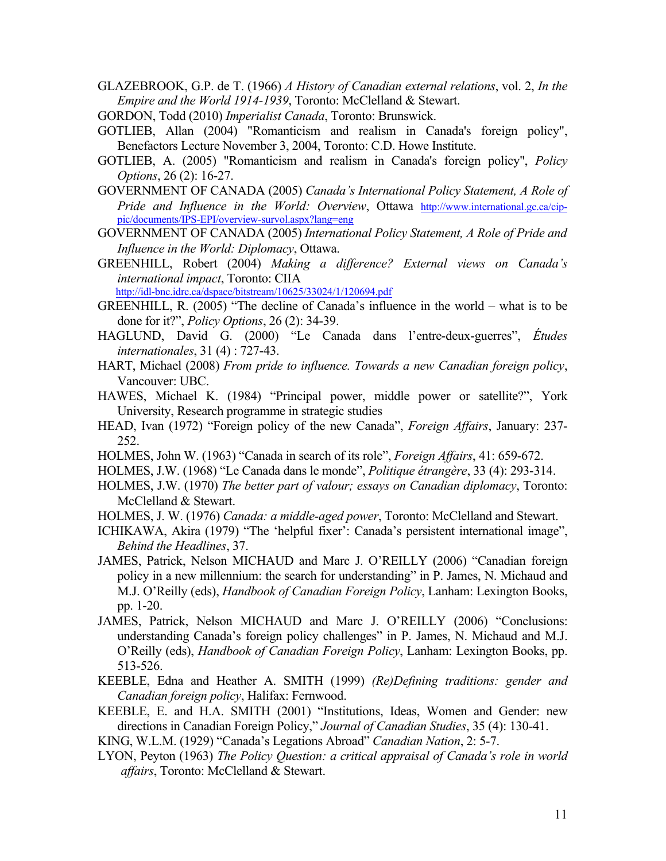- GLAZEBROOK, G.P. de T. (1966) *A History of Canadian external relations*, vol. 2, *In the Empire and the World 1914-1939*, Toronto: McClelland & Stewart.
- GORDON, Todd (2010) *Imperialist Canada*, Toronto: Brunswick.
- GOTLIEB, Allan (2004) "Romanticism and realism in Canada's foreign policy", Benefactors Lecture November 3, 2004, Toronto: C.D. Howe Institute.
- GOTLIEB, A. (2005) "Romanticism and realism in Canada's foreign policy", *Policy Options*, 26 (2): 16-27.
- GOVERNMENT OF CANADA (2005) *Canada's International Policy Statement, A Role of Pride and Influence in the World: Overview*, Ottawa http://www.international.gc.ca/cippic/documents/IPS-EPI/overview-survol.aspx?lang=eng
- GOVERNMENT OF CANADA (2005) *International Policy Statement, A Role of Pride and Influence in the World: Diplomacy*, Ottawa.
- GREENHILL, Robert (2004) *Making a difference? External views on Canada's international impact*, Toronto: CIIA

http://idl-bnc.idrc.ca/dspace/bitstream/10625/33024/1/120694.pdf

- GREENHILL, R. (2005) "The decline of Canada's influence in the world what is to be done for it?", *Policy Options*, 26 (2): 34-39.
- HAGLUND, David G. (2000) "Le Canada dans l'entre-deux-guerres", *Études internationales*, 31 (4) : 727-43.
- HART, Michael (2008) *From pride to influence. Towards a new Canadian foreign policy*, Vancouver: UBC.
- HAWES, Michael K. (1984) "Principal power, middle power or satellite?", York University, Research programme in strategic studies
- HEAD, Ivan (1972) "Foreign policy of the new Canada", *Foreign Affairs*, January: 237- 252.
- HOLMES, John W. (1963) "Canada in search of its role", *Foreign Affairs*, 41: 659-672.
- HOLMES, J.W. (1968) "Le Canada dans le monde", *Politique étrangère*, 33 (4): 293-314.
- HOLMES, J.W. (1970) *The better part of valour; essays on Canadian diplomacy*, Toronto: McClelland & Stewart.
- HOLMES, J. W. (1976) *Canada: a middle-aged power*, Toronto: McClelland and Stewart.
- ICHIKAWA, Akira (1979) "The 'helpful fixer': Canada's persistent international image", *Behind the Headlines*, 37.
- JAMES, Patrick, Nelson MICHAUD and Marc J. O'REILLY (2006) "Canadian foreign policy in a new millennium: the search for understanding" in P. James, N. Michaud and M.J. O'Reilly (eds), *Handbook of Canadian Foreign Policy*, Lanham: Lexington Books, pp. 1-20.
- JAMES, Patrick, Nelson MICHAUD and Marc J. O'REILLY (2006) "Conclusions: understanding Canada's foreign policy challenges" in P. James, N. Michaud and M.J. O'Reilly (eds), *Handbook of Canadian Foreign Policy*, Lanham: Lexington Books, pp. 513-526.
- KEEBLE, Edna and Heather A. SMITH (1999) *(Re)Defining traditions: gender and Canadian foreign policy*, Halifax: Fernwood.
- KEEBLE, E. and H.A. SMITH (2001) "Institutions, Ideas, Women and Gender: new directions in Canadian Foreign Policy," *Journal of Canadian Studies*, 35 (4): 130-41.

KING, W.L.M. (1929) "Canada's Legations Abroad" *Canadian Nation*, 2: 5-7.

LYON, Peyton (1963) *The Policy Question: a critical appraisal of Canada's role in world affairs*, Toronto: McClelland & Stewart.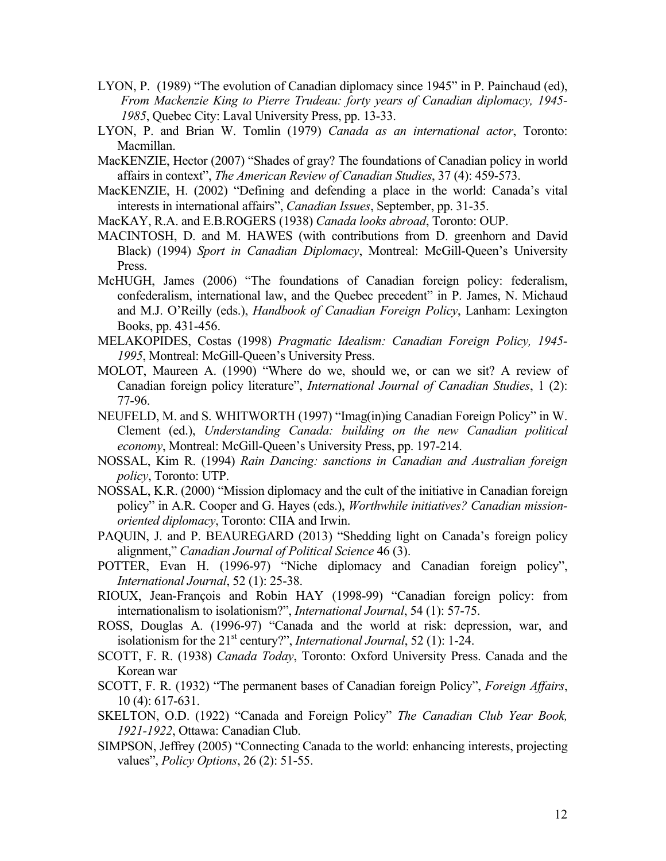- LYON, P. (1989) "The evolution of Canadian diplomacy since 1945" in P. Painchaud (ed), *From Mackenzie King to Pierre Trudeau: forty years of Canadian diplomacy, 1945- 1985*, Quebec City: Laval University Press, pp. 13-33.
- LYON, P. and Brian W. Tomlin (1979) *Canada as an international actor*, Toronto: Macmillan.
- MacKENZIE, Hector (2007) "Shades of gray? The foundations of Canadian policy in world affairs in context", *The American Review of Canadian Studies*, 37 (4): 459-573.
- MacKENZIE, H. (2002) "Defining and defending a place in the world: Canada's vital interests in international affairs", *Canadian Issues*, September, pp. 31-35.
- MacKAY, R.A. and E.B.ROGERS (1938) *Canada looks abroad*, Toronto: OUP.
- MACINTOSH, D. and M. HAWES (with contributions from D. greenhorn and David Black) (1994) *Sport in Canadian Diplomacy*, Montreal: McGill-Queen's University Press.
- McHUGH, James (2006) "The foundations of Canadian foreign policy: federalism, confederalism, international law, and the Quebec precedent" in P. James, N. Michaud and M.J. O'Reilly (eds.), *Handbook of Canadian Foreign Policy*, Lanham: Lexington Books, pp. 431-456.
- MELAKOPIDES, Costas (1998) *Pragmatic Idealism: Canadian Foreign Policy, 1945- 1995*, Montreal: McGill-Queen's University Press.
- MOLOT, Maureen A. (1990) "Where do we, should we, or can we sit? A review of Canadian foreign policy literature", *International Journal of Canadian Studies*, 1 (2): 77-96.
- NEUFELD, M. and S. WHITWORTH (1997) "Imag(in)ing Canadian Foreign Policy" in W. Clement (ed.), *Understanding Canada: building on the new Canadian political economy*, Montreal: McGill-Queen's University Press, pp. 197-214.
- NOSSAL, Kim R. (1994) *Rain Dancing: sanctions in Canadian and Australian foreign policy*, Toronto: UTP.
- NOSSAL, K.R. (2000) "Mission diplomacy and the cult of the initiative in Canadian foreign policy" in A.R. Cooper and G. Hayes (eds.), *Worthwhile initiatives? Canadian missionoriented diplomacy*, Toronto: CIIA and Irwin.
- PAQUIN, J. and P. BEAUREGARD (2013) "Shedding light on Canada's foreign policy alignment," *Canadian Journal of Political Science* 46 (3).
- POTTER, Evan H. (1996-97) "Niche diplomacy and Canadian foreign policy", *International Journal*, 52 (1): 25-38.
- RIOUX, Jean-François and Robin HAY (1998-99) "Canadian foreign policy: from internationalism to isolationism?", *International Journal*, 54 (1): 57-75.
- ROSS, Douglas A. (1996-97) "Canada and the world at risk: depression, war, and isolationism for the 21<sup>st</sup> century?", *International Journal*, 52 (1): 1-24.
- SCOTT, F. R. (1938) *Canada Today*, Toronto: Oxford University Press. Canada and the Korean war
- SCOTT, F. R. (1932) "The permanent bases of Canadian foreign Policy", *Foreign Affairs*, 10 (4): 617-631.
- SKELTON, O.D. (1922) "Canada and Foreign Policy" *The Canadian Club Year Book, 1921-1922*, Ottawa: Canadian Club.
- SIMPSON, Jeffrey (2005) "Connecting Canada to the world: enhancing interests, projecting values", *Policy Options*, 26 (2): 51-55.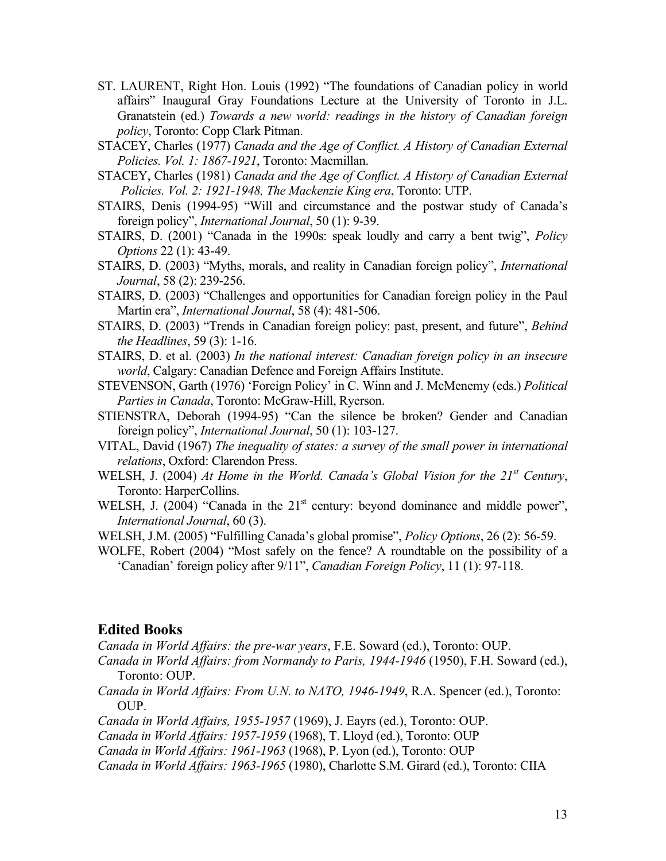- ST. LAURENT, Right Hon. Louis (1992) "The foundations of Canadian policy in world affairs" Inaugural Gray Foundations Lecture at the University of Toronto in J.L. Granatstein (ed.) *Towards a new world: readings in the history of Canadian foreign policy*, Toronto: Copp Clark Pitman.
- STACEY, Charles (1977) *Canada and the Age of Conflict. A History of Canadian External Policies. Vol. 1: 1867-1921*, Toronto: Macmillan.
- STACEY, Charles (1981) *Canada and the Age of Conflict. A History of Canadian External Policies. Vol. 2: 1921-1948, The Mackenzie King era*, Toronto: UTP.
- STAIRS, Denis (1994-95) "Will and circumstance and the postwar study of Canada's foreign policy", *International Journal*, 50 (1): 9-39.
- STAIRS, D. (2001) "Canada in the 1990s: speak loudly and carry a bent twig", *Policy Options* 22 (1): 43-49.
- STAIRS, D. (2003) "Myths, morals, and reality in Canadian foreign policy", *International Journal*, 58 (2): 239-256.
- STAIRS, D. (2003) "Challenges and opportunities for Canadian foreign policy in the Paul Martin era", *International Journal*, 58 (4): 481-506.
- STAIRS, D. (2003) "Trends in Canadian foreign policy: past, present, and future", *Behind the Headlines*, 59 (3): 1-16.
- STAIRS, D. et al. (2003) *In the national interest: Canadian foreign policy in an insecure world*, Calgary: Canadian Defence and Foreign Affairs Institute.
- STEVENSON, Garth (1976) 'Foreign Policy' in C. Winn and J. McMenemy (eds.) *Political Parties in Canada*, Toronto: McGraw-Hill, Ryerson.
- STIENSTRA, Deborah (1994-95) "Can the silence be broken? Gender and Canadian foreign policy", *International Journal*, 50 (1): 103-127.
- VITAL, David (1967) *The inequality of states: a survey of the small power in international relations*, Oxford: Clarendon Press.
- WELSH, J. (2004) *At Home in the World. Canada's Global Vision for the 21st Century*, Toronto: HarperCollins.
- WELSH, J. (2004) "Canada in the  $21<sup>st</sup>$  century: beyond dominance and middle power", *International Journal*, 60 (3).
- WELSH, J.M. (2005) "Fulfilling Canada's global promise", *Policy Options*, 26 (2): 56-59.

WOLFE, Robert (2004) "Most safely on the fence? A roundtable on the possibility of a 'Canadian' foreign policy after 9/11", *Canadian Foreign Policy*, 11 (1): 97-118.

## **Edited Books**

*Canada in World Affairs: the pre-war years*, F.E. Soward (ed.), Toronto: OUP.

- *Canada in World Affairs: from Normandy to Paris, 1944-1946* (1950), F.H. Soward (ed.), Toronto: OUP.
- *Canada in World Affairs: From U.N. to NATO, 1946-1949*, R.A. Spencer (ed.), Toronto: OUP.
- *Canada in World Affairs, 1955-1957* (1969), J. Eayrs (ed.), Toronto: OUP.
- *Canada in World Affairs: 1957-1959* (1968), T. Lloyd (ed.), Toronto: OUP
- *Canada in World Affairs: 1961-1963* (1968), P. Lyon (ed.), Toronto: OUP

*Canada in World Affairs: 1963-1965* (1980), Charlotte S.M. Girard (ed.), Toronto: CIIA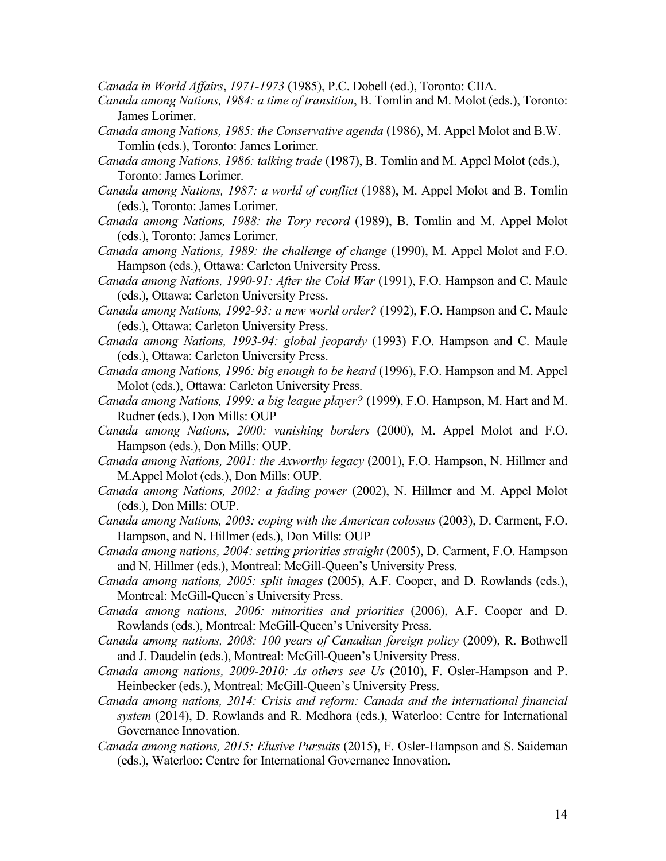*Canada in World Affairs*, *1971-1973* (1985), P.C. Dobell (ed.), Toronto: CIIA.

- *Canada among Nations, 1984: a time of transition*, B. Tomlin and M. Molot (eds.), Toronto: James Lorimer.
- *Canada among Nations, 1985: the Conservative agenda* (1986), M. Appel Molot and B.W. Tomlin (eds.), Toronto: James Lorimer.
- *Canada among Nations, 1986: talking trade* (1987), B. Tomlin and M. Appel Molot (eds.), Toronto: James Lorimer.
- *Canada among Nations, 1987: a world of conflict* (1988), M. Appel Molot and B. Tomlin (eds.), Toronto: James Lorimer.
- *Canada among Nations, 1988: the Tory record* (1989), B. Tomlin and M. Appel Molot (eds.), Toronto: James Lorimer.
- *Canada among Nations, 1989: the challenge of change* (1990), M. Appel Molot and F.O. Hampson (eds.), Ottawa: Carleton University Press.
- *Canada among Nations, 1990-91: After the Cold War* (1991), F.O. Hampson and C. Maule (eds.), Ottawa: Carleton University Press.
- *Canada among Nations, 1992-93: a new world order?* (1992), F.O. Hampson and C. Maule (eds.), Ottawa: Carleton University Press.
- *Canada among Nations, 1993-94: global jeopardy* (1993) F.O. Hampson and C. Maule (eds.), Ottawa: Carleton University Press.
- *Canada among Nations, 1996: big enough to be heard* (1996), F.O. Hampson and M. Appel Molot (eds.), Ottawa: Carleton University Press.
- *Canada among Nations, 1999: a big league player?* (1999), F.O. Hampson, M. Hart and M. Rudner (eds.), Don Mills: OUP
- *Canada among Nations, 2000: vanishing borders* (2000), M. Appel Molot and F.O. Hampson (eds.), Don Mills: OUP.
- *Canada among Nations, 2001: the Axworthy legacy* (2001), F.O. Hampson, N. Hillmer and M.Appel Molot (eds.), Don Mills: OUP.
- *Canada among Nations, 2002: a fading power* (2002), N. Hillmer and M. Appel Molot (eds.), Don Mills: OUP.
- *Canada among Nations, 2003: coping with the American colossus* (2003), D. Carment, F.O. Hampson, and N. Hillmer (eds.), Don Mills: OUP
- *Canada among nations, 2004: setting priorities straight* (2005), D. Carment, F.O. Hampson and N. Hillmer (eds.), Montreal: McGill-Queen's University Press.
- *Canada among nations, 2005: split images* (2005), A.F. Cooper, and D. Rowlands (eds.), Montreal: McGill-Queen's University Press.
- *Canada among nations, 2006: minorities and priorities* (2006), A.F. Cooper and D. Rowlands (eds.), Montreal: McGill-Queen's University Press.
- *Canada among nations, 2008: 100 years of Canadian foreign policy* (2009), R. Bothwell and J. Daudelin (eds.), Montreal: McGill-Queen's University Press.
- *Canada among nations, 2009-2010: As others see Us* (2010), F. Osler-Hampson and P. Heinbecker (eds.), Montreal: McGill-Queen's University Press.
- *Canada among nations, 2014: Crisis and reform: Canada and the international financial system* (2014), D. Rowlands and R. Medhora (eds.), Waterloo: Centre for International Governance Innovation.
- *Canada among nations, 2015: Elusive Pursuits* (2015), F. Osler-Hampson and S. Saideman (eds.), Waterloo: Centre for International Governance Innovation.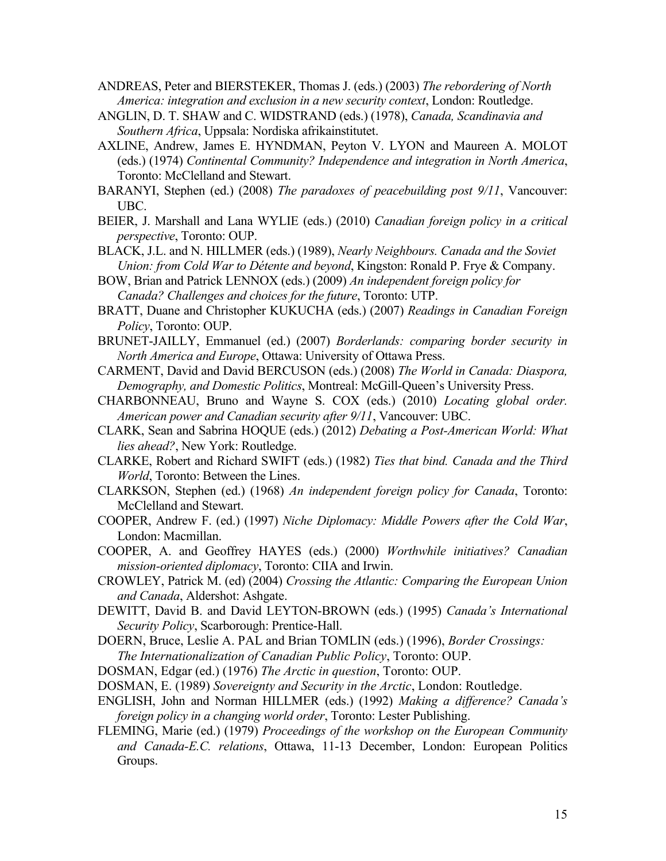- ANDREAS, Peter and BIERSTEKER, Thomas J. (eds.) (2003) *The rebordering of North America: integration and exclusion in a new security context*, London: Routledge.
- ANGLIN, D. T. SHAW and C. WIDSTRAND (eds.) (1978), *Canada, Scandinavia and Southern Africa*, Uppsala: Nordiska afrikainstitutet.
- AXLINE, Andrew, James E. HYNDMAN, Peyton V. LYON and Maureen A. MOLOT (eds.) (1974) *Continental Community? Independence and integration in North America*, Toronto: McClelland and Stewart.
- BARANYI, Stephen (ed.) (2008) *The paradoxes of peacebuilding post 9/11*, Vancouver: UBC.
- BEIER, J. Marshall and Lana WYLIE (eds.) (2010) *Canadian foreign policy in a critical perspective*, Toronto: OUP.
- BLACK, J.L. and N. HILLMER (eds.) (1989), *Nearly Neighbours. Canada and the Soviet Union: from Cold War to Détente and beyond*, Kingston: Ronald P. Frye & Company.
- BOW, Brian and Patrick LENNOX (eds.) (2009) *An independent foreign policy for Canada? Challenges and choices for the future*, Toronto: UTP.
- BRATT, Duane and Christopher KUKUCHA (eds.) (2007) *Readings in Canadian Foreign Policy*, Toronto: OUP.
- BRUNET-JAILLY, Emmanuel (ed.) (2007) *Borderlands: comparing border security in North America and Europe*, Ottawa: University of Ottawa Press.
- CARMENT, David and David BERCUSON (eds.) (2008) *The World in Canada: Diaspora, Demography, and Domestic Politics*, Montreal: McGill-Queen's University Press.
- CHARBONNEAU, Bruno and Wayne S. COX (eds.) (2010) *Locating global order. American power and Canadian security after 9/11*, Vancouver: UBC.
- CLARK, Sean and Sabrina HOQUE (eds.) (2012) *Debating a Post-American World: What lies ahead?*, New York: Routledge.
- CLARKE, Robert and Richard SWIFT (eds.) (1982) *Ties that bind. Canada and the Third World*, Toronto: Between the Lines.
- CLARKSON, Stephen (ed.) (1968) *An independent foreign policy for Canada*, Toronto: McClelland and Stewart.
- COOPER, Andrew F. (ed.) (1997) *Niche Diplomacy: Middle Powers after the Cold War*, London: Macmillan.
- COOPER, A. and Geoffrey HAYES (eds.) (2000) *Worthwhile initiatives? Canadian mission-oriented diplomacy*, Toronto: CIIA and Irwin.
- CROWLEY, Patrick M. (ed) (2004) *Crossing the Atlantic: Comparing the European Union and Canada*, Aldershot: Ashgate.
- DEWITT, David B. and David LEYTON-BROWN (eds.) (1995) *Canada's International Security Policy*, Scarborough: Prentice-Hall.
- DOERN, Bruce, Leslie A. PAL and Brian TOMLIN (eds.) (1996), *Border Crossings: The Internationalization of Canadian Public Policy*, Toronto: OUP.
- DOSMAN, Edgar (ed.) (1976) *The Arctic in question*, Toronto: OUP.
- DOSMAN, E. (1989) *Sovereignty and Security in the Arctic*, London: Routledge.
- ENGLISH, John and Norman HILLMER (eds.) (1992) *Making a difference? Canada's foreign policy in a changing world order*, Toronto: Lester Publishing.
- FLEMING, Marie (ed.) (1979) *Proceedings of the workshop on the European Community and Canada-E.C. relations*, Ottawa, 11-13 December, London: European Politics Groups.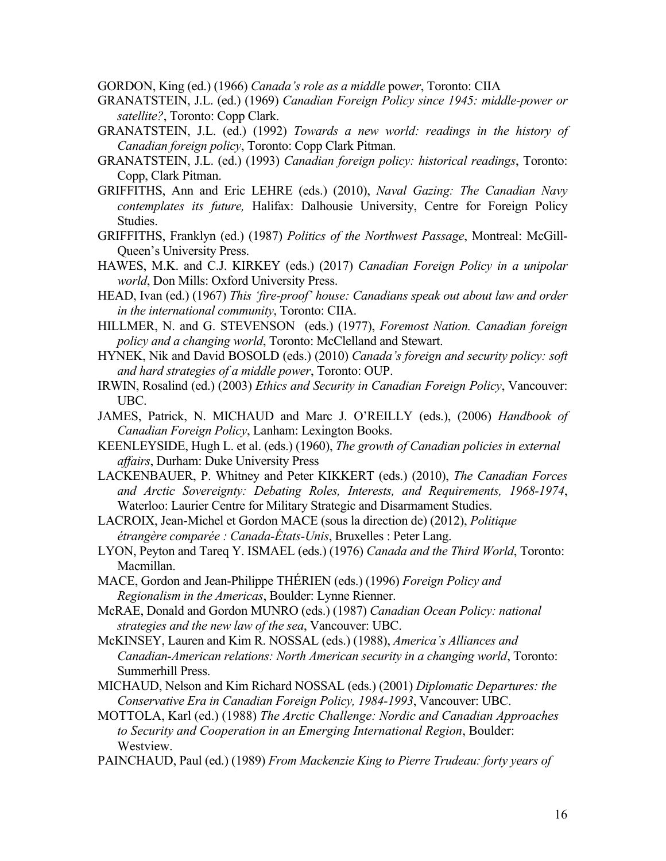GORDON, King (ed.) (1966) *Canada's role as a middle* pow*er*, Toronto: CIIA

- GRANATSTEIN, J.L. (ed.) (1969) *Canadian Foreign Policy since 1945: middle-power or satellite?*, Toronto: Copp Clark.
- GRANATSTEIN, J.L. (ed.) (1992) *Towards a new world: readings in the history of Canadian foreign policy*, Toronto: Copp Clark Pitman.
- GRANATSTEIN, J.L. (ed.) (1993) *Canadian foreign policy: historical readings*, Toronto: Copp, Clark Pitman.
- GRIFFITHS, Ann and Eric LEHRE (eds.) (2010), *Naval Gazing: The Canadian Navy contemplates its future,* Halifax: Dalhousie University, Centre for Foreign Policy Studies.
- GRIFFITHS, Franklyn (ed.) (1987) *Politics of the Northwest Passage*, Montreal: McGill-Queen's University Press.
- HAWES, M.K. and C.J. KIRKEY (eds.) (2017) *Canadian Foreign Policy in a unipolar world*, Don Mills: Oxford University Press.
- HEAD, Ivan (ed.) (1967) *This 'fire-proof' house: Canadians speak out about law and order in the international community*, Toronto: CIIA.
- HILLMER, N. and G. STEVENSON (eds.) (1977), *Foremost Nation. Canadian foreign policy and a changing world*, Toronto: McClelland and Stewart.
- HYNEK, Nik and David BOSOLD (eds.) (2010) *Canada's foreign and security policy: soft and hard strategies of a middle power*, Toronto: OUP.
- IRWIN, Rosalind (ed.) (2003) *Ethics and Security in Canadian Foreign Policy*, Vancouver: UBC.
- JAMES, Patrick, N. MICHAUD and Marc J. O'REILLY (eds.), (2006) *Handbook of Canadian Foreign Policy*, Lanham: Lexington Books.
- KEENLEYSIDE, Hugh L. et al. (eds.) (1960), *The growth of Canadian policies in external affairs*, Durham: Duke University Press
- LACKENBAUER, P. Whitney and Peter KIKKERT (eds.) (2010), *The Canadian Forces and Arctic Sovereignty: Debating Roles, Interests, and Requirements, 1968-1974*, Waterloo: Laurier Centre for Military Strategic and Disarmament Studies.
- LACROIX, Jean-Michel et Gordon MACE (sous la direction de) (2012), *Politique étrangère comparée : Canada-États-Unis*, Bruxelles : Peter Lang.
- LYON, Peyton and Tareq Y. ISMAEL (eds.) (1976) *Canada and the Third World*, Toronto: Macmillan.
- MACE, Gordon and Jean-Philippe THÉRIEN (eds.) (1996) *Foreign Policy and Regionalism in the Americas*, Boulder: Lynne Rienner.
- McRAE, Donald and Gordon MUNRO (eds.) (1987) *Canadian Ocean Policy: national strategies and the new law of the sea*, Vancouver: UBC.
- McKINSEY, Lauren and Kim R. NOSSAL (eds.) (1988), *America's Alliances and Canadian-American relations: North American security in a changing world*, Toronto: Summerhill Press.
- MICHAUD, Nelson and Kim Richard NOSSAL (eds.) (2001) *Diplomatic Departures: the Conservative Era in Canadian Foreign Policy, 1984-1993*, Vancouver: UBC.
- MOTTOLA, Karl (ed.) (1988) *The Arctic Challenge: Nordic and Canadian Approaches to Security and Cooperation in an Emerging International Region*, Boulder: Westview.
- PAINCHAUD, Paul (ed.) (1989) *From Mackenzie King to Pierre Trudeau: forty years of*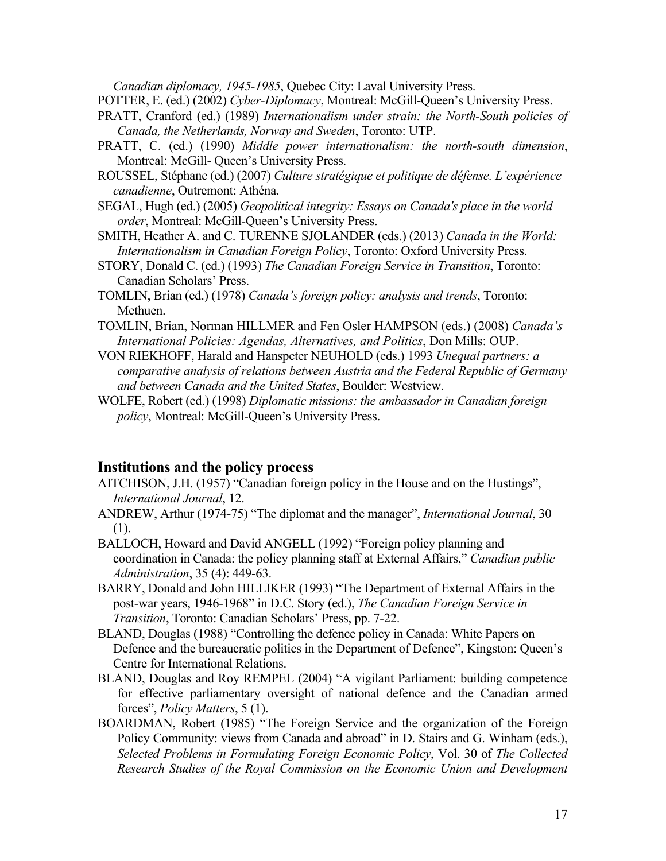*Canadian diplomacy, 1945-1985*, Quebec City: Laval University Press.

POTTER, E. (ed.) (2002) *Cyber-Diplomacy*, Montreal: McGill-Queen's University Press.

- PRATT, Cranford (ed.) (1989) *Internationalism under strain: the North-South policies of Canada, the Netherlands, Norway and Sweden*, Toronto: UTP.
- PRATT, C. (ed.) (1990) *Middle power internationalism: the north-south dimension*, Montreal: McGill- Queen's University Press.
- ROUSSEL, Stéphane (ed.) (2007) *Culture stratégique et politique de défense. L'expérience canadienne*, Outremont: Athéna.
- SEGAL, Hugh (ed.) (2005) *Geopolitical integrity: Essays on Canada's place in the world order*, Montreal: McGill-Queen's University Press.
- SMITH, Heather A. and C. TURENNE SJOLANDER (eds.) (2013) *Canada in the World: Internationalism in Canadian Foreign Policy*, Toronto: Oxford University Press.
- STORY, Donald C. (ed.) (1993) *The Canadian Foreign Service in Transition*, Toronto: Canadian Scholars' Press.
- TOMLIN, Brian (ed.) (1978) *Canada's foreign policy: analysis and trends*, Toronto: Methuen.
- TOMLIN, Brian, Norman HILLMER and Fen Osler HAMPSON (eds.) (2008) *Canada's International Policies: Agendas, Alternatives, and Politics*, Don Mills: OUP.
- VON RIEKHOFF, Harald and Hanspeter NEUHOLD (eds.) 1993 *Unequal partners: a comparative analysis of relations between Austria and the Federal Republic of Germany and between Canada and the United States*, Boulder: Westview.
- WOLFE, Robert (ed.) (1998) *Diplomatic missions: the ambassador in Canadian foreign policy*, Montreal: McGill-Queen's University Press.

## **Institutions and the policy process**

- AITCHISON, J.H. (1957) "Canadian foreign policy in the House and on the Hustings", *International Journal*, 12.
- ANDREW, Arthur (1974-75) "The diplomat and the manager", *International Journal*, 30 (1).
- BALLOCH, Howard and David ANGELL (1992) "Foreign policy planning and coordination in Canada: the policy planning staff at External Affairs," *Canadian public Administration*, 35 (4): 449-63.
- BARRY, Donald and John HILLIKER (1993) "The Department of External Affairs in the post-war years, 1946-1968" in D.C. Story (ed.), *The Canadian Foreign Service in Transition*, Toronto: Canadian Scholars' Press, pp. 7-22.
- BLAND, Douglas (1988) "Controlling the defence policy in Canada: White Papers on Defence and the bureaucratic politics in the Department of Defence", Kingston: Queen's Centre for International Relations.
- BLAND, Douglas and Roy REMPEL (2004) "A vigilant Parliament: building competence for effective parliamentary oversight of national defence and the Canadian armed forces", *Policy Matters*, 5 (1).
- BOARDMAN, Robert (1985) "The Foreign Service and the organization of the Foreign Policy Community: views from Canada and abroad" in D. Stairs and G. Winham (eds.), *Selected Problems in Formulating Foreign Economic Policy*, Vol. 30 of *The Collected Research Studies of the Royal Commission on the Economic Union and Development*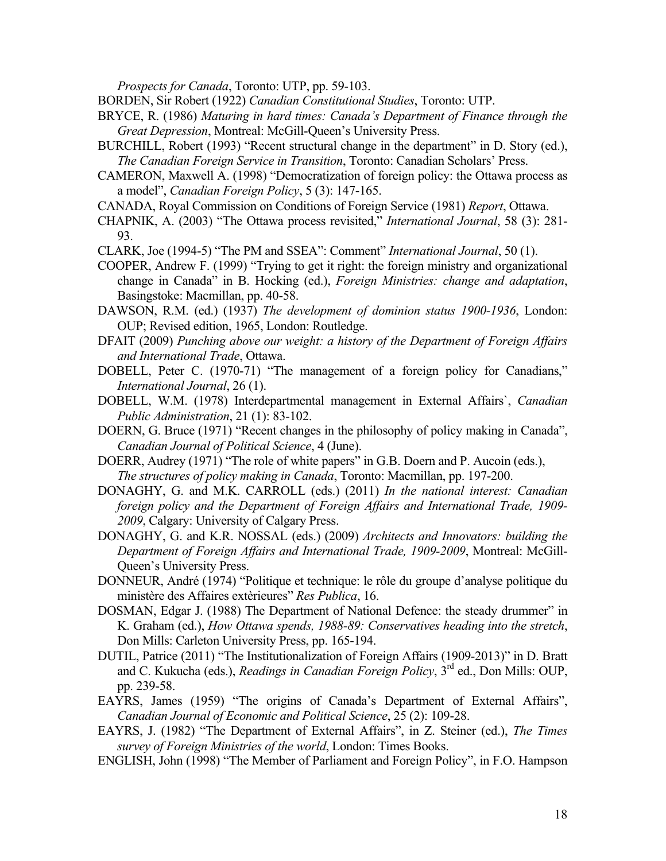*Prospects for Canada*, Toronto: UTP, pp. 59-103.

BORDEN, Sir Robert (1922) *Canadian Constitutional Studies*, Toronto: UTP.

- BRYCE, R. (1986) *Maturing in hard times: Canada's Department of Finance through the Great Depression*, Montreal: McGill-Queen's University Press.
- BURCHILL, Robert (1993) "Recent structural change in the department" in D. Story (ed.), *The Canadian Foreign Service in Transition*, Toronto: Canadian Scholars' Press.
- CAMERON, Maxwell A. (1998) "Democratization of foreign policy: the Ottawa process as a model", *Canadian Foreign Policy*, 5 (3): 147-165.
- CANADA, Royal Commission on Conditions of Foreign Service (1981) *Report*, Ottawa.
- CHAPNIK, A. (2003) "The Ottawa process revisited," *International Journal*, 58 (3): 281- 93.
- CLARK, Joe (1994-5) "The PM and SSEA": Comment" *International Journal*, 50 (1).
- COOPER, Andrew F. (1999) "Trying to get it right: the foreign ministry and organizational change in Canada" in B. Hocking (ed.), *Foreign Ministries: change and adaptation*, Basingstoke: Macmillan, pp. 40-58.
- DAWSON, R.M. (ed.) (1937) *The development of dominion status 1900-1936*, London: OUP; Revised edition, 1965, London: Routledge.
- DFAIT (2009) *Punching above our weight: a history of the Department of Foreign Affairs and International Trade*, Ottawa.
- DOBELL, Peter C. (1970-71) "The management of a foreign policy for Canadians," *International Journal*, 26 (1).
- DOBELL, W.M. (1978) Interdepartmental management in External Affairs`, *Canadian Public Administration*, 21 (1): 83-102.
- DOERN, G. Bruce (1971) "Recent changes in the philosophy of policy making in Canada", *Canadian Journal of Political Science*, 4 (June).
- DOERR, Audrey (1971) "The role of white papers" in G.B. Doern and P. Aucoin (eds.), *The structures of policy making in Canada*, Toronto: Macmillan, pp. 197-200.
- DONAGHY, G. and M.K. CARROLL (eds.) (2011) *In the national interest: Canadian foreign policy and the Department of Foreign Affairs and International Trade, 1909- 2009*, Calgary: University of Calgary Press.
- DONAGHY, G. and K.R. NOSSAL (eds.) (2009) *Architects and Innovators: building the Department of Foreign Affairs and International Trade, 1909-2009*, Montreal: McGill-Queen's University Press.
- DONNEUR, André (1974) "Politique et technique: le rôle du groupe d'analyse politique du ministère des Affaires extèrieures" *Res Publica*, 16.
- DOSMAN, Edgar J. (1988) The Department of National Defence: the steady drummer" in K. Graham (ed.), *How Ottawa spends, 1988-89: Conservatives heading into the stretch*, Don Mills: Carleton University Press, pp. 165-194.
- DUTIL, Patrice (2011) "The Institutionalization of Foreign Affairs (1909-2013)" in D. Bratt and C. Kukucha (eds.), *Readings in Canadian Foreign Policy*, 3rd ed., Don Mills: OUP, pp. 239-58.
- EAYRS, James (1959) "The origins of Canada's Department of External Affairs", *Canadian Journal of Economic and Political Science*, 25 (2): 109-28.
- EAYRS, J. (1982) "The Department of External Affairs", in Z. Steiner (ed.), *The Times survey of Foreign Ministries of the world*, London: Times Books.
- ENGLISH, John (1998) "The Member of Parliament and Foreign Policy", in F.O. Hampson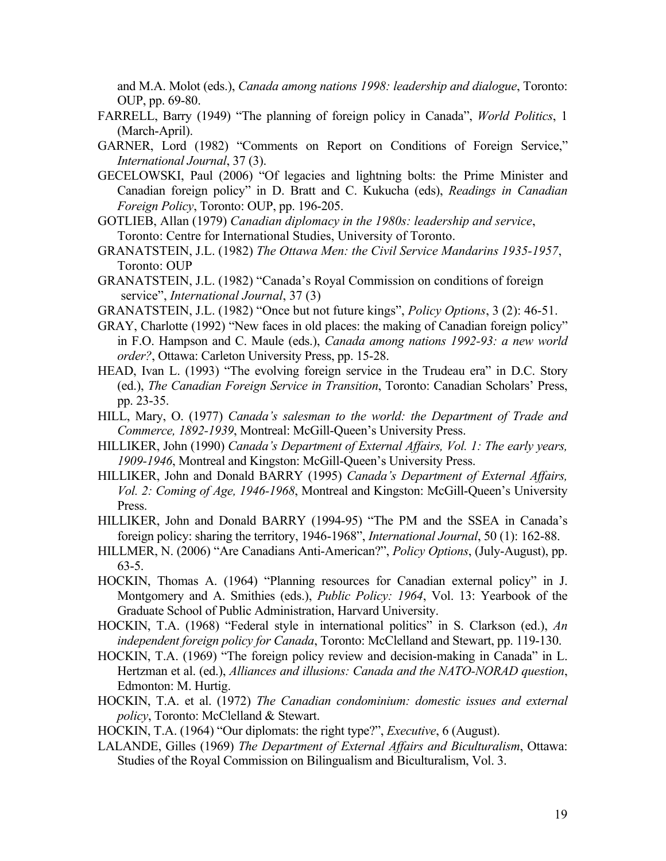and M.A. Molot (eds.), *Canada among nations 1998: leadership and dialogue*, Toronto: OUP, pp. 69-80.

- FARRELL, Barry (1949) "The planning of foreign policy in Canada", *World Politics*, 1 (March-April).
- GARNER, Lord (1982) "Comments on Report on Conditions of Foreign Service," *International Journal*, 37 (3).
- GECELOWSKI, Paul (2006) "Of legacies and lightning bolts: the Prime Minister and Canadian foreign policy" in D. Bratt and C. Kukucha (eds), *Readings in Canadian Foreign Policy*, Toronto: OUP, pp. 196-205.
- GOTLIEB, Allan (1979) *Canadian diplomacy in the 1980s: leadership and service*, Toronto: Centre for International Studies, University of Toronto.
- GRANATSTEIN, J.L. (1982) *The Ottawa Men: the Civil Service Mandarins 1935-1957*, Toronto: OUP
- GRANATSTEIN, J.L. (1982) "Canada's Royal Commission on conditions of foreign service", *International Journal*, 37 (3)
- GRANATSTEIN, J.L. (1982) "Once but not future kings", *Policy Options*, 3 (2): 46-51.
- GRAY, Charlotte (1992) "New faces in old places: the making of Canadian foreign policy" in F.O. Hampson and C. Maule (eds.), *Canada among nations 1992-93: a new world order?*, Ottawa: Carleton University Press, pp. 15-28.
- HEAD, Ivan L. (1993) "The evolving foreign service in the Trudeau era" in D.C. Story (ed.), *The Canadian Foreign Service in Transition*, Toronto: Canadian Scholars' Press, pp. 23-35.
- HILL, Mary, O. (1977) *Canada's salesman to the world: the Department of Trade and Commerce, 1892-1939*, Montreal: McGill-Queen's University Press.
- HILLIKER, John (1990) *Canada's Department of External Affairs, Vol. 1: The early years, 1909-1946*, Montreal and Kingston: McGill-Queen's University Press.
- HILLIKER, John and Donald BARRY (1995) *Canada's Department of External Affairs, Vol. 2: Coming of Age, 1946-1968*, Montreal and Kingston: McGill-Queen's University Press.
- HILLIKER, John and Donald BARRY (1994-95) "The PM and the SSEA in Canada's foreign policy: sharing the territory, 1946-1968", *International Journal*, 50 (1): 162-88.
- HILLMER, N. (2006) "Are Canadians Anti-American?", *Policy Options*, (July-August), pp. 63-5.
- HOCKIN, Thomas A. (1964) "Planning resources for Canadian external policy" in J. Montgomery and A. Smithies (eds.), *Public Policy: 1964*, Vol. 13: Yearbook of the Graduate School of Public Administration, Harvard University.
- HOCKIN, T.A. (1968) "Federal style in international politics" in S. Clarkson (ed.), *An independent foreign policy for Canada*, Toronto: McClelland and Stewart, pp. 119-130.
- HOCKIN, T.A. (1969) "The foreign policy review and decision-making in Canada" in L. Hertzman et al. (ed.), *Alliances and illusions: Canada and the NATO-NORAD question*, Edmonton: M. Hurtig.
- HOCKIN, T.A. et al. (1972) *The Canadian condominium: domestic issues and external policy*, Toronto: McClelland & Stewart.
- HOCKIN, T.A. (1964) "Our diplomats: the right type?", *Executive*, 6 (August).
- LALANDE, Gilles (1969) *The Department of External Affairs and Biculturalism*, Ottawa: Studies of the Royal Commission on Bilingualism and Biculturalism, Vol. 3.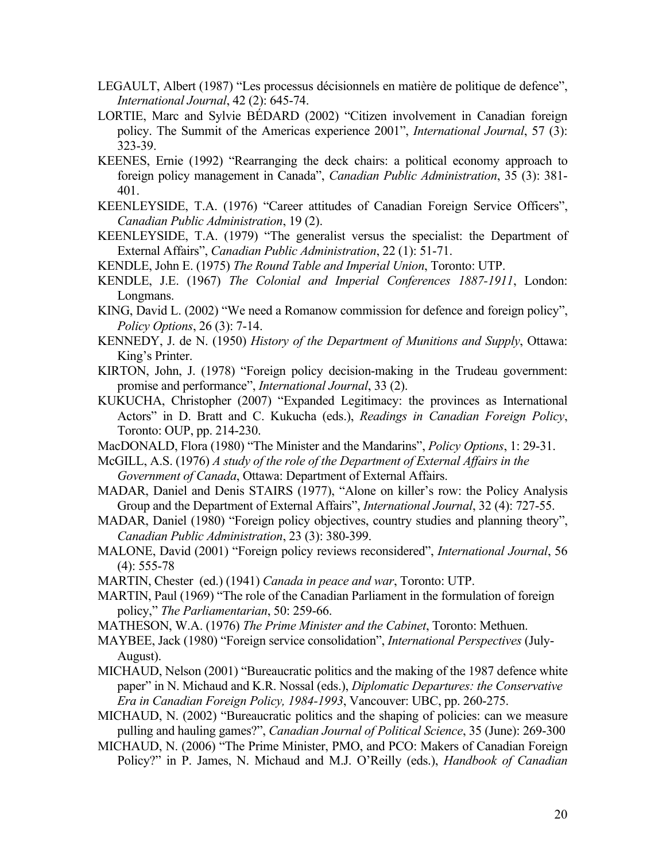- LEGAULT, Albert (1987) "Les processus décisionnels en matière de politique de defence", *International Journal*, 42 (2): 645-74.
- LORTIE, Marc and Sylvie BÉDARD (2002) "Citizen involvement in Canadian foreign policy. The Summit of the Americas experience 2001", *International Journal*, 57 (3): 323-39.
- KEENES, Ernie (1992) "Rearranging the deck chairs: a political economy approach to foreign policy management in Canada", *Canadian Public Administration*, 35 (3): 381- 401.
- KEENLEYSIDE, T.A. (1976) "Career attitudes of Canadian Foreign Service Officers", *Canadian Public Administration*, 19 (2).
- KEENLEYSIDE, T.A. (1979) "The generalist versus the specialist: the Department of External Affairs", *Canadian Public Administration*, 22 (1): 51-71.
- KENDLE, John E. (1975) *The Round Table and Imperial Union*, Toronto: UTP.
- KENDLE, J.E. (1967) *The Colonial and Imperial Conferences 1887-1911*, London: Longmans.
- KING, David L. (2002) "We need a Romanow commission for defence and foreign policy", *Policy Options*, 26 (3): 7-14.
- KENNEDY, J. de N. (1950) *History of the Department of Munitions and Supply*, Ottawa: King's Printer.
- KIRTON, John, J. (1978) "Foreign policy decision-making in the Trudeau government: promise and performance", *International Journal*, 33 (2).
- KUKUCHA, Christopher (2007) "Expanded Legitimacy: the provinces as International Actors" in D. Bratt and C. Kukucha (eds.), *Readings in Canadian Foreign Policy*, Toronto: OUP, pp. 214-230.
- MacDONALD, Flora (1980) "The Minister and the Mandarins", *Policy Options*, 1: 29-31.
- McGILL, A.S. (1976) *A study of the role of the Department of External Affairs in the Government of Canada*, Ottawa: Department of External Affairs.
- MADAR, Daniel and Denis STAIRS (1977), "Alone on killer's row: the Policy Analysis Group and the Department of External Affairs", *International Journal*, 32 (4): 727-55.
- MADAR, Daniel (1980) "Foreign policy objectives, country studies and planning theory", *Canadian Public Administration*, 23 (3): 380-399.
- MALONE, David (2001) "Foreign policy reviews reconsidered", *International Journal*, 56 (4): 555-78
- MARTIN, Chester (ed.) (1941) *Canada in peace and war*, Toronto: UTP.
- MARTIN, Paul (1969) "The role of the Canadian Parliament in the formulation of foreign policy," *The Parliamentarian*, 50: 259-66.
- MATHESON, W.A. (1976) *The Prime Minister and the Cabinet*, Toronto: Methuen.
- MAYBEE, Jack (1980) "Foreign service consolidation", *International Perspectives* (July-August).
- MICHAUD, Nelson (2001) "Bureaucratic politics and the making of the 1987 defence white paper" in N. Michaud and K.R. Nossal (eds.), *Diplomatic Departures: the Conservative Era in Canadian Foreign Policy, 1984-1993*, Vancouver: UBC, pp. 260-275.
- MICHAUD, N. (2002) "Bureaucratic politics and the shaping of policies: can we measure pulling and hauling games?", *Canadian Journal of Political Science*, 35 (June): 269-300
- MICHAUD, N. (2006) "The Prime Minister, PMO, and PCO: Makers of Canadian Foreign Policy?" in P. James, N. Michaud and M.J. O'Reilly (eds.), *Handbook of Canadian*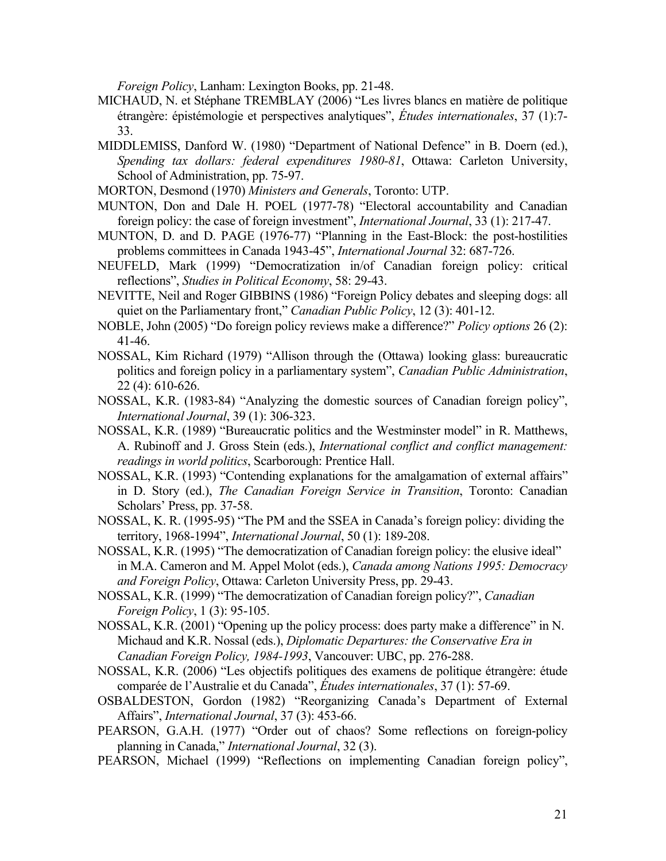*Foreign Policy*, Lanham: Lexington Books, pp. 21-48.

- MICHAUD, N. et Stéphane TREMBLAY (2006) "Les livres blancs en matière de politique étrangère: épistémologie et perspectives analytiques", *Études internationales*, 37 (1):7- 33.
- MIDDLEMISS, Danford W. (1980) "Department of National Defence" in B. Doern (ed.), *Spending tax dollars: federal expenditures 1980-81*, Ottawa: Carleton University, School of Administration, pp. 75-97.
- MORTON, Desmond (1970) *Ministers and Generals*, Toronto: UTP.
- MUNTON, Don and Dale H. POEL (1977-78) "Electoral accountability and Canadian foreign policy: the case of foreign investment", *International Journal*, 33 (1): 217-47.
- MUNTON, D. and D. PAGE (1976-77) "Planning in the East-Block: the post-hostilities problems committees in Canada 1943-45", *International Journal* 32: 687-726.
- NEUFELD, Mark (1999) "Democratization in/of Canadian foreign policy: critical reflections", *Studies in Political Economy*, 58: 29-43.
- NEVITTE, Neil and Roger GIBBINS (1986) "Foreign Policy debates and sleeping dogs: all quiet on the Parliamentary front," *Canadian Public Policy*, 12 (3): 401-12.
- NOBLE, John (2005) "Do foreign policy reviews make a difference?" *Policy options* 26 (2): 41-46.
- NOSSAL, Kim Richard (1979) "Allison through the (Ottawa) looking glass: bureaucratic politics and foreign policy in a parliamentary system", *Canadian Public Administration*, 22 (4): 610-626.
- NOSSAL, K.R. (1983-84) "Analyzing the domestic sources of Canadian foreign policy", *International Journal*, 39 (1): 306-323.
- NOSSAL, K.R. (1989) "Bureaucratic politics and the Westminster model" in R. Matthews, A. Rubinoff and J. Gross Stein (eds.), *International conflict and conflict management: readings in world politics*, Scarborough: Prentice Hall.
- NOSSAL, K.R. (1993) "Contending explanations for the amalgamation of external affairs" in D. Story (ed.), *The Canadian Foreign Service in Transition*, Toronto: Canadian Scholars' Press, pp. 37-58.
- NOSSAL, K. R. (1995-95) "The PM and the SSEA in Canada's foreign policy: dividing the territory, 1968-1994", *International Journal*, 50 (1): 189-208.
- NOSSAL, K.R. (1995) "The democratization of Canadian foreign policy: the elusive ideal" in M.A. Cameron and M. Appel Molot (eds.), *Canada among Nations 1995: Democracy and Foreign Policy*, Ottawa: Carleton University Press, pp. 29-43.
- NOSSAL, K.R. (1999) "The democratization of Canadian foreign policy?", *Canadian Foreign Policy*, 1 (3): 95-105.
- NOSSAL, K.R. (2001) "Opening up the policy process: does party make a difference" in N. Michaud and K.R. Nossal (eds.), *Diplomatic Departures: the Conservative Era in Canadian Foreign Policy, 1984-1993*, Vancouver: UBC, pp. 276-288.
- NOSSAL, K.R. (2006) "Les objectifs politiques des examens de politique étrangère: étude comparée de l'Australie et du Canada", *Études internationales*, 37 (1): 57-69.
- OSBALDESTON, Gordon (1982) "Reorganizing Canada's Department of External Affairs", *International Journal*, 37 (3): 453-66.
- PEARSON, G.A.H. (1977) "Order out of chaos? Some reflections on foreign-policy planning in Canada," *International Journal*, 32 (3).
- PEARSON, Michael (1999) "Reflections on implementing Canadian foreign policy",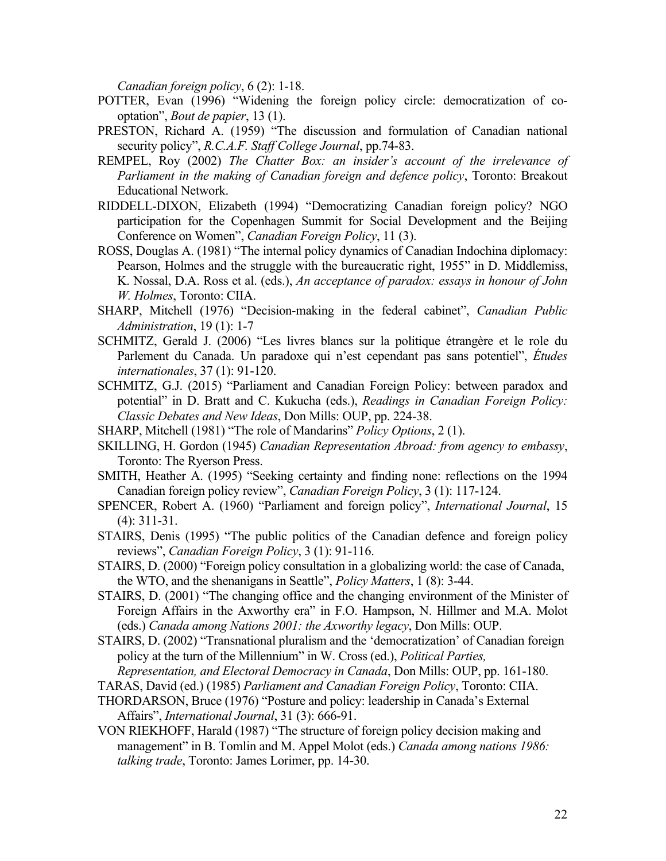*Canadian foreign policy*, 6 (2): 1-18.

- POTTER, Evan (1996) "Widening the foreign policy circle: democratization of cooptation", *Bout de papier*, 13 (1).
- PRESTON, Richard A. (1959) "The discussion and formulation of Canadian national security policy", *R.C.A.F. Staff College Journal*, pp.74-83.
- REMPEL, Roy (2002) *The Chatter Box: an insider's account of the irrelevance of Parliament in the making of Canadian foreign and defence policy*, Toronto: Breakout Educational Network.
- RIDDELL-DIXON, Elizabeth (1994) "Democratizing Canadian foreign policy? NGO participation for the Copenhagen Summit for Social Development and the Beijing Conference on Women", *Canadian Foreign Policy*, 11 (3).
- ROSS, Douglas A. (1981) "The internal policy dynamics of Canadian Indochina diplomacy: Pearson, Holmes and the struggle with the bureaucratic right, 1955" in D. Middlemiss, K. Nossal, D.A. Ross et al. (eds.), *An acceptance of paradox: essays in honour of John W. Holmes*, Toronto: CIIA.
- SHARP, Mitchell (1976) "Decision-making in the federal cabinet", *Canadian Public Administration*, 19 (1): 1-7
- SCHMITZ, Gerald J. (2006) "Les livres blancs sur la politique étrangère et le role du Parlement du Canada. Un paradoxe qui n'est cependant pas sans potentiel", *Études internationales*, 37 (1): 91-120.
- SCHMITZ, G.J. (2015) "Parliament and Canadian Foreign Policy: between paradox and potential" in D. Bratt and C. Kukucha (eds.), *Readings in Canadian Foreign Policy: Classic Debates and New Ideas*, Don Mills: OUP, pp. 224-38.
- SHARP, Mitchell (1981) "The role of Mandarins" *Policy Options*, 2 (1).
- SKILLING, H. Gordon (1945) *Canadian Representation Abroad: from agency to embassy*, Toronto: The Ryerson Press.
- SMITH, Heather A. (1995) "Seeking certainty and finding none: reflections on the 1994 Canadian foreign policy review", *Canadian Foreign Policy*, 3 (1): 117-124.
- SPENCER, Robert A. (1960) "Parliament and foreign policy", *International Journal*, 15 (4): 311-31.
- STAIRS, Denis (1995) "The public politics of the Canadian defence and foreign policy reviews", *Canadian Foreign Policy*, 3 (1): 91-116.
- STAIRS, D. (2000) "Foreign policy consultation in a globalizing world: the case of Canada, the WTO, and the shenanigans in Seattle", *Policy Matters*, 1 (8): 3-44.
- STAIRS, D. (2001) "The changing office and the changing environment of the Minister of Foreign Affairs in the Axworthy era" in F.O. Hampson, N. Hillmer and M.A. Molot (eds.) *Canada among Nations 2001: the Axworthy legacy*, Don Mills: OUP.
- STAIRS, D. (2002) "Transnational pluralism and the 'democratization' of Canadian foreign policy at the turn of the Millennium" in W. Cross (ed.), *Political Parties, Representation, and Electoral Democracy in Canada*, Don Mills: OUP, pp. 161-180.
- TARAS, David (ed.) (1985) *Parliament and Canadian Foreign Policy*, Toronto: CIIA.
- THORDARSON, Bruce (1976) "Posture and policy: leadership in Canada's External Affairs", *International Journal*, 31 (3): 666-91.
- VON RIEKHOFF, Harald (1987) "The structure of foreign policy decision making and management" in B. Tomlin and M. Appel Molot (eds.) *Canada among nations 1986: talking trade*, Toronto: James Lorimer, pp. 14-30.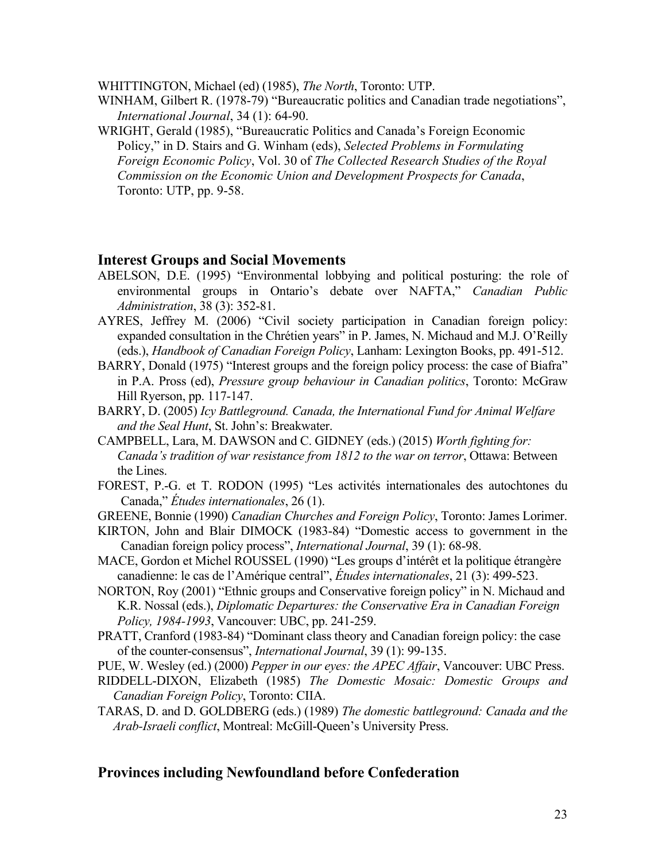WHITTINGTON, Michael (ed) (1985), *The North*, Toronto: UTP.

- WINHAM, Gilbert R. (1978-79) "Bureaucratic politics and Canadian trade negotiations", *International Journal*, 34 (1): 64-90.
- WRIGHT, Gerald (1985), "Bureaucratic Politics and Canada's Foreign Economic Policy," in D. Stairs and G. Winham (eds), *Selected Problems in Formulating Foreign Economic Policy*, Vol. 30 of *The Collected Research Studies of the Royal Commission on the Economic Union and Development Prospects for Canada*, Toronto: UTP, pp. 9-58.

# **Interest Groups and Social Movements**

- ABELSON, D.E. (1995) "Environmental lobbying and political posturing: the role of environmental groups in Ontario's debate over NAFTA," *Canadian Public Administration*, 38 (3): 352-81.
- AYRES, Jeffrey M. (2006) "Civil society participation in Canadian foreign policy: expanded consultation in the Chrétien years" in P. James, N. Michaud and M.J. O'Reilly (eds.), *Handbook of Canadian Foreign Policy*, Lanham: Lexington Books, pp. 491-512.
- BARRY, Donald (1975) "Interest groups and the foreign policy process: the case of Biafra" in P.A. Pross (ed), *Pressure group behaviour in Canadian politics*, Toronto: McGraw Hill Ryerson, pp. 117-147.
- BARRY, D. (2005) *Icy Battleground. Canada, the International Fund for Animal Welfare and the Seal Hunt*, St. John's: Breakwater.
- CAMPBELL, Lara, M. DAWSON and C. GIDNEY (eds.) (2015) *Worth fighting for: Canada's tradition of war resistance from 1812 to the war on terror*, Ottawa: Between the Lines.
- FOREST, P.-G. et T. RODON (1995) "Les activités internationales des autochtones du Canada," *Études internationales*, 26 (1).
- GREENE, Bonnie (1990) *Canadian Churches and Foreign Policy*, Toronto: James Lorimer.
- KIRTON, John and Blair DIMOCK (1983-84) "Domestic access to government in the Canadian foreign policy process", *International Journal*, 39 (1): 68-98.
- MACE, Gordon et Michel ROUSSEL (1990) "Les groups d'intérêt et la politique étrangère canadienne: le cas de l'Amérique central", *Études internationales*, 21 (3): 499-523.
- NORTON, Roy (2001) "Ethnic groups and Conservative foreign policy" in N. Michaud and K.R. Nossal (eds.), *Diplomatic Departures: the Conservative Era in Canadian Foreign Policy, 1984-1993*, Vancouver: UBC, pp. 241-259.
- PRATT, Cranford (1983-84) "Dominant class theory and Canadian foreign policy: the case of the counter-consensus", *International Journal*, 39 (1): 99-135.
- PUE, W. Wesley (ed.) (2000) *Pepper in our eyes: the APEC Affair*, Vancouver: UBC Press.
- RIDDELL-DIXON, Elizabeth (1985) *The Domestic Mosaic: Domestic Groups and Canadian Foreign Policy*, Toronto: CIIA.
- TARAS, D. and D. GOLDBERG (eds.) (1989) *The domestic battleground: Canada and the Arab-Israeli conflict*, Montreal: McGill-Queen's University Press.

# **Provinces including Newfoundland before Confederation**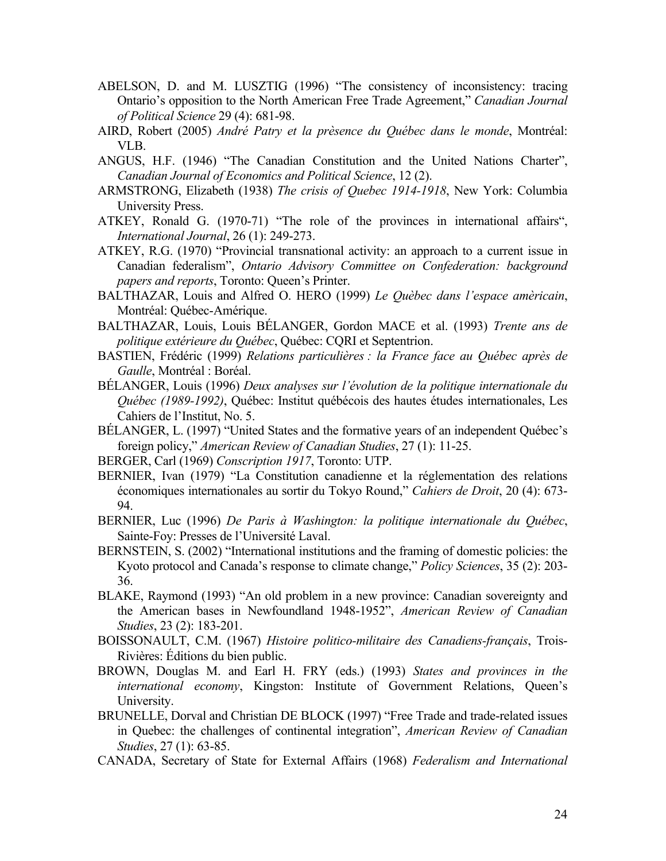- ABELSON, D. and M. LUSZTIG (1996) "The consistency of inconsistency: tracing Ontario's opposition to the North American Free Trade Agreement," *Canadian Journal of Political Science* 29 (4): 681-98.
- AIRD, Robert (2005) *André Patry et la prèsence du Québec dans le monde*, Montréal: VLB.
- ANGUS, H.F. (1946) "The Canadian Constitution and the United Nations Charter", *Canadian Journal of Economics and Political Science*, 12 (2).
- ARMSTRONG, Elizabeth (1938) *The crisis of Quebec 1914-1918*, New York: Columbia University Press.
- ATKEY, Ronald G. (1970-71) "The role of the provinces in international affairs", *International Journal*, 26 (1): 249-273.
- ATKEY, R.G. (1970) "Provincial transnational activity: an approach to a current issue in Canadian federalism", *Ontario Advisory Committee on Confederation: background papers and reports*, Toronto: Queen's Printer.
- BALTHAZAR, Louis and Alfred O. HERO (1999) *Le Quèbec dans l'espace amèricain*, Montréal: Québec-Amérique.
- BALTHAZAR, Louis, Louis BÉLANGER, Gordon MACE et al. (1993) *Trente ans de politique extérieure du Québec*, Québec: CQRI et Septentrion.
- BASTIEN, Frédéric (1999) *Relations particulières : la France face au Québec après de Gaulle*, Montréal : Boréal.
- BÉLANGER, Louis (1996) *Deux analyses sur l'évolution de la politique internationale du Québec (1989-1992)*, Québec: Institut québécois des hautes études internationales, Les Cahiers de l'Institut, No. 5.
- BÉLANGER, L. (1997) "United States and the formative years of an independent Québec's foreign policy," *American Review of Canadian Studies*, 27 (1): 11-25.
- BERGER, Carl (1969) *Conscription 1917*, Toronto: UTP.
- BERNIER, Ivan (1979) "La Constitution canadienne et la réglementation des relations économiques internationales au sortir du Tokyo Round," *Cahiers de Droit*, 20 (4): 673- 94.
- BERNIER, Luc (1996) *De Paris à Washington: la politique internationale du Québec*, Sainte-Foy: Presses de l'Université Laval.
- BERNSTEIN, S. (2002) "International institutions and the framing of domestic policies: the Kyoto protocol and Canada's response to climate change," *Policy Sciences*, 35 (2): 203- 36.
- BLAKE, Raymond (1993) "An old problem in a new province: Canadian sovereignty and the American bases in Newfoundland 1948-1952", *American Review of Canadian Studies*, 23 (2): 183-201.
- BOISSONAULT, C.M. (1967) *Histoire politico-militaire des Canadiens-français*, Trois-Rivières: Éditions du bien public.
- BROWN, Douglas M. and Earl H. FRY (eds.) (1993) *States and provinces in the international economy*, Kingston: Institute of Government Relations, Queen's University.
- BRUNELLE, Dorval and Christian DE BLOCK (1997) "Free Trade and trade-related issues in Quebec: the challenges of continental integration", *American Review of Canadian Studies*, 27 (1): 63-85.
- CANADA, Secretary of State for External Affairs (1968) *Federalism and International*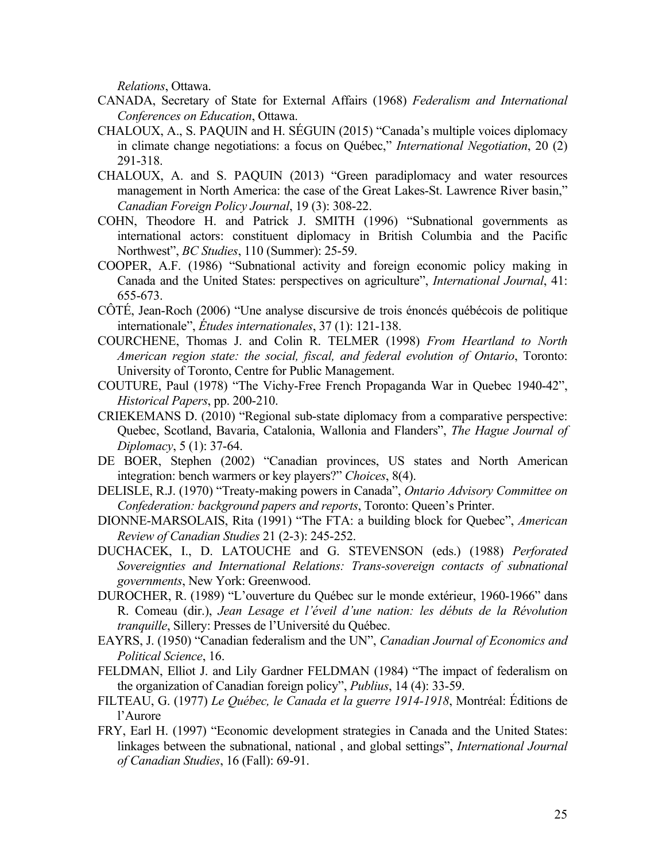*Relations*, Ottawa.

- CANADA, Secretary of State for External Affairs (1968) *Federalism and International Conferences on Education*, Ottawa.
- CHALOUX, A., S. PAQUIN and H. SÉGUIN (2015) "Canada's multiple voices diplomacy in climate change negotiations: a focus on Québec," *International Negotiation*, 20 (2) 291-318.
- CHALOUX, A. and S. PAQUIN (2013) "Green paradiplomacy and water resources management in North America: the case of the Great Lakes-St. Lawrence River basin," *Canadian Foreign Policy Journal*, 19 (3): 308-22.
- COHN, Theodore H. and Patrick J. SMITH (1996) "Subnational governments as international actors: constituent diplomacy in British Columbia and the Pacific Northwest", *BC Studies*, 110 (Summer): 25-59.
- COOPER, A.F. (1986) "Subnational activity and foreign economic policy making in Canada and the United States: perspectives on agriculture", *International Journal*, 41: 655-673.
- CÔTÉ, Jean-Roch (2006) "Une analyse discursive de trois énoncés québécois de politique internationale", *Études internationales*, 37 (1): 121-138.
- COURCHENE, Thomas J. and Colin R. TELMER (1998) *From Heartland to North American region state: the social, fiscal, and federal evolution of Ontario*, Toronto: University of Toronto, Centre for Public Management.
- COUTURE, Paul (1978) "The Vichy-Free French Propaganda War in Quebec 1940-42", *Historical Papers*, pp. 200-210.
- CRIEKEMANS D. (2010) "Regional sub-state diplomacy from a comparative perspective: Quebec, Scotland, Bavaria, Catalonia, Wallonia and Flanders", *The Hague Journal of Diplomacy*, 5 (1): 37-64.
- DE BOER, Stephen (2002) "Canadian provinces, US states and North American integration: bench warmers or key players?" *Choices*, 8(4).
- DELISLE, R.J. (1970) "Treaty-making powers in Canada", *Ontario Advisory Committee on Confederation: background papers and reports*, Toronto: Queen's Printer.
- DIONNE-MARSOLAIS, Rita (1991) "The FTA: a building block for Quebec", *American Review of Canadian Studies* 21 (2-3): 245-252.
- DUCHACEK, I., D. LATOUCHE and G. STEVENSON (eds.) (1988) *Perforated Sovereignties and International Relations: Trans-sovereign contacts of subnational governments*, New York: Greenwood.
- DUROCHER, R. (1989) "L'ouverture du Québec sur le monde extérieur, 1960-1966" dans R. Comeau (dir.), *Jean Lesage et l'éveil d'une nation: les débuts de la Révolution tranquille*, Sillery: Presses de l'Université du Québec.
- EAYRS, J. (1950) "Canadian federalism and the UN", *Canadian Journal of Economics and Political Science*, 16.
- FELDMAN, Elliot J. and Lily Gardner FELDMAN (1984) "The impact of federalism on the organization of Canadian foreign policy", *Publius*, 14 (4): 33-59.
- FILTEAU, G. (1977) *Le Québec, le Canada et la guerre 1914-1918*, Montréal: Éditions de l'Aurore
- FRY, Earl H. (1997) "Economic development strategies in Canada and the United States: linkages between the subnational, national , and global settings", *International Journal of Canadian Studies*, 16 (Fall): 69-91.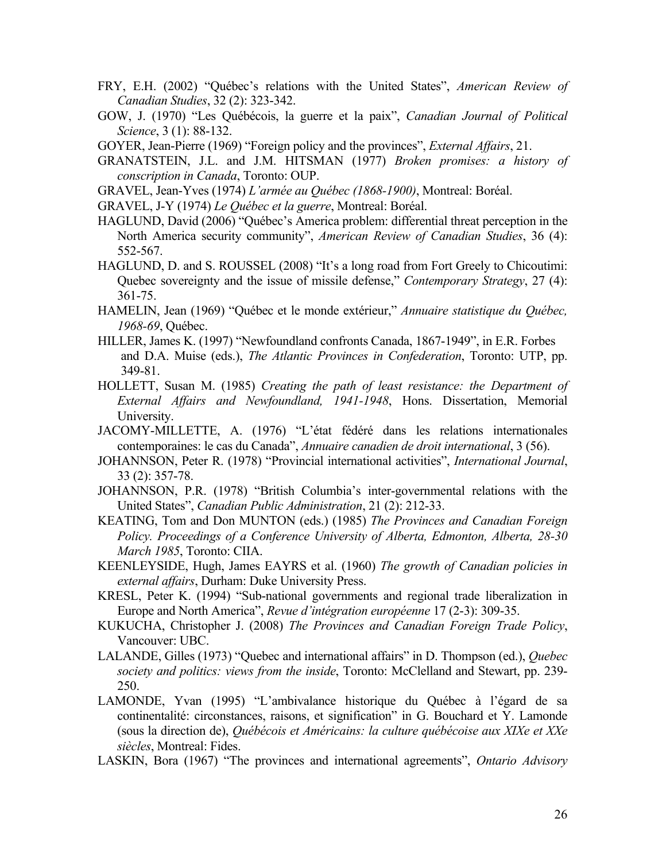- FRY, E.H. (2002) "Québec's relations with the United States", *American Review of Canadian Studies*, 32 (2): 323-342.
- GOW, J. (1970) "Les Québécois, la guerre et la paix", *Canadian Journal of Political Science*, 3 (1): 88-132.
- GOYER, Jean-Pierre (1969) "Foreign policy and the provinces", *External Affairs*, 21.
- GRANATSTEIN, J.L. and J.M. HITSMAN (1977) *Broken promises: a history of conscription in Canada*, Toronto: OUP.
- GRAVEL, Jean-Yves (1974) *L'armée au Québec (1868-1900)*, Montreal: Boréal.
- GRAVEL, J-Y (1974) *Le Québec et la guerre*, Montreal: Boréal.
- HAGLUND, David (2006) "Québec's America problem: differential threat perception in the North America security community", *American Review of Canadian Studies*, 36 (4): 552-567.
- HAGLUND, D. and S. ROUSSEL (2008) "It's a long road from Fort Greely to Chicoutimi: Quebec sovereignty and the issue of missile defense," *Contemporary Strategy*, 27 (4): 361-75.
- HAMELIN, Jean (1969) "Québec et le monde extérieur," *Annuaire statistique du Québec, 1968-69*, Québec.
- HILLER, James K. (1997) "Newfoundland confronts Canada, 1867-1949", in E.R. Forbes and D.A. Muise (eds.), *The Atlantic Provinces in Confederation*, Toronto: UTP, pp. 349-81.
- HOLLETT, Susan M. (1985) *Creating the path of least resistance: the Department of External Affairs and Newfoundland, 1941-1948*, Hons. Dissertation, Memorial University.
- JACOMY-MILLETTE, A. (1976) "L'état fédéré dans les relations internationales contemporaines: le cas du Canada", *Annuaire canadien de droit international*, 3 (56).
- JOHANNSON, Peter R. (1978) "Provincial international activities", *International Journal*, 33 (2): 357-78.
- JOHANNSON, P.R. (1978) "British Columbia's inter-governmental relations with the United States", *Canadian Public Administration*, 21 (2): 212-33.
- KEATING, Tom and Don MUNTON (eds.) (1985) *The Provinces and Canadian Foreign Policy. Proceedings of a Conference University of Alberta, Edmonton, Alberta, 28-30 March 1985*, Toronto: CIIA.
- KEENLEYSIDE, Hugh, James EAYRS et al. (1960) *The growth of Canadian policies in external affairs*, Durham: Duke University Press.
- KRESL, Peter K. (1994) "Sub-national governments and regional trade liberalization in Europe and North America", *Revue d'intégration européenne* 17 (2-3): 309-35.
- KUKUCHA, Christopher J. (2008) *The Provinces and Canadian Foreign Trade Policy*, Vancouver: UBC.
- LALANDE, Gilles (1973) "Quebec and international affairs" in D. Thompson (ed.), *Quebec society and politics: views from the inside*, Toronto: McClelland and Stewart, pp. 239- 250.
- LAMONDE, Yvan (1995) "L'ambivalance historique du Québec à l'égard de sa continentalité: circonstances, raisons, et signification" in G. Bouchard et Y. Lamonde (sous la direction de), *Québécois et Américains: la culture québécoise aux XIXe et XXe siècles*, Montreal: Fides.
- LASKIN, Bora (1967) "The provinces and international agreements", *Ontario Advisory*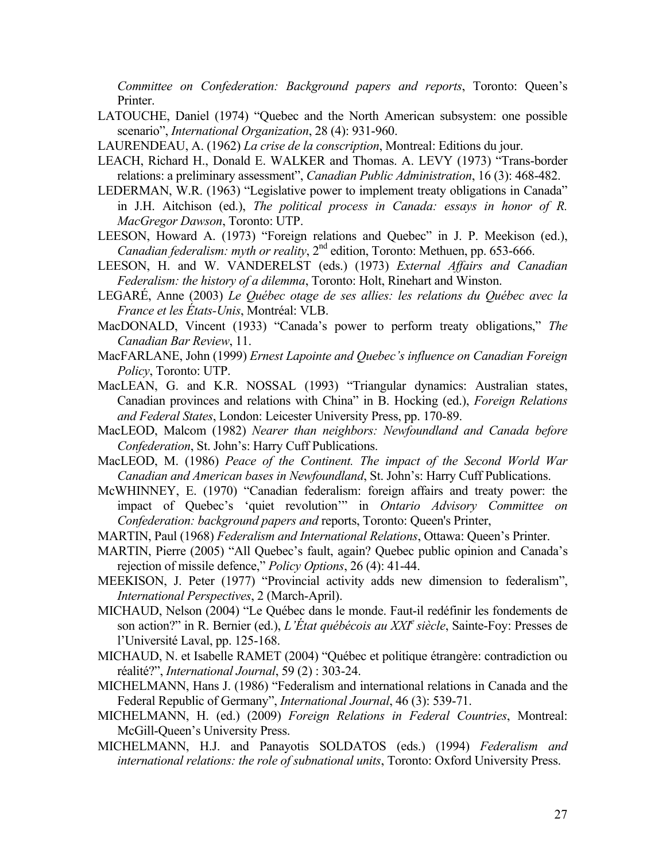*Committee on Confederation: Background papers and reports*, Toronto: Queen's Printer.

- LATOUCHE, Daniel (1974) "Quebec and the North American subsystem: one possible scenario", *International Organization*, 28 (4): 931-960.
- LAURENDEAU, A. (1962) *La crise de la conscription*, Montreal: Editions du jour.
- LEACH, Richard H., Donald E. WALKER and Thomas. A. LEVY (1973) "Trans-border relations: a preliminary assessment", *Canadian Public Administration*, 16 (3): 468-482.
- LEDERMAN, W.R. (1963) "Legislative power to implement treaty obligations in Canada" in J.H. Aitchison (ed.), *The political process in Canada: essays in honor of R. MacGregor Dawson*, Toronto: UTP.
- LEESON, Howard A. (1973) "Foreign relations and Quebec" in J. P. Meekison (ed.), *Canadian federalism: myth or reality*, 2nd edition, Toronto: Methuen, pp. 653-666.
- LEESON, H. and W. VANDERELST (eds.) (1973) *External Affairs and Canadian Federalism: the history of a dilemma*, Toronto: Holt, Rinehart and Winston.
- LEGARÉ, Anne (2003) *Le Québec otage de ses allies: les relations du Québec avec la France et les États-Unis*, Montréal: VLB.
- MacDONALD, Vincent (1933) "Canada's power to perform treaty obligations," *The Canadian Bar Review*, 11.
- MacFARLANE, John (1999) *Ernest Lapointe and Quebec's influence on Canadian Foreign Policy*, Toronto: UTP.
- MacLEAN, G. and K.R. NOSSAL (1993) "Triangular dynamics: Australian states, Canadian provinces and relations with China" in B. Hocking (ed.), *Foreign Relations and Federal States*, London: Leicester University Press, pp. 170-89.
- MacLEOD, Malcom (1982) *Nearer than neighbors: Newfoundland and Canada before Confederation*, St. John's: Harry Cuff Publications.
- MacLEOD, M. (1986) *Peace of the Continent. The impact of the Second World War Canadian and American bases in Newfoundland*, St. John's: Harry Cuff Publications.
- McWHINNEY, E. (1970) "Canadian federalism: foreign affairs and treaty power: the impact of Quebec's 'quiet revolution'" in *Ontario Advisory Committee on Confederation: background papers and* reports, Toronto: Queen's Printer,
- MARTIN, Paul (1968) *Federalism and International Relations*, Ottawa: Queen's Printer.
- MARTIN, Pierre (2005) "All Quebec's fault, again? Quebec public opinion and Canada's rejection of missile defence," *Policy Options*, 26 (4): 41-44.
- MEEKISON, J. Peter (1977) "Provincial activity adds new dimension to federalism", *International Perspectives*, 2 (March-April).
- MICHAUD, Nelson (2004) "Le Québec dans le monde. Faut-il redéfinir les fondements de son action?" in R. Bernier (ed.), *L'État québécois au XXIe siècle*, Sainte-Foy: Presses de l'Université Laval, pp. 125-168.
- MICHAUD, N. et Isabelle RAMET (2004) "Québec et politique étrangère: contradiction ou réalité?", *International Journal*, 59 (2) : 303-24.
- MICHELMANN, Hans J. (1986) "Federalism and international relations in Canada and the Federal Republic of Germany", *International Journal*, 46 (3): 539-71.
- MICHELMANN, H. (ed.) (2009) *Foreign Relations in Federal Countries*, Montreal: McGill-Queen's University Press.
- MICHELMANN, H.J. and Panayotis SOLDATOS (eds.) (1994) *Federalism and international relations: the role of subnational units*, Toronto: Oxford University Press.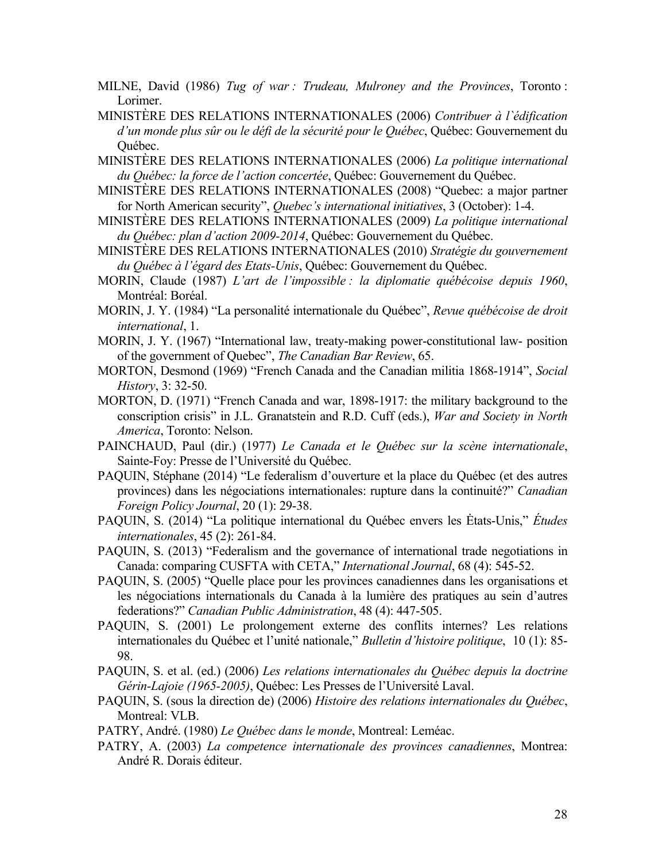- MILNE, David (1986) *Tug of war : Trudeau, Mulroney and the Provinces*, Toronto : Lorimer.
- MINISTÈRE DES RELATIONS INTERNATIONALES (2006) *Contribuer à l`édification d'un monde plus sûr ou le défi de la sécurité pour le Québec*, Québec: Gouvernement du Québec.
- MINISTÈRE DES RELATIONS INTERNATIONALES (2006) *La politique international du Québec: la force de l'action concertée*, Québec: Gouvernement du Québec.
- MINISTÈRE DES RELATIONS INTERNATIONALES (2008) "Quebec: a major partner for North American security", *Quebec's international initiatives*, 3 (October): 1-4.
- MINISTÈRE DES RELATIONS INTERNATIONALES (2009) *La politique international du Québec: plan d'action 2009-2014*, Québec: Gouvernement du Québec.
- MINISTÈRE DES RELATIONS INTERNATIONALES (2010) *Stratégie du gouvernement du Québec à l'égard des Etats-Unis*, Québec: Gouvernement du Québec.
- MORIN, Claude (1987) *L'art de l'impossible : la diplomatie québécoise depuis 1960*, Montréal: Boréal.
- MORIN, J. Y. (1984) "La personalité internationale du Québec", *Revue québécoise de droit international*, 1.
- MORIN, J. Y. (1967) "International law, treaty-making power-constitutional law- position of the government of Quebec", *The Canadian Bar Review*, 65.
- MORTON, Desmond (1969) "French Canada and the Canadian militia 1868-1914", *Social History*, 3: 32-50.
- MORTON, D. (1971) "French Canada and war, 1898-1917: the military background to the conscription crisis" in J.L. Granatstein and R.D. Cuff (eds.), *War and Society in North America*, Toronto: Nelson.
- PAINCHAUD, Paul (dir.) (1977) *Le Canada et le Québec sur la scène internationale*, Sainte-Foy: Presse de l'Université du Québec.
- PAQUIN, Stéphane (2014) "Le federalism d'ouverture et la place du Québec (et des autres provinces) dans les négociations internationales: rupture dans la continuité?" *Canadian Foreign Policy Journal*, 20 (1): 29-38.
- PAQUIN, S. (2014) "La politique international du Québec envers les Ėtats-Unis," *Études internationales*, 45 (2): 261-84.
- PAQUIN, S. (2013) "Federalism and the governance of international trade negotiations in Canada: comparing CUSFTA with CETA," *International Journal*, 68 (4): 545-52.
- PAQUIN, S. (2005) "Quelle place pour les provinces canadiennes dans les organisations et les négociations internationals du Canada à la lumière des pratiques au sein d'autres federations?" *Canadian Public Administration*, 48 (4): 447-505.
- PAQUIN, S. (2001) Le prolongement externe des conflits internes? Les relations internationales du Québec et l'unité nationale," *Bulletin d'histoire politique*, 10 (1): 85- 98.
- PAQUIN, S. et al. (ed.) (2006) *Les relations internationales du Québec depuis la doctrine Gérin-Lajoie (1965-2005)*, Québec: Les Presses de l'Université Laval.
- PAQUIN, S. (sous la direction de) (2006) *Histoire des relations internationales du Québec*, Montreal: VLB.
- PATRY, André. (1980) *Le Québec dans le monde*, Montreal: Leméac.
- PATRY, A. (2003) *La competence internationale des provinces canadiennes*, Montrea: André R. Dorais éditeur.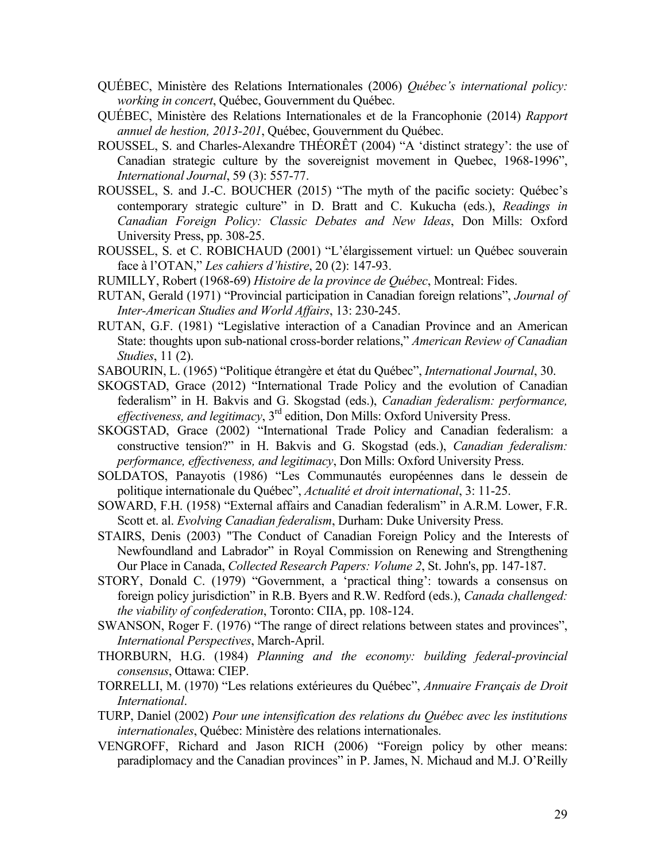- QUÉBEC, Ministère des Relations Internationales (2006) *Québec's international policy: working in concert*, Québec, Gouvernment du Québec.
- QUÉBEC, Ministère des Relations Internationales et de la Francophonie (2014) *Rapport annuel de hestion, 2013-201*, Québec, Gouvernment du Québec.
- ROUSSEL, S. and Charles-Alexandre THÉORÊT (2004) "A 'distinct strategy': the use of Canadian strategic culture by the sovereignist movement in Quebec, 1968-1996", *International Journal*, 59 (3): 557-77.
- ROUSSEL, S. and J.-C. BOUCHER (2015) "The myth of the pacific society: Québec's contemporary strategic culture" in D. Bratt and C. Kukucha (eds.), *Readings in Canadian Foreign Policy: Classic Debates and New Ideas*, Don Mills: Oxford University Press, pp. 308-25.
- ROUSSEL, S. et C. ROBICHAUD (2001) "L'élargissement virtuel: un Québec souverain face à l'OTAN," *Les cahiers d'histire*, 20 (2): 147-93.
- RUMILLY, Robert (1968-69) *Histoire de la province de Québec*, Montreal: Fides.
- RUTAN, Gerald (1971) "Provincial participation in Canadian foreign relations", *Journal of Inter-American Studies and World Affairs*, 13: 230-245.
- RUTAN, G.F. (1981) "Legislative interaction of a Canadian Province and an American State: thoughts upon sub-national cross-border relations," *American Review of Canadian Studies*, 11 (2).
- SABOURIN, L. (1965) "Politique étrangère et état du Québec", *International Journal*, 30.
- SKOGSTAD, Grace (2012) "International Trade Policy and the evolution of Canadian federalism" in H. Bakvis and G. Skogstad (eds.), *Canadian federalism: performance, effectiveness, and legitimacy*, 3rd edition, Don Mills: Oxford University Press.
- SKOGSTAD, Grace (2002) "International Trade Policy and Canadian federalism: a constructive tension?" in H. Bakvis and G. Skogstad (eds.), *Canadian federalism: performance, effectiveness, and legitimacy*, Don Mills: Oxford University Press.
- SOLDATOS, Panayotis (1986) "Les Communautés européennes dans le dessein de politique internationale du Québec", *Actualité et droit international*, 3: 11-25.
- SOWARD, F.H. (1958) "External affairs and Canadian federalism" in A.R.M. Lower, F.R. Scott et. al. *Evolving Canadian federalism*, Durham: Duke University Press.
- STAIRS, Denis (2003) "The Conduct of Canadian Foreign Policy and the Interests of Newfoundland and Labrador" in Royal Commission on Renewing and Strengthening Our Place in Canada, *Collected Research Papers: Volume 2*, St. John's, pp. 147-187.
- STORY, Donald C. (1979) "Government, a 'practical thing': towards a consensus on foreign policy jurisdiction" in R.B. Byers and R.W. Redford (eds.), *Canada challenged: the viability of confederation*, Toronto: CIIA, pp. 108-124.
- SWANSON, Roger F. (1976) "The range of direct relations between states and provinces", *International Perspectives*, March-April.
- THORBURN, H.G. (1984) *Planning and the economy: building federal-provincial consensus*, Ottawa: CIEP.
- TORRELLI, M. (1970) "Les relations extérieures du Québec", *Annuaire Français de Droit International*.
- TURP, Daniel (2002) *Pour une intensification des relations du Québec avec les institutions internationales*, Québec: Ministère des relations internationales.
- VENGROFF, Richard and Jason RICH (2006) "Foreign policy by other means: paradiplomacy and the Canadian provinces" in P. James, N. Michaud and M.J. O'Reilly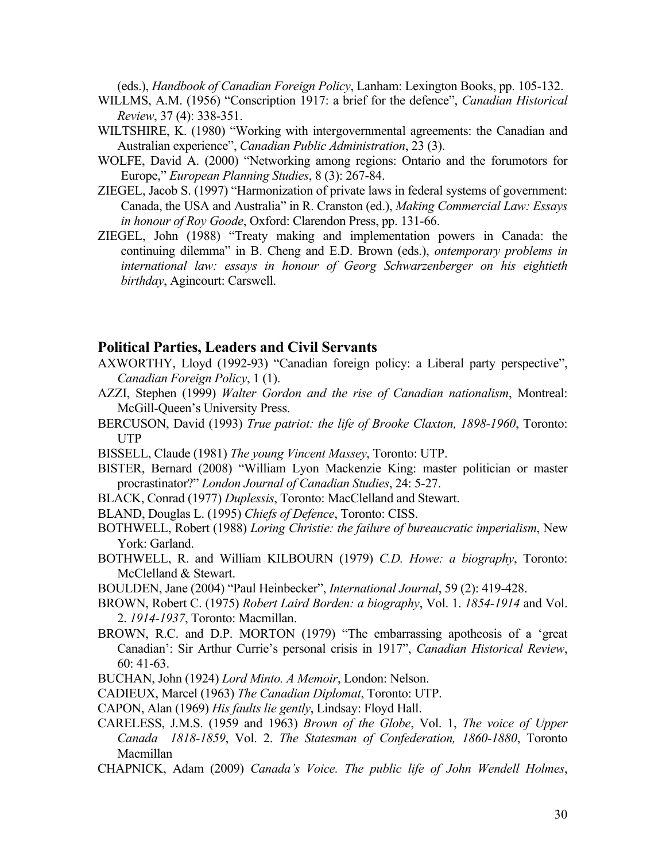(eds.), *Handbook of Canadian Foreign Policy*, Lanham: Lexington Books, pp. 105-132.

- WILLMS, A.M. (1956) "Conscription 1917: a brief for the defence", *Canadian Historical Review*, 37 (4): 338-351.
- WILTSHIRE, K. (1980) "Working with intergovernmental agreements: the Canadian and Australian experience", *Canadian Public Administration*, 23 (3).
- WOLFE, David A. (2000) "Networking among regions: Ontario and the forumotors for Europe," *European Planning Studies*, 8 (3): 267-84.
- ZIEGEL, Jacob S. (1997) "Harmonization of private laws in federal systems of government: Canada, the USA and Australia" in R. Cranston (ed.), *Making Commercial Law: Essays in honour of Roy Goode*, Oxford: Clarendon Press, pp. 131-66.
- ZIEGEL, John (1988) "Treaty making and implementation powers in Canada: the continuing dilemma" in B. Cheng and E.D. Brown (eds.), *ontemporary problems in international law: essays in honour of Georg Schwarzenberger on his eightieth birthday*, Agincourt: Carswell.

## **Political Parties, Leaders and Civil Servants**

- AXWORTHY, Lloyd (1992-93) "Canadian foreign policy: a Liberal party perspective", *Canadian Foreign Policy*, 1 (1).
- AZZI, Stephen (1999) *Walter Gordon and the rise of Canadian nationalism*, Montreal: McGill-Queen's University Press.
- BERCUSON, David (1993) *True patriot: the life of Brooke Claxton, 1898-1960*, Toronto: UTP
- BISSELL, Claude (1981) *The young Vincent Massey*, Toronto: UTP.
- BISTER, Bernard (2008) "William Lyon Mackenzie King: master politician or master procrastinator?" *London Journal of Canadian Studies*, 24: 5-27.
- BLACK, Conrad (1977) *Duplessis*, Toronto: MacClelland and Stewart.
- BLAND, Douglas L. (1995) *Chiefs of Defence*, Toronto: CISS.
- BOTHWELL, Robert (1988) *Loring Christie: the failure of bureaucratic imperialism*, New York: Garland.
- BOTHWELL, R. and William KILBOURN (1979) *C.D. Howe: a biography*, Toronto: McClelland & Stewart.

BOULDEN, Jane (2004) "Paul Heinbecker", *International Journal*, 59 (2): 419-428.

BROWN, Robert C. (1975) *Robert Laird Borden: a biography*, Vol. 1. *1854-1914* and Vol. 2. *1914-1937*, Toronto: Macmillan.

- BROWN, R.C. and D.P. MORTON (1979) "The embarrassing apotheosis of a 'great Canadian': Sir Arthur Currie's personal crisis in 1917", *Canadian Historical Review*, 60: 41-63.
- BUCHAN, John (1924) *Lord Minto. A Memoir*, London: Nelson.
- CADIEUX, Marcel (1963) *The Canadian Diplomat*, Toronto: UTP.
- CAPON, Alan (1969) *His faults lie gently*, Lindsay: Floyd Hall.
- CARELESS, J.M.S. (1959 and 1963) *Brown of the Globe*, Vol. 1, *The voice of Upper Canada 1818-1859*, Vol. 2. *The Statesman of Confederation, 1860-1880*, Toronto Macmillan
- CHAPNICK, Adam (2009) *Canada's Voice. The public life of John Wendell Holmes*,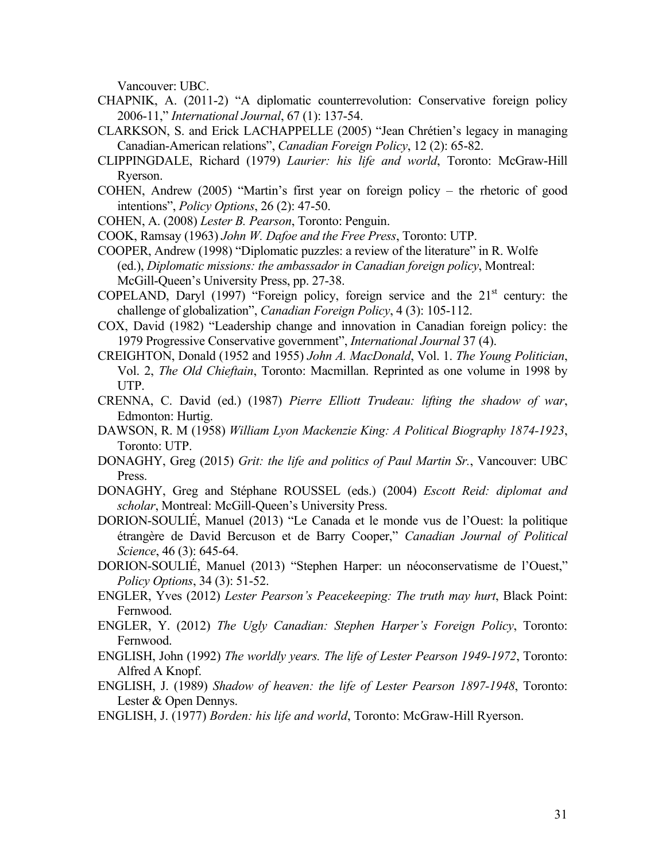Vancouver: UBC.

- CHAPNIK, A. (2011-2) "A diplomatic counterrevolution: Conservative foreign policy 2006-11," *International Journal*, 67 (1): 137-54.
- CLARKSON, S. and Erick LACHAPPELLE (2005) "Jean Chrétien's legacy in managing Canadian-American relations", *Canadian Foreign Policy*, 12 (2): 65-82.
- CLIPPINGDALE, Richard (1979) *Laurier: his life and world*, Toronto: McGraw-Hill Ryerson.
- COHEN, Andrew (2005) "Martin's first year on foreign policy the rhetoric of good intentions", *Policy Options*, 26 (2): 47-50.
- COHEN, A. (2008) *Lester B. Pearson*, Toronto: Penguin.
- COOK, Ramsay (1963) *John W. Dafoe and the Free Press*, Toronto: UTP.
- COOPER, Andrew (1998) "Diplomatic puzzles: a review of the literature" in R. Wolfe (ed.), *Diplomatic missions: the ambassador in Canadian foreign policy*, Montreal: McGill-Queen's University Press, pp. 27-38.
- COPELAND, Daryl (1997) "Foreign policy, foreign service and the  $21<sup>st</sup>$  century: the challenge of globalization", *Canadian Foreign Policy*, 4 (3): 105-112.
- COX, David (1982) "Leadership change and innovation in Canadian foreign policy: the 1979 Progressive Conservative government", *International Journal* 37 (4).
- CREIGHTON, Donald (1952 and 1955) *John A. MacDonald*, Vol. 1. *The Young Politician*, Vol. 2, *The Old Chieftain*, Toronto: Macmillan. Reprinted as one volume in 1998 by UTP.
- CRENNA, C. David (ed.) (1987) *Pierre Elliott Trudeau: lifting the shadow of war*, Edmonton: Hurtig.
- DAWSON, R. M (1958) *William Lyon Mackenzie King: A Political Biography 1874-1923*, Toronto: UTP.
- DONAGHY, Greg (2015) *Grit: the life and politics of Paul Martin Sr.*, Vancouver: UBC Press.
- DONAGHY, Greg and Stéphane ROUSSEL (eds.) (2004) *Escott Reid: diplomat and scholar*, Montreal: McGill-Queen's University Press.
- DORION-SOULIÉ, Manuel (2013) "Le Canada et le monde vus de l'Ouest: la politique étrangère de David Bercuson et de Barry Cooper," *Canadian Journal of Political Science*, 46 (3): 645-64.
- DORION-SOULIÉ, Manuel (2013) "Stephen Harper: un néoconservatisme de l'Ouest," *Policy Options*, 34 (3): 51-52.
- ENGLER, Yves (2012) *Lester Pearson's Peacekeeping: The truth may hurt*, Black Point: Fernwood.
- ENGLER, Y. (2012) *The Ugly Canadian: Stephen Harper's Foreign Policy*, Toronto: Fernwood.
- ENGLISH, John (1992) *The worldly years. The life of Lester Pearson 1949-1972*, Toronto: Alfred A Knopf.
- ENGLISH, J. (1989) *Shadow of heaven: the life of Lester Pearson 1897-1948*, Toronto: Lester & Open Dennys.
- ENGLISH, J. (1977) *Borden: his life and world*, Toronto: McGraw-Hill Ryerson.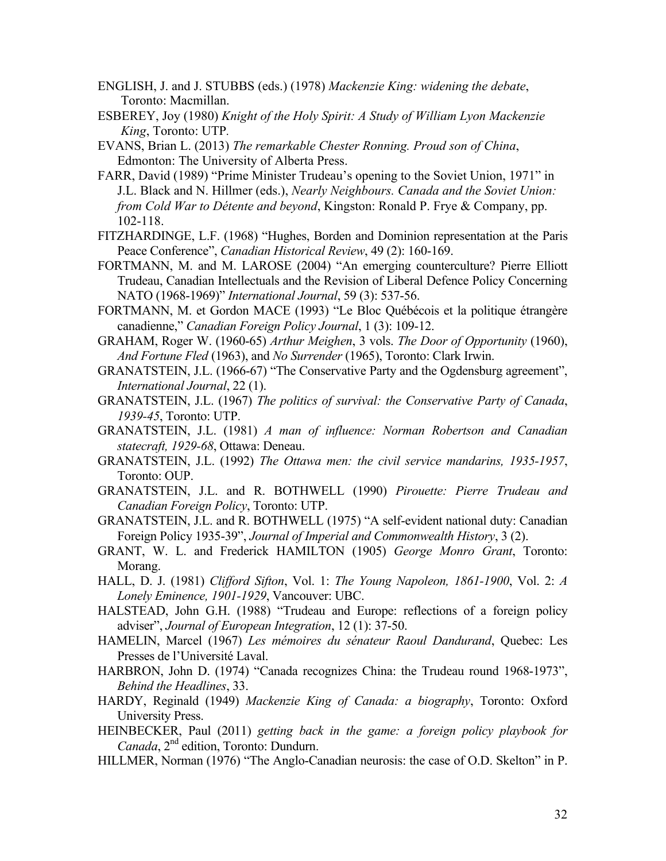- ENGLISH, J. and J. STUBBS (eds.) (1978) *Mackenzie King: widening the debate*, Toronto: Macmillan.
- ESBEREY, Joy (1980) *Knight of the Holy Spirit: A Study of William Lyon Mackenzie King*, Toronto: UTP*.*
- EVANS, Brian L. (2013) *The remarkable Chester Ronning. Proud son of China*, Edmonton: The University of Alberta Press.
- FARR, David (1989) "Prime Minister Trudeau's opening to the Soviet Union, 1971" in J.L. Black and N. Hillmer (eds.), *Nearly Neighbours. Canada and the Soviet Union: from Cold War to Détente and beyond*, Kingston: Ronald P. Frye & Company, pp. 102-118.
- FITZHARDINGE, L.F. (1968) "Hughes, Borden and Dominion representation at the Paris Peace Conference", *Canadian Historical Review*, 49 (2): 160-169.
- FORTMANN, M. and M. LAROSE (2004) "An emerging counterculture? Pierre Elliott Trudeau, Canadian Intellectuals and the Revision of Liberal Defence Policy Concerning NATO (1968-1969)" *International Journal*, 59 (3): 537-56.
- FORTMANN, M. et Gordon MACE (1993) "Le Bloc Québécois et la politique étrangère canadienne," *Canadian Foreign Policy Journal*, 1 (3): 109-12.
- GRAHAM, Roger W. (1960-65) *Arthur Meighen*, 3 vols. *The Door of Opportunity* (1960), *And Fortune Fled* (1963), and *No Surrender* (1965), Toronto: Clark Irwin.
- GRANATSTEIN, J.L. (1966-67) "The Conservative Party and the Ogdensburg agreement", *International Journal*, 22 (1).
- GRANATSTEIN, J.L. (1967) *The politics of survival: the Conservative Party of Canada*, *1939-45*, Toronto: UTP.
- GRANATSTEIN, J.L. (1981) *A man of influence: Norman Robertson and Canadian statecraft, 1929-68*, Ottawa: Deneau.
- GRANATSTEIN, J.L. (1992) *The Ottawa men: the civil service mandarins, 1935-1957*, Toronto: OUP.
- GRANATSTEIN, J.L. and R. BOTHWELL (1990) *Pirouette: Pierre Trudeau and Canadian Foreign Policy*, Toronto: UTP.
- GRANATSTEIN, J.L. and R. BOTHWELL (1975) "A self-evident national duty: Canadian Foreign Policy 1935-39", *Journal of Imperial and Commonwealth History*, 3 (2).
- GRANT, W. L. and Frederick HAMILTON (1905) *George Monro Grant*, Toronto: Morang.
- HALL, D. J. (1981) *Clifford Sifton*, Vol. 1: *The Young Napoleon, 1861-1900*, Vol. 2: *A Lonely Eminence, 1901-1929*, Vancouver: UBC.
- HALSTEAD, John G.H. (1988) "Trudeau and Europe: reflections of a foreign policy adviser", *Journal of European Integration*, 12 (1): 37-50.
- HAMELIN, Marcel (1967) *Les mémoires du sénateur Raoul Dandurand*, Quebec: Les Presses de l'Université Laval.
- HARBRON, John D. (1974) "Canada recognizes China: the Trudeau round 1968-1973", *Behind the Headlines*, 33.
- HARDY, Reginald (1949) *Mackenzie King of Canada: a biography*, Toronto: Oxford University Press.
- HEINBECKER, Paul (2011) *getting back in the game: a foreign policy playbook for Canada*, 2nd edition, Toronto: Dundurn.
- HILLMER, Norman (1976) "The Anglo-Canadian neurosis: the case of O.D. Skelton" in P.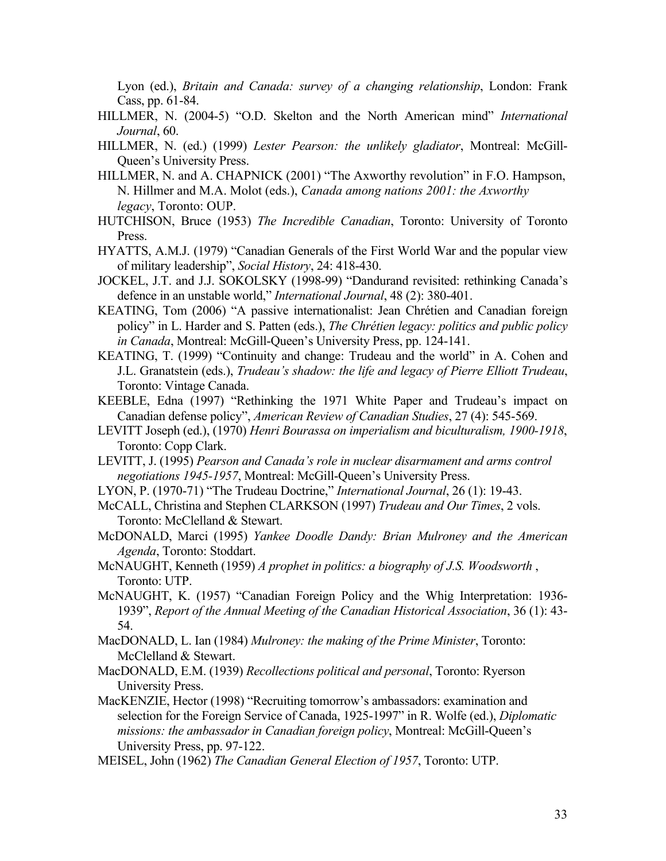Lyon (ed.), *Britain and Canada: survey of a changing relationship*, London: Frank Cass, pp. 61-84.

- HILLMER, N. (2004-5) "O.D. Skelton and the North American mind" *International Journal*, 60.
- HILLMER, N. (ed.) (1999) *Lester Pearson: the unlikely gladiator*, Montreal: McGill-Queen's University Press.
- HILLMER, N. and A. CHAPNICK (2001) "The Axworthy revolution" in F.O. Hampson, N. Hillmer and M.A. Molot (eds.), *Canada among nations 2001: the Axworthy legacy*, Toronto: OUP.
- HUTCHISON, Bruce (1953) *The Incredible Canadian*, Toronto: University of Toronto Press.
- HYATTS, A.M.J. (1979) "Canadian Generals of the First World War and the popular view of military leadership", *Social History*, 24: 418-430.
- JOCKEL, J.T. and J.J. SOKOLSKY (1998-99) "Dandurand revisited: rethinking Canada's defence in an unstable world," *International Journal*, 48 (2): 380-401.
- KEATING, Tom (2006) "A passive internationalist: Jean Chrétien and Canadian foreign policy" in L. Harder and S. Patten (eds.), *The Chrétien legacy: politics and public policy in Canada*, Montreal: McGill-Queen's University Press, pp. 124-141.
- KEATING, T. (1999) "Continuity and change: Trudeau and the world" in A. Cohen and J.L. Granatstein (eds.), *Trudeau's shadow: the life and legacy of Pierre Elliott Trudeau*, Toronto: Vintage Canada.
- KEEBLE, Edna (1997) "Rethinking the 1971 White Paper and Trudeau's impact on Canadian defense policy", *American Review of Canadian Studies*, 27 (4): 545-569.
- LEVITT Joseph (ed.), (1970) *Henri Bourassa on imperialism and biculturalism, 1900-1918*, Toronto: Copp Clark.
- LEVITT, J. (1995) *Pearson and Canada's role in nuclear disarmament and arms control negotiations 1945-1957*, Montreal: McGill-Queen's University Press.
- LYON, P. (1970-71) "The Trudeau Doctrine," *International Journal*, 26 (1): 19-43.
- McCALL, Christina and Stephen CLARKSON (1997) *Trudeau and Our Times*, 2 vols. Toronto: McClelland & Stewart.
- McDONALD, Marci (1995) *Yankee Doodle Dandy: Brian Mulroney and the American Agenda*, Toronto: Stoddart.
- McNAUGHT, Kenneth (1959) *A prophet in politics: a biography of J.S. Woodsworth* , Toronto: UTP.
- McNAUGHT, K. (1957) "Canadian Foreign Policy and the Whig Interpretation: 1936- 1939", *Report of the Annual Meeting of the Canadian Historical Association*, 36 (1): 43- 54.
- MacDONALD, L. Ian (1984) *Mulroney: the making of the Prime Minister*, Toronto: McClelland & Stewart.
- MacDONALD, E.M. (1939) *Recollections political and personal*, Toronto: Ryerson University Press.
- MacKENZIE, Hector (1998) "Recruiting tomorrow's ambassadors: examination and selection for the Foreign Service of Canada, 1925-1997" in R. Wolfe (ed.), *Diplomatic missions: the ambassador in Canadian foreign policy*, Montreal: McGill-Queen's University Press, pp. 97-122.
- MEISEL, John (1962) *The Canadian General Election of 1957*, Toronto: UTP.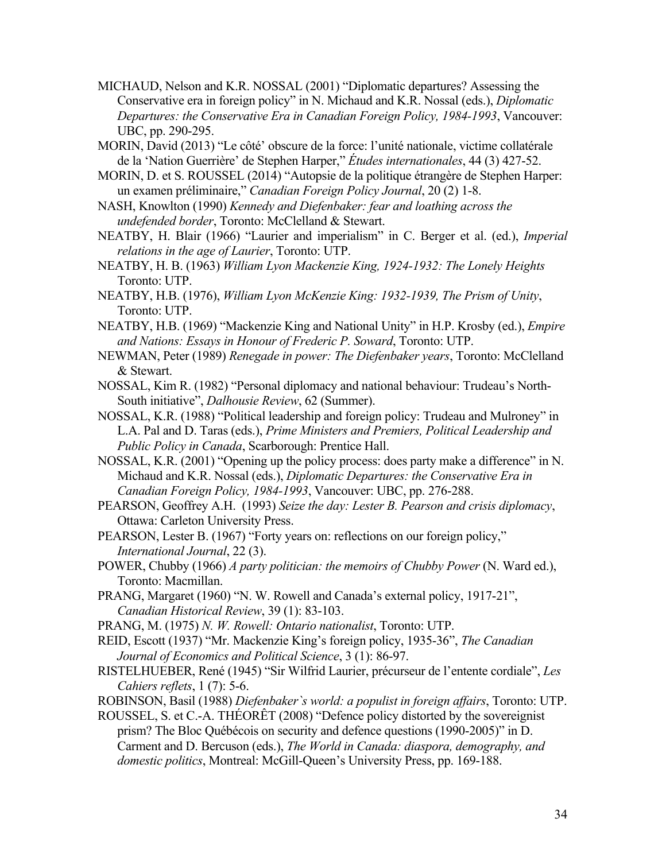- MICHAUD, Nelson and K.R. NOSSAL (2001) "Diplomatic departures? Assessing the Conservative era in foreign policy" in N. Michaud and K.R. Nossal (eds.), *Diplomatic Departures: the Conservative Era in Canadian Foreign Policy, 1984-1993*, Vancouver: UBC, pp. 290-295.
- MORIN, David (2013) "Le côté' obscure de la force: l'unité nationale, victime collatérale de la 'Nation Guerrière' de Stephen Harper," *Études internationales*, 44 (3) 427-52.
- MORIN, D. et S. ROUSSEL (2014) "Autopsie de la politique étrangère de Stephen Harper: un examen préliminaire," *Canadian Foreign Policy Journal*, 20 (2) 1-8.
- NASH, Knowlton (1990) *Kennedy and Diefenbaker: fear and loathing across the undefended border*, Toronto: McClelland & Stewart.
- NEATBY, H. Blair (1966) "Laurier and imperialism" in C. Berger et al. (ed.), *Imperial relations in the age of Laurier*, Toronto: UTP.
- NEATBY, H. B. (1963) *William Lyon Mackenzie King, 1924-1932: The Lonely Heights* Toronto: UTP.
- NEATBY, H.B. (1976), *William Lyon McKenzie King: 1932-1939, The Prism of Unity*, Toronto: UTP.
- NEATBY, H.B. (1969) "Mackenzie King and National Unity" in H.P. Krosby (ed.), *Empire and Nations: Essays in Honour of Frederic P. Soward*, Toronto: UTP.
- NEWMAN, Peter (1989) *Renegade in power: The Diefenbaker years*, Toronto: McClelland & Stewart.
- NOSSAL, Kim R. (1982) "Personal diplomacy and national behaviour: Trudeau's North-South initiative", *Dalhousie Review*, 62 (Summer).
- NOSSAL, K.R. (1988) "Political leadership and foreign policy: Trudeau and Mulroney" in L.A. Pal and D. Taras (eds.), *Prime Ministers and Premiers, Political Leadership and Public Policy in Canada*, Scarborough: Prentice Hall.
- NOSSAL, K.R. (2001) "Opening up the policy process: does party make a difference" in N. Michaud and K.R. Nossal (eds.), *Diplomatic Departures: the Conservative Era in Canadian Foreign Policy, 1984-1993*, Vancouver: UBC, pp. 276-288.
- PEARSON, Geoffrey A.H. (1993) *Seize the day: Lester B. Pearson and crisis diplomacy*, Ottawa: Carleton University Press.
- PEARSON, Lester B. (1967) "Forty years on: reflections on our foreign policy," *International Journal*, 22 (3).
- POWER, Chubby (1966) *A party politician: the memoirs of Chubby Power* (N. Ward ed.), Toronto: Macmillan.
- PRANG, Margaret (1960) "N. W. Rowell and Canada's external policy, 1917-21", *Canadian Historical Review*, 39 (1): 83-103.
- PRANG, M. (1975) *N. W. Rowell: Ontario nationalist*, Toronto: UTP.
- REID, Escott (1937) "Mr. Mackenzie King's foreign policy, 1935-36", *The Canadian Journal of Economics and Political Science*, 3 (1): 86-97.
- RISTELHUEBER, René (1945) "Sir Wilfrid Laurier, précurseur de l'entente cordiale", *Les Cahiers reflets*, 1 (7): 5-6.
- ROBINSON, Basil (1988) *Diefenbaker`s world: a populist in foreign affairs*, Toronto: UTP.
- ROUSSEL, S. et C.-A. THÉORÊT (2008) "Defence policy distorted by the sovereignist prism? The Bloc Québécois on security and defence questions (1990-2005)" in D. Carment and D. Bercuson (eds.), *The World in Canada: diaspora, demography, and domestic politics*, Montreal: McGill-Queen's University Press, pp. 169-188.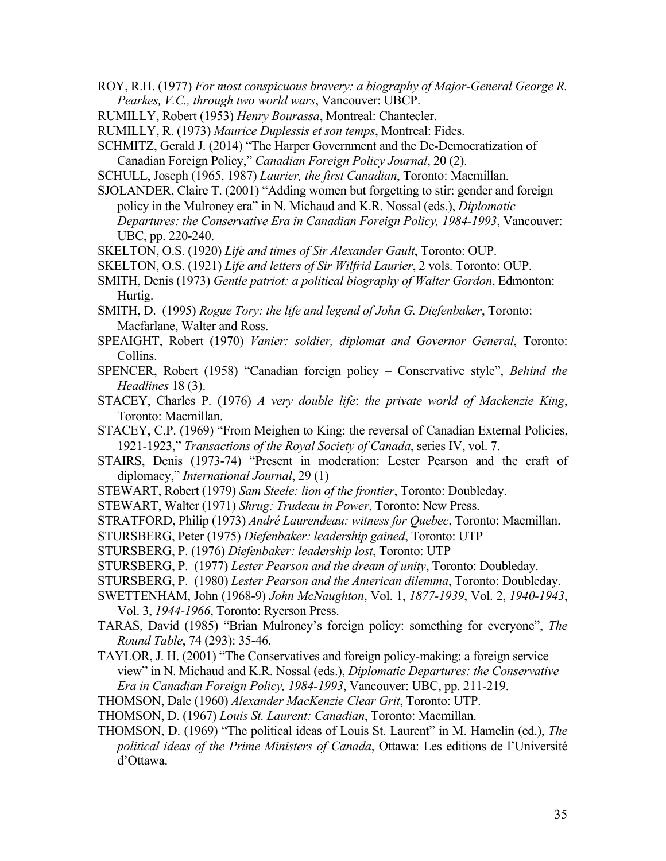ROY, R.H. (1977) *For most conspicuous bravery: a biography of Major-General George R. Pearkes, V.C., through two world wars*, Vancouver: UBCP.

- RUMILLY, Robert (1953) *Henry Bourassa*, Montreal: Chantecler.
- RUMILLY, R. (1973) *Maurice Duplessis et son temps*, Montreal: Fides.
- SCHMITZ, Gerald J. (2014) "The Harper Government and the De-Democratization of Canadian Foreign Policy," *Canadian Foreign Policy Journal*, 20 (2).

SCHULL, Joseph (1965, 1987) *Laurier, the first Canadian*, Toronto: Macmillan.

SJOLANDER, Claire T. (2001) "Adding women but forgetting to stir: gender and foreign policy in the Mulroney era" in N. Michaud and K.R. Nossal (eds.), *Diplomatic Departures: the Conservative Era in Canadian Foreign Policy, 1984-1993*, Vancouver: UBC, pp. 220-240.

SKELTON, O.S. (1920) *Life and times of Sir Alexander Gault*, Toronto: OUP.

SKELTON, O.S. (1921) *Life and letters of Sir Wilfrid Laurier*, 2 vols. Toronto: OUP.

SMITH, Denis (1973) *Gentle patriot: a political biography of Walter Gordon*, Edmonton: Hurtig.

- SMITH, D. (1995) *Rogue Tory: the life and legend of John G. Diefenbaker*, Toronto: Macfarlane, Walter and Ross.
- SPEAIGHT, Robert (1970) *Vanier: soldier, diplomat and Governor General*, Toronto: Collins.
- SPENCER, Robert (1958) "Canadian foreign policy Conservative style", *Behind the Headlines* 18 (3).
- STACEY, Charles P. (1976) *A very double life*: *the private world of Mackenzie King*, Toronto: Macmillan.
- STACEY, C.P. (1969) "From Meighen to King: the reversal of Canadian External Policies, 1921-1923," *Transactions of the Royal Society of Canada*, series IV, vol. 7.

STAIRS, Denis (1973-74) "Present in moderation: Lester Pearson and the craft of diplomacy," *International Journal*, 29 (1)

- STEWART, Robert (1979) *Sam Steele: lion of the frontier*, Toronto: Doubleday.
- STEWART, Walter (1971) *Shrug: Trudeau in Power*, Toronto: New Press.

STRATFORD, Philip (1973) *André Laurendeau: witness for Quebec*, Toronto: Macmillan.

- STURSBERG, Peter (1975) *Diefenbaker: leadership gained*, Toronto: UTP
- STURSBERG, P. (1976) *Diefenbaker: leadership lost*, Toronto: UTP

STURSBERG, P. (1977) *Lester Pearson and the dream of unity*, Toronto: Doubleday.

- STURSBERG, P. (1980) *Lester Pearson and the American dilemma*, Toronto: Doubleday.
- SWETTENHAM, John (1968-9) *John McNaughton*, Vol. 1, *1877-1939*, Vol. 2, *1940-1943*, Vol. 3, *1944-1966*, Toronto: Ryerson Press.
- TARAS, David (1985) "Brian Mulroney's foreign policy: something for everyone", *The Round Table*, 74 (293): 35-46.
- TAYLOR, J. H. (2001) "The Conservatives and foreign policy-making: a foreign service view" in N. Michaud and K.R. Nossal (eds.), *Diplomatic Departures: the Conservative Era in Canadian Foreign Policy, 1984-1993*, Vancouver: UBC, pp. 211-219.
- THOMSON, Dale (1960) *Alexander MacKenzie Clear Grit*, Toronto: UTP.
- THOMSON, D. (1967) *Louis St. Laurent: Canadian*, Toronto: Macmillan.
- THOMSON, D. (1969) "The political ideas of Louis St. Laurent" in M. Hamelin (ed.), *The political ideas of the Prime Ministers of Canada*, Ottawa: Les editions de l'Université d'Ottawa.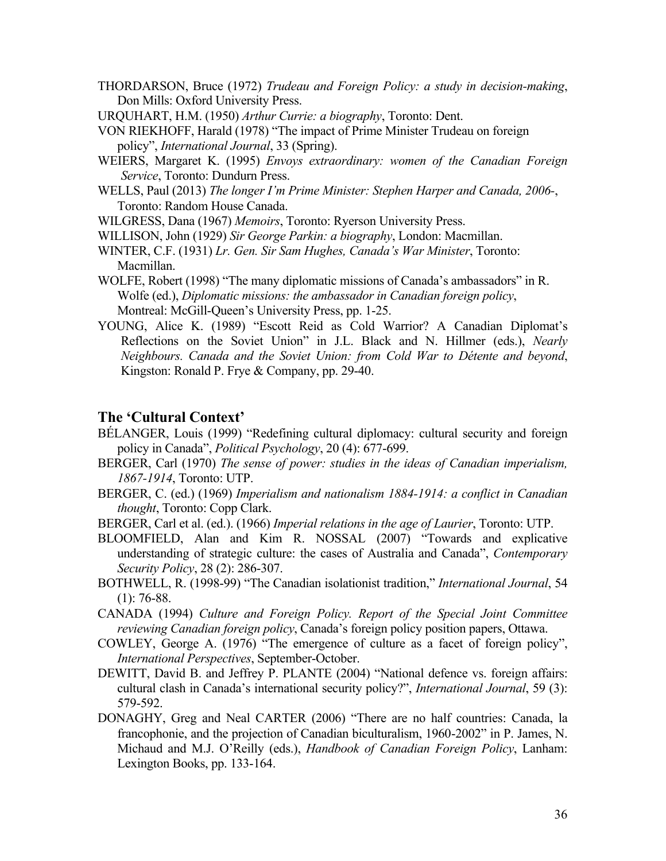- THORDARSON, Bruce (1972) *Trudeau and Foreign Policy: a study in decision-making*, Don Mills: Oxford University Press.
- URQUHART, H.M. (1950) *Arthur Currie: a biography*, Toronto: Dent.
- VON RIEKHOFF, Harald (1978) "The impact of Prime Minister Trudeau on foreign policy", *International Journal*, 33 (Spring).
- WEIERS, Margaret K. (1995) *Envoys extraordinary: women of the Canadian Foreign Service*, Toronto: Dundurn Press.
- WELLS, Paul (2013) *The longer I'm Prime Minister: Stephen Harper and Canada, 2006-*, Toronto: Random House Canada.

WILGRESS, Dana (1967) *Memoirs*, Toronto: Ryerson University Press.

- WILLISON, John (1929) *Sir George Parkin: a biography*, London: Macmillan.
- WINTER, C.F. (1931) *Lr. Gen. Sir Sam Hughes, Canada's War Minister*, Toronto: Macmillan.
- WOLFE, Robert (1998) "The many diplomatic missions of Canada's ambassadors" in R. Wolfe (ed.), *Diplomatic missions: the ambassador in Canadian foreign policy*, Montreal: McGill-Queen's University Press, pp. 1-25.
- YOUNG, Alice K. (1989) "Escott Reid as Cold Warrior? A Canadian Diplomat's Reflections on the Soviet Union" in J.L. Black and N. Hillmer (eds.), *Nearly Neighbours. Canada and the Soviet Union: from Cold War to Détente and beyond*, Kingston: Ronald P. Frye & Company, pp. 29-40.

#### **The 'Cultural Context'**

- BÉLANGER, Louis (1999) "Redefining cultural diplomacy: cultural security and foreign policy in Canada", *Political Psychology*, 20 (4): 677-699.
- BERGER, Carl (1970) *The sense of power: studies in the ideas of Canadian imperialism, 1867-1914*, Toronto: UTP.
- BERGER, C. (ed.) (1969) *Imperialism and nationalism 1884-1914: a conflict in Canadian thought*, Toronto: Copp Clark.
- BERGER, Carl et al. (ed.). (1966) *Imperial relations in the age of Laurier*, Toronto: UTP.
- BLOOMFIELD, Alan and Kim R. NOSSAL (2007) "Towards and explicative understanding of strategic culture: the cases of Australia and Canada", *Contemporary Security Policy*, 28 (2): 286-307.
- BOTHWELL, R. (1998-99) "The Canadian isolationist tradition," *International Journal*, 54  $(1)$ : 76-88.
- CANADA (1994) *Culture and Foreign Policy. Report of the Special Joint Committee reviewing Canadian foreign policy*, Canada's foreign policy position papers, Ottawa.
- COWLEY, George A. (1976) "The emergence of culture as a facet of foreign policy", *International Perspectives*, September-October.
- DEWITT, David B. and Jeffrey P. PLANTE (2004) "National defence vs. foreign affairs: cultural clash in Canada's international security policy?", *International Journal*, 59 (3): 579-592.
- DONAGHY, Greg and Neal CARTER (2006) "There are no half countries: Canada, la francophonie, and the projection of Canadian biculturalism, 1960-2002" in P. James, N. Michaud and M.J. O'Reilly (eds.), *Handbook of Canadian Foreign Policy*, Lanham: Lexington Books, pp. 133-164.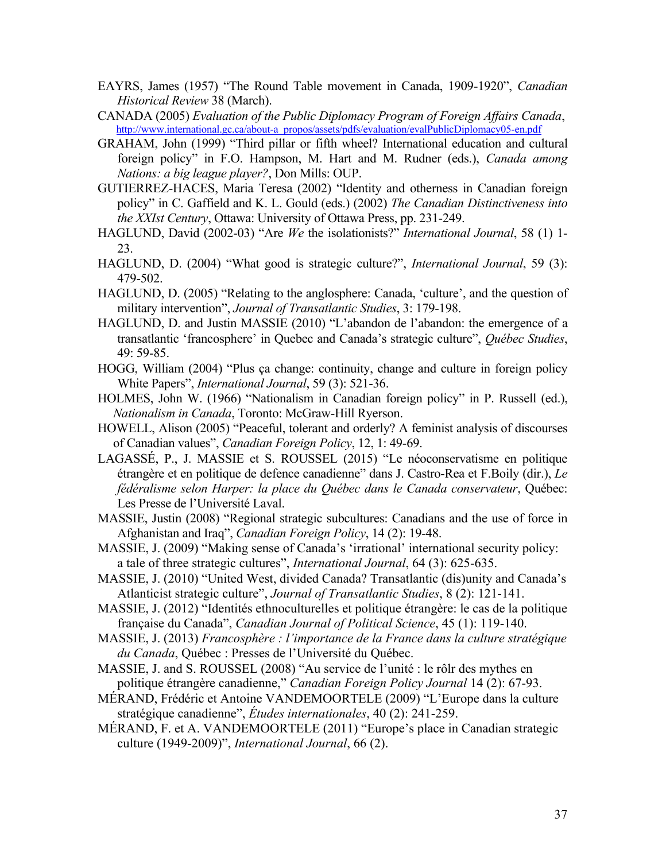- EAYRS, James (1957) "The Round Table movement in Canada, 1909-1920", *Canadian Historical Review* 38 (March).
- CANADA (2005) *Evaluation of the Public Diplomacy Program of Foreign Affairs Canada*, http://www.international.gc.ca/about-a\_propos/assets/pdfs/evaluation/evalPublicDiplomacy05-en.pdf
- GRAHAM, John (1999) "Third pillar or fifth wheel? International education and cultural foreign policy" in F.O. Hampson, M. Hart and M. Rudner (eds.), *Canada among Nations: a big league player?*, Don Mills: OUP.
- GUTIERREZ-HACES, Maria Teresa (2002) "Identity and otherness in Canadian foreign policy" in C. Gaffield and K. L. Gould (eds.) (2002) *The Canadian Distinctiveness into the XXIst Century*, Ottawa: University of Ottawa Press, pp. 231-249.
- HAGLUND, David (2002-03) "Are *We* the isolationists?" *International Journal*, 58 (1) 1- 23.
- HAGLUND, D. (2004) "What good is strategic culture?", *International Journal*, 59 (3): 479-502.
- HAGLUND, D. (2005) "Relating to the anglosphere: Canada, 'culture', and the question of military intervention", *Journal of Transatlantic Studies*, 3: 179-198.
- HAGLUND, D. and Justin MASSIE (2010) "L'abandon de l'abandon: the emergence of a transatlantic 'francosphere' in Quebec and Canada's strategic culture", *Québec Studies*, 49: 59-85.
- HOGG, William (2004) "Plus ça change: continuity, change and culture in foreign policy White Papers", *International Journal*, 59 (3): 521-36.
- HOLMES, John W. (1966) "Nationalism in Canadian foreign policy" in P. Russell (ed.), *Nationalism in Canada*, Toronto: McGraw-Hill Ryerson.
- HOWELL, Alison (2005) "Peaceful, tolerant and orderly? A feminist analysis of discourses of Canadian values", *Canadian Foreign Policy*, 12, 1: 49-69.
- LAGASSÉ, P., J. MASSIE et S. ROUSSEL (2015) "Le néoconservatisme en politique étrangère et en politique de defence canadienne" dans J. Castro-Rea et F.Boily (dir.), *Le fédéralisme selon Harper: la place du Québec dans le Canada conservateur*, Québec: Les Presse de l'Université Laval.
- MASSIE, Justin (2008) "Regional strategic subcultures: Canadians and the use of force in Afghanistan and Iraq", *Canadian Foreign Policy*, 14 (2): 19-48.
- MASSIE, J. (2009) "Making sense of Canada's 'irrational' international security policy: a tale of three strategic cultures", *International Journal*, 64 (3): 625-635.
- MASSIE, J. (2010) "United West, divided Canada? Transatlantic (dis)unity and Canada's Atlanticist strategic culture", *Journal of Transatlantic Studies*, 8 (2): 121-141.
- MASSIE, J. (2012) "Identités ethnoculturelles et politique étrangère: le cas de la politique française du Canada", *Canadian Journal of Political Science*, 45 (1): 119-140.
- MASSIE, J. (2013) *Francosphère : l'importance de la France dans la culture stratégique du Canada*, Québec : Presses de l'Université du Québec.
- MASSIE, J. and S. ROUSSEL (2008) "Au service de l'unité : le rôlr des mythes en politique étrangère canadienne," *Canadian Foreign Policy Journal* 14 (2): 67-93.
- MÉRAND, Frédéric et Antoine VANDEMOORTELE (2009) "L'Europe dans la culture stratégique canadienne", *Études internationales*, 40 (2): 241-259.
- MÉRAND, F. et A. VANDEMOORTELE (2011) "Europe's place in Canadian strategic culture (1949-2009)", *International Journal*, 66 (2).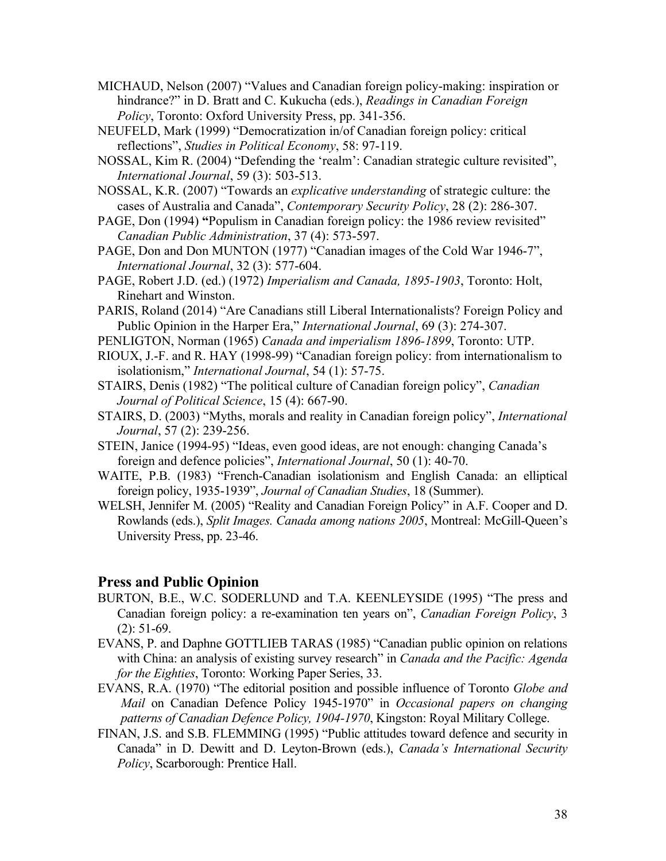- MICHAUD, Nelson (2007) "Values and Canadian foreign policy-making: inspiration or hindrance?" in D. Bratt and C. Kukucha (eds.), *Readings in Canadian Foreign Policy*, Toronto: Oxford University Press, pp. 341-356.
- NEUFELD, Mark (1999) "Democratization in/of Canadian foreign policy: critical reflections", *Studies in Political Economy*, 58: 97-119.
- NOSSAL, Kim R. (2004) "Defending the 'realm': Canadian strategic culture revisited", *International Journal*, 59 (3): 503-513.
- NOSSAL, K.R. (2007) "Towards an *explicative understanding* of strategic culture: the cases of Australia and Canada", *Contemporary Security Policy*, 28 (2): 286-307.
- PAGE, Don (1994) **"**Populism in Canadian foreign policy: the 1986 review revisited" *Canadian Public Administration*, 37 (4): 573-597.
- PAGE, Don and Don MUNTON (1977) "Canadian images of the Cold War 1946-7", *International Journal*, 32 (3): 577-604.
- PAGE, Robert J.D. (ed.) (1972) *Imperialism and Canada, 1895-1903*, Toronto: Holt, Rinehart and Winston.
- PARIS, Roland (2014) "Are Canadians still Liberal Internationalists? Foreign Policy and Public Opinion in the Harper Era," *International Journal*, 69 (3): 274-307.
- PENLIGTON, Norman (1965) *Canada and imperialism 1896-1899*, Toronto: UTP.
- RIOUX, J.-F. and R. HAY (1998-99) "Canadian foreign policy: from internationalism to isolationism," *International Journal*, 54 (1): 57-75.
- STAIRS, Denis (1982) "The political culture of Canadian foreign policy", *Canadian Journal of Political Science*, 15 (4): 667-90.
- STAIRS, D. (2003) "Myths, morals and reality in Canadian foreign policy", *International Journal*, 57 (2): 239-256.
- STEIN, Janice (1994-95) "Ideas, even good ideas, are not enough: changing Canada's foreign and defence policies", *International Journal*, 50 (1): 40-70.
- WAITE, P.B. (1983) "French-Canadian isolationism and English Canada: an elliptical foreign policy, 1935-1939", *Journal of Canadian Studies*, 18 (Summer).
- WELSH, Jennifer M. (2005) "Reality and Canadian Foreign Policy" in A.F. Cooper and D. Rowlands (eds.), *Split Images. Canada among nations 2005*, Montreal: McGill-Queen's University Press, pp. 23-46.

## **Press and Public Opinion**

- BURTON, B.E., W.C. SODERLUND and T.A. KEENLEYSIDE (1995) "The press and Canadian foreign policy: a re-examination ten years on", *Canadian Foreign Policy*, 3 (2): 51-69.
- EVANS, P. and Daphne GOTTLIEB TARAS (1985) "Canadian public opinion on relations with China: an analysis of existing survey research" in *Canada and the Pacific: Agenda for the Eighties*, Toronto: Working Paper Series, 33.
- EVANS, R.A. (1970) "The editorial position and possible influence of Toronto *Globe and Mail* on Canadian Defence Policy 1945-1970" in *Occasional papers on changing patterns of Canadian Defence Policy, 1904-1970*, Kingston: Royal Military College.
- FINAN, J.S. and S.B. FLEMMING (1995) "Public attitudes toward defence and security in Canada" in D. Dewitt and D. Leyton-Brown (eds.), *Canada's International Security Policy*, Scarborough: Prentice Hall.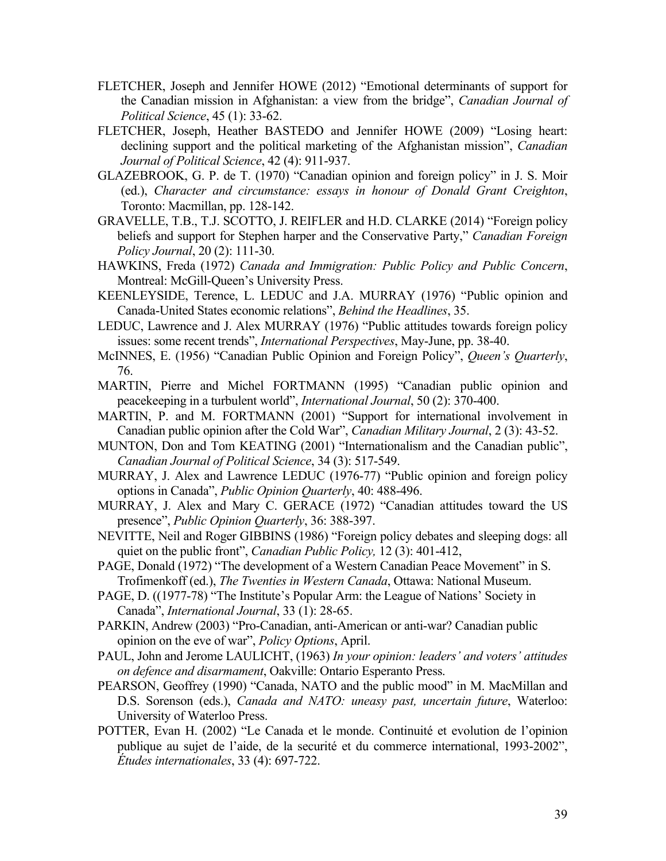- FLETCHER, Joseph and Jennifer HOWE (2012) "Emotional determinants of support for the Canadian mission in Afghanistan: a view from the bridge", *Canadian Journal of Political Science*, 45 (1): 33-62.
- FLETCHER, Joseph, Heather BASTEDO and Jennifer HOWE (2009) "Losing heart: declining support and the political marketing of the Afghanistan mission", *Canadian Journal of Political Science*, 42 (4): 911-937.
- GLAZEBROOK, G. P. de T. (1970) "Canadian opinion and foreign policy" in J. S. Moir (ed.), *Character and circumstance: essays in honour of Donald Grant Creighton*, Toronto: Macmillan, pp. 128-142.
- GRAVELLE, T.B., T.J. SCOTTO, J. REIFLER and H.D. CLARKE (2014) "Foreign policy beliefs and support for Stephen harper and the Conservative Party," *Canadian Foreign Policy Journal*, 20 (2): 111-30.
- HAWKINS, Freda (1972) *Canada and Immigration: Public Policy and Public Concern*, Montreal: McGill-Queen's University Press.
- KEENLEYSIDE, Terence, L. LEDUC and J.A. MURRAY (1976) "Public opinion and Canada-United States economic relations", *Behind the Headlines*, 35.
- LEDUC, Lawrence and J. Alex MURRAY (1976) "Public attitudes towards foreign policy issues: some recent trends", *International Perspectives*, May-June, pp. 38-40.
- McINNES, E. (1956) "Canadian Public Opinion and Foreign Policy", *Queen's Quarterly*, 76.
- MARTIN, Pierre and Michel FORTMANN (1995) "Canadian public opinion and peacekeeping in a turbulent world", *International Journal*, 50 (2): 370-400.
- MARTIN, P. and M. FORTMANN (2001) "Support for international involvement in Canadian public opinion after the Cold War", *Canadian Military Journal*, 2 (3): 43-52.
- MUNTON, Don and Tom KEATING (2001) "Internationalism and the Canadian public", *Canadian Journal of Political Science*, 34 (3): 517-549.
- MURRAY, J. Alex and Lawrence LEDUC (1976-77) "Public opinion and foreign policy options in Canada", *Public Opinion Quarterly*, 40: 488-496.
- MURRAY, J. Alex and Mary C. GERACE (1972) "Canadian attitudes toward the US presence", *Public Opinion Quarterly*, 36: 388-397.
- NEVITTE, Neil and Roger GIBBINS (1986) "Foreign policy debates and sleeping dogs: all quiet on the public front", *Canadian Public Policy,* 12 (3): 401-412,
- PAGE, Donald (1972) "The development of a Western Canadian Peace Movement" in S. Trofimenkoff (ed.), *The Twenties in Western Canada*, Ottawa: National Museum.
- PAGE, D. ((1977-78) "The Institute's Popular Arm: the League of Nations' Society in Canada", *International Journal*, 33 (1): 28-65.
- PARKIN, Andrew (2003) "Pro-Canadian, anti-American or anti-war? Canadian public opinion on the eve of war", *Policy Options*, April.
- PAUL, John and Jerome LAULICHT, (1963) *In your opinion: leaders' and voters' attitudes on defence and disarmament*, Oakville: Ontario Esperanto Press.
- PEARSON, Geoffrey (1990) "Canada, NATO and the public mood" in M. MacMillan and D.S. Sorenson (eds.), *Canada and NATO: uneasy past, uncertain future*, Waterloo: University of Waterloo Press.
- POTTER, Evan H. (2002) "Le Canada et le monde. Continuité et evolution de l'opinion publique au sujet de l'aide, de la securité et du commerce international, 1993-2002", *Études internationales*, 33 (4): 697-722.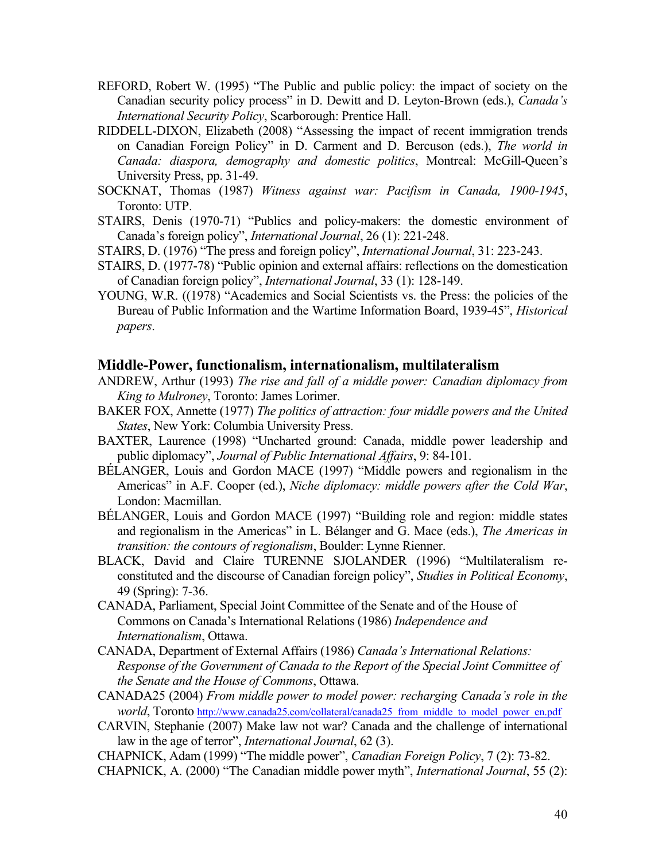- REFORD, Robert W. (1995) "The Public and public policy: the impact of society on the Canadian security policy process" in D. Dewitt and D. Leyton-Brown (eds.), *Canada's International Security Policy*, Scarborough: Prentice Hall.
- RIDDELL-DIXON, Elizabeth (2008) "Assessing the impact of recent immigration trends on Canadian Foreign Policy" in D. Carment and D. Bercuson (eds.), *The world in Canada: diaspora, demography and domestic politics*, Montreal: McGill-Queen's University Press, pp. 31-49.
- SOCKNAT, Thomas (1987) *Witness against war: Pacifism in Canada, 1900-1945*, Toronto: UTP.
- STAIRS, Denis (1970-71) "Publics and policy-makers: the domestic environment of Canada's foreign policy", *International Journal*, 26 (1): 221-248.
- STAIRS, D. (1976) "The press and foreign policy", *International Journal*, 31: 223-243.
- STAIRS, D. (1977-78) "Public opinion and external affairs: reflections on the domestication of Canadian foreign policy", *International Journal*, 33 (1): 128-149.
- YOUNG, W.R. ((1978) "Academics and Social Scientists vs. the Press: the policies of the Bureau of Public Information and the Wartime Information Board, 1939-45", *Historical papers*.

#### **Middle-Power, functionalism, internationalism, multilateralism**

- ANDREW, Arthur (1993) *The rise and fall of a middle power: Canadian diplomacy from King to Mulroney*, Toronto: James Lorimer.
- BAKER FOX, Annette (1977) *The politics of attraction: four middle powers and the United States*, New York: Columbia University Press.
- BAXTER, Laurence (1998) "Uncharted ground: Canada, middle power leadership and public diplomacy", *Journal of Public International Affairs*, 9: 84-101.
- BÉLANGER, Louis and Gordon MACE (1997) "Middle powers and regionalism in the Americas" in A.F. Cooper (ed.), *Niche diplomacy: middle powers after the Cold War*, London: Macmillan.
- BÉLANGER, Louis and Gordon MACE (1997) "Building role and region: middle states and regionalism in the Americas" in L. Bélanger and G. Mace (eds.), *The Americas in transition: the contours of regionalism*, Boulder: Lynne Rienner.
- BLACK, David and Claire TURENNE SJOLANDER (1996) "Multilateralism reconstituted and the discourse of Canadian foreign policy", *Studies in Political Economy*, 49 (Spring): 7-36.
- CANADA, Parliament, Special Joint Committee of the Senate and of the House of Commons on Canada's International Relations (1986) *Independence and Internationalism*, Ottawa.
- CANADA, Department of External Affairs (1986) *Canada's International Relations: Response of the Government of Canada to the Report of the Special Joint Committee of the Senate and the House of Commons*, Ottawa.
- CANADA25 (2004) *From middle power to model power: recharging Canada's role in the world*, Toronto http://www.canada25.com/collateral/canada25\_from\_middle\_to\_model\_power\_en.pdf
- CARVIN, Stephanie (2007) Make law not war? Canada and the challenge of international law in the age of terror", *International Journal*, 62 (3).
- CHAPNICK, Adam (1999) "The middle power", *Canadian Foreign Policy*, 7 (2): 73-82.
- CHAPNICK, A. (2000) "The Canadian middle power myth", *International Journal*, 55 (2):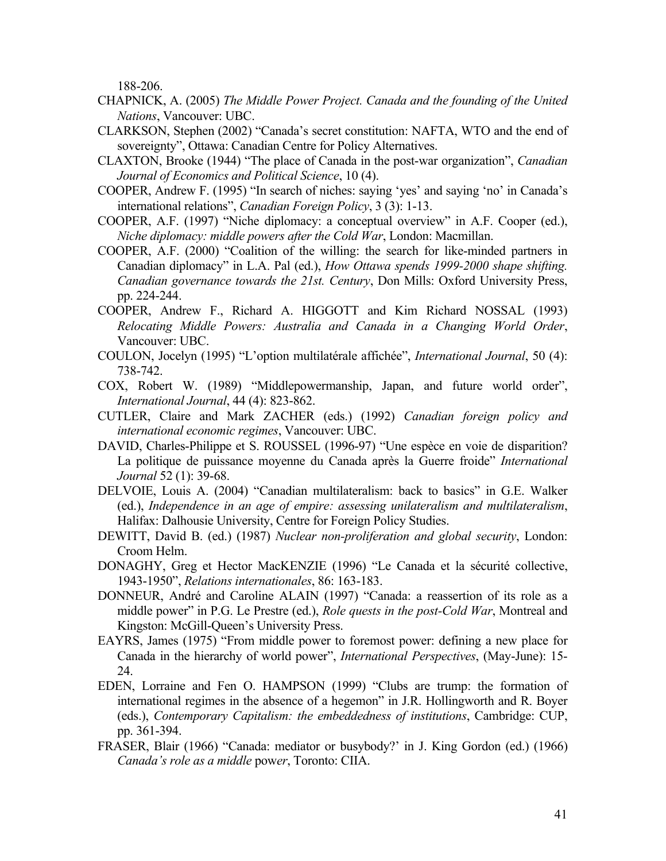188-206.

- CHAPNICK, A. (2005) *The Middle Power Project. Canada and the founding of the United Nations*, Vancouver: UBC.
- CLARKSON, Stephen (2002) "Canada's secret constitution: NAFTA, WTO and the end of sovereignty", Ottawa: Canadian Centre for Policy Alternatives.
- CLAXTON, Brooke (1944) "The place of Canada in the post-war organization", *Canadian Journal of Economics and Political Science*, 10 (4).
- COOPER, Andrew F. (1995) "In search of niches: saying 'yes' and saying 'no' in Canada's international relations", *Canadian Foreign Policy*, 3 (3): 1-13.
- COOPER, A.F. (1997) "Niche diplomacy: a conceptual overview" in A.F. Cooper (ed.), *Niche diplomacy: middle powers after the Cold War*, London: Macmillan.
- COOPER, A.F. (2000) "Coalition of the willing: the search for like-minded partners in Canadian diplomacy" in L.A. Pal (ed.), *How Ottawa spends 1999-2000 shape shifting. Canadian governance towards the 21st. Century*, Don Mills: Oxford University Press, pp. 224-244.
- COOPER, Andrew F., Richard A. HIGGOTT and Kim Richard NOSSAL (1993) *Relocating Middle Powers: Australia and Canada in a Changing World Order*, Vancouver: UBC.
- COULON, Jocelyn (1995) "L'option multilatérale affichée", *International Journal*, 50 (4): 738-742.
- COX, Robert W. (1989) "Middlepowermanship, Japan, and future world order", *International Journal*, 44 (4): 823-862.
- CUTLER, Claire and Mark ZACHER (eds.) (1992) *Canadian foreign policy and international economic regimes*, Vancouver: UBC.
- DAVID, Charles-Philippe et S. ROUSSEL (1996-97) "Une espèce en voie de disparition? La politique de puissance moyenne du Canada après la Guerre froide" *International Journal* 52 (1): 39-68.
- DELVOIE, Louis A. (2004) "Canadian multilateralism: back to basics" in G.E. Walker (ed.), *Independence in an age of empire: assessing unilateralism and multilateralism*, Halifax: Dalhousie University, Centre for Foreign Policy Studies.
- DEWITT, David B. (ed.) (1987) *Nuclear non-proliferation and global security*, London: Croom Helm.
- DONAGHY, Greg et Hector MacKENZIE (1996) "Le Canada et la sécurité collective, 1943-1950", *Relations internationales*, 86: 163-183.
- DONNEUR, André and Caroline ALAIN (1997) "Canada: a reassertion of its role as a middle power" in P.G. Le Prestre (ed.), *Role quests in the post-Cold War*, Montreal and Kingston: McGill-Queen's University Press.
- EAYRS, James (1975) "From middle power to foremost power: defining a new place for Canada in the hierarchy of world power", *International Perspectives*, (May-June): 15- 24.
- EDEN, Lorraine and Fen O. HAMPSON (1999) "Clubs are trump: the formation of international regimes in the absence of a hegemon" in J.R. Hollingworth and R. Boyer (eds.), *Contemporary Capitalism: the embeddedness of institutions*, Cambridge: CUP, pp. 361-394.
- FRASER, Blair (1966) "Canada: mediator or busybody?' in J. King Gordon (ed.) (1966) *Canada's role as a middle* pow*er*, Toronto: CIIA.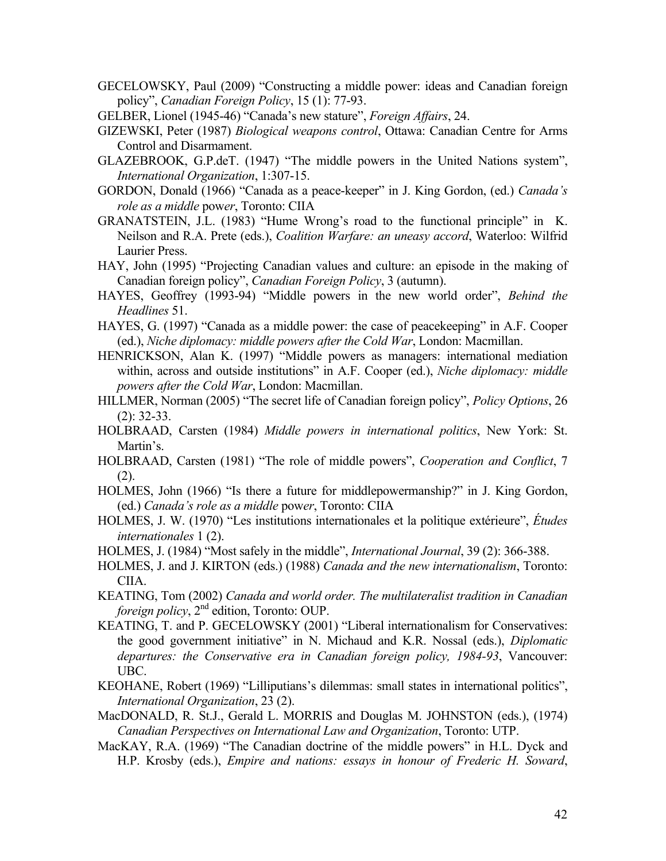- GECELOWSKY, Paul (2009) "Constructing a middle power: ideas and Canadian foreign policy", *Canadian Foreign Policy*, 15 (1): 77-93.
- GELBER, Lionel (1945-46) "Canada's new stature", *Foreign Affairs*, 24.
- GIZEWSKI, Peter (1987) *Biological weapons control*, Ottawa: Canadian Centre for Arms Control and Disarmament.
- GLAZEBROOK, G.P.deT. (1947) "The middle powers in the United Nations system", *International Organization*, 1:307-15.
- GORDON, Donald (1966) "Canada as a peace-keeper" in J. King Gordon, (ed.) *Canada's role as a middle* pow*er*, Toronto: CIIA
- GRANATSTEIN, J.L. (1983) "Hume Wrong's road to the functional principle" in K. Neilson and R.A. Prete (eds.), *Coalition Warfare: an uneasy accord*, Waterloo: Wilfrid Laurier Press.
- HAY, John (1995) "Projecting Canadian values and culture: an episode in the making of Canadian foreign policy", *Canadian Foreign Policy*, 3 (autumn).
- HAYES, Geoffrey (1993-94) "Middle powers in the new world order", *Behind the Headlines* 51.
- HAYES, G. (1997) "Canada as a middle power: the case of peacekeeping" in A.F. Cooper (ed.), *Niche diplomacy: middle powers after the Cold War*, London: Macmillan.
- HENRICKSON, Alan K. (1997) "Middle powers as managers: international mediation within, across and outside institutions" in A.F. Cooper (ed.), *Niche diplomacy: middle powers after the Cold War*, London: Macmillan.
- HILLMER, Norman (2005) "The secret life of Canadian foreign policy", *Policy Options*, 26 (2): 32-33.
- HOLBRAAD, Carsten (1984) *Middle powers in international politics*, New York: St. Martin's.
- HOLBRAAD, Carsten (1981) "The role of middle powers", *Cooperation and Conflict*, 7 (2).
- HOLMES, John (1966) "Is there a future for middlepowermanship?" in J. King Gordon, (ed.) *Canada's role as a middle* pow*er*, Toronto: CIIA
- HOLMES, J. W. (1970) "Les institutions internationales et la politique extérieure", *Études internationales* 1 (2).
- HOLMES, J. (1984) "Most safely in the middle", *International Journal*, 39 (2): 366-388.
- HOLMES, J. and J. KIRTON (eds.) (1988) *Canada and the new internationalism*, Toronto: CIIA.
- KEATING, Tom (2002) *Canada and world order. The multilateralist tradition in Canadian foreign policy*,  $2^{nd}$  edition, Toronto: OUP.
- KEATING, T. and P. GECELOWSKY (2001) "Liberal internationalism for Conservatives: the good government initiative" in N. Michaud and K.R. Nossal (eds.), *Diplomatic departures: the Conservative era in Canadian foreign policy, 1984-93*, Vancouver: UBC.
- KEOHANE, Robert (1969) "Lilliputians's dilemmas: small states in international politics", *International Organization*, 23 (2).
- MacDONALD, R. St.J., Gerald L. MORRIS and Douglas M. JOHNSTON (eds.), (1974) *Canadian Perspectives on International Law and Organization*, Toronto: UTP.
- MacKAY, R.A. (1969) "The Canadian doctrine of the middle powers" in H.L. Dyck and H.P. Krosby (eds.), *Empire and nations: essays in honour of Frederic H. Soward*,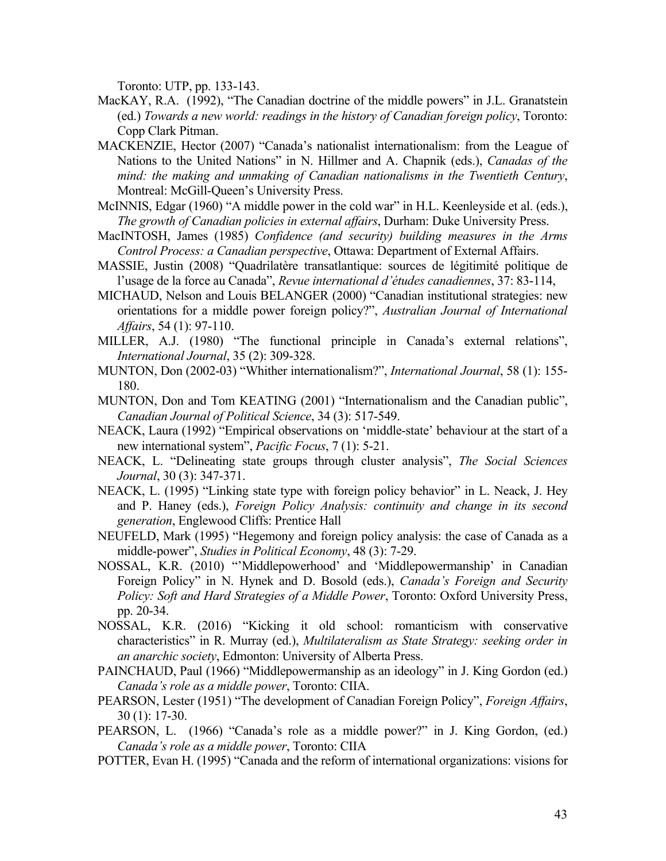Toronto: UTP, pp. 133-143.

- MacKAY, R.A. (1992), "The Canadian doctrine of the middle powers" in J.L. Granatstein (ed.) *Towards a new world: readings in the history of Canadian foreign policy*, Toronto: Copp Clark Pitman.
- MACKENZIE, Hector (2007) "Canada's nationalist internationalism: from the League of Nations to the United Nations" in N. Hillmer and A. Chapnik (eds.), *Canadas of the mind: the making and unmaking of Canadian nationalisms in the Twentieth Century*, Montreal: McGill-Queen's University Press.
- McINNIS, Edgar (1960) "A middle power in the cold war" in H.L. Keenleyside et al. (eds.), *The growth of Canadian policies in external affairs*, Durham: Duke University Press.
- MacINTOSH, James (1985) *Confidence (and security) building measures in the Arms Control Process: a Canadian perspective*, Ottawa: Department of External Affairs.
- MASSIE, Justin (2008) "Quadrilatère transatlantique: sources de légitimité politique de l'usage de la force au Canada", *Revue international d'études canadiennes*, 37: 83-114,
- MICHAUD, Nelson and Louis BELANGER (2000) "Canadian institutional strategies: new orientations for a middle power foreign policy?", *Australian Journal of International Affairs*, 54 (1): 97-110.
- MILLER, A.J. (1980) "The functional principle in Canada's external relations", *International Journal*, 35 (2): 309-328.
- MUNTON, Don (2002-03) "Whither internationalism?", *International Journal*, 58 (1): 155- 180.
- MUNTON, Don and Tom KEATING (2001) "Internationalism and the Canadian public", *Canadian Journal of Political Science*, 34 (3): 517-549.
- NEACK, Laura (1992) "Empirical observations on 'middle-state' behaviour at the start of a new international system", *Pacific Focus*, 7 (1): 5-21.
- NEACK, L. "Delineating state groups through cluster analysis", *The Social Sciences Journal*, 30 (3): 347-371.
- NEACK, L. (1995) "Linking state type with foreign policy behavior" in L. Neack, J. Hey and P. Haney (eds.), *Foreign Policy Analysis: continuity and change in its second generation*, Englewood Cliffs: Prentice Hall
- NEUFELD, Mark (1995) "Hegemony and foreign policy analysis: the case of Canada as a middle-power", *Studies in Political Economy*, 48 (3): 7-29.
- NOSSAL, K.R. (2010) "'Middlepowerhood' and 'Middlepowermanship' in Canadian Foreign Policy" in N. Hynek and D. Bosold (eds.), *Canada's Foreign and Security Policy: Soft and Hard Strategies of a Middle Power*, Toronto: Oxford University Press, pp. 20-34.
- NOSSAL, K.R. (2016) "Kicking it old school: romanticism with conservative characteristics" in R. Murray (ed.), *Multilateralism as State Strategy: seeking order in an anarchic society*, Edmonton: University of Alberta Press.
- PAINCHAUD, Paul (1966) "Middlepowermanship as an ideology" in J. King Gordon (ed.) *Canada's role as a middle power*, Toronto: CIIA.
- PEARSON, Lester (1951) "The development of Canadian Foreign Policy", *Foreign Affairs*, 30 (1): 17-30.
- PEARSON, L. (1966) "Canada's role as a middle power?" in J. King Gordon, (ed.) *Canada's role as a middle power*, Toronto: CIIA
- POTTER, Evan H. (1995) "Canada and the reform of international organizations: visions for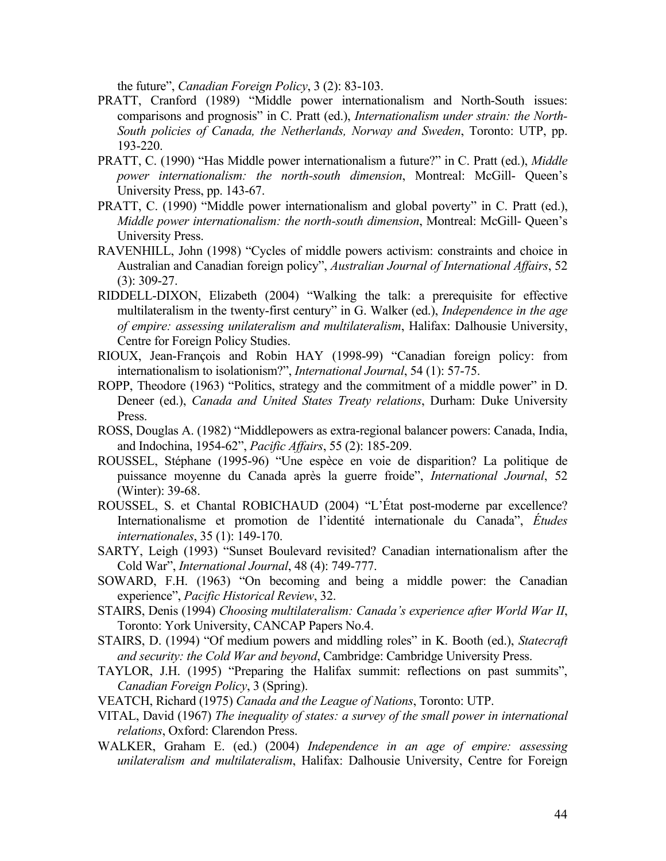the future", *Canadian Foreign Policy*, 3 (2): 83-103.

- PRATT, Cranford (1989) "Middle power internationalism and North-South issues: comparisons and prognosis" in C. Pratt (ed.), *Internationalism under strain: the North-South policies of Canada, the Netherlands, Norway and Sweden*, Toronto: UTP, pp. 193-220.
- PRATT, C. (1990) "Has Middle power internationalism a future?" in C. Pratt (ed.), *Middle power internationalism: the north-south dimension*, Montreal: McGill- Queen's University Press, pp. 143-67.
- PRATT, C. (1990) "Middle power internationalism and global poverty" in C. Pratt (ed.), *Middle power internationalism: the north-south dimension*, Montreal: McGill- Queen's University Press.
- RAVENHILL, John (1998) "Cycles of middle powers activism: constraints and choice in Australian and Canadian foreign policy", *Australian Journal of International Affairs*, 52 (3): 309-27.
- RIDDELL-DIXON, Elizabeth (2004) "Walking the talk: a prerequisite for effective multilateralism in the twenty-first century" in G. Walker (ed.), *Independence in the age of empire: assessing unilateralism and multilateralism*, Halifax: Dalhousie University, Centre for Foreign Policy Studies.
- RIOUX, Jean-François and Robin HAY (1998-99) "Canadian foreign policy: from internationalism to isolationism?", *International Journal*, 54 (1): 57-75.
- ROPP, Theodore (1963) "Politics, strategy and the commitment of a middle power" in D. Deneer (ed.), *Canada and United States Treaty relations*, Durham: Duke University Press.
- ROSS, Douglas A. (1982) "Middlepowers as extra-regional balancer powers: Canada, India, and Indochina, 1954-62", *Pacific Affairs*, 55 (2): 185-209.
- ROUSSEL, Stéphane (1995-96) "Une espèce en voie de disparition? La politique de puissance moyenne du Canada après la guerre froide", *International Journal*, 52 (Winter): 39-68.
- ROUSSEL, S. et Chantal ROBICHAUD (2004) "L'État post-moderne par excellence? Internationalisme et promotion de l'identité internationale du Canada", *Études internationales*, 35 (1): 149-170.
- SARTY, Leigh (1993) "Sunset Boulevard revisited? Canadian internationalism after the Cold War", *International Journal*, 48 (4): 749-777.
- SOWARD, F.H. (1963) "On becoming and being a middle power: the Canadian experience", *Pacific Historical Review*, 32.
- STAIRS, Denis (1994) *Choosing multilateralism: Canada's experience after World War II*, Toronto: York University, CANCAP Papers No.4.
- STAIRS, D. (1994) "Of medium powers and middling roles" in K. Booth (ed.), *Statecraft and security: the Cold War and beyond*, Cambridge: Cambridge University Press.
- TAYLOR, J.H. (1995) "Preparing the Halifax summit: reflections on past summits", *Canadian Foreign Policy*, 3 (Spring).
- VEATCH, Richard (1975) *Canada and the League of Nations*, Toronto: UTP.
- VITAL, David (1967) *The inequality of states: a survey of the small power in international relations*, Oxford: Clarendon Press.
- WALKER, Graham E. (ed.) (2004) *Independence in an age of empire: assessing unilateralism and multilateralism*, Halifax: Dalhousie University, Centre for Foreign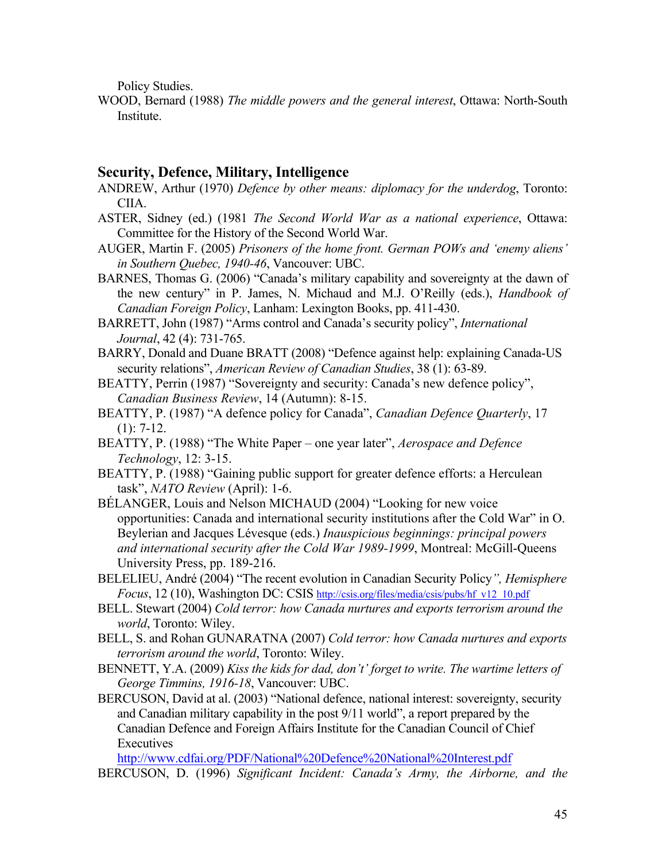Policy Studies.

WOOD, Bernard (1988) *The middle powers and the general interest*, Ottawa: North-South Institute.

# **Security, Defence, Military, Intelligence**

- ANDREW, Arthur (1970) *Defence by other means: diplomacy for the underdog*, Toronto: CIIA.
- ASTER, Sidney (ed.) (1981 *The Second World War as a national experience*, Ottawa: Committee for the History of the Second World War.
- AUGER, Martin F. (2005) *Prisoners of the home front. German POWs and 'enemy aliens' in Southern Quebec, 1940-46*, Vancouver: UBC.

BARNES, Thomas G. (2006) "Canada's military capability and sovereignty at the dawn of the new century" in P. James, N. Michaud and M.J. O'Reilly (eds.), *Handbook of Canadian Foreign Policy*, Lanham: Lexington Books, pp. 411-430.

- BARRETT, John (1987) "Arms control and Canada's security policy", *International Journal*, 42 (4): 731-765.
- BARRY, Donald and Duane BRATT (2008) "Defence against help: explaining Canada-US security relations", *American Review of Canadian Studies*, 38 (1): 63-89.
- BEATTY, Perrin (1987) "Sovereignty and security: Canada's new defence policy", *Canadian Business Review*, 14 (Autumn): 8-15.
- BEATTY, P. (1987) "A defence policy for Canada", *Canadian Defence Quarterly*, 17  $(1): 7-12.$
- BEATTY, P. (1988) "The White Paper one year later", *Aerospace and Defence Technology*, 12: 3-15.
- BEATTY, P. (1988) "Gaining public support for greater defence efforts: a Herculean task", *NATO Review* (April): 1-6.
- BÉLANGER, Louis and Nelson MICHAUD (2004) "Looking for new voice opportunities: Canada and international security institutions after the Cold War" in O. Beylerian and Jacques Lévesque (eds.) *Inauspicious beginnings: principal powers and international security after the Cold War 1989-1999*, Montreal: McGill-Queens University Press, pp. 189-216.
- BELELIEU, André (2004) "The recent evolution in Canadian Security Policy*", Hemisphere Focus*, 12 (10), Washington DC: CSIS http://csis.org/files/media/csis/pubs/hf\_v12\_10.pdf
- BELL. Stewart (2004) *Cold terror: how Canada nurtures and exports terrorism around the world*, Toronto: Wiley.
- BELL, S. and Rohan GUNARATNA (2007) *Cold terror: how Canada nurtures and exports terrorism around the world*, Toronto: Wiley.
- BENNETT, Y.A. (2009) *Kiss the kids for dad, don't' forget to write. The wartime letters of George Timmins, 1916-18*, Vancouver: UBC.
- BERCUSON, David at al. (2003) "National defence, national interest: sovereignty, security and Canadian military capability in the post 9/11 world", a report prepared by the Canadian Defence and Foreign Affairs Institute for the Canadian Council of Chief **Executives**

http://www.cdfai.org/PDF/National%20Defence%20National%20Interest.pdf BERCUSON, D. (1996) *Significant Incident: Canada's Army, the Airborne, and the*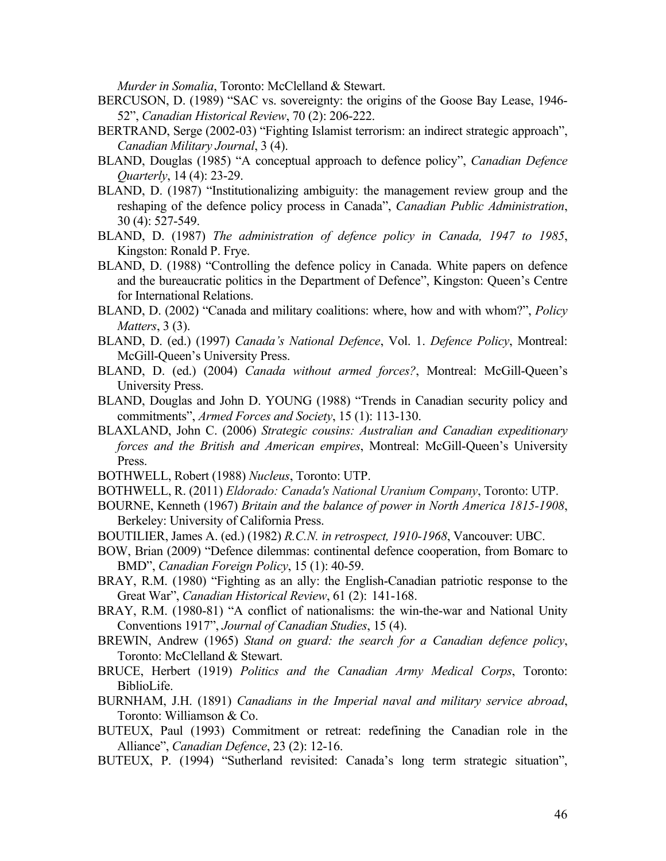*Murder in Somalia*, Toronto: McClelland & Stewart.

- BERCUSON, D. (1989) "SAC vs. sovereignty: the origins of the Goose Bay Lease, 1946- 52", *Canadian Historical Review*, 70 (2): 206-222.
- BERTRAND, Serge (2002-03) "Fighting Islamist terrorism: an indirect strategic approach", *Canadian Military Journal*, 3 (4).
- BLAND, Douglas (1985) "A conceptual approach to defence policy", *Canadian Defence Quarterly*, 14 (4): 23-29.
- BLAND, D. (1987) "Institutionalizing ambiguity: the management review group and the reshaping of the defence policy process in Canada", *Canadian Public Administration*, 30 (4): 527-549.
- BLAND, D. (1987) *The administration of defence policy in Canada, 1947 to 1985*, Kingston: Ronald P. Frye.
- BLAND, D. (1988) "Controlling the defence policy in Canada. White papers on defence and the bureaucratic politics in the Department of Defence", Kingston: Queen's Centre for International Relations.
- BLAND, D. (2002) "Canada and military coalitions: where, how and with whom?", *Policy Matters*, 3 (3).
- BLAND, D. (ed.) (1997) *Canada's National Defence*, Vol. 1. *Defence Policy*, Montreal: McGill-Queen's University Press.
- BLAND, D. (ed.) (2004) *Canada without armed forces?*, Montreal: McGill-Queen's University Press.
- BLAND, Douglas and John D. YOUNG (1988) "Trends in Canadian security policy and commitments", *Armed Forces and Society*, 15 (1): 113-130.
- BLAXLAND, John C. (2006) *Strategic cousins: Australian and Canadian expeditionary forces and the British and American empires*, Montreal: McGill-Queen's University Press.
- BOTHWELL, Robert (1988) *Nucleus*, Toronto: UTP.
- BOTHWELL, R. (2011) *Eldorado: Canada's National Uranium Company*, Toronto: UTP.
- BOURNE, Kenneth (1967) *Britain and the balance of power in North America 1815-1908*, Berkeley: University of California Press.
- BOUTILIER, James A. (ed.) (1982) *R.C.N. in retrospect, 1910-1968*, Vancouver: UBC.
- BOW, Brian (2009) "Defence dilemmas: continental defence cooperation, from Bomarc to BMD", *Canadian Foreign Policy*, 15 (1): 40-59.
- BRAY, R.M. (1980) "Fighting as an ally: the English-Canadian patriotic response to the Great War", *Canadian Historical Review*, 61 (2): 141-168.
- BRAY, R.M. (1980-81) "A conflict of nationalisms: the win-the-war and National Unity Conventions 1917", *Journal of Canadian Studies*, 15 (4).
- BREWIN, Andrew (1965) *Stand on guard: the search for a Canadian defence policy*, Toronto: McClelland & Stewart.
- BRUCE, Herbert (1919) *Politics and the Canadian Army Medical Corps*, Toronto: BiblioLife.
- BURNHAM, J.H. (1891) *Canadians in the Imperial naval and military service abroad*, Toronto: Williamson & Co.
- BUTEUX, Paul (1993) Commitment or retreat: redefining the Canadian role in the Alliance", *Canadian Defence*, 23 (2): 12-16.
- BUTEUX, P. (1994) "Sutherland revisited: Canada's long term strategic situation",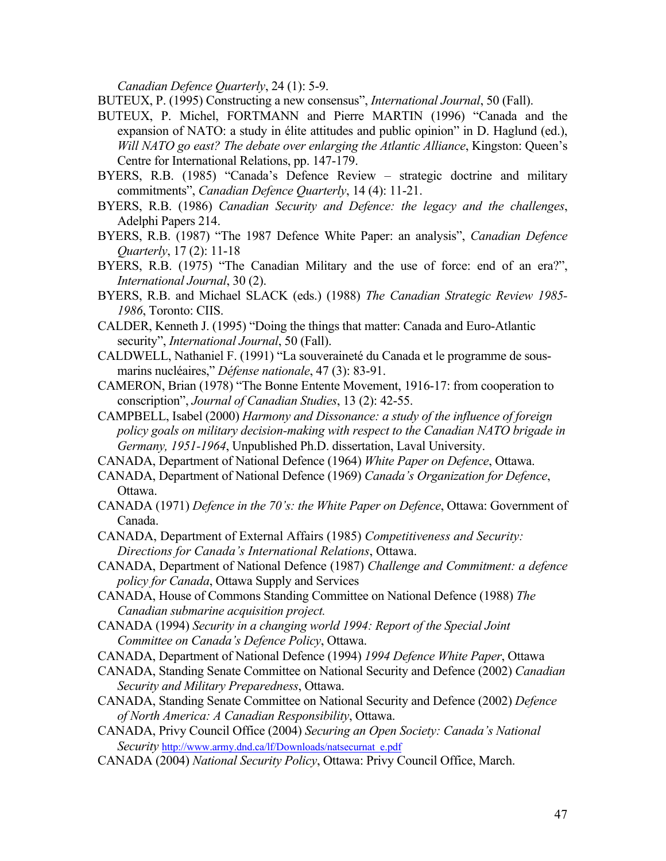*Canadian Defence Quarterly*, 24 (1): 5-9.

BUTEUX, P. (1995) Constructing a new consensus", *International Journal*, 50 (Fall).

- BUTEUX, P. Michel, FORTMANN and Pierre MARTIN (1996) "Canada and the expansion of NATO: a study in élite attitudes and public opinion" in D. Haglund (ed.), *Will NATO go east? The debate over enlarging the Atlantic Alliance*, Kingston: Queen's Centre for International Relations, pp. 147-179.
- BYERS, R.B. (1985) "Canada's Defence Review strategic doctrine and military commitments", *Canadian Defence Quarterly*, 14 (4): 11-21.
- BYERS, R.B. (1986) *Canadian Security and Defence: the legacy and the challenges*, Adelphi Papers 214.
- BYERS, R.B. (1987) "The 1987 Defence White Paper: an analysis", *Canadian Defence Quarterly*, 17 (2): 11-18
- BYERS, R.B. (1975) "The Canadian Military and the use of force: end of an era?", *International Journal*, 30 (2).
- BYERS, R.B. and Michael SLACK (eds.) (1988) *The Canadian Strategic Review 1985- 1986*, Toronto: CIIS.
- CALDER, Kenneth J. (1995) "Doing the things that matter: Canada and Euro-Atlantic security", *International Journal*, 50 (Fall).
- CALDWELL, Nathaniel F. (1991) "La souveraineté du Canada et le programme de sousmarins nucléaires," *Défense nationale*, 47 (3): 83-91.
- CAMERON, Brian (1978) "The Bonne Entente Movement, 1916-17: from cooperation to conscription", *Journal of Canadian Studies*, 13 (2): 42-55.
- CAMPBELL, Isabel (2000) *Harmony and Dissonance: a study of the influence of foreign policy goals on military decision-making with respect to the Canadian NATO brigade in Germany, 1951-1964*, Unpublished Ph.D. dissertation, Laval University.
- CANADA, Department of National Defence (1964) *White Paper on Defence*, Ottawa.
- CANADA, Department of National Defence (1969) *Canada's Organization for Defence*, Ottawa.
- CANADA (1971) *Defence in the 70's: the White Paper on Defence*, Ottawa: Government of Canada.
- CANADA, Department of External Affairs (1985) *Competitiveness and Security: Directions for Canada's International Relations*, Ottawa.
- CANADA, Department of National Defence (1987) *Challenge and Commitment: a defence policy for Canada*, Ottawa Supply and Services
- CANADA, House of Commons Standing Committee on National Defence (1988) *The Canadian submarine acquisition project.*
- CANADA (1994) *Security in a changing world 1994: Report of the Special Joint Committee on Canada's Defence Policy*, Ottawa.
- CANADA, Department of National Defence (1994) *1994 Defence White Paper*, Ottawa
- CANADA, Standing Senate Committee on National Security and Defence (2002) *Canadian Security and Military Preparedness*, Ottawa.
- CANADA, Standing Senate Committee on National Security and Defence (2002) *Defence of North America: A Canadian Responsibility*, Ottawa.
- CANADA, Privy Council Office (2004) *Securing an Open Society: Canada's National Security* http://www.army.dnd.ca/lf/Downloads/natsecurnat\_e.pdf
- CANADA (2004) *National Security Policy*, Ottawa: Privy Council Office, March.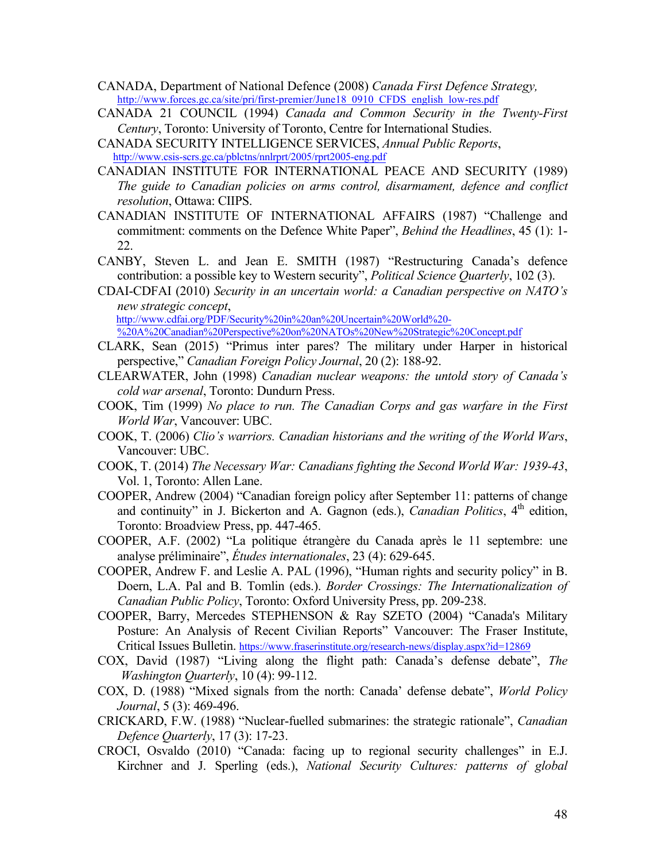- CANADA, Department of National Defence (2008) *Canada First Defence Strategy,*  http://www.forces.gc.ca/site/pri/first-premier/June18\_0910\_CFDS\_english\_low-res.pdf
- CANADA 21 COUNCIL (1994) *Canada and Common Security in the Twenty-First Century*, Toronto: University of Toronto, Centre for International Studies.
- CANADA SECURITY INTELLIGENCE SERVICES, *Annual Public Reports*, http://www.csis-scrs.gc.ca/pblctns/nnlrprt/2005/rprt2005-eng.pdf
- CANADIAN INSTITUTE FOR INTERNATIONAL PEACE AND SECURITY (1989) *The guide to Canadian policies on arms control, disarmament, defence and conflict resolution*, Ottawa: CIIPS.
- CANADIAN INSTITUTE OF INTERNATIONAL AFFAIRS (1987) "Challenge and commitment: comments on the Defence White Paper", *Behind the Headlines*, 45 (1): 1- 22.
- CANBY, Steven L. and Jean E. SMITH (1987) "Restructuring Canada's defence contribution: a possible key to Western security", *Political Science Quarterly*, 102 (3).
- CDAI-CDFAI (2010) *Security in an uncertain world: a Canadian perspective on NATO's new strategic concept*,

http://www.cdfai.org/PDF/Security%20in%20an%20Uncertain%20World%20- %20A%20Canadian%20Perspective%20on%20NATOs%20New%20Strategic%20Concept.pdf

- CLARK, Sean (2015) "Primus inter pares? The military under Harper in historical perspective," *Canadian Foreign Policy Journal*, 20 (2): 188-92.
- CLEARWATER, John (1998) *Canadian nuclear weapons: the untold story of Canada's cold war arsenal*, Toronto: Dundurn Press.
- COOK, Tim (1999) *No place to run. The Canadian Corps and gas warfare in the First World War*, Vancouver: UBC.
- COOK, T. (2006) *Clio's warriors. Canadian historians and the writing of the World Wars*, Vancouver: UBC.
- COOK, T. (2014) *The Necessary War: Canadians fighting the Second World War: 1939-43*, Vol. 1, Toronto: Allen Lane.
- COOPER, Andrew (2004) "Canadian foreign policy after September 11: patterns of change and continuity" in J. Bickerton and A. Gagnon (eds.), *Canadian Politics*,  $4<sup>th</sup>$  edition, Toronto: Broadview Press, pp. 447-465.
- COOPER, A.F. (2002) "La politique étrangère du Canada après le 11 septembre: une analyse préliminaire", *Études internationales*, 23 (4): 629-645.
- COOPER, Andrew F. and Leslie A. PAL (1996), "Human rights and security policy" in B. Doern, L.A. Pal and B. Tomlin (eds.). *Border Crossings: The Internationalization of Canadian Public Policy*, Toronto: Oxford University Press, pp. 209-238.
- COOPER, Barry, Mercedes STEPHENSON & Ray SZETO (2004) "Canada's Military Posture: An Analysis of Recent Civilian Reports" Vancouver: The Fraser Institute, Critical Issues Bulletin. https://www.fraserinstitute.org/research-news/display.aspx?id=12869
- COX, David (1987) "Living along the flight path: Canada's defense debate", *The Washington Quarterly*, 10 (4): 99-112.
- COX, D. (1988) "Mixed signals from the north: Canada' defense debate", *World Policy Journal*, 5 (3): 469-496.
- CRICKARD, F.W. (1988) "Nuclear-fuelled submarines: the strategic rationale", *Canadian Defence Quarterly*, 17 (3): 17-23.
- CROCI, Osvaldo (2010) "Canada: facing up to regional security challenges" in E.J. Kirchner and J. Sperling (eds.), *National Security Cultures: patterns of global*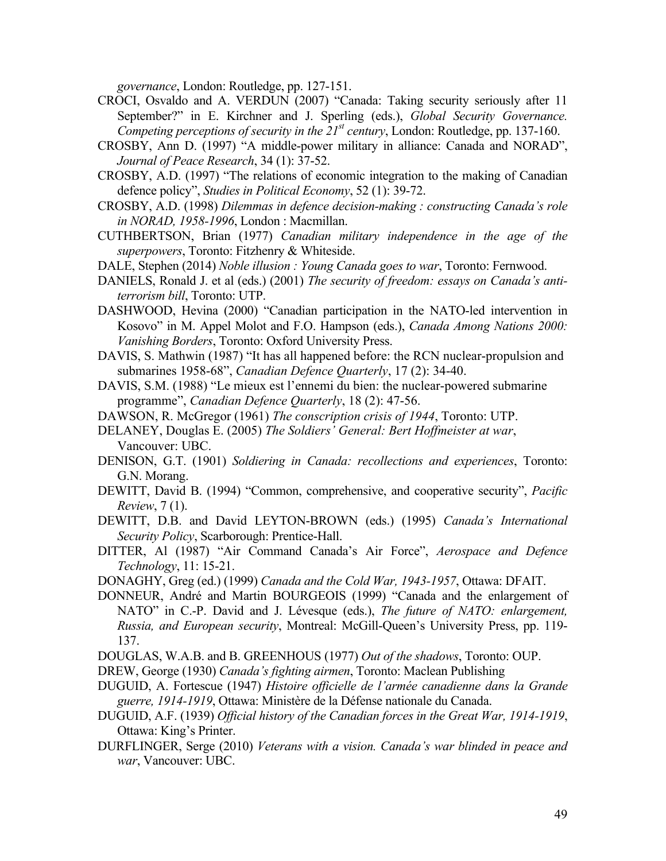*governance*, London: Routledge, pp. 127-151.

- CROCI, Osvaldo and A. VERDUN (2007) "Canada: Taking security seriously after 11 September?" in E. Kirchner and J. Sperling (eds.), *Global Security Governance. Competing perceptions of security in the 21<sup>st</sup> century*, London: Routledge, pp. 137-160.
- CROSBY, Ann D. (1997) "A middle-power military in alliance: Canada and NORAD", *Journal of Peace Research*, 34 (1): 37-52.
- CROSBY, A.D. (1997) "The relations of economic integration to the making of Canadian defence policy", *Studies in Political Economy*, 52 (1): 39-72.
- CROSBY, A.D. (1998) *Dilemmas in defence decision-making : constructing Canada's role in NORAD, 1958-1996*, London : Macmillan.
- CUTHBERTSON, Brian (1977) *Canadian military independence in the age of the superpowers*, Toronto: Fitzhenry & Whiteside.
- DALE, Stephen (2014) *Noble illusion : Young Canada goes to war*, Toronto: Fernwood.
- DANIELS, Ronald J. et al (eds.) (2001) *The security of freedom: essays on Canada's antiterrorism bill*, Toronto: UTP.
- DASHWOOD, Hevina (2000) "Canadian participation in the NATO-led intervention in Kosovo" in M. Appel Molot and F.O. Hampson (eds.), *Canada Among Nations 2000: Vanishing Borders*, Toronto: Oxford University Press.
- DAVIS, S. Mathwin (1987) "It has all happened before: the RCN nuclear-propulsion and submarines 1958-68", *Canadian Defence Quarterly*, 17 (2): 34-40.
- DAVIS, S.M. (1988) "Le mieux est l'ennemi du bien: the nuclear-powered submarine programme", *Canadian Defence Quarterly*, 18 (2): 47-56.
- DAWSON, R. McGregor (1961) *The conscription crisis of 1944*, Toronto: UTP.
- DELANEY, Douglas E. (2005) *The Soldiers' General: Bert Hoffmeister at war*, Vancouver: UBC.
- DENISON, G.T. (1901) *Soldiering in Canada: recollections and experiences*, Toronto: G.N. Morang.
- DEWITT, David B. (1994) "Common, comprehensive, and cooperative security", *Pacific Review*, 7 (1).
- DEWITT, D.B. and David LEYTON-BROWN (eds.) (1995) *Canada's International Security Policy*, Scarborough: Prentice-Hall.
- DITTER, Al (1987) "Air Command Canada's Air Force", *Aerospace and Defence Technology*, 11: 15-21.
- DONAGHY, Greg (ed.) (1999) *Canada and the Cold War, 1943-1957*, Ottawa: DFAIT.
- DONNEUR, André and Martin BOURGEOIS (1999) "Canada and the enlargement of NATO" in C.-P. David and J. Lévesque (eds.), *The future of NATO: enlargement, Russia, and European security*, Montreal: McGill-Queen's University Press, pp. 119- 137.
- DOUGLAS, W.A.B. and B. GREENHOUS (1977) *Out of the shadows*, Toronto: OUP.
- DREW, George (1930) *Canada's fighting airmen*, Toronto: Maclean Publishing
- DUGUID, A. Fortescue (1947) *Histoire officielle de l'armée canadienne dans la Grande guerre, 1914-1919*, Ottawa: Ministère de la Défense nationale du Canada.
- DUGUID, A.F. (1939) *Official history of the Canadian forces in the Great War, 1914-1919*, Ottawa: King's Printer.
- DURFLINGER, Serge (2010) *Veterans with a vision. Canada's war blinded in peace and war*, Vancouver: UBC.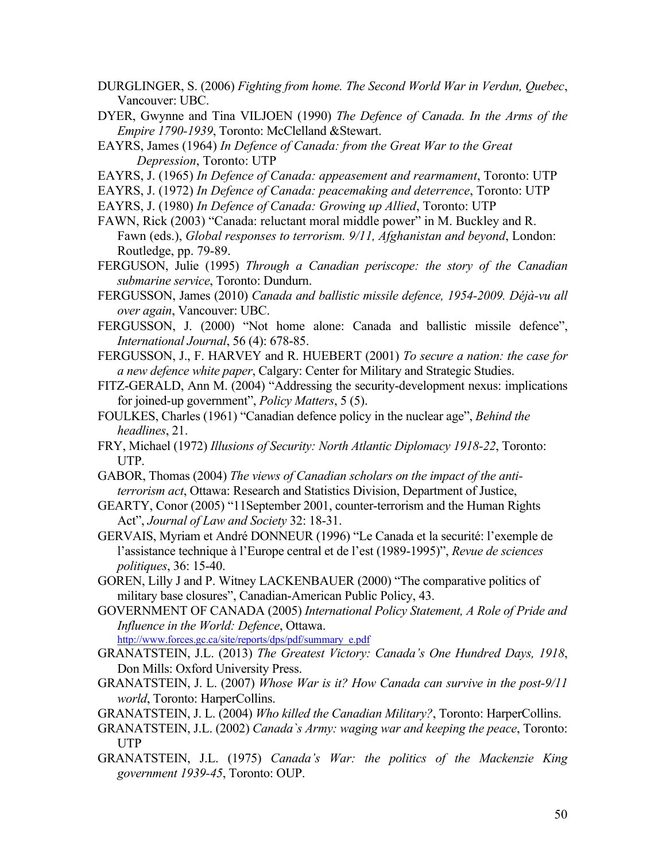- DURGLINGER, S. (2006) *Fighting from home. The Second World War in Verdun, Quebec*, Vancouver: UBC.
- DYER, Gwynne and Tina VILJOEN (1990) *The Defence of Canada. In the Arms of the Empire 1790-1939*, Toronto: McClelland &Stewart.
- EAYRS, James (1964) *In Defence of Canada: from the Great War to the Great Depression*, Toronto: UTP
- EAYRS, J. (1965) *In Defence of Canada: appeasement and rearmament*, Toronto: UTP
- EAYRS, J. (1972) *In Defence of Canada: peacemaking and deterrence*, Toronto: UTP
- EAYRS, J. (1980) *In Defence of Canada: Growing up Allied*, Toronto: UTP
- FAWN, Rick (2003) "Canada: reluctant moral middle power" in M. Buckley and R. Fawn (eds.), *Global responses to terrorism. 9/11, Afghanistan and beyond*, London: Routledge, pp. 79-89.
- FERGUSON, Julie (1995) *Through a Canadian periscope: the story of the Canadian submarine service*, Toronto: Dundurn.
- FERGUSSON, James (2010) *Canada and ballistic missile defence, 1954-2009. Déjà-vu all over again*, Vancouver: UBC.
- FERGUSSON, J. (2000) "Not home alone: Canada and ballistic missile defence", *International Journal*, 56 (4): 678-85.
- FERGUSSON, J., F. HARVEY and R. HUEBERT (2001) *To secure a nation: the case for a new defence white paper*, Calgary: Center for Military and Strategic Studies.
- FITZ-GERALD, Ann M. (2004) "Addressing the security-development nexus: implications for joined-up government", *Policy Matters*, 5 (5).
- FOULKES, Charles (1961) "Canadian defence policy in the nuclear age", *Behind the headlines*, 21.
- FRY, Michael (1972) *Illusions of Security: North Atlantic Diplomacy 1918-22*, Toronto: UTP.
- GABOR, Thomas (2004) *The views of Canadian scholars on the impact of the antiterrorism act*, Ottawa: Research and Statistics Division, Department of Justice,
- GEARTY, Conor (2005) "11September 2001, counter-terrorism and the Human Rights Act", *Journal of Law and Society* 32: 18-31.
- GERVAIS, Myriam et André DONNEUR (1996) "Le Canada et la securité: l'exemple de l'assistance technique à l'Europe central et de l'est (1989-1995)", *Revue de sciences politiques*, 36: 15-40.
- GOREN, Lilly J and P. Witney LACKENBAUER (2000) "The comparative politics of military base closures", Canadian-American Public Policy, 43.
- GOVERNMENT OF CANADA (2005) *International Policy Statement, A Role of Pride and Influence in the World: Defence*, Ottawa.

http://www.forces.gc.ca/site/reports/dps/pdf/summary\_e.pdf

- GRANATSTEIN, J.L. (2013) *The Greatest Victory: Canada's One Hundred Days, 1918*, Don Mills: Oxford University Press.
- GRANATSTEIN, J. L. (2007) *Whose War is it? How Canada can survive in the post-9/11 world*, Toronto: HarperCollins.
- GRANATSTEIN, J. L. (2004) *Who killed the Canadian Military?*, Toronto: HarperCollins.
- GRANATSTEIN, J.L. (2002) *Canada`s Army: waging war and keeping the peace*, Toronto: UTP
- GRANATSTEIN, J.L. (1975) *Canada's War: the politics of the Mackenzie King government 1939-45*, Toronto: OUP.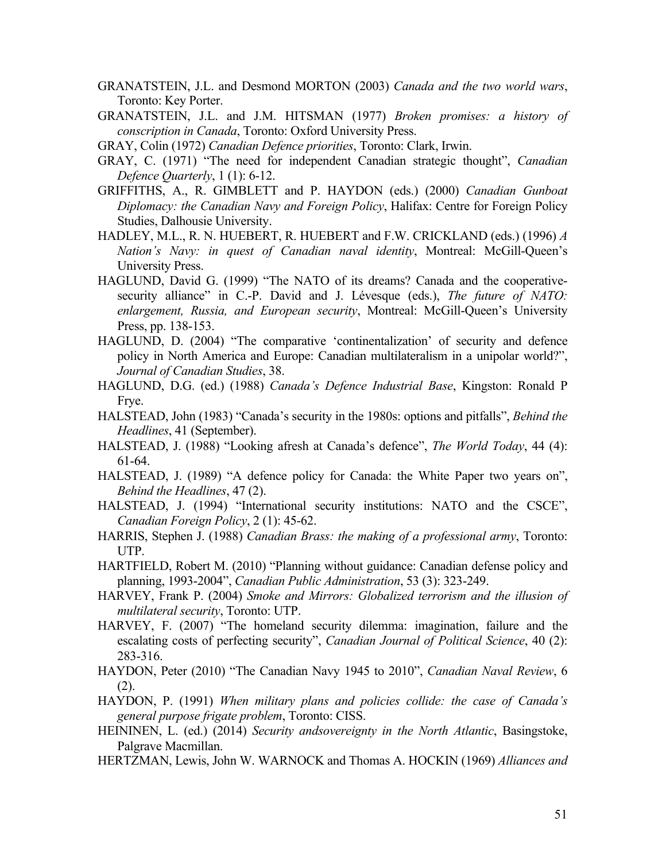- GRANATSTEIN, J.L. and Desmond MORTON (2003) *Canada and the two world wars*, Toronto: Key Porter.
- GRANATSTEIN, J.L. and J.M. HITSMAN (1977) *Broken promises: a history of conscription in Canada*, Toronto: Oxford University Press.
- GRAY, Colin (1972) *Canadian Defence priorities*, Toronto: Clark, Irwin.
- GRAY, C. (1971) "The need for independent Canadian strategic thought", *Canadian Defence Quarterly*, 1 (1): 6-12.
- GRIFFITHS, A., R. GIMBLETT and P. HAYDON (eds.) (2000) *Canadian Gunboat Diplomacy: the Canadian Navy and Foreign Policy*, Halifax: Centre for Foreign Policy Studies, Dalhousie University.
- HADLEY, M.L., R. N. HUEBERT, R. HUEBERT and F.W. CRICKLAND (eds.) (1996) *A Nation's Navy: in quest of Canadian naval identity*, Montreal: McGill-Queen's University Press.
- HAGLUND, David G. (1999) "The NATO of its dreams? Canada and the cooperativesecurity alliance" in C.-P. David and J. Lévesque (eds.), *The future of NATO*: *enlargement, Russia, and European security*, Montreal: McGill-Queen's University Press, pp. 138-153.
- HAGLUND, D. (2004) "The comparative 'continentalization' of security and defence policy in North America and Europe: Canadian multilateralism in a unipolar world?", *Journal of Canadian Studies*, 38.
- HAGLUND, D.G. (ed.) (1988) *Canada's Defence Industrial Base*, Kingston: Ronald P Frye.
- HALSTEAD, John (1983) "Canada's security in the 1980s: options and pitfalls", *Behind the Headlines*, 41 (September).
- HALSTEAD, J. (1988) "Looking afresh at Canada's defence", *The World Today*, 44 (4): 61-64.
- HALSTEAD, J. (1989) "A defence policy for Canada: the White Paper two years on", *Behind the Headlines*, 47 (2).
- HALSTEAD, J. (1994) "International security institutions: NATO and the CSCE", *Canadian Foreign Policy*, 2 (1): 45-62.
- HARRIS, Stephen J. (1988) *Canadian Brass: the making of a professional army*, Toronto: UTP.
- HARTFIELD, Robert M. (2010) "Planning without guidance: Canadian defense policy and planning, 1993-2004", *Canadian Public Administration*, 53 (3): 323-249.
- HARVEY, Frank P. (2004) *Smoke and Mirrors: Globalized terrorism and the illusion of multilateral security*, Toronto: UTP.
- HARVEY, F. (2007) "The homeland security dilemma: imagination, failure and the escalating costs of perfecting security", *Canadian Journal of Political Science*, 40 (2): 283-316.
- HAYDON, Peter (2010) "The Canadian Navy 1945 to 2010", *Canadian Naval Review*, 6 (2).
- HAYDON, P. (1991) *When military plans and policies collide: the case of Canada's general purpose frigate problem*, Toronto: CISS.
- HEININEN, L. (ed.) (2014) *Security andsovereignty in the North Atlantic*, Basingstoke, Palgrave Macmillan.
- HERTZMAN, Lewis, John W. WARNOCK and Thomas A. HOCKIN (1969) *Alliances and*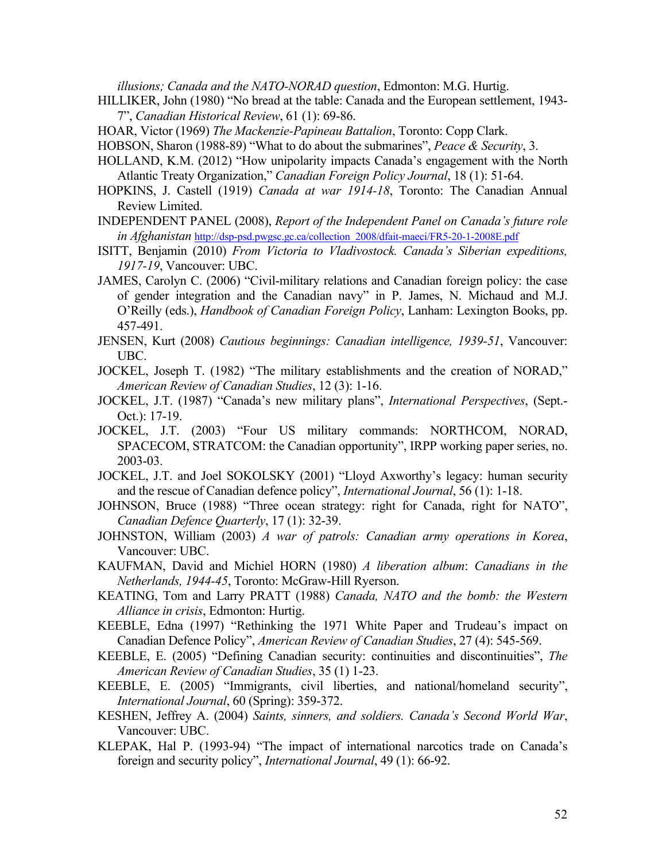*illusions; Canada and the NATO-NORAD question*, Edmonton: M.G. Hurtig.

- HILLIKER, John (1980) "No bread at the table: Canada and the European settlement, 1943- 7", *Canadian Historical Review*, 61 (1): 69-86.
- HOAR, Victor (1969) *The Mackenzie-Papineau Battalion*, Toronto: Copp Clark.
- HOBSON, Sharon (1988-89) "What to do about the submarines", *Peace & Security*, 3.
- HOLLAND, K.M. (2012) "How unipolarity impacts Canada's engagement with the North Atlantic Treaty Organization," *Canadian Foreign Policy Journal*, 18 (1): 51-64.
- HOPKINS, J. Castell (1919) *Canada at war 1914-18*, Toronto: The Canadian Annual Review Limited.
- INDEPENDENT PANEL (2008), *Report of the Independent Panel on Canada's future role in Afghanistan* http://dsp-psd.pwgsc.gc.ca/collection\_2008/dfait-maeci/FR5-20-1-2008E.pdf
- ISITT, Benjamin (2010) *From Victoria to Vladivostock. Canada's Siberian expeditions, 1917-19*, Vancouver: UBC.
- JAMES, Carolyn C. (2006) "Civil-military relations and Canadian foreign policy: the case of gender integration and the Canadian navy" in P. James, N. Michaud and M.J. O'Reilly (eds.), *Handbook of Canadian Foreign Policy*, Lanham: Lexington Books, pp. 457-491.
- JENSEN, Kurt (2008) *Cautious beginnings: Canadian intelligence, 1939-51*, Vancouver: UBC.
- JOCKEL, Joseph T. (1982) "The military establishments and the creation of NORAD," *American Review of Canadian Studies*, 12 (3): 1-16.
- JOCKEL, J.T. (1987) "Canada's new military plans", *International Perspectives*, (Sept.- Oct.): 17-19.
- JOCKEL, J.T. (2003) "Four US military commands: NORTHCOM, NORAD, SPACECOM, STRATCOM: the Canadian opportunity", IRPP working paper series, no. 2003-03.
- JOCKEL, J.T. and Joel SOKOLSKY (2001) "Lloyd Axworthy's legacy: human security and the rescue of Canadian defence policy", *International Journal*, 56 (1): 1-18.
- JOHNSON, Bruce (1988) "Three ocean strategy: right for Canada, right for NATO", *Canadian Defence Quarterly*, 17 (1): 32-39.
- JOHNSTON, William (2003) *A war of patrols: Canadian army operations in Korea*, Vancouver: UBC.
- KAUFMAN, David and Michiel HORN (1980) *A liberation album*: *Canadians in the Netherlands, 1944-45*, Toronto: McGraw-Hill Ryerson.
- KEATING, Tom and Larry PRATT (1988) *Canada, NATO and the bomb: the Western Alliance in crisis*, Edmonton: Hurtig.
- KEEBLE, Edna (1997) "Rethinking the 1971 White Paper and Trudeau's impact on Canadian Defence Policy", *American Review of Canadian Studies*, 27 (4): 545-569.
- KEEBLE, E. (2005) "Defining Canadian security: continuities and discontinuities", *The American Review of Canadian Studies*, 35 (1) 1-23.
- KEEBLE, E. (2005) "Immigrants, civil liberties, and national/homeland security", *International Journal*, 60 (Spring): 359-372.
- KESHEN, Jeffrey A. (2004) *Saints, sinners, and soldiers. Canada's Second World War*, Vancouver: UBC.
- KLEPAK, Hal P. (1993-94) "The impact of international narcotics trade on Canada's foreign and security policy", *International Journal*, 49 (1): 66-92.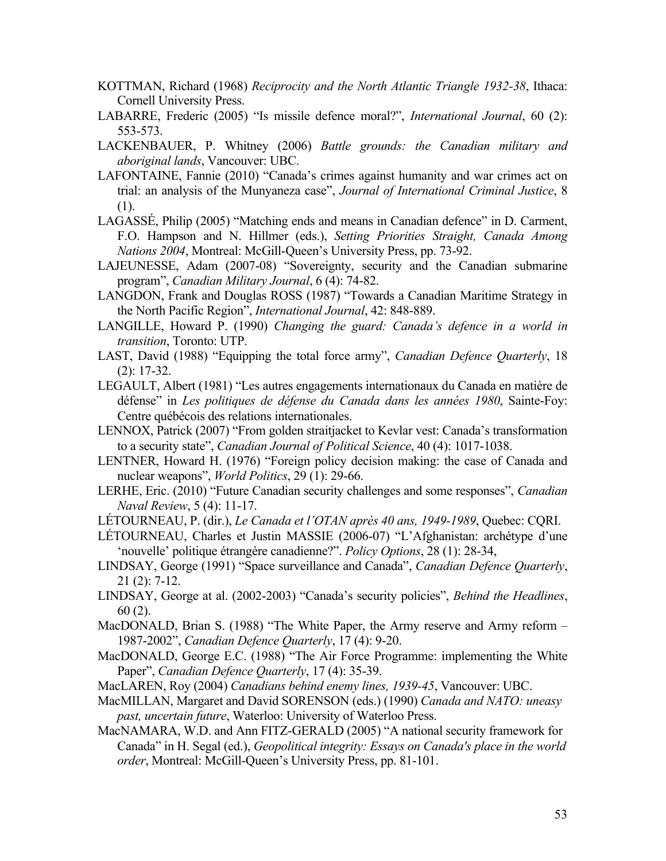- KOTTMAN, Richard (1968) *Reciprocity and the North Atlantic Triangle 1932-38*, Ithaca: Cornell University Press.
- LABARRE, Frederic (2005) "Is missile defence moral?", *International Journal*, 60 (2): 553-573.
- LACKENBAUER, P. Whitney (2006) *Battle grounds: the Canadian military and aboriginal lands*, Vancouver: UBC.
- LAFONTAINE, Fannie (2010) "Canada's crimes against humanity and war crimes act on trial: an analysis of the Munyaneza case", *Journal of International Criminal Justice*, 8 (1).
- LAGASSÉ, Philip (2005) "Matching ends and means in Canadian defence" in D. Carment, F.O. Hampson and N. Hillmer (eds.), *Setting Priorities Straight, Canada Among Nations 2004*, Montreal: McGill-Queen's University Press, pp. 73-92.
- LAJEUNESSE, Adam (2007-08) "Sovereignty, security and the Canadian submarine program", *Canadian Military Journal*, 6 (4): 74-82.
- LANGDON, Frank and Douglas ROSS (1987) "Towards a Canadian Maritime Strategy in the North Pacific Region", *International Journal*, 42: 848-889.
- LANGILLE, Howard P. (1990) *Changing the guard: Canada's defence in a world in transition*, Toronto: UTP.
- LAST, David (1988) "Equipping the total force army", *Canadian Defence Quarterly*, 18 (2): 17-32.
- LEGAULT, Albert (1981) "Les autres engagements internationaux du Canada en matière de défense" in *Les politiques de défense du Canada dans les années 1980*, Sainte-Foy: Centre québécois des relations internationales.
- LENNOX, Patrick (2007) "From golden straitjacket to Kevlar vest: Canada's transformation to a security state", *Canadian Journal of Political Science*, 40 (4): 1017-1038.
- LENTNER, Howard H. (1976) "Foreign policy decision making: the case of Canada and nuclear weapons", *World Politics*, 29 (1): 29-66.
- LERHE, Eric. (2010) "Future Canadian security challenges and some responses", *Canadian Naval Review*, 5 (4): 11-17.
- LÉTOURNEAU, P. (dir.), *Le Canada et l'OTAN après 40 ans, 1949-1989*, Quebec: CQRI.
- LÉTOURNEAU, Charles et Justin MASSIE (2006-07) "L'Afghanistan: archétype d'une 'nouvelle' politique étrangère canadienne?". *Policy Options*, 28 (1): 28-34,
- LINDSAY, George (1991) "Space surveillance and Canada", *Canadian Defence Quarterly*, 21 (2): 7-12.
- LINDSAY, George at al. (2002-2003) "Canada's security policies", *Behind the Headlines*, 60 (2).
- MacDONALD, Brian S. (1988) "The White Paper, the Army reserve and Army reform 1987-2002", *Canadian Defence Quarterly*, 17 (4): 9-20.
- MacDONALD, George E.C. (1988) "The Air Force Programme: implementing the White Paper", *Canadian Defence Quarterly*, 17 (4): 35-39.
- MacLAREN, Roy (2004) *Canadians behind enemy lines, 1939-45*, Vancouver: UBC.
- MacMILLAN, Margaret and David SORENSON (eds.) (1990) *Canada and NATO: uneasy past, uncertain future*, Waterloo: University of Waterloo Press.
- MacNAMARA, W.D. and Ann FITZ-GERALD (2005) "A national security framework for Canada" in H. Segal (ed.), *Geopolitical integrity: Essays on Canada's place in the world order*, Montreal: McGill-Queen's University Press, pp. 81-101.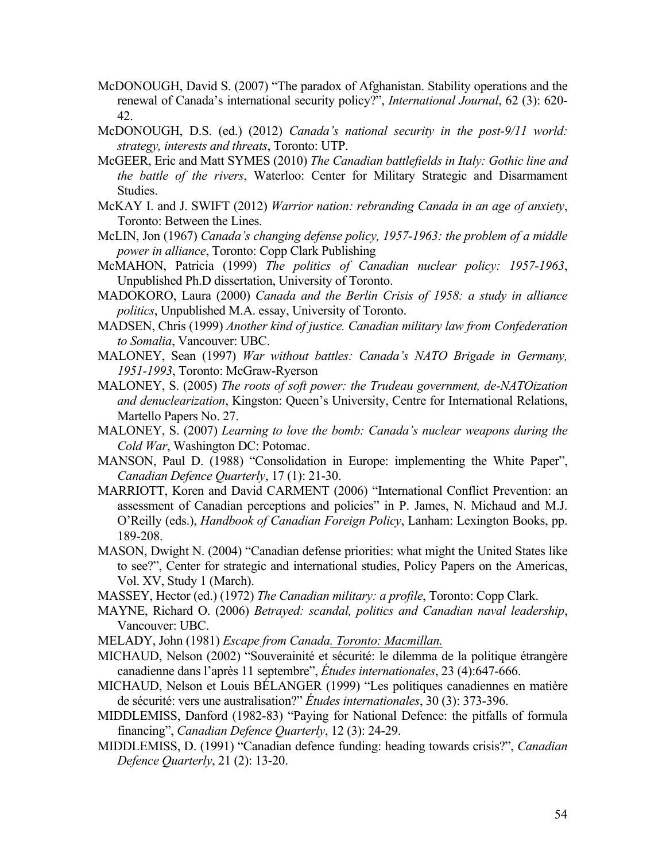- McDONOUGH, David S. (2007) "The paradox of Afghanistan. Stability operations and the renewal of Canada's international security policy?", *International Journal*, 62 (3): 620- 42.
- McDONOUGH, D.S. (ed.) (2012) *Canada's national security in the post-9/11 world: strategy, interests and threats*, Toronto: UTP.
- McGEER, Eric and Matt SYMES (2010) *The Canadian battlefields in Italy: Gothic line and the battle of the rivers*, Waterloo: Center for Military Strategic and Disarmament Studies.
- McKAY I. and J. SWIFT (2012) *Warrior nation: rebranding Canada in an age of anxiety*, Toronto: Between the Lines.
- McLIN, Jon (1967) *Canada's changing defense policy, 1957-1963: the problem of a middle power in alliance*, Toronto: Copp Clark Publishing
- McMAHON, Patricia (1999) *The politics of Canadian nuclear policy: 1957-1963*, Unpublished Ph.D dissertation, University of Toronto.
- MADOKORO, Laura (2000) *Canada and the Berlin Crisis of 1958: a study in alliance politics*, Unpublished M.A. essay, University of Toronto.
- MADSEN, Chris (1999) *Another kind of justice. Canadian military law from Confederation to Somalia*, Vancouver: UBC.
- MALONEY, Sean (1997) *War without battles: Canada's NATO Brigade in Germany, 1951-1993*, Toronto: McGraw-Ryerson
- MALONEY, S. (2005) *The roots of soft power: the Trudeau government, de-NATOization and denuclearization*, Kingston: Queen's University, Centre for International Relations, Martello Papers No. 27.
- MALONEY, S. (2007) *Learning to love the bomb: Canada's nuclear weapons during the Cold War*, Washington DC: Potomac.
- MANSON, Paul D. (1988) "Consolidation in Europe: implementing the White Paper", *Canadian Defence Quarterly*, 17 (1): 21-30.
- MARRIOTT, Koren and David CARMENT (2006) "International Conflict Prevention: an assessment of Canadian perceptions and policies" in P. James, N. Michaud and M.J. O'Reilly (eds.), *Handbook of Canadian Foreign Policy*, Lanham: Lexington Books, pp. 189-208.
- MASON, Dwight N. (2004) "Canadian defense priorities: what might the United States like to see?", Center for strategic and international studies, Policy Papers on the Americas, Vol. XV, Study 1 (March).
- MASSEY, Hector (ed.) (1972) *The Canadian military: a profile*, Toronto: Copp Clark.
- MAYNE, Richard O. (2006) *Betrayed: scandal, politics and Canadian naval leadership*, Vancouver: UBC.
- MELADY, John (1981) *Escape from Canada. Toronto: Macmillan.*
- MICHAUD, Nelson (2002) "Souverainité et sécurité: le dilemma de la politique étrangère canadienne dans l'après 11 septembre", *Études internationales*, 23 (4):647-666.
- MICHAUD, Nelson et Louis BÉLANGER (1999) "Les politiques canadiennes en matière de sécurité: vers une australisation?" *Études internationales*, 30 (3): 373-396.
- MIDDLEMISS, Danford (1982-83) "Paying for National Defence: the pitfalls of formula financing", *Canadian Defence Quarterly*, 12 (3): 24-29.
- MIDDLEMISS, D. (1991) "Canadian defence funding: heading towards crisis?", *Canadian Defence Quarterly*, 21 (2): 13-20.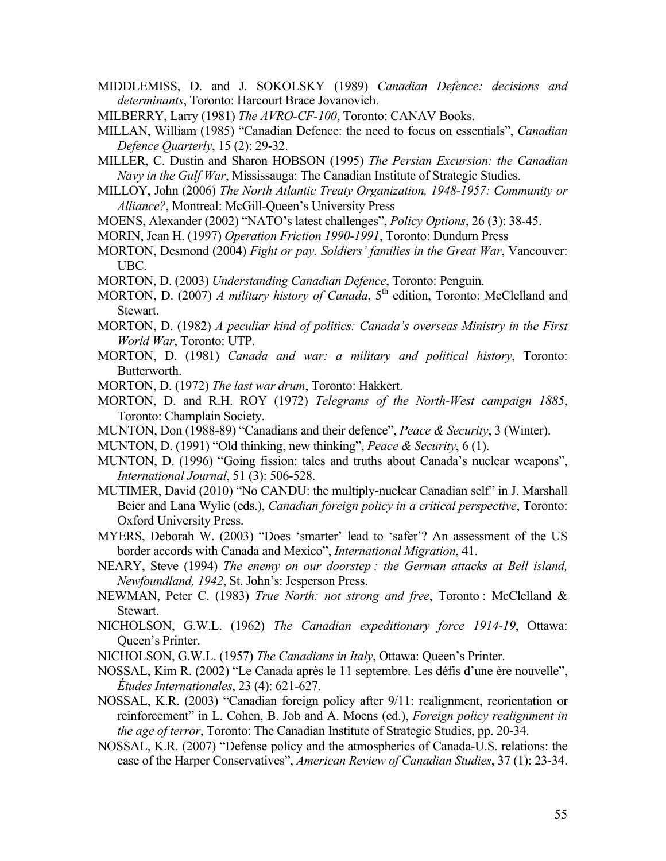- MIDDLEMISS, D. and J. SOKOLSKY (1989) *Canadian Defence: decisions and determinants*, Toronto: Harcourt Brace Jovanovich.
- MILBERRY, Larry (1981) *The AVRO-CF-100*, Toronto: CANAV Books.
- MILLAN, William (1985) "Canadian Defence: the need to focus on essentials", *Canadian Defence Quarterly*, 15 (2): 29-32.
- MILLER, C. Dustin and Sharon HOBSON (1995) *The Persian Excursion: the Canadian Navy in the Gulf War*, Mississauga: The Canadian Institute of Strategic Studies.
- MILLOY, John (2006) *The North Atlantic Treaty Organization, 1948-1957: Community or Alliance?*, Montreal: McGill-Queen's University Press
- MOENS, Alexander (2002) "NATO's latest challenges", *Policy Options*, 26 (3): 38-45.
- MORIN, Jean H. (1997) *Operation Friction 1990-1991*, Toronto: Dundurn Press
- MORTON, Desmond (2004) *Fight or pay. Soldiers' families in the Great War*, Vancouver: UBC.
- MORTON, D. (2003) *Understanding Canadian Defence*, Toronto: Penguin.
- MORTON, D. (2007) *A military history of Canada*, 5<sup>th</sup> edition, Toronto: McClelland and Stewart.
- MORTON, D. (1982) *A peculiar kind of politics: Canada's overseas Ministry in the First World War*, Toronto: UTP.
- MORTON, D. (1981) *Canada and war: a military and political history*, Toronto: Butterworth.
- MORTON, D. (1972) *The last war drum*, Toronto: Hakkert.
- MORTON, D. and R.H. ROY (1972) *Telegrams of the North-West campaign 1885*, Toronto: Champlain Society.
- MUNTON, Don (1988-89) "Canadians and their defence", *Peace & Security*, 3 (Winter).
- MUNTON, D. (1991) "Old thinking, new thinking", *Peace & Security*, 6 (1).
- MUNTON, D. (1996) "Going fission: tales and truths about Canada's nuclear weapons", *International Journal*, 51 (3): 506-528.
- MUTIMER, David (2010) "No CANDU: the multiply-nuclear Canadian self" in J. Marshall Beier and Lana Wylie (eds.), *Canadian foreign policy in a critical perspective*, Toronto: Oxford University Press.
- MYERS, Deborah W. (2003) "Does 'smarter' lead to 'safer'? An assessment of the US border accords with Canada and Mexico", *International Migration*, 41.
- NEARY, Steve (1994) *The enemy on our doorstep : the German attacks at Bell island, Newfoundland, 1942*, St. John's: Jesperson Press.
- NEWMAN, Peter C. (1983) *True North: not strong and free*, Toronto : McClelland & Stewart.
- NICHOLSON, G.W.L. (1962) *The Canadian expeditionary force 1914-19*, Ottawa: Queen's Printer.
- NICHOLSON, G.W.L. (1957) *The Canadians in Italy*, Ottawa: Queen's Printer.
- NOSSAL, Kim R. (2002) "Le Canada après le 11 septembre. Les défis d'une ère nouvelle", *Études Internationales*, 23 (4): 621-627.
- NOSSAL, K.R. (2003) "Canadian foreign policy after 9/11: realignment, reorientation or reinforcement" in L. Cohen, B. Job and A. Moens (ed.), *Foreign policy realignment in the age of terror*, Toronto: The Canadian Institute of Strategic Studies, pp. 20-34.
- NOSSAL, K.R. (2007) "Defense policy and the atmospherics of Canada-U.S. relations: the case of the Harper Conservatives", *American Review of Canadian Studies*, 37 (1): 23-34.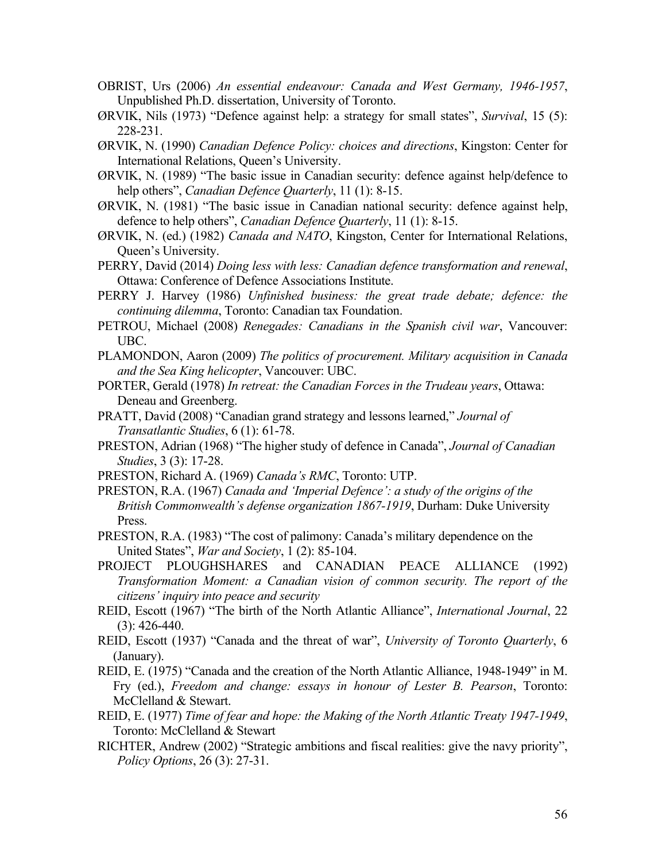- OBRIST, Urs (2006) *An essential endeavour: Canada and West Germany, 1946-1957*, Unpublished Ph.D. dissertation, University of Toronto.
- ØRVIK, Nils (1973) "Defence against help: a strategy for small states", *Survival*, 15 (5): 228-231.
- ØRVIK, N. (1990) *Canadian Defence Policy: choices and directions*, Kingston: Center for International Relations, Queen's University.
- ØRVIK, N. (1989) "The basic issue in Canadian security: defence against help/defence to help others", *Canadian Defence Quarterly*, 11 (1): 8-15.
- ØRVIK, N. (1981) "The basic issue in Canadian national security: defence against help, defence to help others", *Canadian Defence Quarterly*, 11 (1): 8-15.
- ØRVIK, N. (ed.) (1982) *Canada and NATO*, Kingston, Center for International Relations, Queen's University.
- PERRY, David (2014) *Doing less with less: Canadian defence transformation and renewal*, Ottawa: Conference of Defence Associations Institute.
- PERRY J. Harvey (1986) *Unfinished business: the great trade debate; defence: the continuing dilemma*, Toronto: Canadian tax Foundation.
- PETROU, Michael (2008) *Renegades: Canadians in the Spanish civil war*, Vancouver: UBC.
- PLAMONDON, Aaron (2009) *The politics of procurement. Military acquisition in Canada and the Sea King helicopter*, Vancouver: UBC.
- PORTER, Gerald (1978) *In retreat: the Canadian Forces in the Trudeau years*, Ottawa: Deneau and Greenberg.
- PRATT, David (2008) "Canadian grand strategy and lessons learned," *Journal of Transatlantic Studies*, 6 (1): 61-78.
- PRESTON, Adrian (1968) "The higher study of defence in Canada", *Journal of Canadian Studies*, 3 (3): 17-28.
- PRESTON, Richard A. (1969) *Canada's RMC*, Toronto: UTP.
- PRESTON, R.A. (1967) *Canada and 'Imperial Defence': a study of the origins of the British Commonwealth's defense organization 1867-1919*, Durham: Duke University Press.
- PRESTON, R.A. (1983) "The cost of palimony: Canada's military dependence on the United States", *War and Society*, 1 (2): 85-104.
- PROJECT PLOUGHSHARES and CANADIAN PEACE ALLIANCE (1992) *Transformation Moment: a Canadian vision of common security. The report of the citizens' inquiry into peace and security*
- REID, Escott (1967) "The birth of the North Atlantic Alliance", *International Journal*, 22 (3): 426-440.
- REID, Escott (1937) "Canada and the threat of war", *University of Toronto Quarterly*, 6 (January).
- REID, E. (1975) "Canada and the creation of the North Atlantic Alliance, 1948-1949" in M. Fry (ed.), *Freedom and change: essays in honour of Lester B. Pearson*, Toronto: McClelland & Stewart.
- REID, E. (1977) *Time of fear and hope: the Making of the North Atlantic Treaty 1947-1949*, Toronto: McClelland & Stewart
- RICHTER, Andrew (2002) "Strategic ambitions and fiscal realities: give the navy priority", *Policy Options*, 26 (3): 27-31.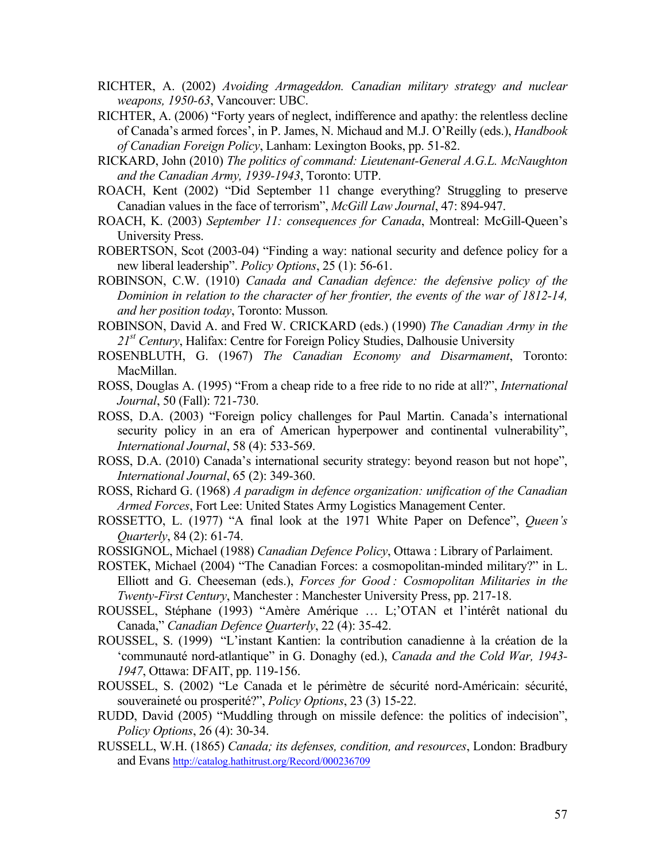- RICHTER, A. (2002) *Avoiding Armageddon. Canadian military strategy and nuclear weapons, 1950-63*, Vancouver: UBC.
- RICHTER, A. (2006) "Forty years of neglect, indifference and apathy: the relentless decline of Canada's armed forces', in P. James, N. Michaud and M.J. O'Reilly (eds.), *Handbook of Canadian Foreign Policy*, Lanham: Lexington Books, pp. 51-82.
- RICKARD, John (2010) *The politics of command: Lieutenant-General A.G.L. McNaughton and the Canadian Army, 1939-1943*, Toronto: UTP.
- ROACH, Kent (2002) "Did September 11 change everything? Struggling to preserve Canadian values in the face of terrorism", *McGill Law Journal*, 47: 894-947.
- ROACH, K. (2003) *September 11: consequences for Canada*, Montreal: McGill-Queen's University Press.
- ROBERTSON, Scot (2003-04) "Finding a way: national security and defence policy for a new liberal leadership". *Policy Options*, 25 (1): 56-61.
- ROBINSON, C.W. (1910) *Canada and Canadian defence: the defensive policy of the Dominion in relation to the character of her frontier, the events of the war of 1812-14, and her position today*, Toronto: Musson*.*
- ROBINSON, David A. and Fred W. CRICKARD (eds.) (1990) *The Canadian Army in the 21st Century*, Halifax: Centre for Foreign Policy Studies, Dalhousie University
- ROSENBLUTH, G. (1967) *The Canadian Economy and Disarmament*, Toronto: MacMillan.
- ROSS, Douglas A. (1995) "From a cheap ride to a free ride to no ride at all?", *International Journal*, 50 (Fall): 721-730.
- ROSS, D.A. (2003) "Foreign policy challenges for Paul Martin. Canada's international security policy in an era of American hyperpower and continental vulnerability", *International Journal*, 58 (4): 533-569.
- ROSS, D.A. (2010) Canada's international security strategy: beyond reason but not hope", *International Journal*, 65 (2): 349-360.
- ROSS, Richard G. (1968) *A paradigm in defence organization: unification of the Canadian Armed Forces*, Fort Lee: United States Army Logistics Management Center.
- ROSSETTO, L. (1977) "A final look at the 1971 White Paper on Defence", *Queen's Quarterly*, 84 (2): 61-74.
- ROSSIGNOL, Michael (1988) *Canadian Defence Policy*, Ottawa : Library of Parlaiment.
- ROSTEK, Michael (2004) "The Canadian Forces: a cosmopolitan-minded military?" in L. Elliott and G. Cheeseman (eds.), *Forces for Good : Cosmopolitan Militaries in the Twenty-First Century*, Manchester : Manchester University Press, pp. 217-18.
- ROUSSEL, Stéphane (1993) "Amère Amérique … L;'OTAN et l'intérêt national du Canada," *Canadian Defence Quarterly*, 22 (4): 35-42.
- ROUSSEL, S. (1999) "L'instant Kantien: la contribution canadienne à la création de la 'communauté nord-atlantique" in G. Donaghy (ed.), *Canada and the Cold War, 1943- 1947*, Ottawa: DFAIT, pp. 119-156.
- ROUSSEL, S. (2002) "Le Canada et le périmètre de sécurité nord-Américain: sécurité, souveraineté ou prosperité?", *Policy Options*, 23 (3) 15-22.
- RUDD, David (2005) "Muddling through on missile defence: the politics of indecision", *Policy Options*, 26 (4): 30-34.
- RUSSELL, W.H. (1865) *Canada; its defenses, condition, and resources*, London: Bradbury and Evans http://catalog.hathitrust.org/Record/000236709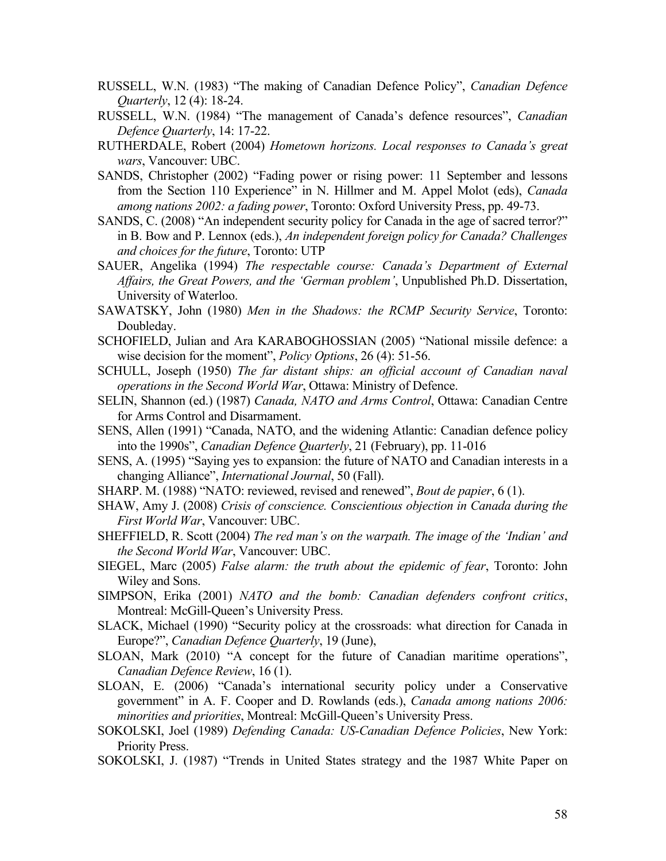- RUSSELL, W.N. (1983) "The making of Canadian Defence Policy", *Canadian Defence Quarterly*, 12 (4): 18-24.
- RUSSELL, W.N. (1984) "The management of Canada's defence resources", *Canadian Defence Quarterly*, 14: 17-22.
- RUTHERDALE, Robert (2004) *Hometown horizons. Local responses to Canada's great wars*, Vancouver: UBC.
- SANDS, Christopher (2002) "Fading power or rising power: 11 September and lessons from the Section 110 Experience" in N. Hillmer and M. Appel Molot (eds), *Canada among nations 2002: a fading power*, Toronto: Oxford University Press, pp. 49-73.
- SANDS, C. (2008) "An independent security policy for Canada in the age of sacred terror?" in B. Bow and P. Lennox (eds.), *An independent foreign policy for Canada? Challenges and choices for the future*, Toronto: UTP
- SAUER, Angelika (1994) *The respectable course: Canada's Department of External Affairs, the Great Powers, and the 'German problem'*, Unpublished Ph.D. Dissertation, University of Waterloo.
- SAWATSKY, John (1980) *Men in the Shadows: the RCMP Security Service*, Toronto: Doubleday.
- SCHOFIELD, Julian and Ara KARABOGHOSSIAN (2005) "National missile defence: a wise decision for the moment", *Policy Options*, 26 (4): 51-56.
- SCHULL, Joseph (1950) *The far distant ships: an official account of Canadian naval operations in the Second World War*, Ottawa: Ministry of Defence.
- SELIN, Shannon (ed.) (1987) *Canada, NATO and Arms Control*, Ottawa: Canadian Centre for Arms Control and Disarmament.
- SENS, Allen (1991) "Canada, NATO, and the widening Atlantic: Canadian defence policy into the 1990s", *Canadian Defence Quarterly*, 21 (February), pp. 11-016
- SENS, A. (1995) "Saying yes to expansion: the future of NATO and Canadian interests in a changing Alliance", *International Journal*, 50 (Fall).
- SHARP. M. (1988) "NATO: reviewed, revised and renewed", *Bout de papier*, 6 (1).
- SHAW, Amy J. (2008) *Crisis of conscience. Conscientious objection in Canada during the First World War*, Vancouver: UBC.
- SHEFFIELD, R. Scott (2004) *The red man's on the warpath. The image of the 'Indian' and the Second World War*, Vancouver: UBC.
- SIEGEL, Marc (2005) *False alarm: the truth about the epidemic of fear*, Toronto: John Wiley and Sons.
- SIMPSON, Erika (2001) *NATO and the bomb: Canadian defenders confront critics*, Montreal: McGill-Queen's University Press.
- SLACK, Michael (1990) "Security policy at the crossroads: what direction for Canada in Europe?", *Canadian Defence Quarterly*, 19 (June),
- SLOAN, Mark (2010) "A concept for the future of Canadian maritime operations", *Canadian Defence Review*, 16 (1).
- SLOAN, E. (2006) "Canada's international security policy under a Conservative government" in A. F. Cooper and D. Rowlands (eds.), *Canada among nations 2006: minorities and priorities*, Montreal: McGill-Queen's University Press.
- SOKOLSKI, Joel (1989) *Defending Canada: US-Canadian Defence Policies*, New York: Priority Press.
- SOKOLSKI, J. (1987) "Trends in United States strategy and the 1987 White Paper on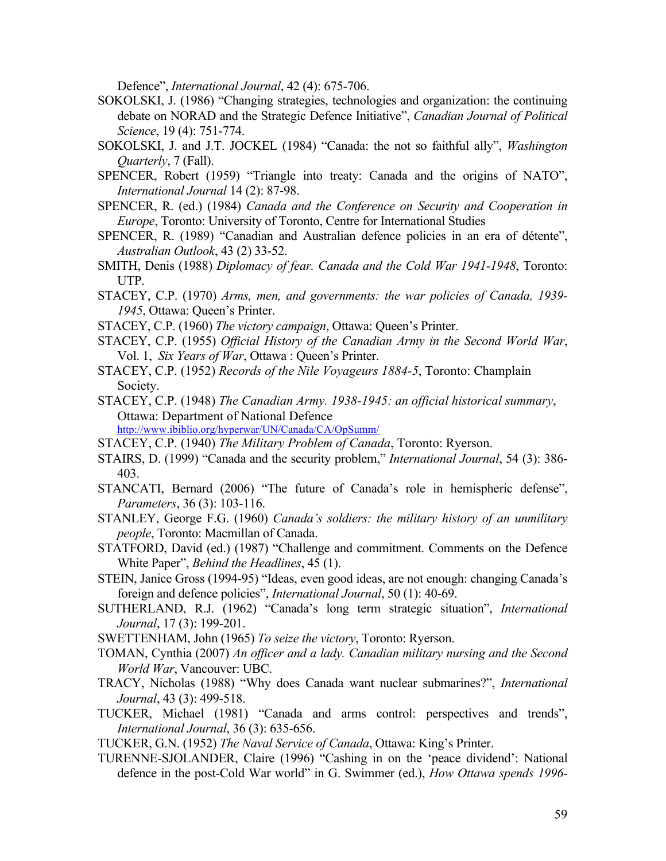Defence", *International Journal*, 42 (4): 675-706.

- SOKOLSKI, J. (1986) "Changing strategies, technologies and organization: the continuing debate on NORAD and the Strategic Defence Initiative", *Canadian Journal of Political Science*, 19 (4): 751-774.
- SOKOLSKI, J. and J.T. JOCKEL (1984) "Canada: the not so faithful ally", *Washington Quarterly*, 7 (Fall).
- SPENCER, Robert (1959) "Triangle into treaty: Canada and the origins of NATO", *International Journal* 14 (2): 87-98.
- SPENCER, R. (ed.) (1984) *Canada and the Conference on Security and Cooperation in Europe*, Toronto: University of Toronto, Centre for International Studies
- SPENCER, R. (1989) "Canadian and Australian defence policies in an era of détente", *Australian Outlook*, 43 (2) 33-52.
- SMITH, Denis (1988) *Diplomacy of fear. Canada and the Cold War 1941-1948*, Toronto: UTP.
- STACEY, C.P. (1970) *Arms, men, and governments: the war policies of Canada, 1939- 1945*, Ottawa: Queen's Printer.
- STACEY, C.P. (1960) *The victory campaign*, Ottawa: Queen's Printer.
- STACEY, C.P. (1955) *Official History of the Canadian Army in the Second World War*, Vol. 1, *Six Years of War*, Ottawa : Queen's Printer.
- STACEY, C.P. (1952) *Records of the Nile Voyageurs 1884-5*, Toronto: Champlain Society.
- STACEY, C.P. (1948) *The Canadian Army. 1938-1945: an official historical summary*, Ottawa: Department of National Defence http://www.ibiblio.org/hyperwar/UN/Canada/CA/OpSumm/

- STACEY, C.P. (1940) *The Military Problem of Canada*, Toronto: Ryerson.
- STAIRS, D. (1999) "Canada and the security problem," *International Journal*, 54 (3): 386- 403.
- STANCATI, Bernard (2006) "The future of Canada's role in hemispheric defense", *Parameters*, 36 (3): 103-116.
- STANLEY, George F.G. (1960) *Canada's soldiers: the military history of an unmilitary people*, Toronto: Macmillan of Canada.
- STATFORD, David (ed.) (1987) "Challenge and commitment. Comments on the Defence White Paper", *Behind the Headlines*, 45 (1).
- STEIN, Janice Gross (1994-95) "Ideas, even good ideas, are not enough: changing Canada's foreign and defence policies", *International Journal*, 50 (1): 40-69.
- SUTHERLAND, R.J. (1962) "Canada's long term strategic situation", *International Journal*, 17 (3): 199-201.
- SWETTENHAM, John (1965) *To seize the victory*, Toronto: Ryerson.
- TOMAN, Cynthia (2007) *An officer and a lady. Canadian military nursing and the Second World War*, Vancouver: UBC.
- TRACY, Nicholas (1988) "Why does Canada want nuclear submarines?", *International Journal*, 43 (3): 499-518.
- TUCKER, Michael (1981) "Canada and arms control: perspectives and trends", *International Journal*, 36 (3): 635-656.

TUCKER, G.N. (1952) *The Naval Service of Canada*, Ottawa: King's Printer.

TURENNE-SJOLANDER, Claire (1996) "Cashing in on the 'peace dividend': National defence in the post-Cold War world" in G. Swimmer (ed.), *How Ottawa spends 1996-*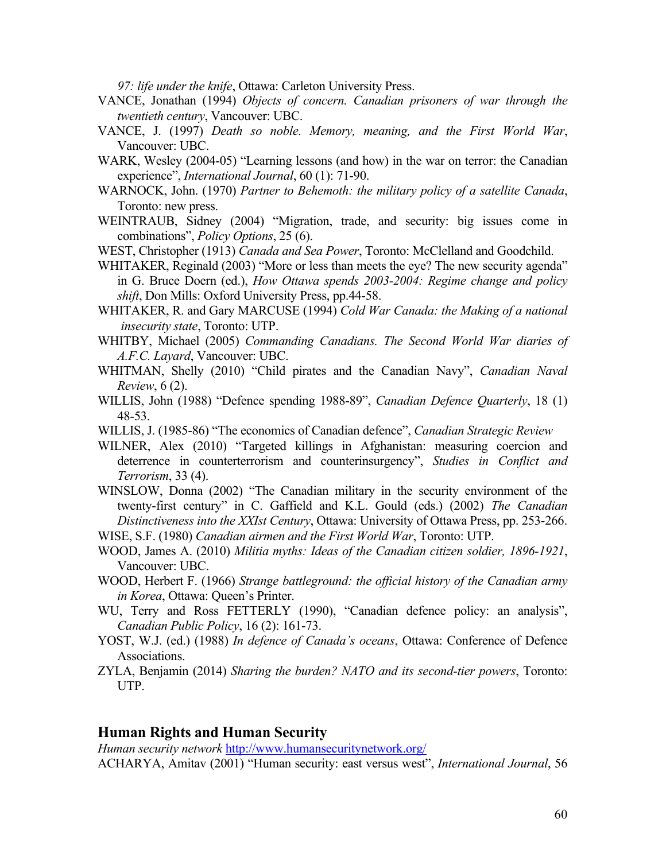*97: life under the knife*, Ottawa: Carleton University Press.

- VANCE, Jonathan (1994) *Objects of concern. Canadian prisoners of war through the twentieth century*, Vancouver: UBC.
- VANCE, J. (1997) *Death so noble. Memory, meaning, and the First World War*, Vancouver: UBC.
- WARK, Wesley (2004-05) "Learning lessons (and how) in the war on terror: the Canadian experience", *International Journal*, 60 (1): 71-90.
- WARNOCK, John. (1970) *Partner to Behemoth: the military policy of a satellite Canada*, Toronto: new press.
- WEINTRAUB, Sidney (2004) "Migration, trade, and security: big issues come in combinations", *Policy Options*, 25 (6).
- WEST, Christopher (1913) *Canada and Sea Power*, Toronto: McClelland and Goodchild.
- WHITAKER, Reginald (2003) "More or less than meets the eye? The new security agenda" in G. Bruce Doern (ed.), *How Ottawa spends 2003-2004: Regime change and policy shift*, Don Mills: Oxford University Press, pp.44-58.
- WHITAKER, R. and Gary MARCUSE (1994) *Cold War Canada: the Making of a national insecurity state*, Toronto: UTP.
- WHITBY, Michael (2005) *Commanding Canadians. The Second World War diaries of A.F.C. Layard*, Vancouver: UBC.
- WHITMAN, Shelly (2010) "Child pirates and the Canadian Navy", *Canadian Naval Review*, 6 (2).
- WILLIS, John (1988) "Defence spending 1988-89", *Canadian Defence Quarterly*, 18 (1) 48-53.
- WILLIS, J. (1985-86) "The economics of Canadian defence", *Canadian Strategic Review*
- WILNER, Alex (2010) "Targeted killings in Afghanistan: measuring coercion and deterrence in counterterrorism and counterinsurgency", *Studies in Conflict and Terrorism*, 33 (4).
- WINSLOW, Donna (2002) "The Canadian military in the security environment of the twenty-first century" in C. Gaffield and K.L. Gould (eds.) (2002) *The Canadian Distinctiveness into the XXIst Century*, Ottawa: University of Ottawa Press, pp. 253-266.

WISE, S.F. (1980) *Canadian airmen and the First World War*, Toronto: UTP.

- WOOD, James A. (2010) *Militia myths: Ideas of the Canadian citizen soldier, 1896-1921*, Vancouver: UBC.
- WOOD, Herbert F. (1966) *Strange battleground: the official history of the Canadian army in Korea*, Ottawa: Queen's Printer.
- WU, Terry and Ross FETTERLY (1990), "Canadian defence policy: an analysis", *Canadian Public Policy*, 16 (2): 161-73.
- YOST, W.J. (ed.) (1988) *In defence of Canada's oceans*, Ottawa: Conference of Defence Associations.
- ZYLA, Benjamin (2014) *Sharing the burden? NATO and its second-tier powers*, Toronto: UTP.

#### **Human Rights and Human Security**

*Human security network* http://www.humansecuritynetwork.org/

ACHARYA, Amitav (2001) "Human security: east versus west", *International Journal*, 56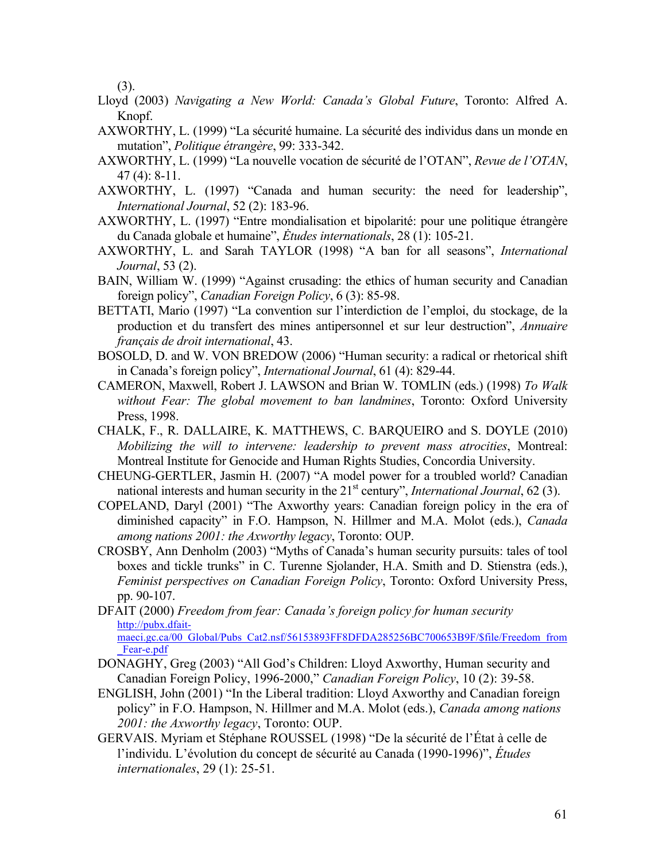(3).

- Lloyd (2003) *Navigating a New World: Canada's Global Future*, Toronto: Alfred A. Knopf.
- AXWORTHY, L. (1999) "La sécurité humaine. La sécurité des individus dans un monde en mutation", *Politique étrangère*, 99: 333-342.
- AXWORTHY, L. (1999) "La nouvelle vocation de sécurité de l'OTAN", *Revue de l'OTAN*, 47 (4): 8-11.
- AXWORTHY, L. (1997) "Canada and human security: the need for leadership", *International Journal*, 52 (2): 183-96.
- AXWORTHY, L. (1997) "Entre mondialisation et bipolarité: pour une politique étrangère du Canada globale et humaine", *Ėtudes internationals*, 28 (1): 105-21.
- AXWORTHY, L. and Sarah TAYLOR (1998) "A ban for all seasons", *International Journal*, 53 (2).
- BAIN, William W. (1999) "Against crusading: the ethics of human security and Canadian foreign policy", *Canadian Foreign Policy*, 6 (3): 85-98.
- BETTATI, Mario (1997) "La convention sur l'interdiction de l'emploi, du stockage, de la production et du transfert des mines antipersonnel et sur leur destruction", *Annuaire français de droit international*, 43.
- BOSOLD, D. and W. VON BREDOW (2006) "Human security: a radical or rhetorical shift in Canada's foreign policy", *International Journal*, 61 (4): 829-44.
- CAMERON, Maxwell, Robert J. LAWSON and Brian W. TOMLIN (eds.) (1998) *To Walk without Fear: The global movement to ban landmines*, Toronto: Oxford University Press, 1998.
- CHALK, F., R. DALLAIRE, K. MATTHEWS, C. BARQUEIRO and S. DOYLE (2010) *Mobilizing the will to intervene: leadership to prevent mass atrocities*, Montreal: Montreal Institute for Genocide and Human Rights Studies, Concordia University.
- CHEUNG-GERTLER, Jasmin H. (2007) "A model power for a troubled world? Canadian national interests and human security in the 21<sup>st</sup> century", *International Journal*, 62(3).
- COPELAND, Daryl (2001) "The Axworthy years: Canadian foreign policy in the era of diminished capacity" in F.O. Hampson, N. Hillmer and M.A. Molot (eds.), *Canada among nations 2001: the Axworthy legacy*, Toronto: OUP.
- CROSBY, Ann Denholm (2003) "Myths of Canada's human security pursuits: tales of tool boxes and tickle trunks" in C. Turenne Sjolander, H.A. Smith and D. Stienstra (eds.), *Feminist perspectives on Canadian Foreign Policy*, Toronto: Oxford University Press, pp. 90-107.
- DFAIT (2000) *Freedom from fear: Canada's foreign policy for human security*  http://pubx.dfaitmaeci.gc.ca/00\_Global/Pubs\_Cat2.nsf/56153893FF8DFDA285256BC700653B9F/\$file/Freedom\_from Fear-e.pdf
- DONAGHY, Greg (2003) "All God's Children: Lloyd Axworthy, Human security and Canadian Foreign Policy, 1996-2000," *Canadian Foreign Policy*, 10 (2): 39-58.
- ENGLISH, John (2001) "In the Liberal tradition: Lloyd Axworthy and Canadian foreign policy" in F.O. Hampson, N. Hillmer and M.A. Molot (eds.), *Canada among nations 2001: the Axworthy legacy*, Toronto: OUP.
- GERVAIS. Myriam et Stéphane ROUSSEL (1998) "De la sécurité de l'État à celle de l'individu. L'évolution du concept de sécurité au Canada (1990-1996)", *Études internationales*, 29 (1): 25-51.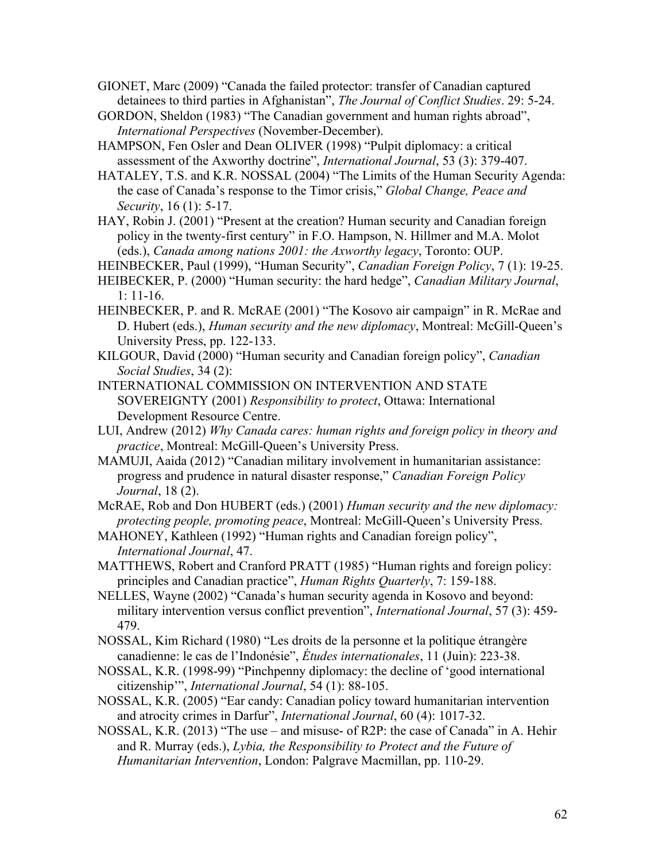- GIONET, Marc (2009) "Canada the failed protector: transfer of Canadian captured detainees to third parties in Afghanistan", *The Journal of Conflict Studies*. 29: 5-24.
- GORDON, Sheldon (1983) "The Canadian government and human rights abroad", *International Perspectives* (November-December).
- HAMPSON, Fen Osler and Dean OLIVER (1998) "Pulpit diplomacy: a critical assessment of the Axworthy doctrine", *International Journal*, 53 (3): 379-407.
- HATALEY, T.S. and K.R. NOSSAL (2004) "The Limits of the Human Security Agenda: the case of Canada's response to the Timor crisis," *Global Change, Peace and Security*, 16 (1): 5-17.
- HAY, Robin J. (2001) "Present at the creation? Human security and Canadian foreign policy in the twenty-first century" in F.O. Hampson, N. Hillmer and M.A. Molot (eds.), *Canada among nations 2001: the Axworthy legacy*, Toronto: OUP.
- HEINBECKER, Paul (1999), "Human Security", *Canadian Foreign Policy*, 7 (1): 19-25.
- HEIBECKER, P. (2000) "Human security: the hard hedge", *Canadian Military Journal*, 1: 11-16.
- HEINBECKER, P. and R. McRAE (2001) "The Kosovo air campaign" in R. McRae and D. Hubert (eds.), *Human security and the new diplomacy*, Montreal: McGill-Queen's University Press, pp. 122-133.
- KILGOUR, David (2000) "Human security and Canadian foreign policy", *Canadian Social Studies*, 34 (2):
- INTERNATIONAL COMMISSION ON INTERVENTION AND STATE SOVEREIGNTY (2001) *Responsibility to protect*, Ottawa: International Development Resource Centre.
- LUI, Andrew (2012) *Why Canada cares: human rights and foreign policy in theory and practice*, Montreal: McGill-Queen's University Press.
- MAMUJI, Aaida (2012) "Canadian military involvement in humanitarian assistance: progress and prudence in natural disaster response," *Canadian Foreign Policy Journal*, 18 (2).
- McRAE, Rob and Don HUBERT (eds.) (2001) *Human security and the new diplomacy: protecting people, promoting peace*, Montreal: McGill-Queen's University Press.
- MAHONEY, Kathleen (1992) "Human rights and Canadian foreign policy", *International Journal*, 47.
- MATTHEWS, Robert and Cranford PRATT (1985) "Human rights and foreign policy: principles and Canadian practice", *Human Rights Quarterly*, 7: 159-188.
- NELLES, Wayne (2002) "Canada's human security agenda in Kosovo and beyond: military intervention versus conflict prevention", *International Journal*, 57 (3): 459- 479.
- NOSSAL, Kim Richard (1980) "Les droits de la personne et la politique étrangère canadienne: le cas de l'Indonésie", *Études internationales*, 11 (Juin): 223-38.
- NOSSAL, K.R. (1998-99) "Pinchpenny diplomacy: the decline of 'good international citizenship'", *International Journal*, 54 (1): 88-105.
- NOSSAL, K.R. (2005) "Ear candy: Canadian policy toward humanitarian intervention and atrocity crimes in Darfur", *International Journal*, 60 (4): 1017-32.
- NOSSAL, K.R. (2013) "The use and misuse- of R2P: the case of Canada" in A. Hehir and R. Murray (eds.), *Lybia, the Responsibility to Protect and the Future of Humanitarian Intervention*, London: Palgrave Macmillan, pp. 110-29.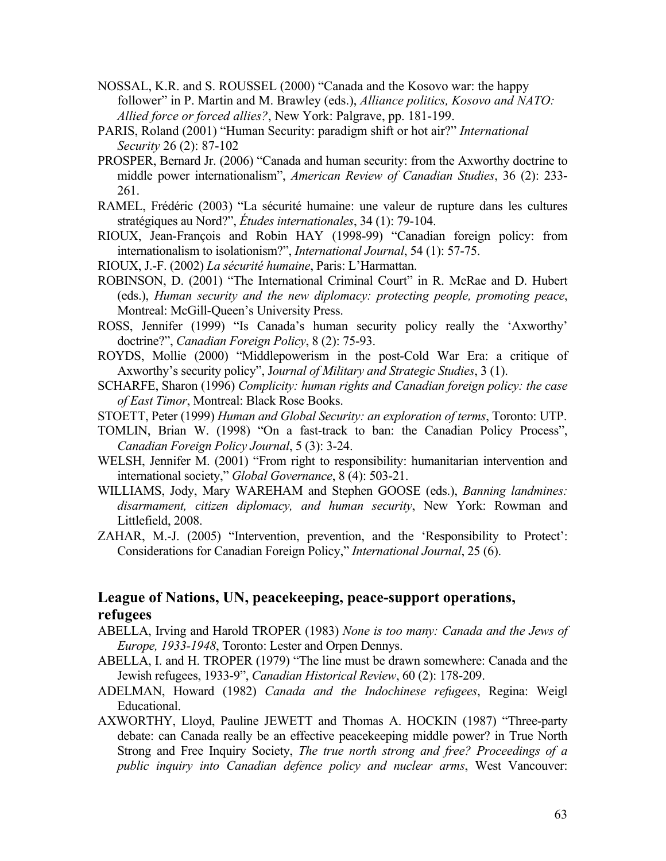- NOSSAL, K.R. and S. ROUSSEL (2000) "Canada and the Kosovo war: the happy follower" in P. Martin and M. Brawley (eds.), *Alliance politics, Kosovo and NATO: Allied force or forced allies?*, New York: Palgrave, pp. 181-199.
- PARIS, Roland (2001) "Human Security: paradigm shift or hot air?" *International Security* 26 (2): 87-102
- PROSPER, Bernard Jr. (2006) "Canada and human security: from the Axworthy doctrine to middle power internationalism", *American Review of Canadian Studies*, 36 (2): 233- 261.
- RAMEL, Frédéric (2003) "La sécurité humaine: une valeur de rupture dans les cultures stratégiques au Nord?", *Études internationales*, 34 (1): 79-104.
- RIOUX, Jean-François and Robin HAY (1998-99) "Canadian foreign policy: from internationalism to isolationism?", *International Journal*, 54 (1): 57-75.
- RIOUX, J.-F. (2002) *La sécurité humaine*, Paris: L'Harmattan.
- ROBINSON, D. (2001) "The International Criminal Court" in R. McRae and D. Hubert (eds.), *Human security and the new diplomacy: protecting people, promoting peace*, Montreal: McGill-Queen's University Press.
- ROSS, Jennifer (1999) "Is Canada's human security policy really the 'Axworthy' doctrine?", *Canadian Foreign Policy*, 8 (2): 75-93.
- ROYDS, Mollie (2000) "Middlepowerism in the post-Cold War Era: a critique of Axworthy's security policy", J*ournal of Military and Strategic Studies*, 3 (1).
- SCHARFE, Sharon (1996) *Complicity: human rights and Canadian foreign policy: the case of East Timor*, Montreal: Black Rose Books.
- STOETT, Peter (1999) *Human and Global Security: an exploration of terms*, Toronto: UTP.
- TOMLIN, Brian W. (1998) "On a fast-track to ban: the Canadian Policy Process", *Canadian Foreign Policy Journal*, 5 (3): 3-24.
- WELSH, Jennifer M. (2001) "From right to responsibility: humanitarian intervention and international society," *Global Governance*, 8 (4): 503-21.
- WILLIAMS, Jody, Mary WAREHAM and Stephen GOOSE (eds.), *Banning landmines: disarmament, citizen diplomacy, and human security*, New York: Rowman and Littlefield, 2008.
- ZAHAR, M.-J. (2005) "Intervention, prevention, and the 'Responsibility to Protect': Considerations for Canadian Foreign Policy," *International Journal*, 25 (6).

## **League of Nations, UN, peacekeeping, peace-support operations, refugees**

- ABELLA, Irving and Harold TROPER (1983) *None is too many: Canada and the Jews of Europe, 1933-1948*, Toronto: Lester and Orpen Dennys.
- ABELLA, I. and H. TROPER (1979) "The line must be drawn somewhere: Canada and the Jewish refugees, 1933-9", *Canadian Historical Review*, 60 (2): 178-209.
- ADELMAN, Howard (1982) *Canada and the Indochinese refugees*, Regina: Weigl Educational.
- AXWORTHY, Lloyd, Pauline JEWETT and Thomas A. HOCKIN (1987) "Three-party debate: can Canada really be an effective peacekeeping middle power? in True North Strong and Free Inquiry Society, *The true north strong and free? Proceedings of a public inquiry into Canadian defence policy and nuclear arms*, West Vancouver: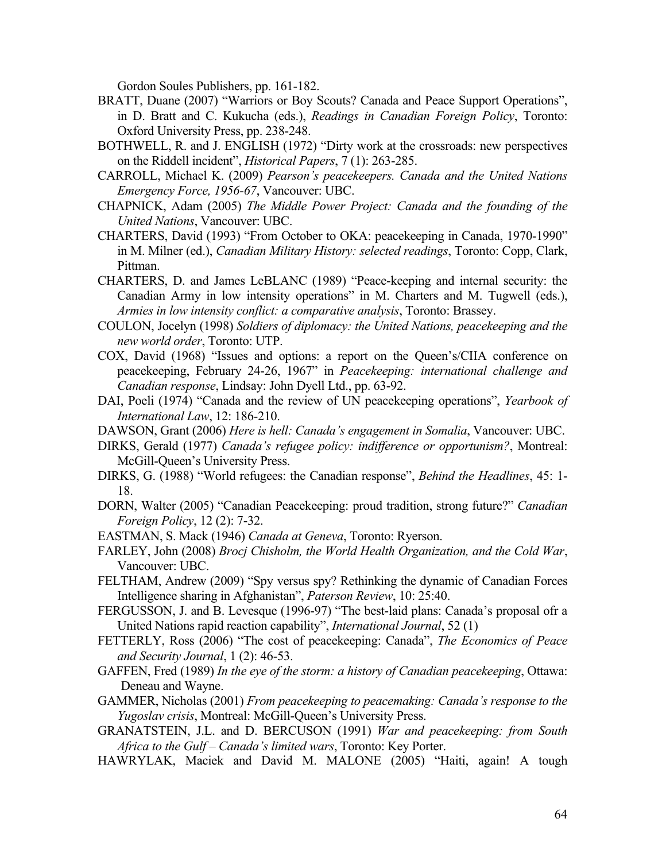Gordon Soules Publishers, pp. 161-182.

- BRATT, Duane (2007) "Warriors or Boy Scouts? Canada and Peace Support Operations", in D. Bratt and C. Kukucha (eds.), *Readings in Canadian Foreign Policy*, Toronto: Oxford University Press, pp. 238-248.
- BOTHWELL, R. and J. ENGLISH (1972) "Dirty work at the crossroads: new perspectives on the Riddell incident", *Historical Papers*, 7 (1): 263-285.
- CARROLL, Michael K. (2009) *Pearson's peacekeepers. Canada and the United Nations Emergency Force, 1956-67*, Vancouver: UBC.
- CHAPNICK, Adam (2005) *The Middle Power Project: Canada and the founding of the United Nations*, Vancouver: UBC.
- CHARTERS, David (1993) "From October to OKA: peacekeeping in Canada, 1970-1990" in M. Milner (ed.), *Canadian Military History: selected readings*, Toronto: Copp, Clark, Pittman.
- CHARTERS, D. and James LeBLANC (1989) "Peace-keeping and internal security: the Canadian Army in low intensity operations" in M. Charters and M. Tugwell (eds.), *Armies in low intensity conflict: a comparative analysis*, Toronto: Brassey.
- COULON, Jocelyn (1998) *Soldiers of diplomacy: the United Nations, peacekeeping and the new world order*, Toronto: UTP.
- COX, David (1968) "Issues and options: a report on the Queen's/CIIA conference on peacekeeping, February 24-26, 1967" in *Peacekeeping: international challenge and Canadian response*, Lindsay: John Dyell Ltd., pp. 63-92.
- DAI, Poeli (1974) "Canada and the review of UN peacekeeping operations", *Yearbook of International Law*, 12: 186-210.
- DAWSON, Grant (2006) *Here is hell: Canada's engagement in Somalia*, Vancouver: UBC.
- DIRKS, Gerald (1977) *Canada's refugee policy: indifference or opportunism?*, Montreal: McGill-Queen's University Press.
- DIRKS, G. (1988) "World refugees: the Canadian response", *Behind the Headlines*, 45: 1- 18.
- DORN, Walter (2005) "Canadian Peacekeeping: proud tradition, strong future?" *Canadian Foreign Policy*, 12 (2): 7-32.
- EASTMAN, S. Mack (1946) *Canada at Geneva*, Toronto: Ryerson.
- FARLEY, John (2008) *Brocj Chisholm, the World Health Organization, and the Cold War*, Vancouver: UBC.
- FELTHAM, Andrew (2009) "Spy versus spy? Rethinking the dynamic of Canadian Forces Intelligence sharing in Afghanistan", *Paterson Review*, 10: 25:40.
- FERGUSSON, J. and B. Levesque (1996-97) "The best-laid plans: Canada's proposal ofr a United Nations rapid reaction capability", *International Journal*, 52 (1)
- FETTERLY, Ross (2006) "The cost of peacekeeping: Canada", *The Economics of Peace and Security Journal*, 1 (2): 46-53.
- GAFFEN, Fred (1989) *In the eye of the storm: a history of Canadian peacekeeping*, Ottawa: Deneau and Wayne.
- GAMMER, Nicholas (2001) *From peacekeeping to peacemaking: Canada's response to the Yugoslav crisis*, Montreal: McGill-Queen's University Press.
- GRANATSTEIN, J.L. and D. BERCUSON (1991) *War and peacekeeping: from South Africa to the Gulf – Canada's limited wars*, Toronto: Key Porter.
- HAWRYLAK, Maciek and David M. MALONE (2005) "Haiti, again! A tough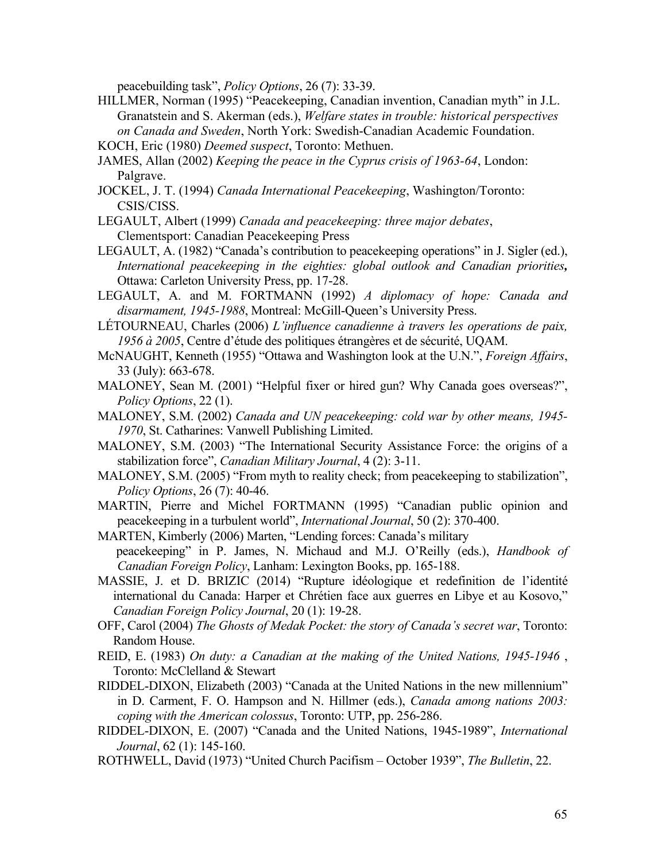peacebuilding task", *Policy Options*, 26 (7): 33-39.

- HILLMER, Norman (1995) "Peacekeeping, Canadian invention, Canadian myth" in J.L. Granatstein and S. Akerman (eds.), *Welfare states in trouble: historical perspectives on Canada and Sweden*, North York: Swedish-Canadian Academic Foundation. KOCH, Eric (1980) *Deemed suspect*, Toronto: Methuen.
- JAMES, Allan (2002) *Keeping the peace in the Cyprus crisis of 1963-64*, London: Palgrave.
- JOCKEL, J. T. (1994) *Canada International Peacekeeping*, Washington/Toronto: CSIS/CISS.
- LEGAULT, Albert (1999) *Canada and peacekeeping: three major debates*, Clementsport: Canadian Peacekeeping Press
- LEGAULT, A. (1982) "Canada's contribution to peacekeeping operations" in J. Sigler (ed.), *International peacekeeping in the eighties: global outlook and Canadian priorities,*  Ottawa: Carleton University Press, pp. 17-28.
- LEGAULT, A. and M. FORTMANN (1992) *A diplomacy of hope: Canada and disarmament, 1945-1988*, Montreal: McGill-Queen's University Press.
- LÉTOURNEAU, Charles (2006) *L'influence canadienne à travers les operations de paix, 1956 à 2005*, Centre d'étude des politiques étrangères et de sécurité, UQAM.
- McNAUGHT, Kenneth (1955) "Ottawa and Washington look at the U.N.", *Foreign Affairs*, 33 (July): 663-678.
- MALONEY, Sean M. (2001) "Helpful fixer or hired gun? Why Canada goes overseas?", *Policy Options*, 22 (1).
- MALONEY, S.M. (2002) *Canada and UN peacekeeping: cold war by other means, 1945- 1970*, St. Catharines: Vanwell Publishing Limited.
- MALONEY, S.M. (2003) "The International Security Assistance Force: the origins of a stabilization force", *Canadian Military Journal*, 4 (2): 3-11.
- MALONEY, S.M. (2005) "From myth to reality check; from peacekeeping to stabilization", *Policy Options*, 26 (7): 40-46.
- MARTIN, Pierre and Michel FORTMANN (1995) "Canadian public opinion and peacekeeping in a turbulent world", *International Journal*, 50 (2): 370-400.
- MARTEN, Kimberly (2006) Marten, "Lending forces: Canada's military peacekeeping" in P. James, N. Michaud and M.J. O'Reilly (eds.), *Handbook of Canadian Foreign Policy*, Lanham: Lexington Books, pp. 165-188.
- MASSIE, J. et D. BRIZIC (2014) "Rupture idéologique et redefinition de l'identité international du Canada: Harper et Chrétien face aux guerres en Libye et au Kosovo," *Canadian Foreign Policy Journal*, 20 (1): 19-28.
- OFF, Carol (2004) *The Ghosts of Medak Pocket: the story of Canada's secret war*, Toronto: Random House.
- REID, E. (1983) *On duty: a Canadian at the making of the United Nations, 1945-1946* , Toronto: McClelland & Stewart
- RIDDEL-DIXON, Elizabeth (2003) "Canada at the United Nations in the new millennium" in D. Carment, F. O. Hampson and N. Hillmer (eds.), *Canada among nations 2003: coping with the American colossus*, Toronto: UTP, pp. 256-286.
- RIDDEL-DIXON, E. (2007) "Canada and the United Nations, 1945-1989", *International Journal*, 62 (1): 145-160.
- ROTHWELL, David (1973) "United Church Pacifism October 1939", *The Bulletin*, 22.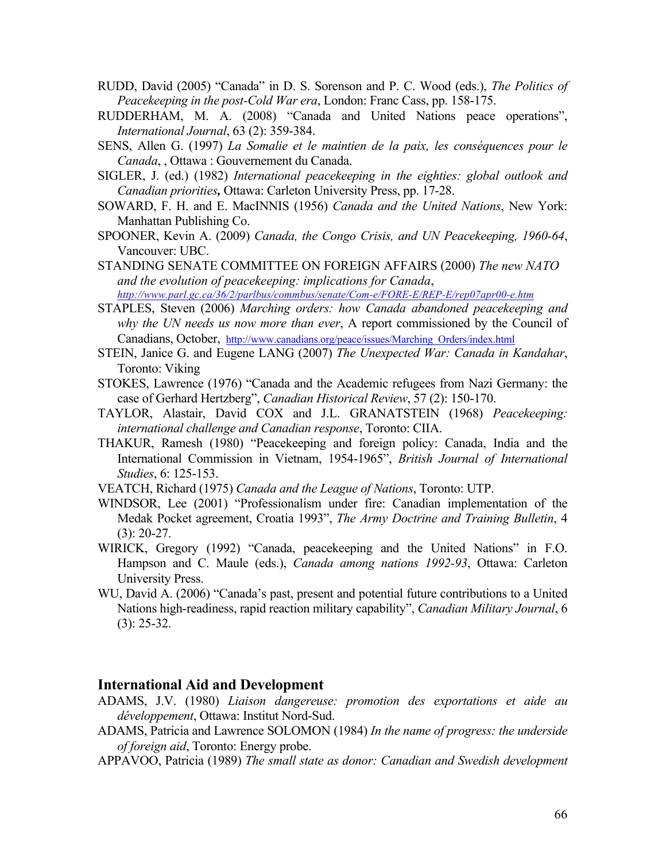- RUDD, David (2005) "Canada" in D. S. Sorenson and P. C. Wood (eds.), *The Politics of Peacekeeping in the post-Cold War era*, London: Franc Cass, pp. 158-175.
- RUDDERHAM, M. A. (2008) "Canada and United Nations peace operations", *International Journal*, 63 (2): 359-384.
- SENS, Allen G. (1997) *La Somalie et le maintien de la paix, les conséquences pour le Canada*, , Ottawa : Gouvernement du Canada.
- SIGLER, J. (ed.) (1982) *International peacekeeping in the eighties: global outlook and Canadian priorities,* Ottawa: Carleton University Press, pp. 17-28.
- SOWARD, F. H. and E. MacINNIS (1956) *Canada and the United Nations*, New York: Manhattan Publishing Co.
- SPOONER, Kevin A. (2009) *Canada, the Congo Crisis, and UN Peacekeeping, 1960-64*, Vancouver: UBC.
- STANDING SENATE COMMITTEE ON FOREIGN AFFAIRS (2000) *The new NATO and the evolution of peacekeeping: implications for Canada*, *http://www.parl.gc.ca/36/2/parlbus/commbus/senate/Com-e/FORE-E/REP-E/rep07apr00-e.htm*
- STAPLES, Steven (2006) *Marching orders: how Canada abandoned peacekeeping and why the UN needs us now more than ever*, A report commissioned by the Council of Canadians, October, http://www.canadians.org/peace/issues/Marching\_Orders/index.html
- STEIN, Janice G. and Eugene LANG (2007) *The Unexpected War: Canada in Kandahar*, Toronto: Viking
- STOKES, Lawrence (1976) "Canada and the Academic refugees from Nazi Germany: the case of Gerhard Hertzberg", *Canadian Historical Review*, 57 (2): 150-170.
- TAYLOR, Alastair, David COX and J.L. GRANATSTEIN (1968) *Peacekeeping: international challenge and Canadian response*, Toronto: CIIA.
- THAKUR, Ramesh (1980) "Peacekeeping and foreign policy: Canada, India and the International Commission in Vietnam, 1954-1965", *British Journal of International Studies*, 6: 125-153.
- VEATCH, Richard (1975) *Canada and the League of Nations*, Toronto: UTP.
- WINDSOR, Lee (2001) "Professionalism under fire: Canadian implementation of the Medak Pocket agreement, Croatia 1993", *The Army Doctrine and Training Bulletin*, 4 (3): 20-27.
- WIRICK, Gregory (1992) "Canada, peacekeeping and the United Nations" in F.O. Hampson and C. Maule (eds.), *Canada among nations 1992-93*, Ottawa: Carleton University Press.
- WU, David A. (2006) "Canada's past, present and potential future contributions to a United Nations high-readiness, rapid reaction military capability", *Canadian Military Journal*, 6 (3): 25-32.

### **International Aid and Development**

- ADAMS, J.V. (1980) *Liaison dangereuse: promotion des exportations et aide au développement*, Ottawa: Institut Nord-Sud.
- ADAMS, Patricia and Lawrence SOLOMON (1984) *In the name of progress: the underside of foreign aid*, Toronto: Energy probe.
- APPAVOO, Patricia (1989) *The small state as donor: Canadian and Swedish development*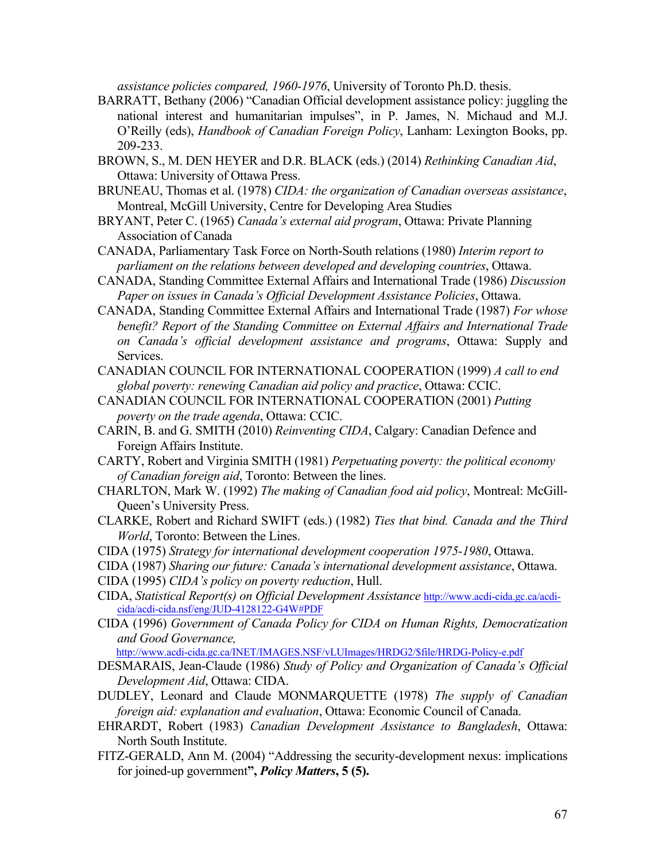*assistance policies compared, 1960-1976*, University of Toronto Ph.D. thesis.

- BARRATT, Bethany (2006) "Canadian Official development assistance policy: juggling the national interest and humanitarian impulses", in P. James, N. Michaud and M.J. O'Reilly (eds), *Handbook of Canadian Foreign Policy*, Lanham: Lexington Books, pp. 209-233.
- BROWN, S., M. DEN HEYER and D.R. BLACK (eds.) (2014) *Rethinking Canadian Aid*, Ottawa: University of Ottawa Press.
- BRUNEAU, Thomas et al. (1978) *CIDA: the organization of Canadian overseas assistance*, Montreal, McGill University, Centre for Developing Area Studies
- BRYANT, Peter C. (1965) *Canada's external aid program*, Ottawa: Private Planning Association of Canada
- CANADA, Parliamentary Task Force on North-South relations (1980) *Interim report to parliament on the relations between developed and developing countries*, Ottawa.
- CANADA, Standing Committee External Affairs and International Trade (1986) *Discussion Paper on issues in Canada's Official Development Assistance Policies*, Ottawa.
- CANADA, Standing Committee External Affairs and International Trade (1987) *For whose benefit? Report of the Standing Committee on External Affairs and International Trade on Canada's official development assistance and programs*, Ottawa: Supply and **Services**
- CANADIAN COUNCIL FOR INTERNATIONAL COOPERATION (1999) *A call to end global poverty: renewing Canadian aid policy and practice*, Ottawa: CCIC.
- CANADIAN COUNCIL FOR INTERNATIONAL COOPERATION (2001) *Putting poverty on the trade agenda*, Ottawa: CCIC.
- CARIN, B. and G. SMITH (2010) *Reinventing CIDA*, Calgary: Canadian Defence and Foreign Affairs Institute.
- CARTY, Robert and Virginia SMITH (1981) *Perpetuating poverty: the political economy of Canadian foreign aid*, Toronto: Between the lines.
- CHARLTON, Mark W. (1992) *The making of Canadian food aid policy*, Montreal: McGill-Queen's University Press.
- CLARKE, Robert and Richard SWIFT (eds.) (1982) *Ties that bind. Canada and the Third World*, Toronto: Between the Lines.
- CIDA (1975) *Strategy for international development cooperation 1975-1980*, Ottawa.
- CIDA (1987) *Sharing our future: Canada's international development assistance*, Ottawa.
- CIDA (1995) *CIDA's policy on poverty reduction*, Hull.
- CIDA, *Statistical Report(s) on Official Development Assistance* http://www.acdi-cida.gc.ca/acdicida/acdi-cida.nsf/eng/JUD-4128122-G4W#PDF
- CIDA (1996) *Government of Canada Policy for CIDA on Human Rights, Democratization and Good Governance,*

http://www.acdi-cida.gc.ca/INET/IMAGES.NSF/vLUImages/HRDG2/\$file/HRDG-Policy-e.pdf

- DESMARAIS, Jean-Claude (1986) *Study of Policy and Organization of Canada's Official Development Aid*, Ottawa: CIDA.
- DUDLEY, Leonard and Claude MONMARQUETTE (1978) *The supply of Canadian foreign aid: explanation and evaluation*, Ottawa: Economic Council of Canada.
- EHRARDT, Robert (1983) *Canadian Development Assistance to Bangladesh*, Ottawa: North South Institute.
- FITZ-GERALD, Ann M. (2004) "Addressing the security-development nexus: implications for joined-up government**",** *Policy Matters***, 5 (5).**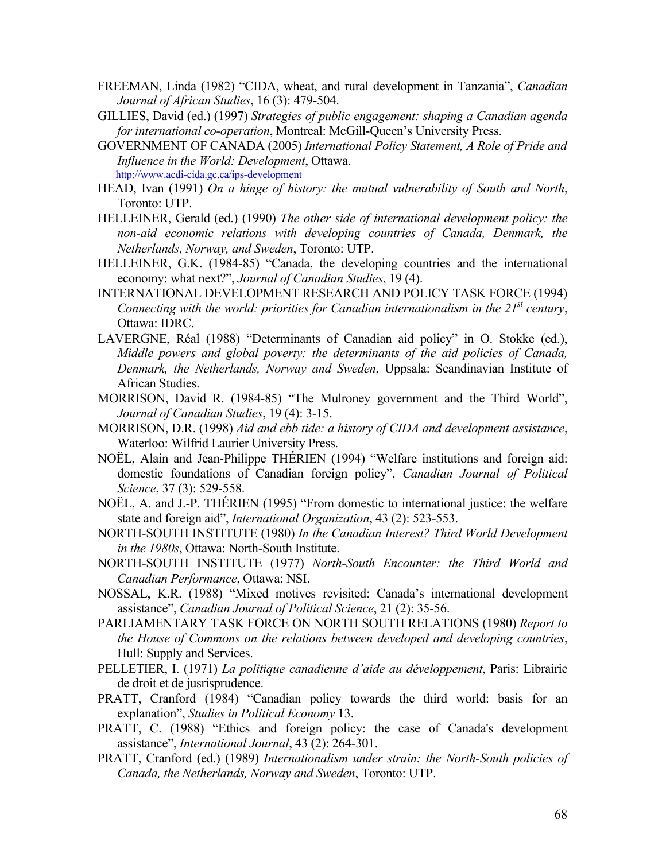- FREEMAN, Linda (1982) "CIDA, wheat, and rural development in Tanzania", *Canadian Journal of African Studies*, 16 (3): 479-504.
- GILLIES, David (ed.) (1997) *Strategies of public engagement: shaping a Canadian agenda for international co-operation*, Montreal: McGill-Queen's University Press.
- GOVERNMENT OF CANADA (2005) *International Policy Statement, A Role of Pride and Influence in the World: Development*, Ottawa. http://www.acdi-cida.gc.ca/ips-development
- HEAD, Ivan (1991) *On a hinge of history: the mutual vulnerability of South and North*, Toronto: UTP.
- HELLEINER, Gerald (ed.) (1990) *The other side of international development policy: the non-aid economic relations with developing countries of Canada, Denmark, the Netherlands, Norway, and Sweden*, Toronto: UTP.
- HELLEINER, G.K. (1984-85) "Canada, the developing countries and the international economy: what next?", *Journal of Canadian Studies*, 19 (4).
- INTERNATIONAL DEVELOPMENT RESEARCH AND POLICY TASK FORCE (1994) *Connecting with the world: priorities for Canadian internationalism in the 21<sup>st</sup> century,* Ottawa: IDRC.
- LAVERGNE, Réal (1988) "Determinants of Canadian aid policy" in O. Stokke (ed.), *Middle powers and global poverty: the determinants of the aid policies of Canada, Denmark, the Netherlands, Norway and Sweden*, Uppsala: Scandinavian Institute of African Studies.
- MORRISON, David R. (1984-85) "The Mulroney government and the Third World", *Journal of Canadian Studies*, 19 (4): 3-15.
- MORRISON, D.R. (1998) *Aid and ebb tide: a history of CIDA and development assistance*, Waterloo: Wilfrid Laurier University Press.
- NOËL, Alain and Jean-Philippe THÉRIEN (1994) "Welfare institutions and foreign aid: domestic foundations of Canadian foreign policy", *Canadian Journal of Political Science*, 37 (3): 529-558.
- NOËL, A. and J.-P. THÉRIEN (1995) "From domestic to international justice: the welfare state and foreign aid", *International Organization*, 43 (2): 523-553.
- NORTH-SOUTH INSTITUTE (1980) *In the Canadian Interest? Third World Development in the 1980s*, Ottawa: North-South Institute.
- NORTH-SOUTH INSTITUTE (1977) *North-South Encounter: the Third World and Canadian Performance*, Ottawa: NSI.
- NOSSAL, K.R. (1988) "Mixed motives revisited: Canada's international development assistance", *Canadian Journal of Political Science*, 21 (2): 35-56.
- PARLIAMENTARY TASK FORCE ON NORTH SOUTH RELATIONS (1980) *Report to the House of Commons on the relations between developed and developing countries*, Hull: Supply and Services.
- PELLETIER, I. (1971) *La politique canadienne d'aide au développement*, Paris: Librairie de droit et de jusrisprudence.
- PRATT, Cranford (1984) "Canadian policy towards the third world: basis for an explanation", *Studies in Political Economy* 13.
- PRATT, C. (1988) "Ethics and foreign policy: the case of Canada's development assistance", *International Journal*, 43 (2): 264-301.
- PRATT, Cranford (ed.) (1989) *Internationalism under strain: the North-South policies of Canada, the Netherlands, Norway and Sweden*, Toronto: UTP.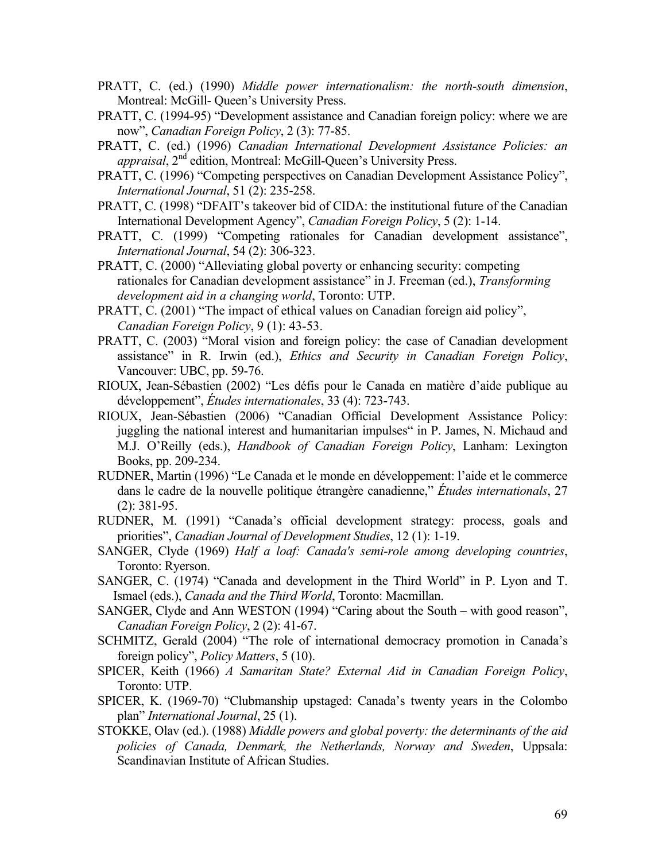- PRATT, C. (ed.) (1990) *Middle power internationalism: the north-south dimension*, Montreal: McGill- Queen's University Press.
- PRATT, C. (1994-95) "Development assistance and Canadian foreign policy: where we are now", *Canadian Foreign Policy*, 2 (3): 77-85.
- PRATT, C. (ed.) (1996) *Canadian International Development Assistance Policies: an appraisal*, 2<sup>nd</sup> edition, Montreal: McGill-Queen's University Press.
- PRATT, C. (1996) "Competing perspectives on Canadian Development Assistance Policy", *International Journal*, 51 (2): 235-258.
- PRATT, C. (1998) "DFAIT's takeover bid of CIDA: the institutional future of the Canadian International Development Agency", *Canadian Foreign Policy*, 5 (2): 1-14.
- PRATT, C. (1999) "Competing rationales for Canadian development assistance", *International Journal*, 54 (2): 306-323.
- PRATT, C. (2000) "Alleviating global poverty or enhancing security: competing rationales for Canadian development assistance" in J. Freeman (ed.), *Transforming development aid in a changing world*, Toronto: UTP.
- PRATT, C. (2001) "The impact of ethical values on Canadian foreign aid policy", *Canadian Foreign Policy*, 9 (1): 43-53.
- PRATT, C. (2003) "Moral vision and foreign policy: the case of Canadian development assistance" in R. Irwin (ed.), *Ethics and Security in Canadian Foreign Policy*, Vancouver: UBC, pp. 59-76.
- RIOUX, Jean-Sébastien (2002) "Les défis pour le Canada en matière d'aide publique au développement", *Études internationales*, 33 (4): 723-743.
- RIOUX, Jean-Sébastien (2006) "Canadian Official Development Assistance Policy: juggling the national interest and humanitarian impulses" in P. James, N. Michaud and M.J. O'Reilly (eds.), *Handbook of Canadian Foreign Policy*, Lanham: Lexington Books, pp. 209-234.
- RUDNER, Martin (1996) "Le Canada et le monde en développement: l'aide et le commerce dans le cadre de la nouvelle politique étrangère canadienne," *Études internationals*, 27 (2): 381-95.
- RUDNER, M. (1991) "Canada's official development strategy: process, goals and priorities", *Canadian Journal of Development Studies*, 12 (1): 1-19.
- SANGER, Clyde (1969) *Half a loaf: Canada's semi-role among developing countries*, Toronto: Ryerson.
- SANGER, C. (1974) "Canada and development in the Third World" in P. Lyon and T. Ismael (eds.), *Canada and the Third World*, Toronto: Macmillan.
- SANGER, Clyde and Ann WESTON (1994) "Caring about the South with good reason", *Canadian Foreign Policy*, 2 (2): 41-67.
- SCHMITZ, Gerald (2004) "The role of international democracy promotion in Canada's foreign policy", *Policy Matters*, 5 (10).
- SPICER, Keith (1966) *A Samaritan State? External Aid in Canadian Foreign Policy*, Toronto: UTP.
- SPICER, K. (1969-70) "Clubmanship upstaged: Canada's twenty years in the Colombo plan" *International Journal*, 25 (1).
- STOKKE, Olav (ed.). (1988) *Middle powers and global poverty: the determinants of the aid policies of Canada, Denmark, the Netherlands, Norway and Sweden*, Uppsala: Scandinavian Institute of African Studies.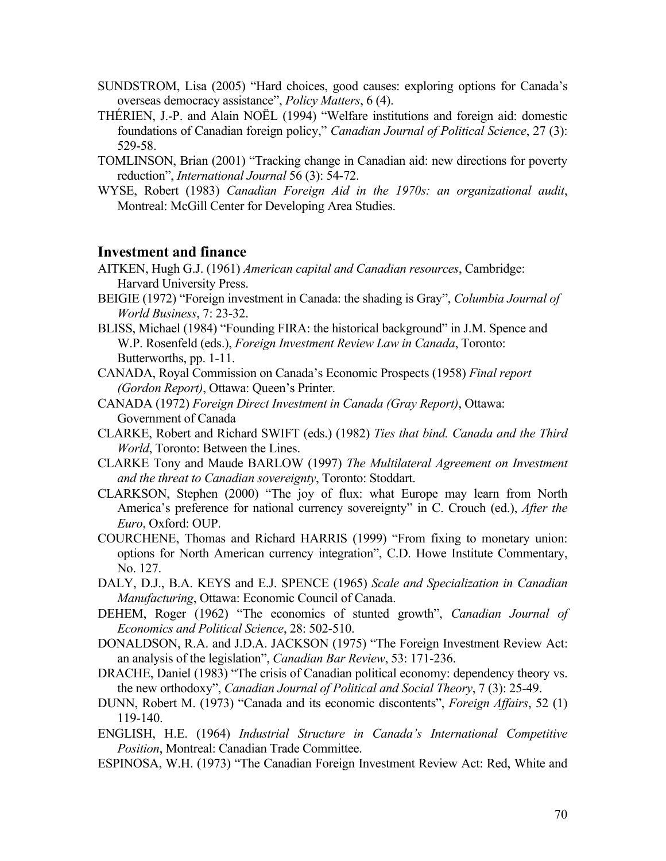- SUNDSTROM, Lisa (2005) "Hard choices, good causes: exploring options for Canada's overseas democracy assistance", *Policy Matters*, 6 (4).
- THÉRIEN, J.-P. and Alain NOËL (1994) "Welfare institutions and foreign aid: domestic foundations of Canadian foreign policy," *Canadian Journal of Political Science*, 27 (3): 529-58.
- TOMLINSON, Brian (2001) "Tracking change in Canadian aid: new directions for poverty reduction", *International Journal* 56 (3): 54-72.
- WYSE, Robert (1983) *Canadian Foreign Aid in the 1970s: an organizational audit*, Montreal: McGill Center for Developing Area Studies.

### **Investment and finance**

- AITKEN, Hugh G.J. (1961) *American capital and Canadian resources*, Cambridge: Harvard University Press.
- BEIGIE (1972) "Foreign investment in Canada: the shading is Gray", *Columbia Journal of World Business*, 7: 23-32.
- BLISS, Michael (1984) "Founding FIRA: the historical background" in J.M. Spence and W.P. Rosenfeld (eds.), *Foreign Investment Review Law in Canada*, Toronto: Butterworths, pp. 1-11.
- CANADA, Royal Commission on Canada's Economic Prospects (1958) *Final report (Gordon Report)*, Ottawa: Queen's Printer.
- CANADA (1972) *Foreign Direct Investment in Canada (Gray Report)*, Ottawa: Government of Canada
- CLARKE, Robert and Richard SWIFT (eds.) (1982) *Ties that bind. Canada and the Third World*, Toronto: Between the Lines.
- CLARKE Tony and Maude BARLOW (1997) *The Multilateral Agreement on Investment and the threat to Canadian sovereignty*, Toronto: Stoddart.
- CLARKSON, Stephen (2000) "The joy of flux: what Europe may learn from North America's preference for national currency sovereignty" in C. Crouch (ed.), *After the Euro*, Oxford: OUP.
- COURCHENE, Thomas and Richard HARRIS (1999) "From fixing to monetary union: options for North American currency integration", C.D. Howe Institute Commentary, No. 127.
- DALY, D.J., B.A. KEYS and E.J. SPENCE (1965) *Scale and Specialization in Canadian Manufacturing*, Ottawa: Economic Council of Canada.
- DEHEM, Roger (1962) "The economics of stunted growth", *Canadian Journal of Economics and Political Science*, 28: 502-510.
- DONALDSON, R.A. and J.D.A. JACKSON (1975) "The Foreign Investment Review Act: an analysis of the legislation", *Canadian Bar Review*, 53: 171-236.
- DRACHE, Daniel (1983) "The crisis of Canadian political economy: dependency theory vs. the new orthodoxy", *Canadian Journal of Political and Social Theory*, 7 (3): 25-49.
- DUNN, Robert M. (1973) "Canada and its economic discontents", *Foreign Affairs*, 52 (1) 119-140.
- ENGLISH, H.E. (1964) *Industrial Structure in Canada's International Competitive Position*, Montreal: Canadian Trade Committee.
- ESPINOSA, W.H. (1973) "The Canadian Foreign Investment Review Act: Red, White and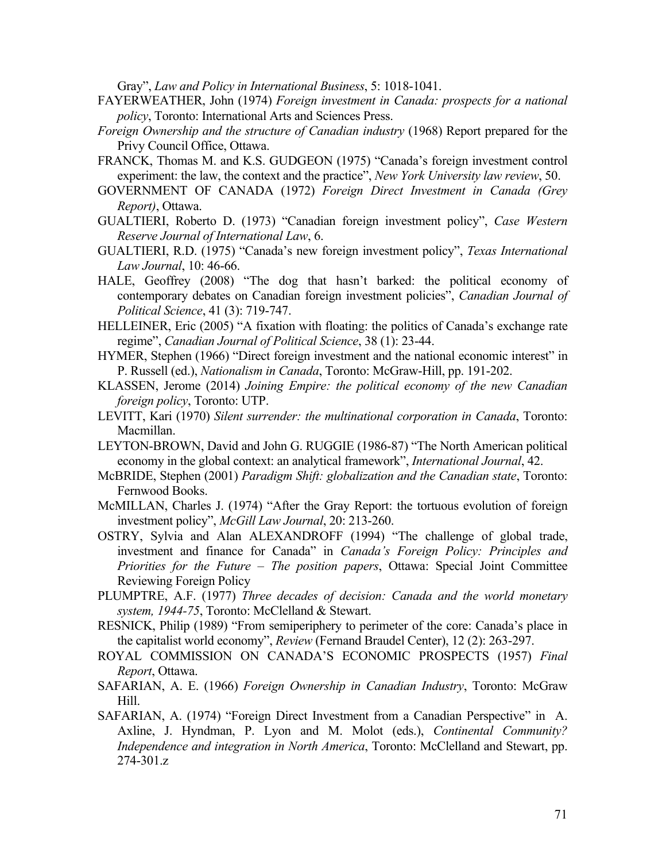Gray", *Law and Policy in International Business*, 5: 1018-1041.

- FAYERWEATHER, John (1974) *Foreign investment in Canada: prospects for a national policy*, Toronto: International Arts and Sciences Press.
- *Foreign Ownership and the structure of Canadian industry* (1968) Report prepared for the Privy Council Office, Ottawa.
- FRANCK, Thomas M. and K.S. GUDGEON (1975) "Canada's foreign investment control experiment: the law, the context and the practice", *New York University law review*, 50.
- GOVERNMENT OF CANADA (1972) *Foreign Direct Investment in Canada (Grey Report)*, Ottawa.
- GUALTIERI, Roberto D. (1973) "Canadian foreign investment policy", *Case Western Reserve Journal of International Law*, 6.
- GUALTIERI, R.D. (1975) "Canada's new foreign investment policy", *Texas International Law Journal*, 10: 46-66.
- HALE, Geoffrey (2008) "The dog that hasn't barked: the political economy of contemporary debates on Canadian foreign investment policies", *Canadian Journal of Political Science*, 41 (3): 719-747.
- HELLEINER, Eric (2005) "A fixation with floating: the politics of Canada's exchange rate regime", *Canadian Journal of Political Science*, 38 (1): 23-44.
- HYMER, Stephen (1966) "Direct foreign investment and the national economic interest" in P. Russell (ed.), *Nationalism in Canada*, Toronto: McGraw-Hill, pp. 191-202.
- KLASSEN, Jerome (2014) *Joining Empire: the political economy of the new Canadian foreign policy*, Toronto: UTP.
- LEVITT, Kari (1970) *Silent surrender: the multinational corporation in Canada*, Toronto: Macmillan.
- LEYTON-BROWN, David and John G. RUGGIE (1986-87) "The North American political economy in the global context: an analytical framework", *International Journal*, 42.
- McBRIDE, Stephen (2001) *Paradigm Shift: globalization and the Canadian state*, Toronto: Fernwood Books.
- McMILLAN, Charles J. (1974) "After the Gray Report: the tortuous evolution of foreign investment policy", *McGill Law Journal*, 20: 213-260.
- OSTRY, Sylvia and Alan ALEXANDROFF (1994) "The challenge of global trade, investment and finance for Canada" in *Canada's Foreign Policy: Principles and Priorities for the Future – The position papers*, Ottawa: Special Joint Committee Reviewing Foreign Policy
- PLUMPTRE, A.F. (1977) *Three decades of decision: Canada and the world monetary system, 1944-75*, Toronto: McClelland & Stewart.
- RESNICK, Philip (1989) "From semiperiphery to perimeter of the core: Canada's place in the capitalist world economy", *Review* (Fernand Braudel Center), 12 (2): 263-297.
- ROYAL COMMISSION ON CANADA'S ECONOMIC PROSPECTS (1957) *Final Report*, Ottawa.
- SAFARIAN, A. E. (1966) *Foreign Ownership in Canadian Industry*, Toronto: McGraw Hill.
- SAFARIAN, A. (1974) "Foreign Direct Investment from a Canadian Perspective" in A. Axline, J. Hyndman, P. Lyon and M. Molot (eds.), *Continental Community? Independence and integration in North America*, Toronto: McClelland and Stewart, pp. 274-301.z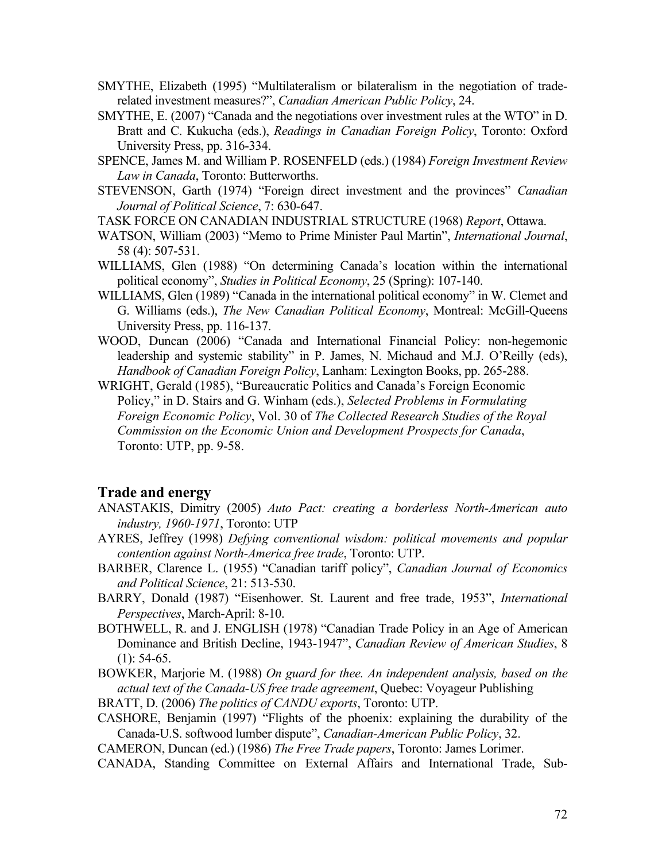- SMYTHE, Elizabeth (1995) "Multilateralism or bilateralism in the negotiation of traderelated investment measures?", *Canadian American Public Policy*, 24.
- SMYTHE, E. (2007) "Canada and the negotiations over investment rules at the WTO" in D. Bratt and C. Kukucha (eds.), *Readings in Canadian Foreign Policy*, Toronto: Oxford University Press, pp. 316-334.
- SPENCE, James M. and William P. ROSENFELD (eds.) (1984) *Foreign Investment Review Law in Canada*, Toronto: Butterworths.
- STEVENSON, Garth (1974) "Foreign direct investment and the provinces" *Canadian Journal of Political Science*, 7: 630-647.

TASK FORCE ON CANADIAN INDUSTRIAL STRUCTURE (1968) *Report*, Ottawa.

- WATSON, William (2003) "Memo to Prime Minister Paul Martin", *International Journal*, 58 (4): 507-531.
- WILLIAMS, Glen (1988) "On determining Canada's location within the international political economy", *Studies in Political Economy*, 25 (Spring): 107-140.
- WILLIAMS, Glen (1989) "Canada in the international political economy" in W. Clemet and G. Williams (eds.), *The New Canadian Political Economy*, Montreal: McGill-Queens University Press, pp. 116-137.
- WOOD, Duncan (2006) "Canada and International Financial Policy: non-hegemonic leadership and systemic stability" in P. James, N. Michaud and M.J. O'Reilly (eds), *Handbook of Canadian Foreign Policy*, Lanham: Lexington Books, pp. 265-288.
- WRIGHT, Gerald (1985), "Bureaucratic Politics and Canada's Foreign Economic Policy," in D. Stairs and G. Winham (eds.), *Selected Problems in Formulating Foreign Economic Policy*, Vol. 30 of *The Collected Research Studies of the Royal Commission on the Economic Union and Development Prospects for Canada*, Toronto: UTP, pp. 9-58.

### **Trade and energy**

- ANASTAKIS, Dimitry (2005) *Auto Pact: creating a borderless North-American auto industry, 1960-1971*, Toronto: UTP
- AYRES, Jeffrey (1998) *Defying conventional wisdom: political movements and popular contention against North-America free trade*, Toronto: UTP.
- BARBER, Clarence L. (1955) "Canadian tariff policy", *Canadian Journal of Economics and Political Science*, 21: 513-530.
- BARRY, Donald (1987) "Eisenhower. St. Laurent and free trade, 1953", *International Perspectives*, March-April: 8-10.
- BOTHWELL, R. and J. ENGLISH (1978) "Canadian Trade Policy in an Age of American Dominance and British Decline, 1943-1947", *Canadian Review of American Studies*, 8  $(1)$ : 54-65.
- BOWKER, Marjorie M. (1988) *On guard for thee. An independent analysis, based on the actual text of the Canada-US free trade agreement*, Quebec: Voyageur Publishing
- BRATT, D. (2006) *The politics of CANDU exports*, Toronto: UTP.
- CASHORE, Benjamin (1997) "Flights of the phoenix: explaining the durability of the Canada-U.S. softwood lumber dispute", *Canadian-American Public Policy*, 32.
- CAMERON, Duncan (ed.) (1986) *The Free Trade papers*, Toronto: James Lorimer.
- CANADA, Standing Committee on External Affairs and International Trade, Sub-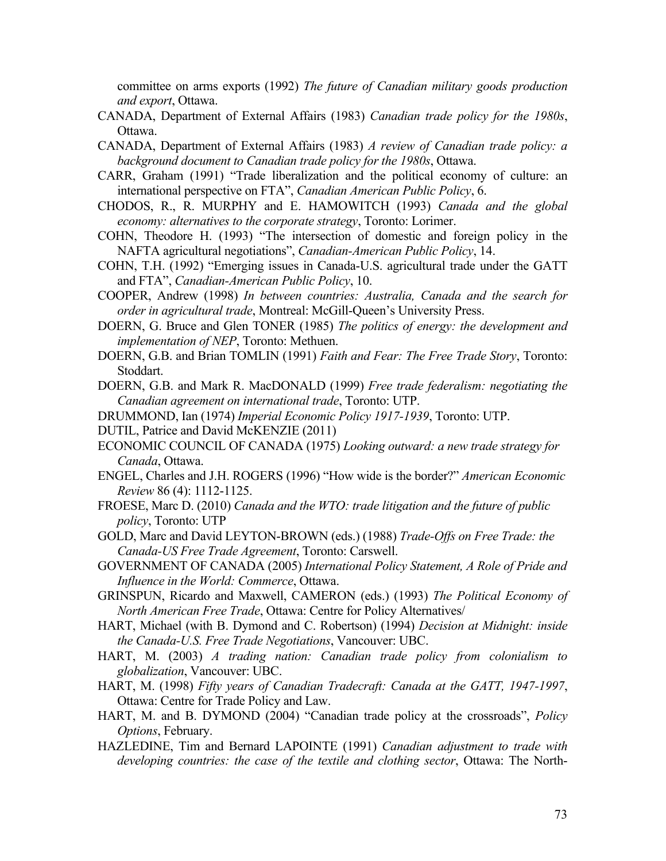committee on arms exports (1992) *The future of Canadian military goods production and export*, Ottawa.

- CANADA, Department of External Affairs (1983) *Canadian trade policy for the 1980s*, Ottawa.
- CANADA, Department of External Affairs (1983) *A review of Canadian trade policy: a background document to Canadian trade policy for the 1980s*, Ottawa.
- CARR, Graham (1991) "Trade liberalization and the political economy of culture: an international perspective on FTA", *Canadian American Public Policy*, 6.
- CHODOS, R., R. MURPHY and E. HAMOWITCH (1993) *Canada and the global economy: alternatives to the corporate strategy*, Toronto: Lorimer.
- COHN, Theodore H. (1993) "The intersection of domestic and foreign policy in the NAFTA agricultural negotiations", *Canadian-American Public Policy*, 14.
- COHN, T.H. (1992) "Emerging issues in Canada-U.S. agricultural trade under the GATT and FTA", *Canadian-American Public Policy*, 10.
- COOPER, Andrew (1998) *In between countries: Australia, Canada and the search for order in agricultural trade*, Montreal: McGill-Queen's University Press.
- DOERN, G. Bruce and Glen TONER (1985) *The politics of energy: the development and implementation of NEP*, Toronto: Methuen.
- DOERN, G.B. and Brian TOMLIN (1991) *Faith and Fear: The Free Trade Story*, Toronto: Stoddart.
- DOERN, G.B. and Mark R. MacDONALD (1999) *Free trade federalism: negotiating the Canadian agreement on international trade*, Toronto: UTP.
- DRUMMOND, Ian (1974) *Imperial Economic Policy 1917-1939*, Toronto: UTP.
- DUTIL, Patrice and David McKENZIE (2011)
- ECONOMIC COUNCIL OF CANADA (1975) *Looking outward: a new trade strategy for Canada*, Ottawa.
- ENGEL, Charles and J.H. ROGERS (1996) "How wide is the border?" *American Economic Review* 86 (4): 1112-1125.
- FROESE, Marc D. (2010) *Canada and the WTO: trade litigation and the future of public policy*, Toronto: UTP
- GOLD, Marc and David LEYTON-BROWN (eds.) (1988) *Trade-Offs on Free Trade: the Canada-US Free Trade Agreement*, Toronto: Carswell.
- GOVERNMENT OF CANADA (2005) *International Policy Statement, A Role of Pride and Influence in the World: Commerce*, Ottawa.
- GRINSPUN, Ricardo and Maxwell, CAMERON (eds.) (1993) *The Political Economy of North American Free Trade*, Ottawa: Centre for Policy Alternatives/
- HART, Michael (with B. Dymond and C. Robertson) (1994) *Decision at Midnight: inside the Canada-U.S. Free Trade Negotiations*, Vancouver: UBC.
- HART, M. (2003) *A trading nation: Canadian trade policy from colonialism to globalization*, Vancouver: UBC.
- HART, M. (1998) *Fifty years of Canadian Tradecraft: Canada at the GATT, 1947-1997*, Ottawa: Centre for Trade Policy and Law.
- HART, M. and B. DYMOND (2004) "Canadian trade policy at the crossroads", *Policy Options*, February.
- HAZLEDINE, Tim and Bernard LAPOINTE (1991) *Canadian adjustment to trade with developing countries: the case of the textile and clothing sector*, Ottawa: The North-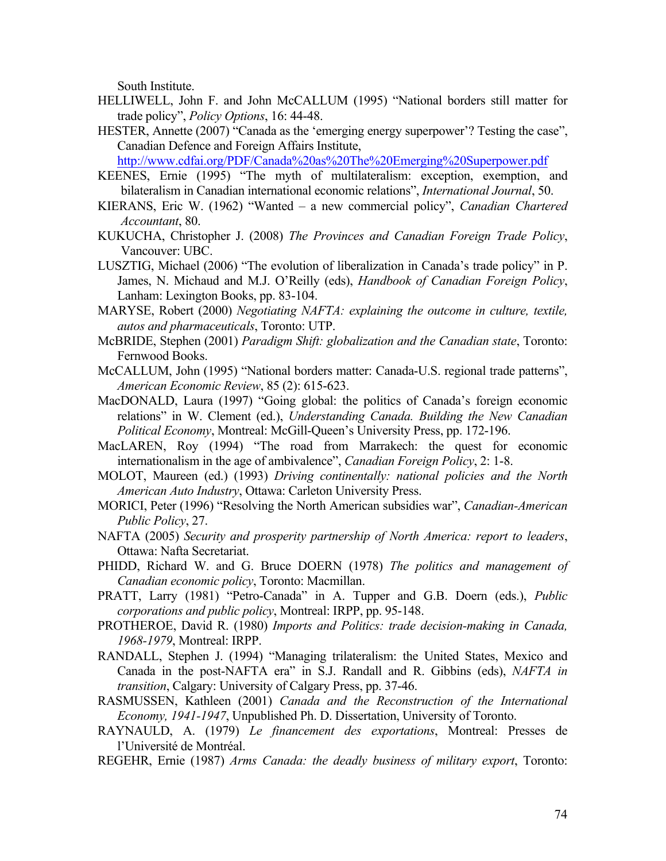South Institute.

- HELLIWELL, John F. and John McCALLUM (1995) "National borders still matter for trade policy", *Policy Options*, 16: 44-48.
- HESTER, Annette (2007) "Canada as the 'emerging energy superpower'? Testing the case", Canadian Defence and Foreign Affairs Institute,

http://www.cdfai.org/PDF/Canada%20as%20The%20Emerging%20Superpower.pdf

- KEENES, Ernie (1995) "The myth of multilateralism: exception, exemption, and bilateralism in Canadian international economic relations", *International Journal*, 50.
- KIERANS, Eric W. (1962) "Wanted a new commercial policy", *Canadian Chartered Accountant*, 80.
- KUKUCHA, Christopher J. (2008) *The Provinces and Canadian Foreign Trade Policy*, Vancouver: UBC.
- LUSZTIG, Michael (2006) "The evolution of liberalization in Canada's trade policy" in P. James, N. Michaud and M.J. O'Reilly (eds), *Handbook of Canadian Foreign Policy*, Lanham: Lexington Books, pp. 83-104.
- MARYSE, Robert (2000) *Negotiating NAFTA: explaining the outcome in culture, textile, autos and pharmaceuticals*, Toronto: UTP.
- McBRIDE, Stephen (2001) *Paradigm Shift: globalization and the Canadian state*, Toronto: Fernwood Books.
- McCALLUM, John (1995) "National borders matter: Canada-U.S. regional trade patterns", *American Economic Review*, 85 (2): 615-623.
- MacDONALD, Laura (1997) "Going global: the politics of Canada's foreign economic relations" in W. Clement (ed.), *Understanding Canada. Building the New Canadian Political Economy*, Montreal: McGill-Queen's University Press, pp. 172-196.
- MacLAREN, Roy (1994) "The road from Marrakech: the quest for economic internationalism in the age of ambivalence", *Canadian Foreign Policy*, 2: 1-8.
- MOLOT, Maureen (ed.) (1993) *Driving continentally: national policies and the North American Auto Industry*, Ottawa: Carleton University Press.
- MORICI, Peter (1996) "Resolving the North American subsidies war", *Canadian-American Public Policy*, 27.
- NAFTA (2005) *Security and prosperity partnership of North America: report to leaders*, Ottawa: Nafta Secretariat.
- PHIDD, Richard W. and G. Bruce DOERN (1978) *The politics and management of Canadian economic policy*, Toronto: Macmillan.
- PRATT, Larry (1981) "Petro-Canada" in A. Tupper and G.B. Doern (eds.), *Public corporations and public policy*, Montreal: IRPP, pp. 95-148.
- PROTHEROE, David R. (1980) *Imports and Politics: trade decision-making in Canada, 1968-1979*, Montreal: IRPP.
- RANDALL, Stephen J. (1994) "Managing trilateralism: the United States, Mexico and Canada in the post-NAFTA era" in S.J. Randall and R. Gibbins (eds), *NAFTA in transition*, Calgary: University of Calgary Press, pp. 37-46.
- RASMUSSEN, Kathleen (2001) *Canada and the Reconstruction of the International Economy, 1941-1947*, Unpublished Ph. D. Dissertation, University of Toronto.
- RAYNAULD, A. (1979) *Le financement des exportations*, Montreal: Presses de l'Université de Montréal.
- REGEHR, Ernie (1987) *Arms Canada: the deadly business of military export*, Toronto: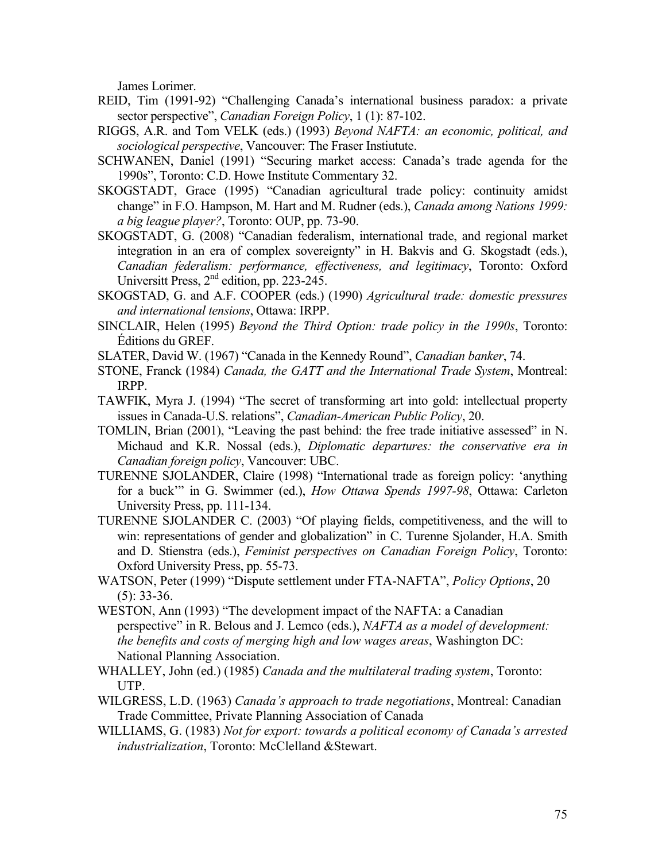James Lorimer.

- REID, Tim (1991-92) "Challenging Canada's international business paradox: a private sector perspective", *Canadian Foreign Policy*, 1 (1): 87-102.
- RIGGS, A.R. and Tom VELK (eds.) (1993) *Beyond NAFTA: an economic, political, and sociological perspective*, Vancouver: The Fraser Instiutute.
- SCHWANEN, Daniel (1991) "Securing market access: Canada's trade agenda for the 1990s", Toronto: C.D. Howe Institute Commentary 32.
- SKOGSTADT, Grace (1995) "Canadian agricultural trade policy: continuity amidst change" in F.O. Hampson, M. Hart and M. Rudner (eds.), *Canada among Nations 1999: a big league player?*, Toronto: OUP, pp. 73-90.
- SKOGSTADT, G. (2008) "Canadian federalism, international trade, and regional market integration in an era of complex sovereignty" in H. Bakvis and G. Skogstadt (eds.), *Canadian federalism: performance, effectiveness, and legitimacy*, Toronto: Oxford Universitt Press, 2<sup>nd</sup> edition, pp. 223-245.
- SKOGSTAD, G. and A.F. COOPER (eds.) (1990) *Agricultural trade: domestic pressures and international tensions*, Ottawa: IRPP.
- SINCLAIR, Helen (1995) *Beyond the Third Option: trade policy in the 1990s*, Toronto: Éditions du GREF.
- SLATER, David W. (1967) "Canada in the Kennedy Round", *Canadian banker*, 74.
- STONE, Franck (1984) *Canada, the GATT and the International Trade System*, Montreal: IRPP.
- TAWFIK, Myra J. (1994) "The secret of transforming art into gold: intellectual property issues in Canada-U.S. relations", *Canadian-American Public Policy*, 20.
- TOMLIN, Brian (2001), "Leaving the past behind: the free trade initiative assessed" in N. Michaud and K.R. Nossal (eds.), *Diplomatic departures: the conservative era in Canadian foreign policy*, Vancouver: UBC.
- TURENNE SJOLANDER, Claire (1998) "International trade as foreign policy: 'anything for a buck'" in G. Swimmer (ed.), *How Ottawa Spends 1997-98*, Ottawa: Carleton University Press, pp. 111-134.
- TURENNE SJOLANDER C. (2003) "Of playing fields, competitiveness, and the will to win: representations of gender and globalization" in C. Turenne Sjolander, H.A. Smith and D. Stienstra (eds.), *Feminist perspectives on Canadian Foreign Policy*, Toronto: Oxford University Press, pp. 55-73.
- WATSON, Peter (1999) "Dispute settlement under FTA-NAFTA", *Policy Options*, 20 (5): 33-36.
- WESTON, Ann (1993) "The development impact of the NAFTA: a Canadian perspective" in R. Belous and J. Lemco (eds.), *NAFTA as a model of development: the benefits and costs of merging high and low wages areas*, Washington DC: National Planning Association.
- WHALLEY, John (ed.) (1985) *Canada and the multilateral trading system*, Toronto: UTP.
- WILGRESS, L.D. (1963) *Canada's approach to trade negotiations*, Montreal: Canadian Trade Committee, Private Planning Association of Canada
- WILLIAMS, G. (1983) *Not for export: towards a political economy of Canada's arrested industrialization*, Toronto: McClelland &Stewart.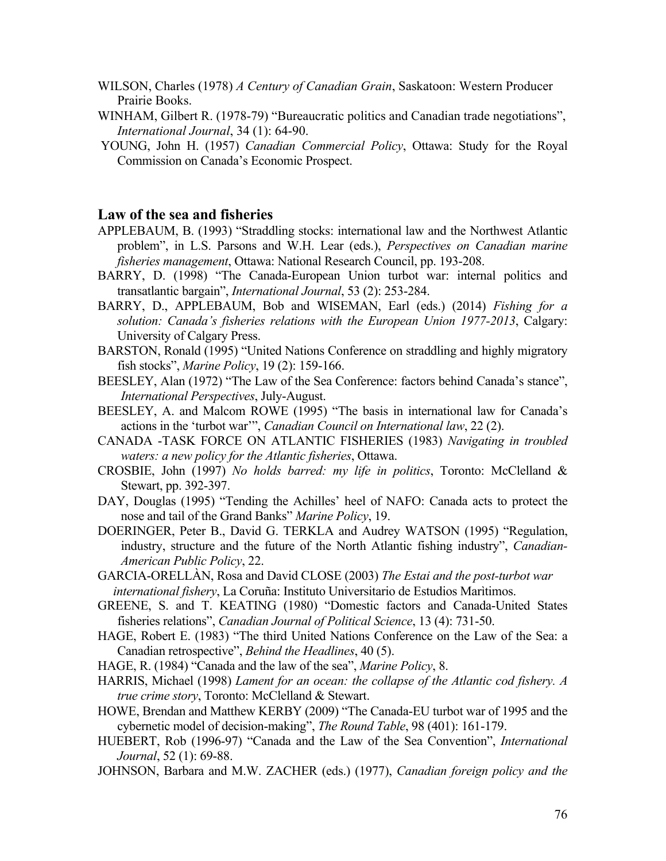- WILSON, Charles (1978) *A Century of Canadian Grain*, Saskatoon: Western Producer Prairie Books.
- WINHAM, Gilbert R. (1978-79) "Bureaucratic politics and Canadian trade negotiations", *International Journal*, 34 (1): 64-90.
- YOUNG, John H. (1957) *Canadian Commercial Policy*, Ottawa: Study for the Royal Commission on Canada's Economic Prospect.

### **Law of the sea and fisheries**

- APPLEBAUM, B. (1993) "Straddling stocks: international law and the Northwest Atlantic problem", in L.S. Parsons and W.H. Lear (eds.), *Perspectives on Canadian marine fisheries management*, Ottawa: National Research Council, pp. 193-208.
- BARRY, D. (1998) "The Canada-European Union turbot war: internal politics and transatlantic bargain", *International Journal*, 53 (2): 253-284.
- BARRY, D., APPLEBAUM, Bob and WISEMAN, Earl (eds.) (2014) *Fishing for a solution: Canada's fisheries relations with the European Union 1977-2013*, Calgary: University of Calgary Press.
- BARSTON, Ronald (1995) "United Nations Conference on straddling and highly migratory fish stocks", *Marine Policy*, 19 (2): 159-166.
- BEESLEY, Alan (1972) "The Law of the Sea Conference: factors behind Canada's stance", *International Perspectives*, July-August.
- BEESLEY, A. and Malcom ROWE (1995) "The basis in international law for Canada's actions in the 'turbot war'", *Canadian Council on International law*, 22 (2).
- CANADA -TASK FORCE ON ATLANTIC FISHERIES (1983) *Navigating in troubled waters: a new policy for the Atlantic fisheries*, Ottawa.
- CROSBIE, John (1997) *No holds barred: my life in politics*, Toronto: McClelland & Stewart, pp. 392-397.
- DAY, Douglas (1995) "Tending the Achilles' heel of NAFO: Canada acts to protect the nose and tail of the Grand Banks" *Marine Policy*, 19.
- DOERINGER, Peter B., David G. TERKLA and Audrey WATSON (1995) "Regulation, industry, structure and the future of the North Atlantic fishing industry", *Canadian-American Public Policy*, 22.
- GARCIA-ORELLÀN, Rosa and David CLOSE (2003) *The Estai and the post-turbot war international fishery*, La Coruña: Instituto Universitario de Estudios Marìtimos.
- GREENE, S. and T. KEATING (1980) "Domestic factors and Canada-United States fisheries relations", *Canadian Journal of Political Science*, 13 (4): 731-50.
- HAGE, Robert E. (1983) "The third United Nations Conference on the Law of the Sea: a Canadian retrospective", *Behind the Headlines*, 40 (5).
- HAGE, R. (1984) "Canada and the law of the sea", *Marine Policy*, 8.
- HARRIS, Michael (1998) *Lament for an ocean: the collapse of the Atlantic cod fishery. A true crime story*, Toronto: McClelland & Stewart.
- HOWE, Brendan and Matthew KERBY (2009) "The Canada-EU turbot war of 1995 and the cybernetic model of decision-making", *The Round Table*, 98 (401): 161-179.
- HUEBERT, Rob (1996-97) "Canada and the Law of the Sea Convention", *International Journal*, 52 (1): 69-88.
- JOHNSON, Barbara and M.W. ZACHER (eds.) (1977), *Canadian foreign policy and the*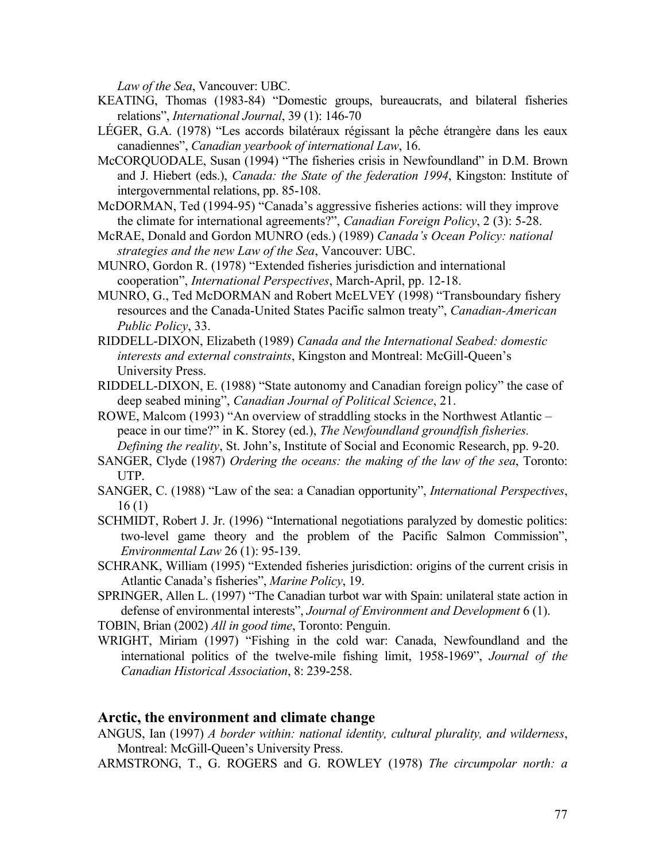*Law of the Sea*, Vancouver: UBC.

- KEATING, Thomas (1983-84) "Domestic groups, bureaucrats, and bilateral fisheries relations", *International Journal*, 39 (1): 146-70
- LÉGER, G.A. (1978) "Les accords bilatéraux régissant la pêche étrangère dans les eaux canadiennes", *Canadian yearbook of international Law*, 16.
- McCORQUODALE, Susan (1994) "The fisheries crisis in Newfoundland" in D.M. Brown and J. Hiebert (eds.), *Canada: the State of the federation 1994*, Kingston: Institute of intergovernmental relations, pp. 85-108.
- McDORMAN, Ted (1994-95) "Canada's aggressive fisheries actions: will they improve the climate for international agreements?", *Canadian Foreign Policy*, 2 (3): 5-28.
- McRAE, Donald and Gordon MUNRO (eds.) (1989) *Canada's Ocean Policy: national strategies and the new Law of the Sea*, Vancouver: UBC.
- MUNRO, Gordon R. (1978) "Extended fisheries jurisdiction and international cooperation", *International Perspectives*, March-April, pp. 12-18.
- MUNRO, G., Ted McDORMAN and Robert McELVEY (1998) "Transboundary fishery resources and the Canada-United States Pacific salmon treaty", *Canadian-American Public Policy*, 33.
- RIDDELL-DIXON, Elizabeth (1989) *Canada and the International Seabed: domestic interests and external constraints*, Kingston and Montreal: McGill-Queen's University Press.
- RIDDELL-DIXON, E. (1988) "State autonomy and Canadian foreign policy" the case of deep seabed mining", *Canadian Journal of Political Science*, 21.
- ROWE, Malcom (1993) "An overview of straddling stocks in the Northwest Atlantic peace in our time?" in K. Storey (ed.), *The Newfoundland groundfish fisheries.*

*Defining the reality*, St. John's, Institute of Social and Economic Research, pp. 9-20.

- SANGER, Clyde (1987) *Ordering the oceans: the making of the law of the sea*, Toronto: UTP.
- SANGER, C. (1988) "Law of the sea: a Canadian opportunity", *International Perspectives*, 16 (1)
- SCHMIDT, Robert J. Jr. (1996) "International negotiations paralyzed by domestic politics: two-level game theory and the problem of the Pacific Salmon Commission", *Environmental Law* 26 (1): 95-139.
- SCHRANK, William (1995) "Extended fisheries jurisdiction: origins of the current crisis in Atlantic Canada's fisheries", *Marine Policy*, 19.
- SPRINGER, Allen L. (1997) "The Canadian turbot war with Spain: unilateral state action in defense of environmental interests", *Journal of Environment and Development* 6 (1).

TOBIN, Brian (2002) *All in good time*, Toronto: Penguin.

WRIGHT, Miriam (1997) "Fishing in the cold war: Canada, Newfoundland and the international politics of the twelve-mile fishing limit, 1958-1969", *Journal of the Canadian Historical Association*, 8: 239-258.

### **Arctic, the environment and climate change**

ANGUS, Ian (1997) *A border within: national identity, cultural plurality, and wilderness*, Montreal: McGill-Queen's University Press.

ARMSTRONG, T., G. ROGERS and G. ROWLEY (1978) *The circumpolar north: a*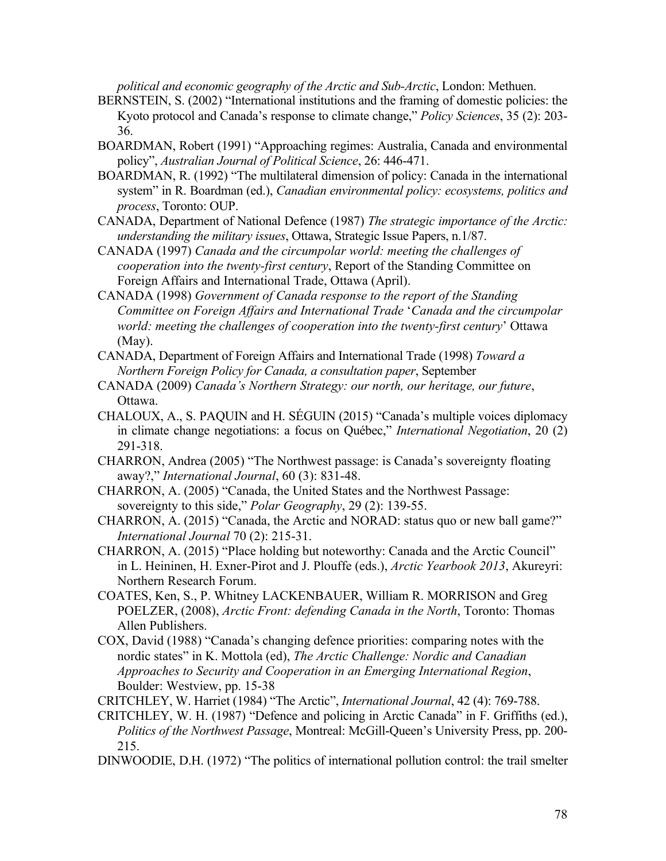*political and economic geography of the Arctic and Sub-Arctic*, London: Methuen.

- BERNSTEIN, S. (2002) "International institutions and the framing of domestic policies: the Kyoto protocol and Canada's response to climate change," *Policy Sciences*, 35 (2): 203- 36.
- BOARDMAN, Robert (1991) "Approaching regimes: Australia, Canada and environmental policy", *Australian Journal of Political Science*, 26: 446-471.
- BOARDMAN, R. (1992) "The multilateral dimension of policy: Canada in the international system" in R. Boardman (ed.), *Canadian environmental policy: ecosystems, politics and process*, Toronto: OUP.
- CANADA, Department of National Defence (1987) *The strategic importance of the Arctic: understanding the military issues*, Ottawa, Strategic Issue Papers, n.1/87.
- CANADA (1997) *Canada and the circumpolar world: meeting the challenges of cooperation into the twenty-first century*, Report of the Standing Committee on Foreign Affairs and International Trade, Ottawa (April).
- CANADA (1998) *Government of Canada response to the report of the Standing Committee on Foreign Affairs and International Trade* '*Canada and the circumpolar world: meeting the challenges of cooperation into the twenty-first century*' Ottawa (May).
- CANADA, Department of Foreign Affairs and International Trade (1998) *Toward a Northern Foreign Policy for Canada, a consultation paper*, September
- CANADA (2009) *Canada's Northern Strategy: our north, our heritage, our future*, Ottawa.
- CHALOUX, A., S. PAQUIN and H. SÉGUIN (2015) "Canada's multiple voices diplomacy in climate change negotiations: a focus on Québec," *International Negotiation*, 20 (2) 291-318.
- CHARRON, Andrea (2005) "The Northwest passage: is Canada's sovereignty floating away?," *International Journal*, 60 (3): 831-48.
- CHARRON, A. (2005) "Canada, the United States and the Northwest Passage: sovereignty to this side," *Polar Geography*, 29 (2): 139-55.
- CHARRON, A. (2015) "Canada, the Arctic and NORAD: status quo or new ball game?" *International Journal* 70 (2): 215-31.
- CHARRON, A. (2015) "Place holding but noteworthy: Canada and the Arctic Council" in L. Heininen, H. Exner-Pirot and J. Plouffe (eds.), *Arctic Yearbook 2013*, Akureyri: Northern Research Forum.
- COATES, Ken, S., P. Whitney LACKENBAUER, William R. MORRISON and Greg POELZER, (2008), *Arctic Front: defending Canada in the North*, Toronto: Thomas Allen Publishers.
- COX, David (1988) "Canada's changing defence priorities: comparing notes with the nordic states" in K. Mottola (ed), *The Arctic Challenge: Nordic and Canadian Approaches to Security and Cooperation in an Emerging International Region*, Boulder: Westview, pp. 15-38
- CRITCHLEY, W. Harriet (1984) "The Arctic", *International Journal*, 42 (4): 769-788.
- CRITCHLEY, W. H. (1987) "Defence and policing in Arctic Canada" in F. Griffiths (ed.), *Politics of the Northwest Passage*, Montreal: McGill-Queen's University Press, pp. 200- 215.
- DINWOODIE, D.H. (1972) "The politics of international pollution control: the trail smelter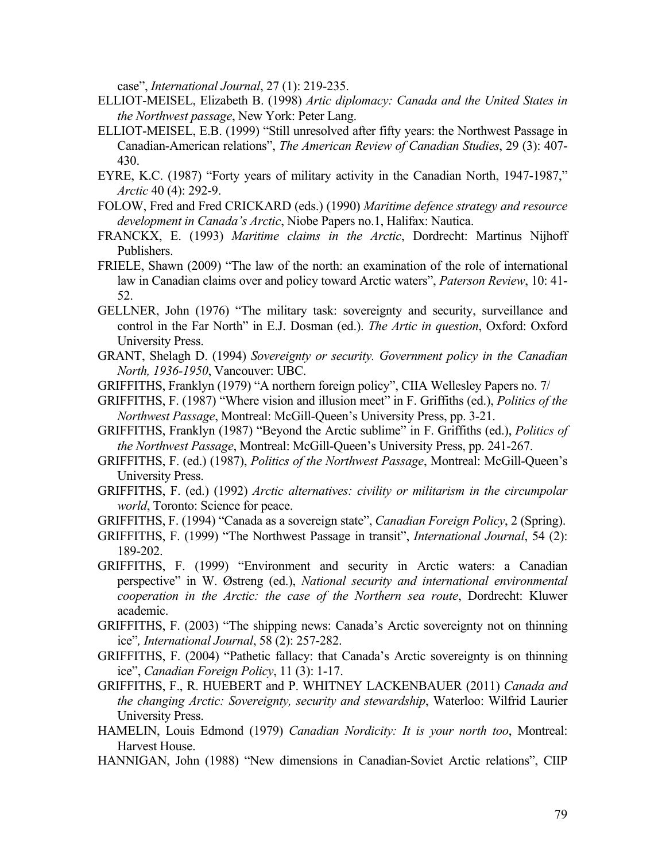case", *International Journal*, 27 (1): 219-235.

- ELLIOT-MEISEL, Elizabeth B. (1998) *Artic diplomacy: Canada and the United States in the Northwest passage*, New York: Peter Lang.
- ELLIOT-MEISEL, E.B. (1999) "Still unresolved after fifty years: the Northwest Passage in Canadian-American relations", *The American Review of Canadian Studies*, 29 (3): 407- 430.
- EYRE, K.C. (1987) "Forty years of military activity in the Canadian North, 1947-1987," *Arctic* 40 (4): 292-9.
- FOLOW, Fred and Fred CRICKARD (eds.) (1990) *Maritime defence strategy and resource development in Canada's Arctic*, Niobe Papers no.1, Halifax: Nautica.
- FRANCKX, E. (1993) *Maritime claims in the Arctic*, Dordrecht: Martinus Nijhoff Publishers.
- FRIELE, Shawn (2009) "The law of the north: an examination of the role of international law in Canadian claims over and policy toward Arctic waters", *Paterson Review*, 10: 41- 52.
- GELLNER, John (1976) "The military task: sovereignty and security, surveillance and control in the Far North" in E.J. Dosman (ed.). *The Artic in question*, Oxford: Oxford University Press.
- GRANT, Shelagh D. (1994) *Sovereignty or security. Government policy in the Canadian North, 1936-1950*, Vancouver: UBC.
- GRIFFITHS, Franklyn (1979) "A northern foreign policy", CIIA Wellesley Papers no. 7/
- GRIFFITHS, F. (1987) "Where vision and illusion meet" in F. Griffiths (ed.), *Politics of the Northwest Passage*, Montreal: McGill-Queen's University Press, pp. 3-21.
- GRIFFITHS, Franklyn (1987) "Beyond the Arctic sublime" in F. Griffiths (ed.), *Politics of the Northwest Passage*, Montreal: McGill-Queen's University Press, pp. 241-267.
- GRIFFITHS, F. (ed.) (1987), *Politics of the Northwest Passage*, Montreal: McGill-Queen's University Press.
- GRIFFITHS, F. (ed.) (1992) *Arctic alternatives: civility or militarism in the circumpolar world*, Toronto: Science for peace.
- GRIFFITHS, F. (1994) "Canada as a sovereign state", *Canadian Foreign Policy*, 2 (Spring).
- GRIFFITHS, F. (1999) "The Northwest Passage in transit", *International Journal*, 54 (2): 189-202.
- GRIFFITHS, F. (1999) "Environment and security in Arctic waters: a Canadian perspective" in W. Østreng (ed.), *National security and international environmental cooperation in the Arctic: the case of the Northern sea route*, Dordrecht: Kluwer academic.
- GRIFFITHS, F. (2003) "The shipping news: Canada's Arctic sovereignty not on thinning ice"*, International Journal*, 58 (2): 257-282.
- GRIFFITHS, F. (2004) "Pathetic fallacy: that Canada's Arctic sovereignty is on thinning ice", *Canadian Foreign Policy*, 11 (3): 1-17.
- GRIFFITHS, F., R. HUEBERT and P. WHITNEY LACKENBAUER (2011) *Canada and the changing Arctic: Sovereignty, security and stewardship*, Waterloo: Wilfrid Laurier University Press.
- HAMELIN, Louis Edmond (1979) *Canadian Nordicity: It is your north too*, Montreal: Harvest House.
- HANNIGAN, John (1988) "New dimensions in Canadian-Soviet Arctic relations", CIIP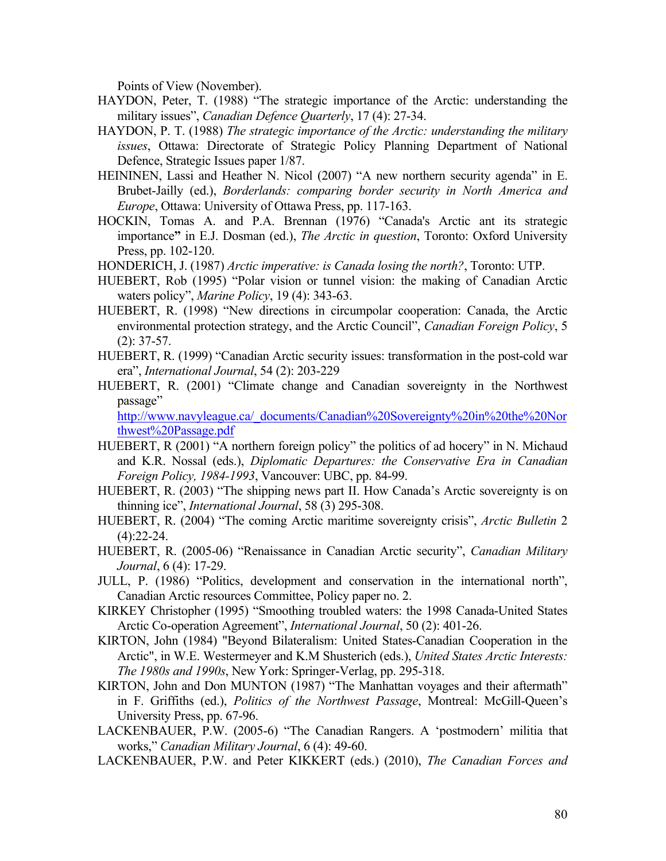Points of View (November).

- HAYDON, Peter, T. (1988) "The strategic importance of the Arctic: understanding the military issues", *Canadian Defence Quarterly*, 17 (4): 27-34.
- HAYDON, P. T. (1988) *The strategic importance of the Arctic: understanding the military issues*, Ottawa: Directorate of Strategic Policy Planning Department of National Defence, Strategic Issues paper 1/87.
- HEININEN, Lassi and Heather N. Nicol (2007) "A new northern security agenda" in E. Brubet-Jailly (ed.), *Borderlands: comparing border security in North America and Europe*, Ottawa: University of Ottawa Press, pp. 117-163.
- HOCKIN, Tomas A. and P.A. Brennan (1976) "Canada's Arctic ant its strategic importance**"** in E.J. Dosman (ed.), *The Arctic in question*, Toronto: Oxford University Press, pp. 102-120.
- HONDERICH, J. (1987) *Arctic imperative: is Canada losing the north?*, Toronto: UTP.
- HUEBERT, Rob (1995) "Polar vision or tunnel vision: the making of Canadian Arctic waters policy", *Marine Policy*, 19 (4): 343-63.
- HUEBERT, R. (1998) "New directions in circumpolar cooperation: Canada, the Arctic environmental protection strategy, and the Arctic Council", *Canadian Foreign Policy*, 5 (2): 37-57.
- HUEBERT, R. (1999) "Canadian Arctic security issues: transformation in the post-cold war era", *International Journal*, 54 (2): 203-229
- HUEBERT, R. (2001) "Climate change and Canadian sovereignty in the Northwest passage"

http://www.navyleague.ca/\_documents/Canadian%20Sovereignty%20in%20the%20Nor thwest%20Passage.pdf

- HUEBERT, R (2001) "A northern foreign policy" the politics of ad hocery" in N. Michaud and K.R. Nossal (eds.), *Diplomatic Departures: the Conservative Era in Canadian Foreign Policy, 1984-1993*, Vancouver: UBC, pp. 84-99.
- HUEBERT, R. (2003) "The shipping news part II. How Canada's Arctic sovereignty is on thinning ice", *International Journal*, 58 (3) 295-308.
- HUEBERT, R. (2004) "The coming Arctic maritime sovereignty crisis", *Arctic Bulletin* 2  $(4):22-24.$
- HUEBERT, R. (2005-06) "Renaissance in Canadian Arctic security", *Canadian Military Journal*, 6 (4): 17-29.
- JULL, P. (1986) "Politics, development and conservation in the international north", Canadian Arctic resources Committee, Policy paper no. 2.
- KIRKEY Christopher (1995) "Smoothing troubled waters: the 1998 Canada-United States Arctic Co-operation Agreement", *International Journal*, 50 (2): 401-26.
- KIRTON, John (1984) "Beyond Bilateralism: United States-Canadian Cooperation in the Arctic", in W.E. Westermeyer and K.M Shusterich (eds.), *United States Arctic Interests: The 1980s and 1990s*, New York: Springer-Verlag, pp. 295-318.
- KIRTON, John and Don MUNTON (1987) "The Manhattan voyages and their aftermath" in F. Griffiths (ed.), *Politics of the Northwest Passage*, Montreal: McGill-Queen's University Press, pp. 67-96.
- LACKENBAUER, P.W. (2005-6) "The Canadian Rangers. A 'postmodern' militia that works," *Canadian Military Journal*, 6 (4): 49-60.
- LACKENBAUER, P.W. and Peter KIKKERT (eds.) (2010), *The Canadian Forces and*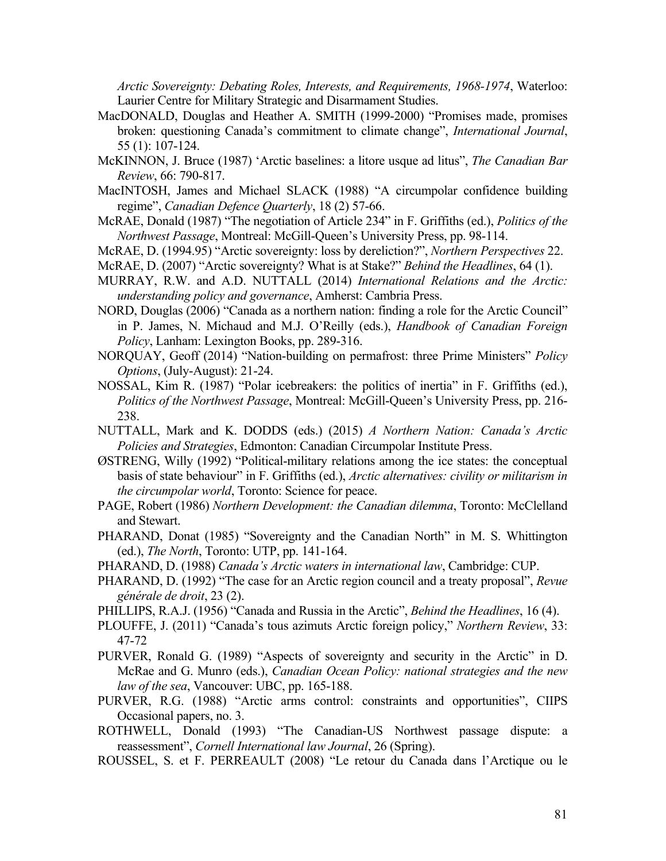*Arctic Sovereignty: Debating Roles, Interests, and Requirements, 1968-1974*, Waterloo: Laurier Centre for Military Strategic and Disarmament Studies.

- MacDONALD, Douglas and Heather A. SMITH (1999-2000) "Promises made, promises broken: questioning Canada's commitment to climate change", *International Journal*, 55 (1): 107-124.
- McKINNON, J. Bruce (1987) 'Arctic baselines: a litore usque ad litus", *The Canadian Bar Review*, 66: 790-817.
- MacINTOSH, James and Michael SLACK (1988) "A circumpolar confidence building regime", *Canadian Defence Quarterly*, 18 (2) 57-66.
- McRAE, Donald (1987) "The negotiation of Article 234" in F. Griffiths (ed.), *Politics of the Northwest Passage*, Montreal: McGill-Queen's University Press, pp. 98-114.
- McRAE, D. (1994.95) "Arctic sovereignty: loss by dereliction?", *Northern Perspectives* 22.
- McRAE, D. (2007) "Arctic sovereignty? What is at Stake?" *Behind the Headlines*, 64 (1).
- MURRAY, R.W. and A.D. NUTTALL (2014) *International Relations and the Arctic: understanding policy and governance*, Amherst: Cambria Press.
- NORD, Douglas (2006) "Canada as a northern nation: finding a role for the Arctic Council" in P. James, N. Michaud and M.J. O'Reilly (eds.), *Handbook of Canadian Foreign Policy*, Lanham: Lexington Books, pp. 289-316.
- NORQUAY, Geoff (2014) "Nation-building on permafrost: three Prime Ministers" *Policy Options*, (July-August): 21-24.
- NOSSAL, Kim R. (1987) "Polar icebreakers: the politics of inertia" in F. Griffiths (ed.), *Politics of the Northwest Passage*, Montreal: McGill-Queen's University Press, pp. 216- 238.
- NUTTALL, Mark and K. DODDS (eds.) (2015) *A Northern Nation: Canada's Arctic Policies and Strategies*, Edmonton: Canadian Circumpolar Institute Press.
- ØSTRENG, Willy (1992) "Political-military relations among the ice states: the conceptual basis of state behaviour" in F. Griffiths (ed.), *Arctic alternatives: civility or militarism in the circumpolar world*, Toronto: Science for peace.
- PAGE, Robert (1986) *Northern Development: the Canadian dilemma*, Toronto: McClelland and Stewart.
- PHARAND, Donat (1985) "Sovereignty and the Canadian North" in M. S. Whittington (ed.), *The North*, Toronto: UTP, pp. 141-164.
- PHARAND, D. (1988) *Canada's Arctic waters in international law*, Cambridge: CUP.
- PHARAND, D. (1992) "The case for an Arctic region council and a treaty proposal", *Revue générale de droit*, 23 (2).
- PHILLIPS, R.A.J. (1956) "Canada and Russia in the Arctic", *Behind the Headlines*, 16 (4).
- PLOUFFE, J. (2011) "Canada's tous azimuts Arctic foreign policy," *Northern Review*, 33: 47-72
- PURVER, Ronald G. (1989) "Aspects of sovereignty and security in the Arctic" in D. McRae and G. Munro (eds.), *Canadian Ocean Policy: national strategies and the new law of the sea*, Vancouver: UBC, pp. 165-188.
- PURVER, R.G. (1988) "Arctic arms control: constraints and opportunities", CIIPS Occasional papers, no. 3.
- ROTHWELL, Donald (1993) "The Canadian-US Northwest passage dispute: a reassessment", *Cornell International law Journal*, 26 (Spring).
- ROUSSEL, S. et F. PERREAULT (2008) "Le retour du Canada dans l'Arctique ou le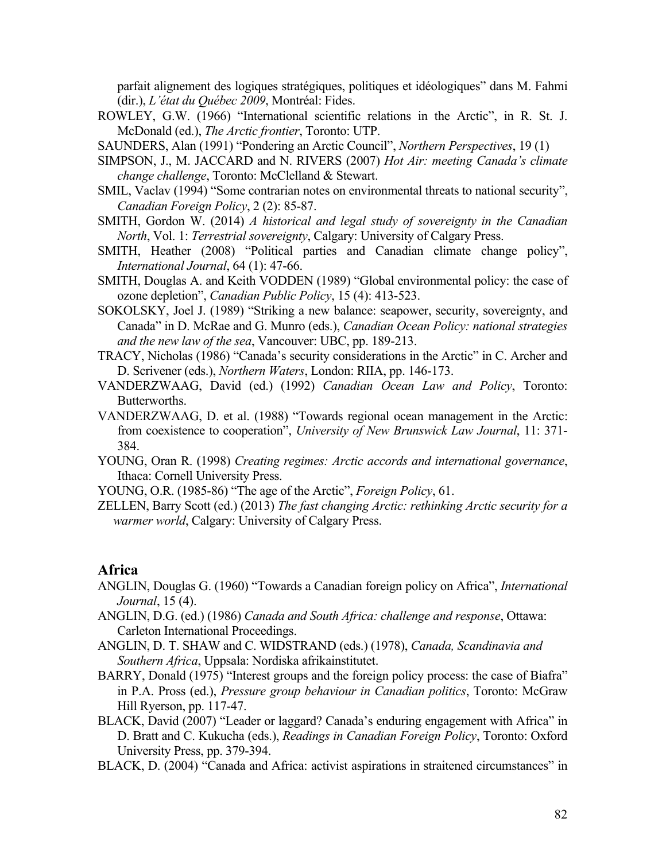parfait alignement des logiques stratégiques, politiques et idéologiques" dans M. Fahmi (dir.), *L'état du Québec 2009*, Montréal: Fides.

ROWLEY, G.W. (1966) "International scientific relations in the Arctic", in R. St. J. McDonald (ed.), *The Arctic frontier*, Toronto: UTP.

SAUNDERS, Alan (1991) "Pondering an Arctic Council", *Northern Perspectives*, 19 (1)

- SIMPSON, J., M. JACCARD and N. RIVERS (2007) *Hot Air: meeting Canada's climate change challenge*, Toronto: McClelland & Stewart.
- SMIL, Vaclav (1994) "Some contrarian notes on environmental threats to national security", *Canadian Foreign Policy*, 2 (2): 85-87.
- SMITH, Gordon W. (2014) *A historical and legal study of sovereignty in the Canadian North*, Vol. 1: *Terrestrial sovereignty*, Calgary: University of Calgary Press.
- SMITH, Heather (2008) "Political parties and Canadian climate change policy", *International Journal*, 64 (1): 47-66.
- SMITH, Douglas A. and Keith VODDEN (1989) "Global environmental policy: the case of ozone depletion", *Canadian Public Policy*, 15 (4): 413-523.
- SOKOLSKY, Joel J. (1989) "Striking a new balance: seapower, security, sovereignty, and Canada" in D. McRae and G. Munro (eds.), *Canadian Ocean Policy: national strategies and the new law of the sea*, Vancouver: UBC, pp. 189-213.
- TRACY, Nicholas (1986) "Canada's security considerations in the Arctic" in C. Archer and D. Scrivener (eds.), *Northern Waters*, London: RIIA, pp. 146-173.
- VANDERZWAAG, David (ed.) (1992) *Canadian Ocean Law and Policy*, Toronto: Butterworths.
- VANDERZWAAG, D. et al. (1988) "Towards regional ocean management in the Arctic: from coexistence to cooperation", *University of New Brunswick Law Journal*, 11: 371- 384.
- YOUNG, Oran R. (1998) *Creating regimes: Arctic accords and international governance*, Ithaca: Cornell University Press.
- YOUNG, O.R. (1985-86) "The age of the Arctic", *Foreign Policy*, 61.
- ZELLEN, Barry Scott (ed.) (2013) *The fast changing Arctic: rethinking Arctic security for a warmer world*, Calgary: University of Calgary Press.

### **Africa**

- ANGLIN, Douglas G. (1960) "Towards a Canadian foreign policy on Africa", *International Journal*, 15 (4).
- ANGLIN, D.G. (ed.) (1986) *Canada and South Africa: challenge and response*, Ottawa: Carleton International Proceedings.
- ANGLIN, D. T. SHAW and C. WIDSTRAND (eds.) (1978), *Canada, Scandinavia and Southern Africa*, Uppsala: Nordiska afrikainstitutet.
- BARRY, Donald (1975) "Interest groups and the foreign policy process: the case of Biafra" in P.A. Pross (ed.), *Pressure group behaviour in Canadian politics*, Toronto: McGraw Hill Ryerson, pp. 117-47.
- BLACK, David (2007) "Leader or laggard? Canada's enduring engagement with Africa" in D. Bratt and C. Kukucha (eds.), *Readings in Canadian Foreign Policy*, Toronto: Oxford University Press, pp. 379-394.
- BLACK, D. (2004) "Canada and Africa: activist aspirations in straitened circumstances" in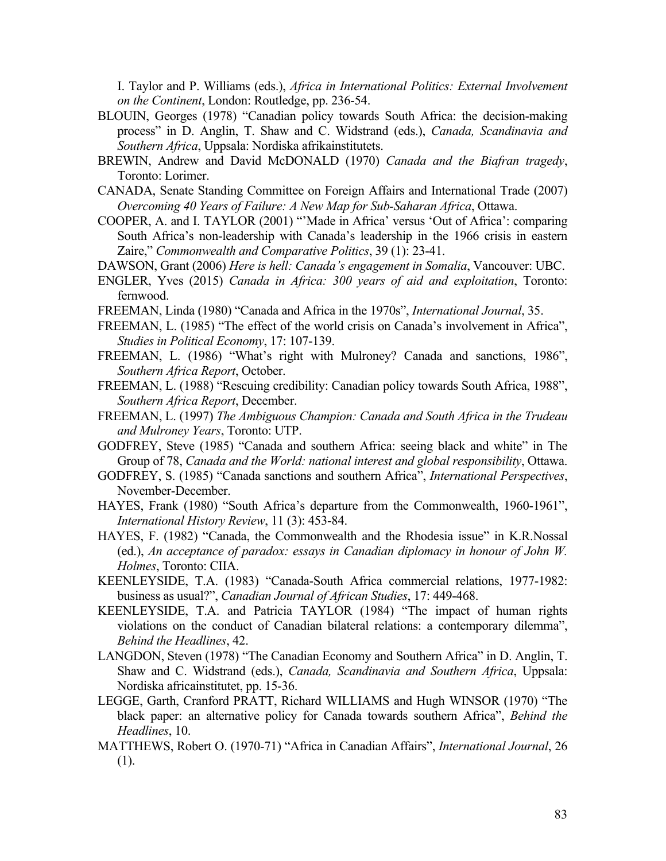I. Taylor and P. Williams (eds.), *Africa in International Politics: External Involvement on the Continent*, London: Routledge, pp. 236-54.

- BLOUIN, Georges (1978) "Canadian policy towards South Africa: the decision-making process" in D. Anglin, T. Shaw and C. Widstrand (eds.), *Canada, Scandinavia and Southern Africa*, Uppsala: Nordiska afrikainstitutets.
- BREWIN, Andrew and David McDONALD (1970) *Canada and the Biafran tragedy*, Toronto: Lorimer.
- CANADA, Senate Standing Committee on Foreign Affairs and International Trade (2007) *Overcoming 40 Years of Failure: A New Map for Sub-Saharan Africa*, Ottawa.
- COOPER, A. and I. TAYLOR (2001) "'Made in Africa' versus 'Out of Africa': comparing South Africa's non-leadership with Canada's leadership in the 1966 crisis in eastern Zaire," *Commonwealth and Comparative Politics*, 39 (1): 23-41.
- DAWSON, Grant (2006) *Here is hell: Canada's engagement in Somalia*, Vancouver: UBC.
- ENGLER, Yves (2015) *Canada in Africa: 300 years of aid and exploitation*, Toronto: fernwood.
- FREEMAN, Linda (1980) "Canada and Africa in the 1970s", *International Journal*, 35.
- FREEMAN, L. (1985) "The effect of the world crisis on Canada's involvement in Africa", *Studies in Political Economy*, 17: 107-139.
- FREEMAN, L. (1986) "What's right with Mulroney? Canada and sanctions, 1986", *Southern Africa Report*, October.
- FREEMAN, L. (1988) "Rescuing credibility: Canadian policy towards South Africa, 1988", *Southern Africa Report*, December.
- FREEMAN, L. (1997) *The Ambiguous Champion: Canada and South Africa in the Trudeau and Mulroney Years*, Toronto: UTP.
- GODFREY, Steve (1985) "Canada and southern Africa: seeing black and white" in The Group of 78, *Canada and the World: national interest and global responsibility*, Ottawa.
- GODFREY, S. (1985) "Canada sanctions and southern Africa", *International Perspectives*, November-December.
- HAYES, Frank (1980) "South Africa's departure from the Commonwealth, 1960-1961", *International History Review*, 11 (3): 453-84.
- HAYES, F. (1982) "Canada, the Commonwealth and the Rhodesia issue" in K.R.Nossal (ed.), *An acceptance of paradox: essays in Canadian diplomacy in honour of John W. Holmes*, Toronto: CIIA.
- KEENLEYSIDE, T.A. (1983) "Canada-South Africa commercial relations, 1977-1982: business as usual?", *Canadian Journal of African Studies*, 17: 449-468.
- KEENLEYSIDE, T.A. and Patricia TAYLOR (1984) "The impact of human rights violations on the conduct of Canadian bilateral relations: a contemporary dilemma", *Behind the Headlines*, 42.
- LANGDON, Steven (1978) "The Canadian Economy and Southern Africa" in D. Anglin, T. Shaw and C. Widstrand (eds.), *Canada, Scandinavia and Southern Africa*, Uppsala: Nordiska africainstitutet, pp. 15-36.
- LEGGE, Garth, Cranford PRATT, Richard WILLIAMS and Hugh WINSOR (1970) "The black paper: an alternative policy for Canada towards southern Africa", *Behind the Headlines*, 10.
- MATTHEWS, Robert O. (1970-71) "Africa in Canadian Affairs", *International Journal*, 26 (1).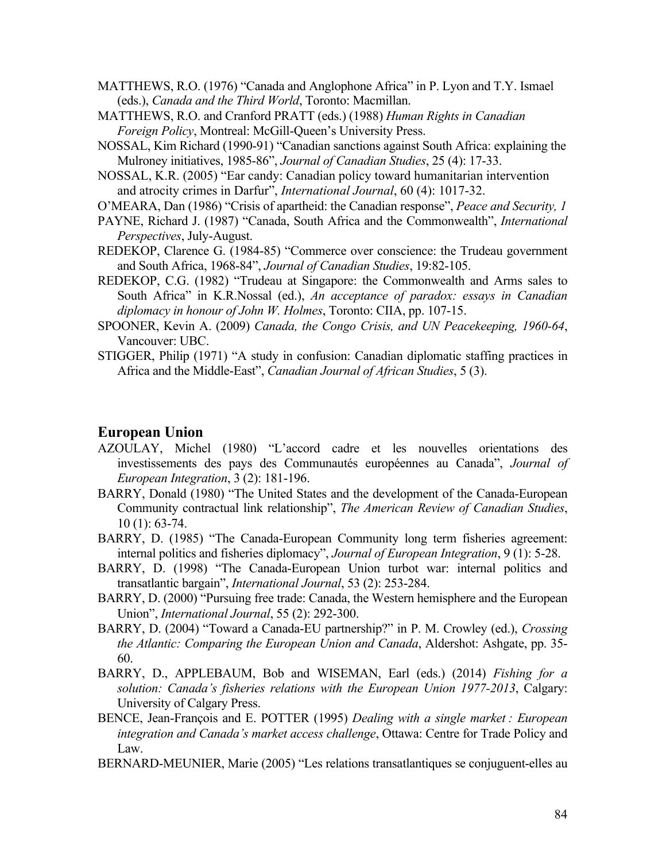- MATTHEWS, R.O. (1976) "Canada and Anglophone Africa" in P. Lyon and T.Y. Ismael (eds.), *Canada and the Third World*, Toronto: Macmillan.
- MATTHEWS, R.O. and Cranford PRATT (eds.) (1988) *Human Rights in Canadian Foreign Policy*, Montreal: McGill-Queen's University Press.
- NOSSAL, Kim Richard (1990-91) "Canadian sanctions against South Africa: explaining the Mulroney initiatives, 1985-86", *Journal of Canadian Studies*, 25 (4): 17-33.
- NOSSAL, K.R. (2005) "Ear candy: Canadian policy toward humanitarian intervention and atrocity crimes in Darfur", *International Journal*, 60 (4): 1017-32.
- O'MEARA, Dan (1986) "Crisis of apartheid: the Canadian response", *Peace and Security, 1*
- PAYNE, Richard J. (1987) "Canada, South Africa and the Commonwealth", *International Perspectives*, July-August.
- REDEKOP, Clarence G. (1984-85) "Commerce over conscience: the Trudeau government and South Africa, 1968-84", *Journal of Canadian Studies*, 19:82-105.
- REDEKOP, C.G. (1982) "Trudeau at Singapore: the Commonwealth and Arms sales to South Africa" in K.R.Nossal (ed.), *An acceptance of paradox: essays in Canadian diplomacy in honour of John W. Holmes*, Toronto: CIIA, pp. 107-15.
- SPOONER, Kevin A. (2009) *Canada, the Congo Crisis, and UN Peacekeeping, 1960-64*, Vancouver: UBC.
- STIGGER, Philip (1971) "A study in confusion: Canadian diplomatic staffing practices in Africa and the Middle-East", *Canadian Journal of African Studies*, 5 (3).

### **European Union**

- AZOULAY, Michel (1980) "L'accord cadre et les nouvelles orientations des investissements des pays des Communautés européennes au Canada", *Journal of European Integration*, 3 (2): 181-196.
- BARRY, Donald (1980) "The United States and the development of the Canada-European Community contractual link relationship", *The American Review of Canadian Studies*, 10 (1): 63-74.
- BARRY, D. (1985) "The Canada-European Community long term fisheries agreement: internal politics and fisheries diplomacy", *Journal of European Integration*, 9 (1): 5-28.
- BARRY, D. (1998) "The Canada-European Union turbot war: internal politics and transatlantic bargain", *International Journal*, 53 (2): 253-284.
- BARRY, D. (2000) "Pursuing free trade: Canada, the Western hemisphere and the European Union", *International Journal*, 55 (2): 292-300.
- BARRY, D. (2004) "Toward a Canada-EU partnership?" in P. M. Crowley (ed.), *Crossing the Atlantic: Comparing the European Union and Canada*, Aldershot: Ashgate, pp. 35- 60.
- BARRY, D., APPLEBAUM, Bob and WISEMAN, Earl (eds.) (2014) *Fishing for a solution: Canada's fisheries relations with the European Union 1977-2013*, Calgary: University of Calgary Press.
- BENCE, Jean-François and E. POTTER (1995) *Dealing with a single market : European integration and Canada's market access challenge*, Ottawa: Centre for Trade Policy and Law.
- BERNARD-MEUNIER, Marie (2005) "Les relations transatlantiques se conjuguent-elles au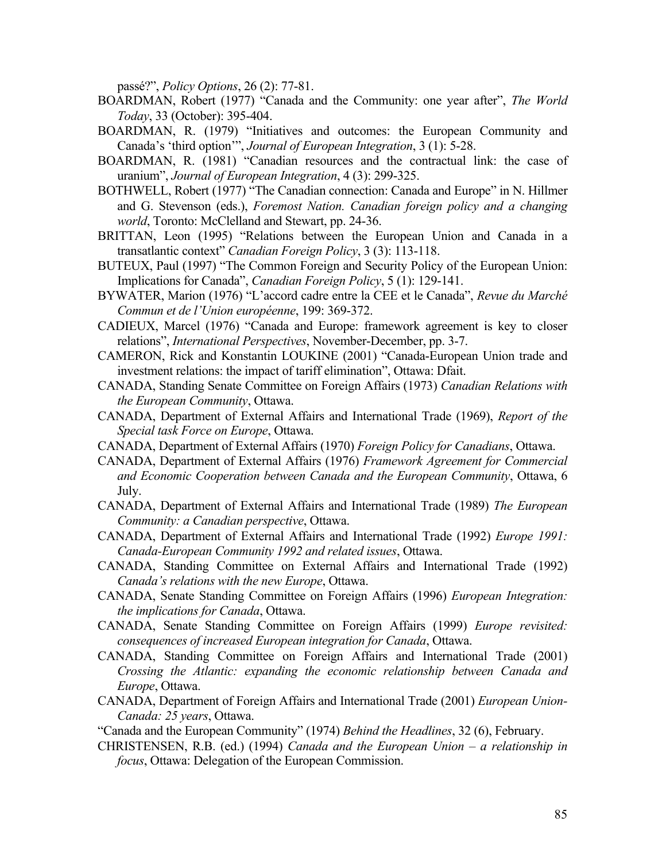passé?", *Policy Options*, 26 (2): 77-81.

- BOARDMAN, Robert (1977) "Canada and the Community: one year after", *The World Today*, 33 (October): 395-404.
- BOARDMAN, R. (1979) "Initiatives and outcomes: the European Community and Canada's 'third option'", *Journal of European Integration*, 3 (1): 5-28.
- BOARDMAN, R. (1981) "Canadian resources and the contractual link: the case of uranium", *Journal of European Integration*, 4 (3): 299-325.
- BOTHWELL, Robert (1977) "The Canadian connection: Canada and Europe" in N. Hillmer and G. Stevenson (eds.), *Foremost Nation. Canadian foreign policy and a changing world*, Toronto: McClelland and Stewart, pp. 24-36.
- BRITTAN, Leon (1995) "Relations between the European Union and Canada in a transatlantic context" *Canadian Foreign Policy*, 3 (3): 113-118.
- BUTEUX, Paul (1997) "The Common Foreign and Security Policy of the European Union: Implications for Canada", *Canadian Foreign Policy*, 5 (1): 129-141.
- BYWATER, Marion (1976) "L'accord cadre entre la CEE et le Canada", *Revue du Marché Commun et de l'Union européenne*, 199: 369-372.
- CADIEUX, Marcel (1976) "Canada and Europe: framework agreement is key to closer relations", *International Perspectives*, November-December, pp. 3-7.
- CAMERON, Rick and Konstantin LOUKINE (2001) "Canada-European Union trade and investment relations: the impact of tariff elimination", Ottawa: Dfait.
- CANADA, Standing Senate Committee on Foreign Affairs (1973) *Canadian Relations with the European Community*, Ottawa.
- CANADA, Department of External Affairs and International Trade (1969), *Report of the Special task Force on Europe*, Ottawa.
- CANADA, Department of External Affairs (1970) *Foreign Policy for Canadians*, Ottawa.
- CANADA, Department of External Affairs (1976) *Framework Agreement for Commercial and Economic Cooperation between Canada and the European Community*, Ottawa, 6 July.
- CANADA, Department of External Affairs and International Trade (1989) *The European Community: a Canadian perspective*, Ottawa.
- CANADA, Department of External Affairs and International Trade (1992) *Europe 1991: Canada-European Community 1992 and related issues*, Ottawa.
- CANADA, Standing Committee on External Affairs and International Trade (1992) *Canada's relations with the new Europe*, Ottawa.
- CANADA, Senate Standing Committee on Foreign Affairs (1996) *European Integration: the implications for Canada*, Ottawa.
- CANADA, Senate Standing Committee on Foreign Affairs (1999) *Europe revisited: consequences of increased European integration for Canada*, Ottawa.
- CANADA, Standing Committee on Foreign Affairs and International Trade (2001) *Crossing the Atlantic: expanding the economic relationship between Canada and Europe*, Ottawa.
- CANADA, Department of Foreign Affairs and International Trade (2001) *European Union-Canada: 25 years*, Ottawa.
- "Canada and the European Community" (1974) *Behind the Headlines*, 32 (6), February.
- CHRISTENSEN, R.B. (ed.) (1994) *Canada and the European Union – a relationship in focus*, Ottawa: Delegation of the European Commission.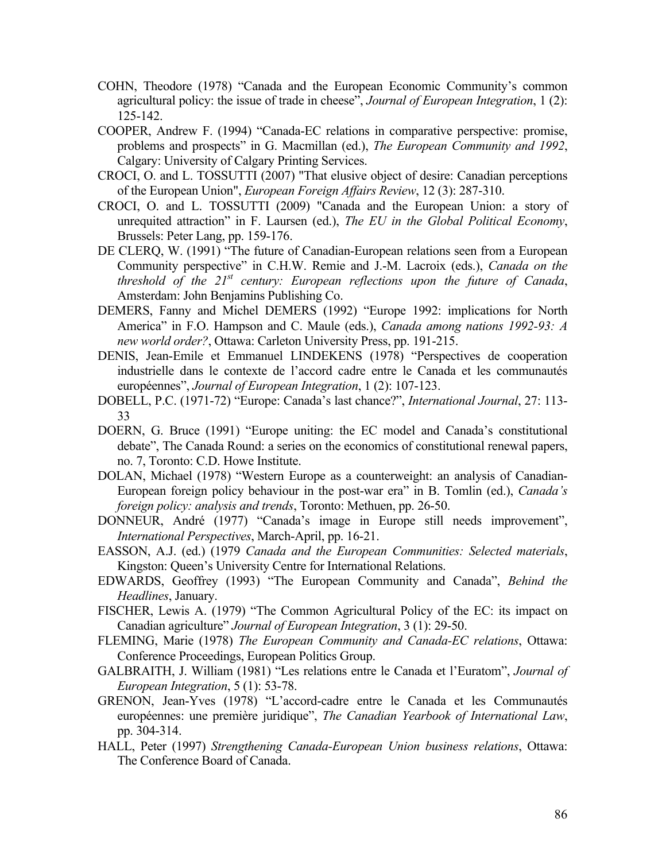- COHN, Theodore (1978) "Canada and the European Economic Community's common agricultural policy: the issue of trade in cheese", *Journal of European Integration*, 1 (2): 125-142.
- COOPER, Andrew F. (1994) "Canada-EC relations in comparative perspective: promise, problems and prospects" in G. Macmillan (ed.), *The European Community and 1992*, Calgary: University of Calgary Printing Services.
- CROCI, O. and L. TOSSUTTI (2007) "That elusive object of desire: Canadian perceptions of the European Union", *European Foreign Affairs Review*, 12 (3): 287-310.
- CROCI, O. and L. TOSSUTTI (2009) "Canada and the European Union: a story of unrequited attraction" in F. Laursen (ed.), *The EU in the Global Political Economy*, Brussels: Peter Lang, pp. 159-176.
- DE CLERQ, W. (1991) "The future of Canadian-European relations seen from a European Community perspective" in C.H.W. Remie and J.-M. Lacroix (eds.), *Canada on the threshold of the 21st century: European reflections upon the future of Canada*, Amsterdam: John Benjamins Publishing Co.
- DEMERS, Fanny and Michel DEMERS (1992) "Europe 1992: implications for North America" in F.O. Hampson and C. Maule (eds.), *Canada among nations 1992-93: A new world order?*, Ottawa: Carleton University Press, pp. 191-215.
- DENIS, Jean-Emile et Emmanuel LINDEKENS (1978) "Perspectives de cooperation industrielle dans le contexte de l'accord cadre entre le Canada et les communautés européennes", *Journal of European Integration*, 1 (2): 107-123.
- DOBELL, P.C. (1971-72) "Europe: Canada's last chance?", *International Journal*, 27: 113- 33
- DOERN, G. Bruce (1991) "Europe uniting: the EC model and Canada's constitutional debate", The Canada Round: a series on the economics of constitutional renewal papers, no. 7, Toronto: C.D. Howe Institute.
- DOLAN, Michael (1978) "Western Europe as a counterweight: an analysis of Canadian-European foreign policy behaviour in the post-war era" in B. Tomlin (ed.), *Canada's foreign policy: analysis and trends*, Toronto: Methuen, pp. 26-50.
- DONNEUR, André (1977) "Canada's image in Europe still needs improvement", *International Perspectives*, March-April, pp. 16-21.
- EASSON, A.J. (ed.) (1979 *Canada and the European Communities: Selected materials*, Kingston: Queen's University Centre for International Relations.
- EDWARDS, Geoffrey (1993) "The European Community and Canada", *Behind the Headlines*, January.
- FISCHER, Lewis A. (1979) "The Common Agricultural Policy of the EC: its impact on Canadian agriculture" *Journal of European Integration*, 3 (1): 29-50.
- FLEMING, Marie (1978) *The European Community and Canada-EC relations*, Ottawa: Conference Proceedings, European Politics Group.
- GALBRAITH, J. William (1981) "Les relations entre le Canada et l'Euratom", *Journal of European Integration*, 5 (1): 53-78.
- GRENON, Jean-Yves (1978) "L'accord-cadre entre le Canada et les Communautés européennes: une première juridique", *The Canadian Yearbook of International Law*, pp. 304-314.
- HALL, Peter (1997) *Strengthening Canada-European Union business relations*, Ottawa: The Conference Board of Canada.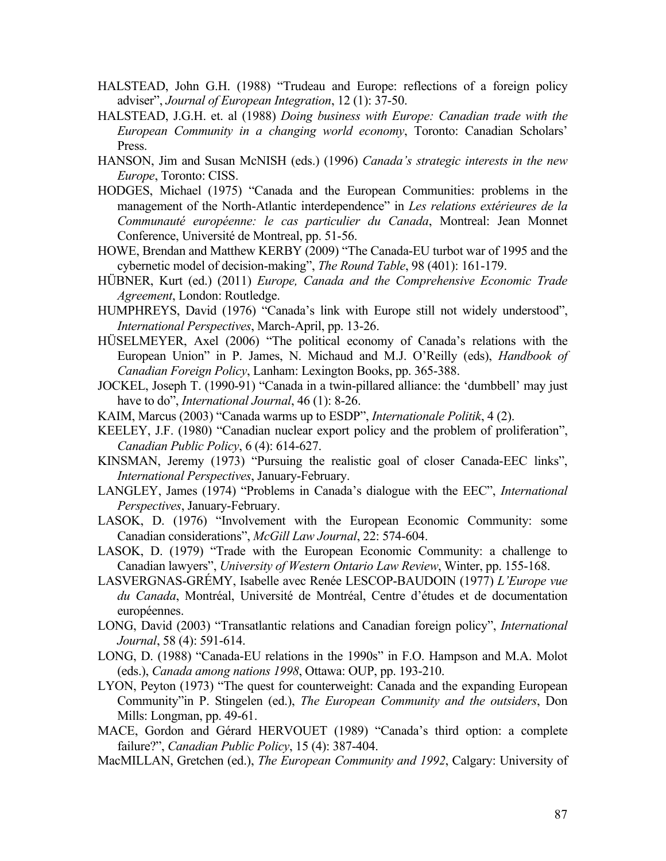- HALSTEAD, John G.H. (1988) "Trudeau and Europe: reflections of a foreign policy adviser", *Journal of European Integration*, 12 (1): 37-50.
- HALSTEAD, J.G.H. et. al (1988) *Doing business with Europe: Canadian trade with the European Community in a changing world economy*, Toronto: Canadian Scholars' Press.
- HANSON, Jim and Susan McNISH (eds.) (1996) *Canada's strategic interests in the new Europe*, Toronto: CISS.
- HODGES, Michael (1975) "Canada and the European Communities: problems in the management of the North-Atlantic interdependence" in *Les relations extérieures de la Communauté européenne: le cas particulier du Canada*, Montreal: Jean Monnet Conference, Université de Montreal, pp. 51-56.
- HOWE, Brendan and Matthew KERBY (2009) "The Canada-EU turbot war of 1995 and the cybernetic model of decision-making", *The Round Table*, 98 (401): 161-179.
- HÜBNER, Kurt (ed.) (2011) *Europe, Canada and the Comprehensive Economic Trade Agreement*, London: Routledge.
- HUMPHREYS, David (1976) "Canada's link with Europe still not widely understood", *International Perspectives*, March-April, pp. 13-26.
- HÜSELMEYER, Axel (2006) "The political economy of Canada's relations with the European Union" in P. James, N. Michaud and M.J. O'Reilly (eds), *Handbook of Canadian Foreign Policy*, Lanham: Lexington Books, pp. 365-388.
- JOCKEL, Joseph T. (1990-91) "Canada in a twin-pillared alliance: the 'dumbbell' may just have to do", *International Journal*, 46 (1): 8-26.
- KAIM, Marcus (2003) "Canada warms up to ESDP", *Internationale Politik*, 4 (2).
- KEELEY, J.F. (1980) "Canadian nuclear export policy and the problem of proliferation", *Canadian Public Policy*, 6 (4): 614-627.
- KINSMAN, Jeremy (1973) "Pursuing the realistic goal of closer Canada-EEC links", *International Perspectives*, January-February.
- LANGLEY, James (1974) "Problems in Canada's dialogue with the EEC", *International Perspectives*, January-February.
- LASOK, D. (1976) "Involvement with the European Economic Community: some Canadian considerations", *McGill Law Journal*, 22: 574-604.
- LASOK, D. (1979) "Trade with the European Economic Community: a challenge to Canadian lawyers", *University of Western Ontario Law Review*, Winter, pp. 155-168.
- LASVERGNAS-GRÉMY, Isabelle avec Renée LESCOP-BAUDOIN (1977) *L'Europe vue du Canada*, Montréal, Université de Montréal, Centre d'études et de documentation européennes.
- LONG, David (2003) "Transatlantic relations and Canadian foreign policy", *International Journal*, 58 (4): 591-614.
- LONG, D. (1988) "Canada-EU relations in the 1990s" in F.O. Hampson and M.A. Molot (eds.), *Canada among nations 1998*, Ottawa: OUP, pp. 193-210.
- LYON, Peyton (1973) "The quest for counterweight: Canada and the expanding European Community"in P. Stingelen (ed.), *The European Community and the outsiders*, Don Mills: Longman, pp. 49-61.
- MACE, Gordon and Gérard HERVOUET (1989) "Canada's third option: a complete failure?", *Canadian Public Policy*, 15 (4): 387-404.
- MacMILLAN, Gretchen (ed.), *The European Community and 1992*, Calgary: University of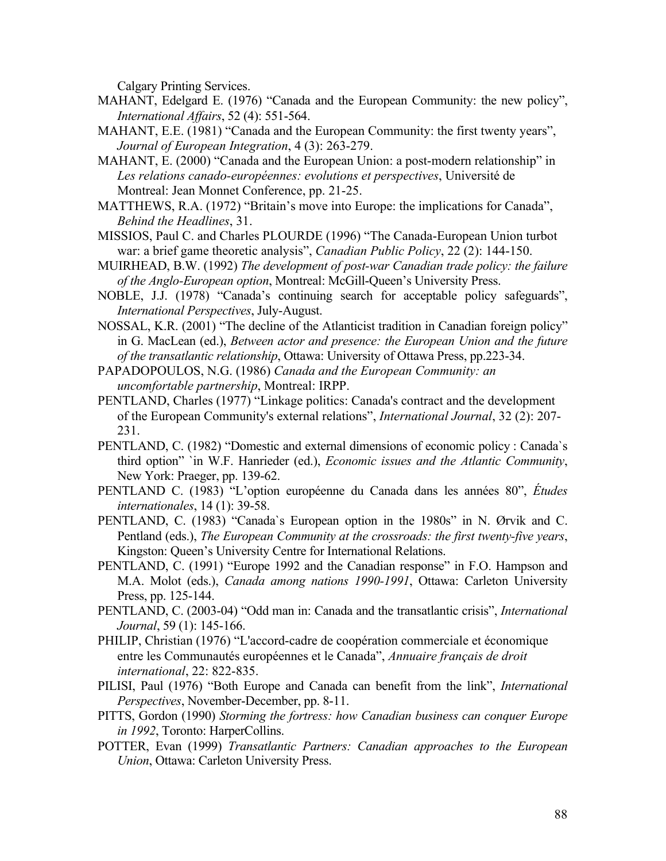Calgary Printing Services.

- MAHANT, Edelgard E. (1976) "Canada and the European Community: the new policy", *International Affairs*, 52 (4): 551-564.
- MAHANT, E.E. (1981) "Canada and the European Community: the first twenty years", *Journal of European Integration*, 4 (3): 263-279.
- MAHANT, E. (2000) "Canada and the European Union: a post-modern relationship" in *Les relations canado-européennes: evolutions et perspectives*, Université de Montreal: Jean Monnet Conference, pp. 21-25.
- MATTHEWS, R.A. (1972) "Britain's move into Europe: the implications for Canada", *Behind the Headlines*, 31.
- MISSIOS, Paul C. and Charles PLOURDE (1996) "The Canada-European Union turbot war: a brief game theoretic analysis", *Canadian Public Policy*, 22 (2): 144-150.
- MUIRHEAD, B.W. (1992) *The development of post-war Canadian trade policy: the failure of the Anglo-European option*, Montreal: McGill-Queen's University Press.
- NOBLE, J.J. (1978) "Canada's continuing search for acceptable policy safeguards", *International Perspectives*, July-August.
- NOSSAL, K.R. (2001) "The decline of the Atlanticist tradition in Canadian foreign policy" in G. MacLean (ed.), *Between actor and presence: the European Union and the future of the transatlantic relationship*, Ottawa: University of Ottawa Press, pp.223-34.
- PAPADOPOULOS, N.G. (1986) *Canada and the European Community: an uncomfortable partnership*, Montreal: IRPP.
- PENTLAND, Charles (1977) "Linkage politics: Canada's contract and the development of the European Community's external relations", *International Journal*, 32 (2): 207- 231.
- PENTLAND, C. (1982) "Domestic and external dimensions of economic policy : Canada`s third option" `in W.F. Hanrieder (ed.), *Economic issues and the Atlantic Community*, New York: Praeger, pp. 139-62.
- PENTLAND C. (1983) "L'option européenne du Canada dans les années 80", *Études internationales*, 14 (1): 39-58.
- PENTLAND, C. (1983) "Canada`s European option in the 1980s" in N. Ørvik and C. Pentland (eds.), *The European Community at the crossroads: the first twenty-five years*, Kingston: Queen's University Centre for International Relations.
- PENTLAND, C. (1991) "Europe 1992 and the Canadian response" in F.O. Hampson and M.A. Molot (eds.), *Canada among nations 1990-1991*, Ottawa: Carleton University Press, pp. 125-144.
- PENTLAND, C. (2003-04) "Odd man in: Canada and the transatlantic crisis", *International Journal*, 59 (1): 145-166.
- PHILIP, Christian (1976) "L'accord-cadre de coopération commerciale et économique entre les Communautés européennes et le Canada", *Annuaire français de droit international*, 22: 822-835.
- PILISI, Paul (1976) "Both Europe and Canada can benefit from the link", *International Perspectives*, November-December, pp. 8-11.
- PITTS, Gordon (1990) *Storming the fortress: how Canadian business can conquer Europe in 1992*, Toronto: HarperCollins.
- POTTER, Evan (1999) *Transatlantic Partners: Canadian approaches to the European Union*, Ottawa: Carleton University Press.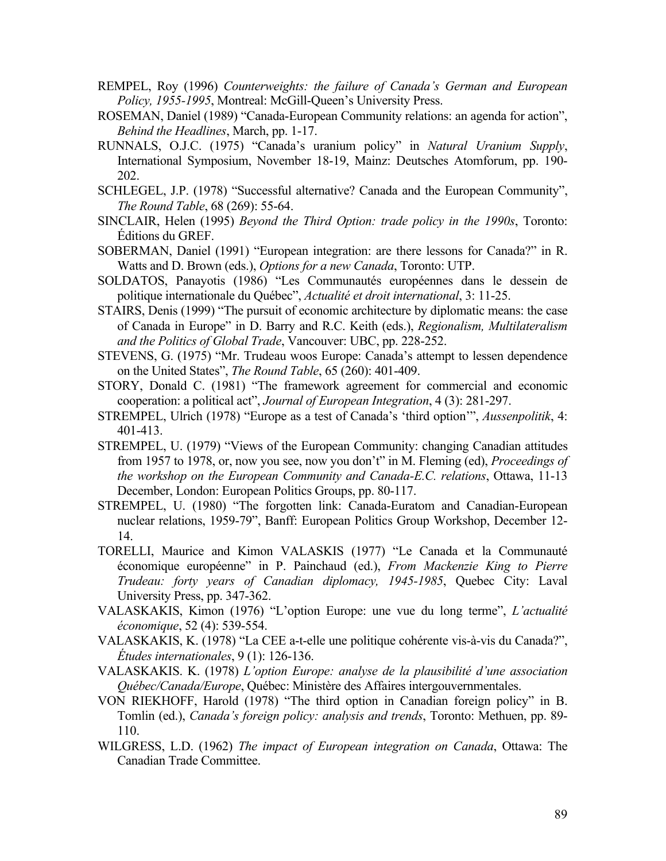- REMPEL, Roy (1996) *Counterweights: the failure of Canada's German and European Policy, 1955-1995*, Montreal: McGill-Queen's University Press.
- ROSEMAN, Daniel (1989) "Canada-European Community relations: an agenda for action", *Behind the Headlines*, March, pp. 1-17.
- RUNNALS, O.J.C. (1975) "Canada's uranium policy" in *Natural Uranium Supply*, International Symposium, November 18-19, Mainz: Deutsches Atomforum, pp. 190- 202.
- SCHLEGEL, J.P. (1978) "Successful alternative? Canada and the European Community", *The Round Table*, 68 (269): 55-64.
- SINCLAIR, Helen (1995) *Beyond the Third Option: trade policy in the 1990s*, Toronto: Éditions du GREF.
- SOBERMAN, Daniel (1991) "European integration: are there lessons for Canada?" in R. Watts and D. Brown (eds.), *Options for a new Canada*, Toronto: UTP.
- SOLDATOS, Panayotis (1986) "Les Communautés européennes dans le dessein de politique internationale du Québec", *Actualité et droit international*, 3: 11-25.
- STAIRS, Denis (1999) "The pursuit of economic architecture by diplomatic means: the case of Canada in Europe" in D. Barry and R.C. Keith (eds.), *Regionalism, Multilateralism and the Politics of Global Trade*, Vancouver: UBC, pp. 228-252.
- STEVENS, G. (1975) "Mr. Trudeau woos Europe: Canada's attempt to lessen dependence on the United States", *The Round Table*, 65 (260): 401-409.
- STORY, Donald C. (1981) "The framework agreement for commercial and economic cooperation: a political act", *Journal of European Integration*, 4 (3): 281-297.
- STREMPEL, Ulrich (1978) "Europe as a test of Canada's 'third option'", *Aussenpolitik*, 4: 401-413.
- STREMPEL, U. (1979) "Views of the European Community: changing Canadian attitudes from 1957 to 1978, or, now you see, now you don't" in M. Fleming (ed), *Proceedings of the workshop on the European Community and Canada-E.C. relations*, Ottawa, 11-13 December, London: European Politics Groups, pp. 80-117.
- STREMPEL, U. (1980) "The forgotten link: Canada-Euratom and Canadian-European nuclear relations, 1959-79", Banff: European Politics Group Workshop, December 12- 14.
- TORELLI, Maurice and Kimon VALASKIS (1977) "Le Canada et la Communauté économique européenne" in P. Painchaud (ed.), *From Mackenzie King to Pierre Trudeau: forty years of Canadian diplomacy, 1945-1985*, Quebec City: Laval University Press, pp. 347-362.
- VALASKAKIS, Kimon (1976) "L'option Europe: une vue du long terme", *L'actualité économique*, 52 (4): 539-554.
- VALASKAKIS, K. (1978) "La CEE a-t-elle une politique cohérente vis-à-vis du Canada?", *Études internationales*, 9 (1): 126-136.
- VALASKAKIS. K. (1978) *L'option Europe: analyse de la plausibilité d'une association Québec/Canada/Europe*, Québec: Ministère des Affaires intergouvernmentales.
- VON RIEKHOFF, Harold (1978) "The third option in Canadian foreign policy" in B. Tomlin (ed.), *Canada's foreign policy: analysis and trends*, Toronto: Methuen, pp. 89- 110.
- WILGRESS, L.D. (1962) *The impact of European integration on Canada*, Ottawa: The Canadian Trade Committee.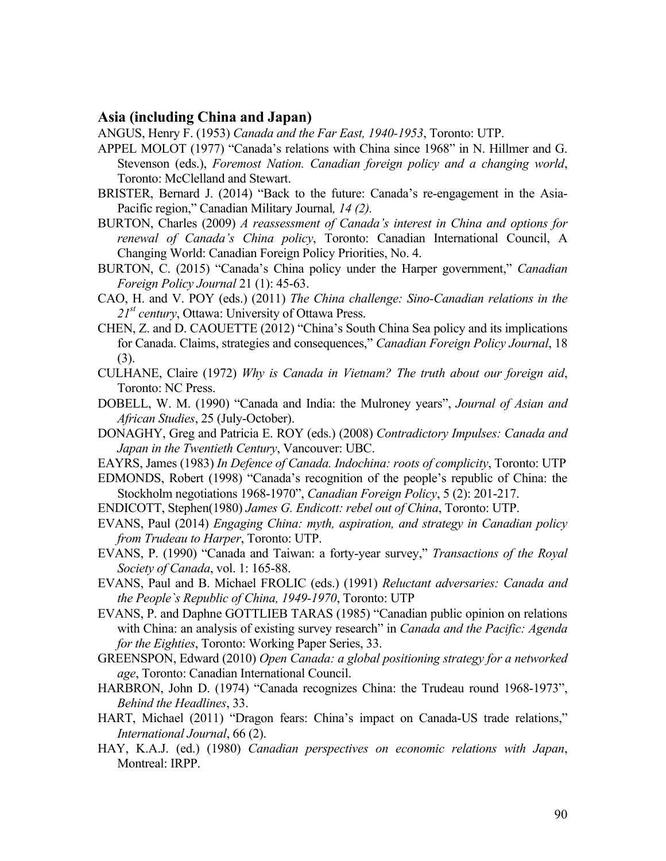### **Asia (including China and Japan)**

ANGUS, Henry F. (1953) *Canada and the Far East, 1940-1953*, Toronto: UTP.

- APPEL MOLOT (1977) "Canada's relations with China since 1968" in N. Hillmer and G. Stevenson (eds.), *Foremost Nation. Canadian foreign policy and a changing world*, Toronto: McClelland and Stewart.
- BRISTER, Bernard J. (2014) "Back to the future: Canada's re-engagement in the Asia-Pacific region," Canadian Military Journal*, 14 (2).*
- BURTON, Charles (2009) *A reassessment of Canada's interest in China and options for renewal of Canada's China policy*, Toronto: Canadian International Council, A Changing World: Canadian Foreign Policy Priorities, No. 4.
- BURTON, C. (2015) "Canada's China policy under the Harper government," *Canadian Foreign Policy Journal* 21 (1): 45-63.
- CAO, H. and V. POY (eds.) (2011) *The China challenge: Sino-Canadian relations in the 21st century*, Ottawa: University of Ottawa Press.
- CHEN, Z. and D. CAOUETTE (2012) "China's South China Sea policy and its implications for Canada. Claims, strategies and consequences," *Canadian Foreign Policy Journal*, 18 (3).
- CULHANE, Claire (1972) *Why is Canada in Vietnam? The truth about our foreign aid*, Toronto: NC Press.
- DOBELL, W. M. (1990) "Canada and India: the Mulroney years", *Journal of Asian and African Studies*, 25 (July-October).
- DONAGHY, Greg and Patricia E. ROY (eds.) (2008) *Contradictory Impulses: Canada and Japan in the Twentieth Century*, Vancouver: UBC.
- EAYRS, James (1983) *In Defence of Canada. Indochina: roots of complicity*, Toronto: UTP
- EDMONDS, Robert (1998) "Canada's recognition of the people's republic of China: the Stockholm negotiations 1968-1970", *Canadian Foreign Policy*, 5 (2): 201-217.
- ENDICOTT, Stephen(1980) *James G. Endicott: rebel out of China*, Toronto: UTP.
- EVANS, Paul (2014) *Engaging China: myth, aspiration, and strategy in Canadian policy from Trudeau to Harper*, Toronto: UTP.
- EVANS, P. (1990) "Canada and Taiwan: a forty-year survey," *Transactions of the Royal Society of Canada*, vol. 1: 165-88.
- EVANS, Paul and B. Michael FROLIC (eds.) (1991) *Reluctant adversaries: Canada and the People`s Republic of China, 1949-1970*, Toronto: UTP
- EVANS, P. and Daphne GOTTLIEB TARAS (1985) "Canadian public opinion on relations with China: an analysis of existing survey research" in *Canada and the Pacific: Agenda for the Eighties*, Toronto: Working Paper Series, 33.
- GREENSPON, Edward (2010) *Open Canada: a global positioning strategy for a networked age*, Toronto: Canadian International Council.
- HARBRON, John D. (1974) "Canada recognizes China: the Trudeau round 1968-1973", *Behind the Headlines*, 33.
- HART, Michael (2011) "Dragon fears: China's impact on Canada-US trade relations," *International Journal*, 66 (2).
- HAY, K.A.J. (ed.) (1980) *Canadian perspectives on economic relations with Japan*, Montreal: IRPP.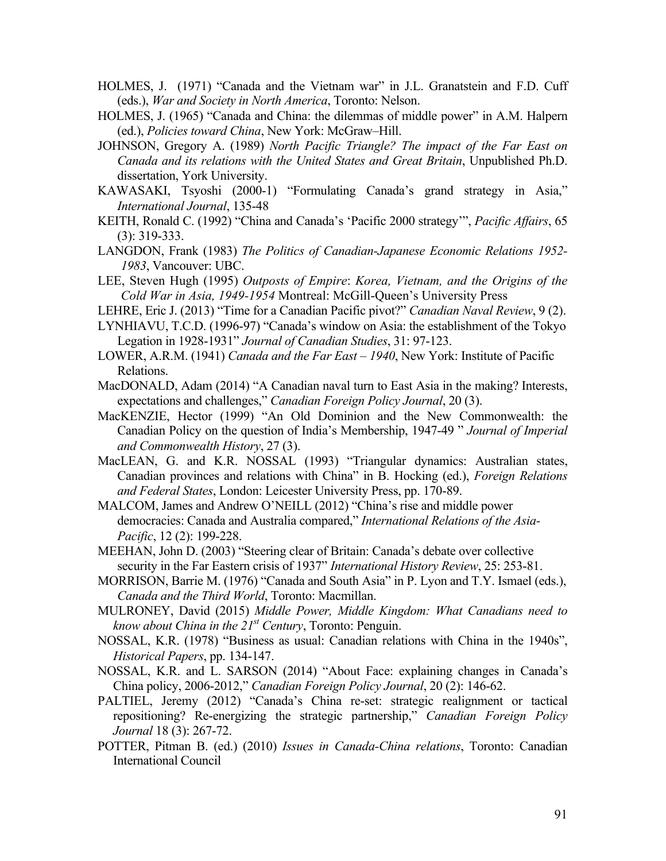- HOLMES, J. (1971) "Canada and the Vietnam war" in J.L. Granatstein and F.D. Cuff (eds.), *War and Society in North America*, Toronto: Nelson.
- HOLMES, J. (1965) "Canada and China: the dilemmas of middle power" in A.M. Halpern (ed.), *Policies toward China*, New York: McGraw–Hill.
- JOHNSON, Gregory A. (1989) *North Pacific Triangle? The impact of the Far East on Canada and its relations with the United States and Great Britain*, Unpublished Ph.D. dissertation, York University.
- KAWASAKI, Tsyoshi (2000-1) "Formulating Canada's grand strategy in Asia," *International Journal*, 135-48
- KEITH, Ronald C. (1992) "China and Canada's 'Pacific 2000 strategy'", *Pacific Affairs*, 65 (3): 319-333.
- LANGDON, Frank (1983) *The Politics of Canadian-Japanese Economic Relations 1952- 1983*, Vancouver: UBC.
- LEE, Steven Hugh (1995) *Outposts of Empire*: *Korea, Vietnam, and the Origins of the Cold War in Asia, 1949-1954* Montreal: McGill-Queen's University Press
- LEHRE, Eric J. (2013) "Time for a Canadian Pacific pivot?" *Canadian Naval Review*, 9 (2).
- LYNHIAVU, T.C.D. (1996-97) "Canada's window on Asia: the establishment of the Tokyo Legation in 1928-1931" *Journal of Canadian Studies*, 31: 97-123.
- LOWER, A.R.M. (1941) *Canada and the Far East – 1940*, New York: Institute of Pacific Relations.
- MacDONALD, Adam (2014) "A Canadian naval turn to East Asia in the making? Interests, expectations and challenges," *Canadian Foreign Policy Journal*, 20 (3).
- MacKENZIE, Hector (1999) "An Old Dominion and the New Commonwealth: the Canadian Policy on the question of India's Membership, 1947-49 " *Journal of Imperial and Commonwealth History*, 27 (3).
- MacLEAN, G. and K.R. NOSSAL (1993) "Triangular dynamics: Australian states, Canadian provinces and relations with China" in B. Hocking (ed.), *Foreign Relations and Federal States*, London: Leicester University Press, pp. 170-89.
- MALCOM, James and Andrew O'NEILL (2012) "China's rise and middle power democracies: Canada and Australia compared," *International Relations of the Asia-Pacific*, 12 (2): 199-228.
- MEEHAN, John D. (2003) "Steering clear of Britain: Canada's debate over collective security in the Far Eastern crisis of 1937" *International History Review*, 25: 253-81.
- MORRISON, Barrie M. (1976) "Canada and South Asia" in P. Lyon and T.Y. Ismael (eds.), *Canada and the Third World*, Toronto: Macmillan.
- MULRONEY, David (2015) *Middle Power, Middle Kingdom: What Canadians need to know about China in the 21st Century*, Toronto: Penguin.
- NOSSAL, K.R. (1978) "Business as usual: Canadian relations with China in the 1940s", *Historical Papers*, pp. 134-147.
- NOSSAL, K.R. and L. SARSON (2014) "About Face: explaining changes in Canada's China policy, 2006-2012," *Canadian Foreign Policy Journal*, 20 (2): 146-62.
- PALTIEL, Jeremy (2012) "Canada's China re-set: strategic realignment or tactical repositioning? Re-energizing the strategic partnership," *Canadian Foreign Policy Journal* 18 (3): 267-72.
- POTTER, Pitman B. (ed.) (2010) *Issues in Canada-China relations*, Toronto: Canadian International Council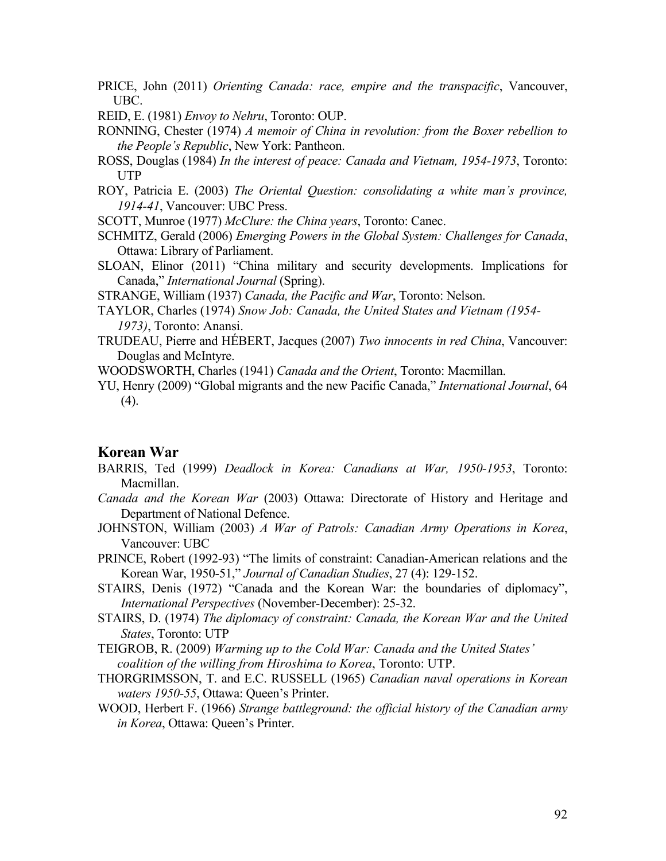- PRICE, John (2011) *Orienting Canada: race, empire and the transpacific*, Vancouver, UBC.
- REID, E. (1981) *Envoy to Nehru*, Toronto: OUP.
- RONNING, Chester (1974) *A memoir of China in revolution: from the Boxer rebellion to the People's Republic*, New York: Pantheon.
- ROSS, Douglas (1984) *In the interest of peace: Canada and Vietnam, 1954-1973*, Toronto: UTP
- ROY, Patricia E. (2003) *The Oriental Question: consolidating a white man's province, 1914-41*, Vancouver: UBC Press.
- SCOTT, Munroe (1977) *McClure: the China years*, Toronto: Canec.
- SCHMITZ, Gerald (2006) *Emerging Powers in the Global System: Challenges for Canada*, Ottawa: Library of Parliament.
- SLOAN, Elinor (2011) "China military and security developments. Implications for Canada," *International Journal* (Spring).
- STRANGE, William (1937) *Canada, the Pacific and War*, Toronto: Nelson.
- TAYLOR, Charles (1974) *Snow Job: Canada, the United States and Vietnam (1954- 1973)*, Toronto: Anansi.
- TRUDEAU, Pierre and HÉBERT, Jacques (2007) *Two innocents in red China*, Vancouver: Douglas and McIntyre.
- WOODSWORTH, Charles (1941) *Canada and the Orient*, Toronto: Macmillan.
- YU, Henry (2009) "Global migrants and the new Pacific Canada," *International Journal*, 64 (4).

#### **Korean War**

- BARRIS, Ted (1999) *Deadlock in Korea: Canadians at War, 1950-1953*, Toronto: Macmillan.
- *Canada and the Korean War* (2003) Ottawa: Directorate of History and Heritage and Department of National Defence.
- JOHNSTON, William (2003) *A War of Patrols: Canadian Army Operations in Korea*, Vancouver: UBC
- PRINCE, Robert (1992-93) "The limits of constraint: Canadian-American relations and the Korean War, 1950-51," *Journal of Canadian Studies*, 27 (4): 129-152.
- STAIRS, Denis (1972) "Canada and the Korean War: the boundaries of diplomacy", *International Perspectives* (November-December): 25-32.
- STAIRS, D. (1974) *The diplomacy of constraint: Canada, the Korean War and the United States*, Toronto: UTP
- TEIGROB, R. (2009) *Warming up to the Cold War: Canada and the United States' coalition of the willing from Hiroshima to Korea*, Toronto: UTP.
- THORGRIMSSON, T. and E.C. RUSSELL (1965) *Canadian naval operations in Korean waters 1950-55*, Ottawa: Queen's Printer.
- WOOD, Herbert F. (1966) *Strange battleground: the official history of the Canadian army in Korea*, Ottawa: Queen's Printer.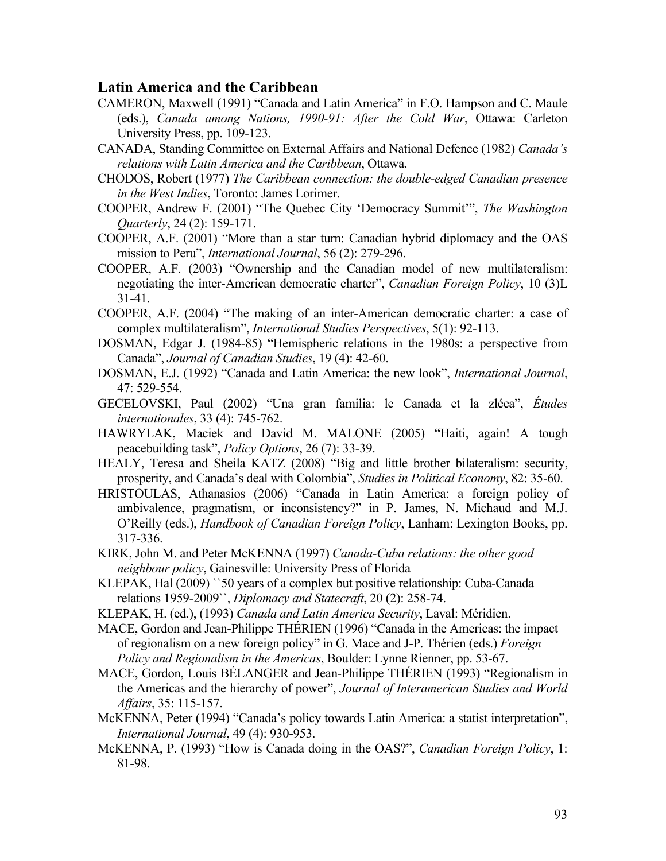## **Latin America and the Caribbean**

- CAMERON, Maxwell (1991) "Canada and Latin America" in F.O. Hampson and C. Maule (eds.), *Canada among Nations, 1990-91: After the Cold War*, Ottawa: Carleton University Press, pp. 109-123.
- CANADA, Standing Committee on External Affairs and National Defence (1982) *Canada's relations with Latin America and the Caribbean*, Ottawa.
- CHODOS, Robert (1977) *The Caribbean connection: the double-edged Canadian presence in the West Indies*, Toronto: James Lorimer.
- COOPER, Andrew F. (2001) "The Quebec City 'Democracy Summit'", *The Washington Quarterly*, 24 (2): 159-171.
- COOPER, A.F. (2001) "More than a star turn: Canadian hybrid diplomacy and the OAS mission to Peru", *International Journal*, 56 (2): 279-296.
- COOPER, A.F. (2003) "Ownership and the Canadian model of new multilateralism: negotiating the inter-American democratic charter", *Canadian Foreign Policy*, 10 (3)L 31-41.
- COOPER, A.F. (2004) "The making of an inter-American democratic charter: a case of complex multilateralism", *International Studies Perspectives*, 5(1): 92-113.
- DOSMAN, Edgar J. (1984-85) "Hemispheric relations in the 1980s: a perspective from Canada", *Journal of Canadian Studies*, 19 (4): 42-60.
- DOSMAN, E.J. (1992) "Canada and Latin America: the new look", *International Journal*, 47: 529-554.
- GECELOVSKI, Paul (2002) "Una gran familia: le Canada et la zléea", *Études internationales*, 33 (4): 745-762.
- HAWRYLAK, Maciek and David M. MALONE (2005) "Haiti, again! A tough peacebuilding task", *Policy Options*, 26 (7): 33-39.
- HEALY, Teresa and Sheila KATZ (2008) "Big and little brother bilateralism: security, prosperity, and Canada's deal with Colombia", *Studies in Political Economy*, 82: 35-60.
- HRISTOULAS, Athanasios (2006) "Canada in Latin America: a foreign policy of ambivalence, pragmatism, or inconsistency?" in P. James, N. Michaud and M.J. O'Reilly (eds.), *Handbook of Canadian Foreign Policy*, Lanham: Lexington Books, pp. 317-336.
- KIRK, John M. and Peter McKENNA (1997) *Canada-Cuba relations: the other good neighbour policy*, Gainesville: University Press of Florida
- KLEPAK, Hal (2009) ``50 years of a complex but positive relationship: Cuba-Canada relations 1959-2009``, *Diplomacy and Statecraft*, 20 (2): 258-74.
- KLEPAK, H. (ed.), (1993) *Canada and Latin America Security*, Laval: Méridien.
- MACE, Gordon and Jean-Philippe THÉRIEN (1996) "Canada in the Americas: the impact of regionalism on a new foreign policy" in G. Mace and J-P. Thérien (eds.) *Foreign Policy and Regionalism in the Americas*, Boulder: Lynne Rienner, pp. 53-67.
- MACE, Gordon, Louis BÉLANGER and Jean-Philippe THÉRIEN (1993) "Regionalism in the Americas and the hierarchy of power", *Journal of Interamerican Studies and World Affairs*, 35: 115-157.
- McKENNA, Peter (1994) "Canada's policy towards Latin America: a statist interpretation", *International Journal*, 49 (4): 930-953.
- McKENNA, P. (1993) "How is Canada doing in the OAS?", *Canadian Foreign Policy*, 1: 81-98.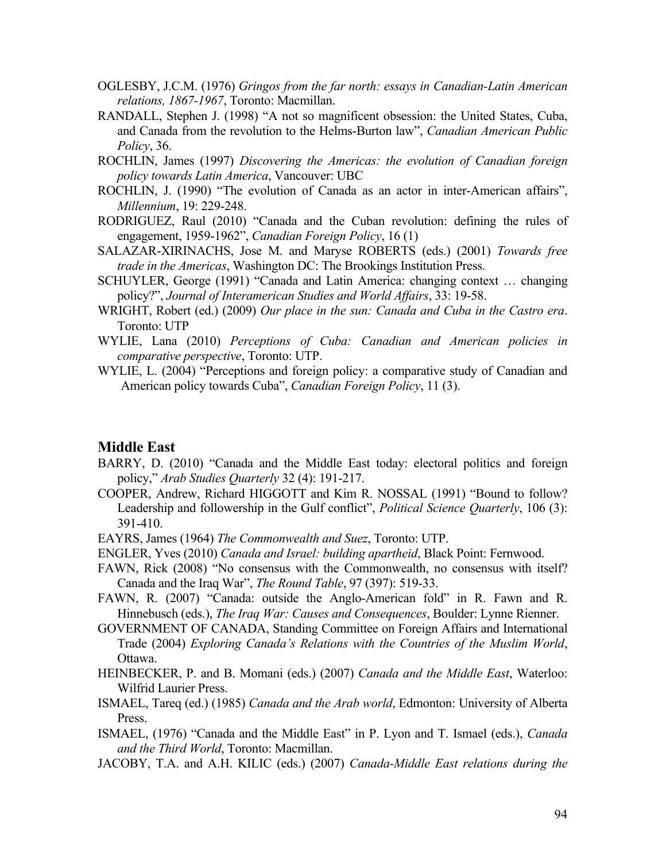- OGLESBY, J.C.M. (1976) *Gringos from the far north: essays in Canadian-Latin American relations, 1867-1967*, Toronto: Macmillan.
- RANDALL, Stephen J. (1998) "A not so magnificent obsession: the United States, Cuba, and Canada from the revolution to the Helms-Burton law", *Canadian American Public Policy*, 36.
- ROCHLIN, James (1997) *Discovering the Americas: the evolution of Canadian foreign policy towards Latin America*, Vancouver: UBC
- ROCHLIN, J. (1990) "The evolution of Canada as an actor in inter-American affairs", *Millennium*, 19: 229-248.
- RODRIGUEZ, Raul (2010) "Canada and the Cuban revolution: defining the rules of engagement, 1959-1962", *Canadian Foreign Policy*, 16 (1)
- SALAZAR-XIRINACHS, Jose M. and Maryse ROBERTS (eds.) (2001) *Towards free trade in the Americas*, Washington DC: The Brookings Institution Press.
- SCHUYLER, George (1991) "Canada and Latin America: changing context … changing policy?", *Journal of Interamerican Studies and World Affairs*, 33: 19-58.
- WRIGHT, Robert (ed.) (2009) *Our place in the sun: Canada and Cuba in the Castro era*. Toronto: UTP
- WYLIE, Lana (2010) *Perceptions of Cuba: Canadian and American policies in comparative perspective*, Toronto: UTP.
- WYLIE, L. (2004) "Perceptions and foreign policy: a comparative study of Canadian and American policy towards Cuba", *Canadian Foreign Policy*, 11 (3).

### **Middle East**

- BARRY, D. (2010) "Canada and the Middle East today: electoral politics and foreign policy," *Arab Studies Quarterly* 32 (4): 191-217.
- COOPER, Andrew, Richard HIGGOTT and Kim R. NOSSAL (1991) "Bound to follow? Leadership and followership in the Gulf conflict", *Political Science Quarterly*, 106 (3): 391-410.
- EAYRS, James (1964) *The Commonwealth and Suez*, Toronto: UTP.
- ENGLER, Yves (2010) *Canada and Israel: building apartheid*, Black Point: Fernwood.
- FAWN, Rick (2008) "No consensus with the Commonwealth, no consensus with itself? Canada and the Iraq War", *The Round Table*, 97 (397): 519-33.
- FAWN, R. (2007) "Canada: outside the Anglo-American fold" in R. Fawn and R. Hinnebusch (eds.), *The Iraq War: Causes and Consequences*, Boulder: Lynne Rienner.
- GOVERNMENT OF CANADA, Standing Committee on Foreign Affairs and International Trade (2004) *Exploring Canada's Relations with the Countries of the Muslim World*, Ottawa.
- HEINBECKER, P. and B. Momani (eds.) (2007) *Canada and the Middle East*, Waterloo: Wilfrid Laurier Press.
- ISMAEL, Tareq (ed.) (1985) *Canada and the Arab world*, Edmonton: University of Alberta Press.
- ISMAEL, (1976) "Canada and the Middle East" in P. Lyon and T. Ismael (eds.), *Canada and the Third World*, Toronto: Macmillan.
- JACOBY, T.A. and A.H. KILIC (eds.) (2007) *Canada-Middle East relations during the*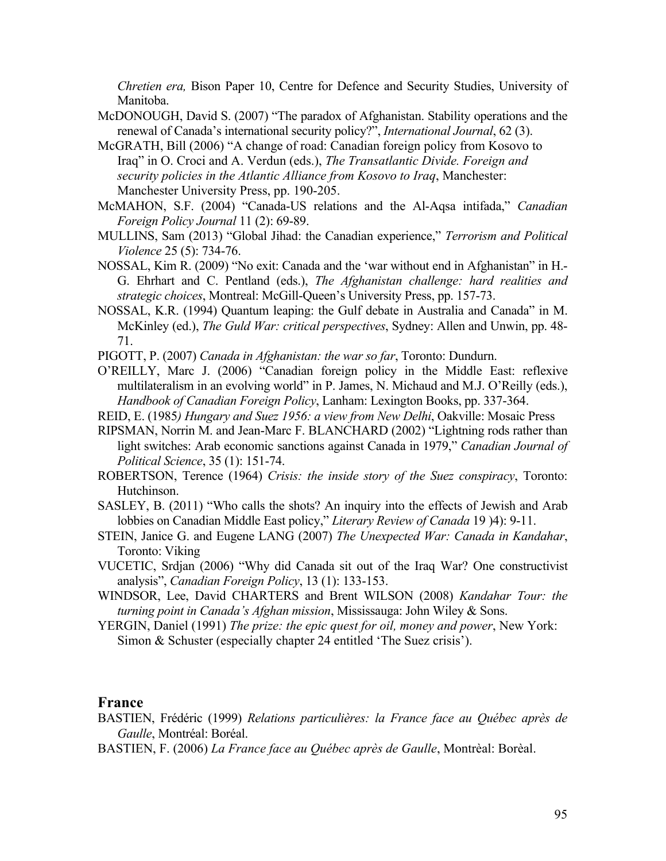*Chretien era,* Bison Paper 10, Centre for Defence and Security Studies, University of Manitoba.

- McDONOUGH, David S. (2007) "The paradox of Afghanistan. Stability operations and the renewal of Canada's international security policy?", *International Journal*, 62 (3).
- McGRATH, Bill (2006) "A change of road: Canadian foreign policy from Kosovo to Iraq" in O. Croci and A. Verdun (eds.), *The Transatlantic Divide. Foreign and security policies in the Atlantic Alliance from Kosovo to Iraq*, Manchester: Manchester University Press, pp. 190-205.
- McMAHON, S.F. (2004) "Canada-US relations and the Al-Aqsa intifada," *Canadian Foreign Policy Journal* 11 (2): 69-89.
- MULLINS, Sam (2013) "Global Jihad: the Canadian experience," *Terrorism and Political Violence* 25 (5): 734-76.
- NOSSAL, Kim R. (2009) "No exit: Canada and the 'war without end in Afghanistan" in H.- G. Ehrhart and C. Pentland (eds.), *The Afghanistan challenge: hard realities and strategic choices*, Montreal: McGill-Queen's University Press, pp. 157-73.
- NOSSAL, K.R. (1994) Quantum leaping: the Gulf debate in Australia and Canada" in M. McKinley (ed.), *The Guld War: critical perspectives*, Sydney: Allen and Unwin, pp. 48- 71.
- PIGOTT, P. (2007) *Canada in Afghanistan: the war so far*, Toronto: Dundurn.
- O'REILLY, Marc J. (2006) "Canadian foreign policy in the Middle East: reflexive multilateralism in an evolving world" in P. James, N. Michaud and M.J. O'Reilly (eds.), *Handbook of Canadian Foreign Policy*, Lanham: Lexington Books, pp. 337-364.
- REID, E. (1985*) Hungary and Suez 1956: a view from New Delhi*, Oakville: Mosaic Press
- RIPSMAN, Norrin M. and Jean-Marc F. BLANCHARD (2002) "Lightning rods rather than light switches: Arab economic sanctions against Canada in 1979," *Canadian Journal of Political Science*, 35 (1): 151-74.
- ROBERTSON, Terence (1964) *Crisis: the inside story of the Suez conspiracy*, Toronto: Hutchinson.
- SASLEY, B. (2011) "Who calls the shots? An inquiry into the effects of Jewish and Arab lobbies on Canadian Middle East policy," *Literary Review of Canada* 19 )4): 9-11.
- STEIN, Janice G. and Eugene LANG (2007) *The Unexpected War: Canada in Kandahar*, Toronto: Viking
- VUCETIC, Srdjan (2006) "Why did Canada sit out of the Iraq War? One constructivist analysis", *Canadian Foreign Policy*, 13 (1): 133-153.
- WINDSOR, Lee, David CHARTERS and Brent WILSON (2008) *Kandahar Tour: the turning point in Canada's Afghan mission*, Mississauga: John Wiley & Sons.
- YERGIN, Daniel (1991) *The prize: the epic quest for oil, money and power*, New York: Simon & Schuster (especially chapter 24 entitled 'The Suez crisis').

### **France**

- BASTIEN, Frédéric (1999) *Relations particulières: la France face au Québec après de Gaulle*, Montréal: Boréal.
- BASTIEN, F. (2006) *La France face au Québec après de Gaulle*, Montrèal: Borèal.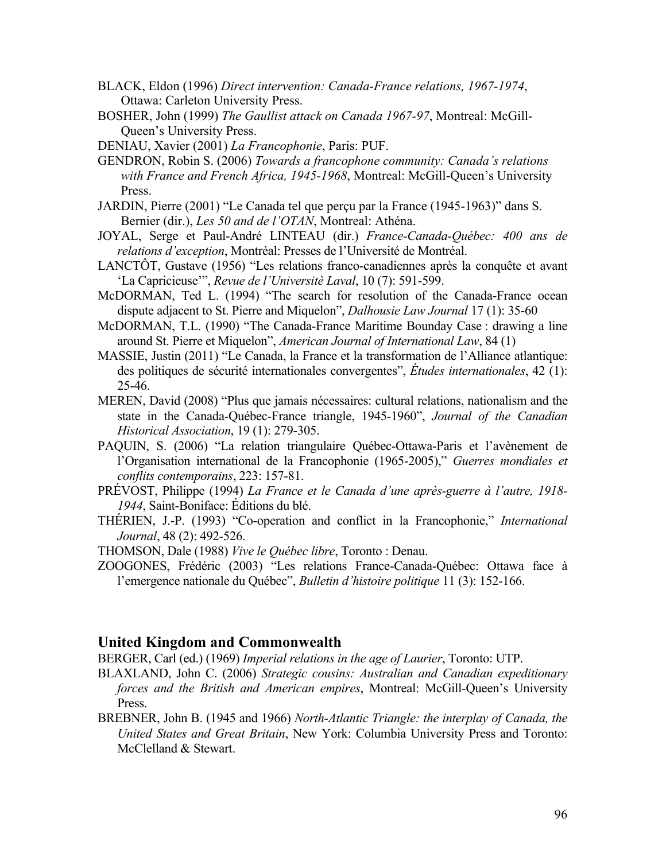- BLACK, Eldon (1996) *Direct intervention: Canada-France relations, 1967-1974*, Ottawa: Carleton University Press.
- BOSHER, John (1999) *The Gaullist attack on Canada 1967-97*, Montreal: McGill-Queen's University Press.
- DENIAU, Xavier (2001) *La Francophonie*, Paris: PUF.
- GENDRON, Robin S. (2006) *Towards a francophone community: Canada's relations with France and French Africa, 1945-1968*, Montreal: McGill-Queen's University Press.
- JARDIN, Pierre (2001) "Le Canada tel que perçu par la France (1945-1963)" dans S. Bernier (dir.), *Les 50 and de l'OTAN*, Montreal: Athéna.
- JOYAL, Serge et Paul-André LINTEAU (dir.) *France-Canada-Québec: 400 ans de relations d'exception*, Montréal: Presses de l'Université de Montréal.
- LANCTÔT, Gustave (1956) "Les relations franco-canadiennes après la conquête et avant 'La Capricieuse'", *Revue de l'Universitè Laval*, 10 (7): 591-599.
- McDORMAN, Ted L. (1994) "The search for resolution of the Canada-France ocean dispute adjacent to St. Pierre and Miquelon", *Dalhousie Law Journal* 17 (1): 35-60
- McDORMAN, T.L. (1990) "The Canada-France Maritime Bounday Case : drawing a line around St. Pierre et Miquelon", *American Journal of International Law*, 84 (1)
- MASSIE, Justin (2011) "Le Canada, la France et la transformation de l'Alliance atlantique: des politiques de sécurité internationales convergentes", *Études internationales*, 42 (1): 25-46.
- MEREN, David (2008) "Plus que jamais nécessaires: cultural relations, nationalism and the state in the Canada-Québec-France triangle, 1945-1960", *Journal of the Canadian Historical Association*, 19 (1): 279-305.
- PAQUIN, S. (2006) "La relation triangulaire Québec-Ottawa-Paris et l'avènement de l'Organisation international de la Francophonie (1965-2005)," *Guerres mondiales et conflits contemporains*, 223: 157-81.
- PRÉVOST, Philippe (1994) *La France et le Canada d'une après-guerre à l'autre, 1918- 1944*, Saint-Boniface: Éditions du blé.
- THÉRIEN, J.-P. (1993) "Co-operation and conflict in la Francophonie," *International Journal*, 48 (2): 492-526.
- THOMSON, Dale (1988) *Vive le Québec libre*, Toronto : Denau.
- ZOOGONES, Frédéric (2003) "Les relations France-Canada-Québec: Ottawa face à l'emergence nationale du Québec", *Bulletin d'histoire politique* 11 (3): 152-166.

### **United Kingdom and Commonwealth**

BERGER, Carl (ed.) (1969) *Imperial relations in the age of Laurier*, Toronto: UTP.

- BLAXLAND, John C. (2006) *Strategic cousins: Australian and Canadian expeditionary forces and the British and American empires*, Montreal: McGill-Queen's University Press.
- BREBNER, John B. (1945 and 1966) *North-Atlantic Triangle: the interplay of Canada, the United States and Great Britain*, New York: Columbia University Press and Toronto: McClelland & Stewart.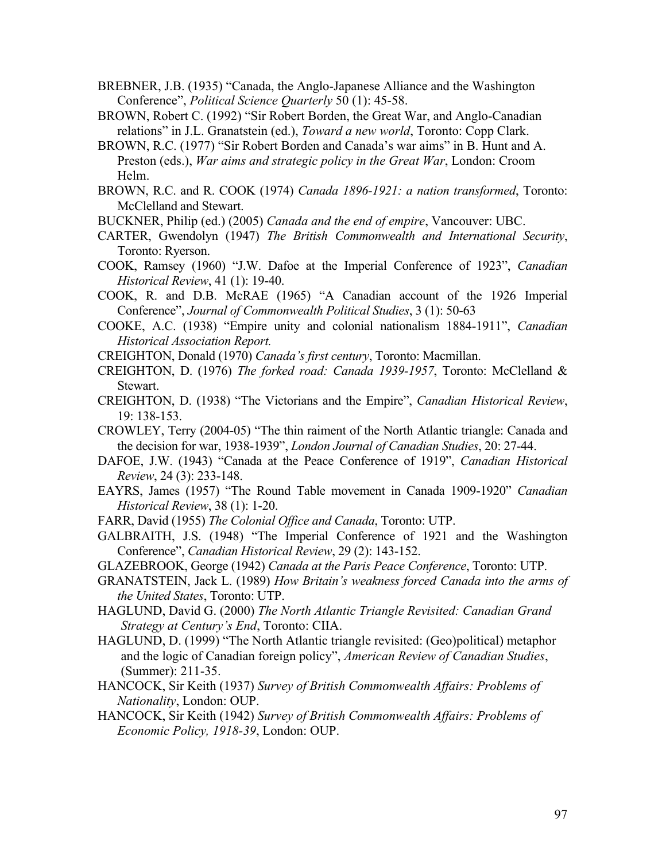- BREBNER, J.B. (1935) "Canada, the Anglo-Japanese Alliance and the Washington Conference", *Political Science Quarterly* 50 (1): 45-58.
- BROWN, Robert C. (1992) "Sir Robert Borden, the Great War, and Anglo-Canadian relations" in J.L. Granatstein (ed.), *Toward a new world*, Toronto: Copp Clark.
- BROWN, R.C. (1977) "Sir Robert Borden and Canada's war aims" in B. Hunt and A. Preston (eds.), *War aims and strategic policy in the Great War*, London: Croom Helm.
- BROWN, R.C. and R. COOK (1974) *Canada 1896-1921: a nation transformed*, Toronto: McClelland and Stewart.
- BUCKNER, Philip (ed.) (2005) *Canada and the end of empire*, Vancouver: UBC.
- CARTER, Gwendolyn (1947) *The British Commonwealth and International Security*, Toronto: Ryerson.
- COOK, Ramsey (1960) "J.W. Dafoe at the Imperial Conference of 1923", *Canadian Historical Review*, 41 (1): 19-40.
- COOK, R. and D.B. McRAE (1965) "A Canadian account of the 1926 Imperial Conference", *Journal of Commonwealth Political Studies*, 3 (1): 50-63
- COOKE, A.C. (1938) "Empire unity and colonial nationalism 1884-1911", *Canadian Historical Association Report.*
- CREIGHTON, Donald (1970) *Canada's first century*, Toronto: Macmillan.
- CREIGHTON, D. (1976) *The forked road: Canada 1939-1957*, Toronto: McClelland & Stewart.
- CREIGHTON, D. (1938) "The Victorians and the Empire", *Canadian Historical Review*, 19: 138-153.
- CROWLEY, Terry (2004-05) "The thin raiment of the North Atlantic triangle: Canada and the decision for war, 1938-1939", *London Journal of Canadian Studies*, 20: 27-44.
- DAFOE, J.W. (1943) "Canada at the Peace Conference of 1919", *Canadian Historical Review*, 24 (3): 233-148.
- EAYRS, James (1957) "The Round Table movement in Canada 1909-1920" *Canadian Historical Review*, 38 (1): 1-20.
- FARR, David (1955) *The Colonial Office and Canada*, Toronto: UTP.
- GALBRAITH, J.S. (1948) "The Imperial Conference of 1921 and the Washington Conference", *Canadian Historical Review*, 29 (2): 143-152.
- GLAZEBROOK, George (1942) *Canada at the Paris Peace Conference*, Toronto: UTP.
- GRANATSTEIN, Jack L. (1989) *How Britain's weakness forced Canada into the arms of the United States*, Toronto: UTP.
- HAGLUND, David G. (2000) *The North Atlantic Triangle Revisited: Canadian Grand Strategy at Century's End*, Toronto: CIIA.
- HAGLUND, D. (1999) "The North Atlantic triangle revisited: (Geo)political) metaphor and the logic of Canadian foreign policy", *American Review of Canadian Studies*, (Summer): 211-35.
- HANCOCK, Sir Keith (1937) *Survey of British Commonwealth Affairs: Problems of Nationality*, London: OUP.
- HANCOCK, Sir Keith (1942) *Survey of British Commonwealth Affairs: Problems of Economic Policy, 1918-39*, London: OUP.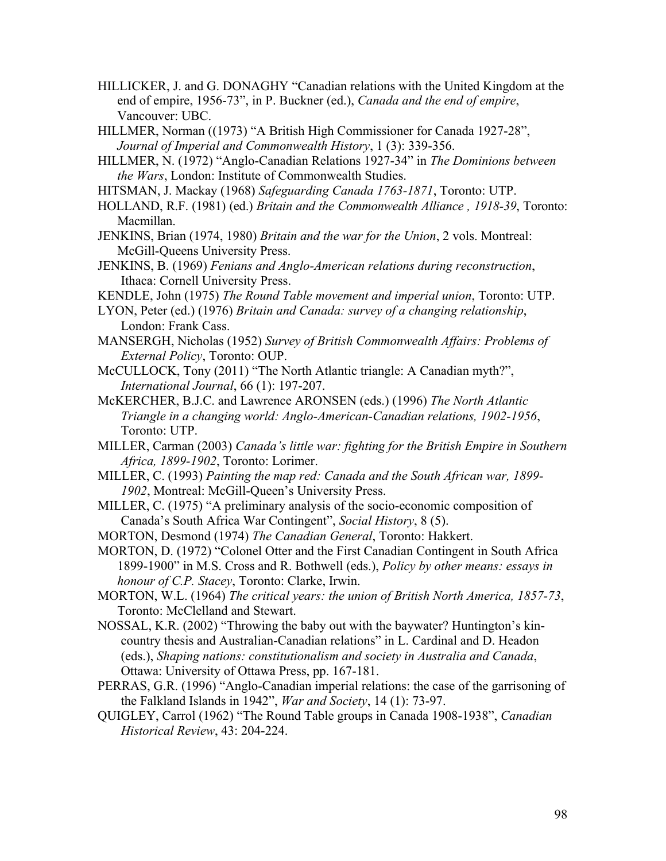- HILLICKER, J. and G. DONAGHY "Canadian relations with the United Kingdom at the end of empire, 1956-73", in P. Buckner (ed.), *Canada and the end of empire*, Vancouver: UBC.
- HILLMER, Norman ((1973) "A British High Commissioner for Canada 1927-28", *Journal of Imperial and Commonwealth History*, 1 (3): 339-356.
- HILLMER, N. (1972) "Anglo-Canadian Relations 1927-34" in *The Dominions between the Wars*, London: Institute of Commonwealth Studies.
- HITSMAN, J. Mackay (1968) *Safeguarding Canada 1763-1871*, Toronto: UTP.
- HOLLAND, R.F. (1981) (ed.) *Britain and the Commonwealth Alliance , 1918-39*, Toronto: Macmillan.
- JENKINS, Brian (1974, 1980) *Britain and the war for the Union*, 2 vols. Montreal: McGill-Queens University Press.
- JENKINS, B. (1969) *Fenians and Anglo-American relations during reconstruction*, Ithaca: Cornell University Press.
- KENDLE, John (1975) *The Round Table movement and imperial union*, Toronto: UTP.
- LYON, Peter (ed.) (1976) *Britain and Canada: survey of a changing relationship*, London: Frank Cass.
- MANSERGH, Nicholas (1952) *Survey of British Commonwealth Affairs: Problems of External Policy*, Toronto: OUP.
- McCULLOCK, Tony (2011) "The North Atlantic triangle: A Canadian myth?", *International Journal*, 66 (1): 197-207.
- McKERCHER, B.J.C. and Lawrence ARONSEN (eds.) (1996) *The North Atlantic Triangle in a changing world: Anglo-American-Canadian relations, 1902-1956*, Toronto: UTP.
- MILLER, Carman (2003) *Canada's little war: fighting for the British Empire in Southern Africa, 1899-1902*, Toronto: Lorimer.
- MILLER, C. (1993) *Painting the map red: Canada and the South African war, 1899- 1902*, Montreal: McGill-Queen's University Press.
- MILLER, C. (1975) "A preliminary analysis of the socio-economic composition of Canada's South Africa War Contingent", *Social History*, 8 (5).
- MORTON, Desmond (1974) *The Canadian General*, Toronto: Hakkert.
- MORTON, D. (1972) "Colonel Otter and the First Canadian Contingent in South Africa 1899-1900" in M.S. Cross and R. Bothwell (eds.), *Policy by other means: essays in honour of C.P. Stacey*, Toronto: Clarke, Irwin.
- MORTON, W.L. (1964) *The critical years: the union of British North America, 1857-73*, Toronto: McClelland and Stewart.
- NOSSAL, K.R. (2002) "Throwing the baby out with the baywater? Huntington's kincountry thesis and Australian-Canadian relations" in L. Cardinal and D. Headon (eds.), *Shaping nations: constitutionalism and society in Australia and Canada*, Ottawa: University of Ottawa Press, pp. 167-181.
- PERRAS, G.R. (1996) "Anglo-Canadian imperial relations: the case of the garrisoning of the Falkland Islands in 1942", *War and Society*, 14 (1): 73-97.
- QUIGLEY, Carrol (1962) "The Round Table groups in Canada 1908-1938", *Canadian Historical Review*, 43: 204-224.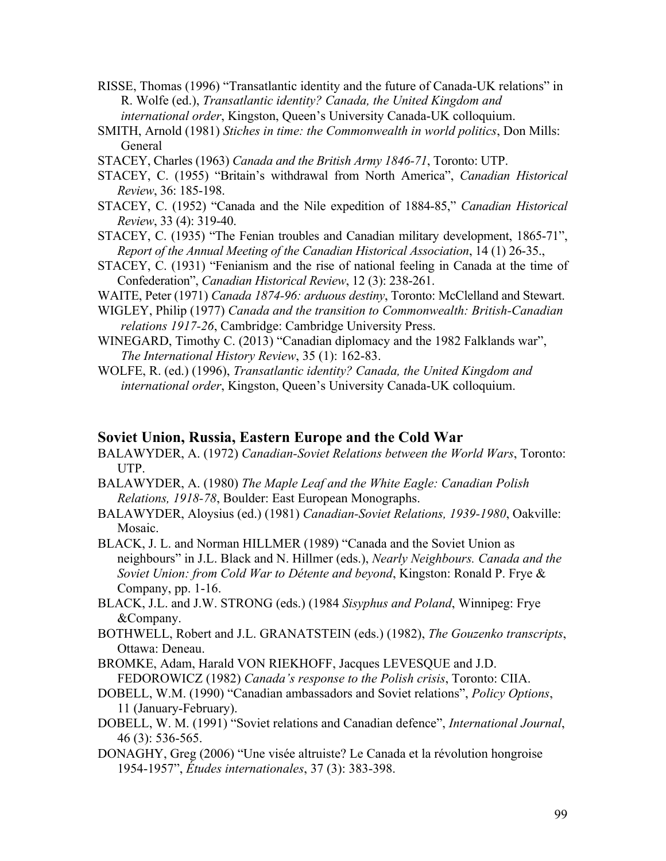- RISSE, Thomas (1996) "Transatlantic identity and the future of Canada-UK relations" in R. Wolfe (ed.), *Transatlantic identity? Canada, the United Kingdom and international order*, Kingston, Queen's University Canada-UK colloquium.
- SMITH, Arnold (1981) *Stiches in time: the Commonwealth in world politics*, Don Mills: General
- STACEY, Charles (1963) *Canada and the British Army 1846-71*, Toronto: UTP.
- STACEY, C. (1955) "Britain's withdrawal from North America", *Canadian Historical Review*, 36: 185-198.
- STACEY, C. (1952) "Canada and the Nile expedition of 1884-85," *Canadian Historical Review*, 33 (4): 319-40.
- STACEY, C. (1935) "The Fenian troubles and Canadian military development, 1865-71", *Report of the Annual Meeting of the Canadian Historical Association*, 14 (1) 26-35.,
- STACEY, C. (1931) "Fenianism and the rise of national feeling in Canada at the time of Confederation", *Canadian Historical Review*, 12 (3): 238-261.
- WAITE, Peter (1971) *Canada 1874-96: arduous destiny*, Toronto: McClelland and Stewart.
- WIGLEY, Philip (1977) *Canada and the transition to Commonwealth: British-Canadian relations 1917-26*, Cambridge: Cambridge University Press.
- WINEGARD, Timothy C. (2013) "Canadian diplomacy and the 1982 Falklands war", *The International History Review*, 35 (1): 162-83.
- WOLFE, R. (ed.) (1996), *Transatlantic identity? Canada, the United Kingdom and international order*, Kingston, Queen's University Canada-UK colloquium.

### **Soviet Union, Russia, Eastern Europe and the Cold War**

- BALAWYDER, A. (1972) *Canadian-Soviet Relations between the World Wars*, Toronto: UTP.
- BALAWYDER, A. (1980) *The Maple Leaf and the White Eagle: Canadian Polish Relations, 1918-78*, Boulder: East European Monographs.
- BALAWYDER, Aloysius (ed.) (1981) *Canadian-Soviet Relations, 1939-1980*, Oakville: Mosaic.
- BLACK, J. L. and Norman HILLMER (1989) "Canada and the Soviet Union as neighbours" in J.L. Black and N. Hillmer (eds.), *Nearly Neighbours. Canada and the Soviet Union: from Cold War to Détente and beyond*, Kingston: Ronald P. Frye & Company, pp. 1-16.
- BLACK, J.L. and J.W. STRONG (eds.) (1984 *Sisyphus and Poland*, Winnipeg: Frye &Company.
- BOTHWELL, Robert and J.L. GRANATSTEIN (eds.) (1982), *The Gouzenko transcripts*, Ottawa: Deneau.
- BROMKE, Adam, Harald VON RIEKHOFF, Jacques LEVESQUE and J.D. FEDOROWICZ (1982) *Canada's response to the Polish crisis*, Toronto: CIIA.
- DOBELL, W.M. (1990) "Canadian ambassadors and Soviet relations", *Policy Options*, 11 (January-February).
- DOBELL, W. M. (1991) "Soviet relations and Canadian defence", *International Journal*, 46 (3): 536-565.
- DONAGHY, Greg (2006) "Une visée altruiste? Le Canada et la révolution hongroise 1954-1957", *Études internationales*, 37 (3): 383-398.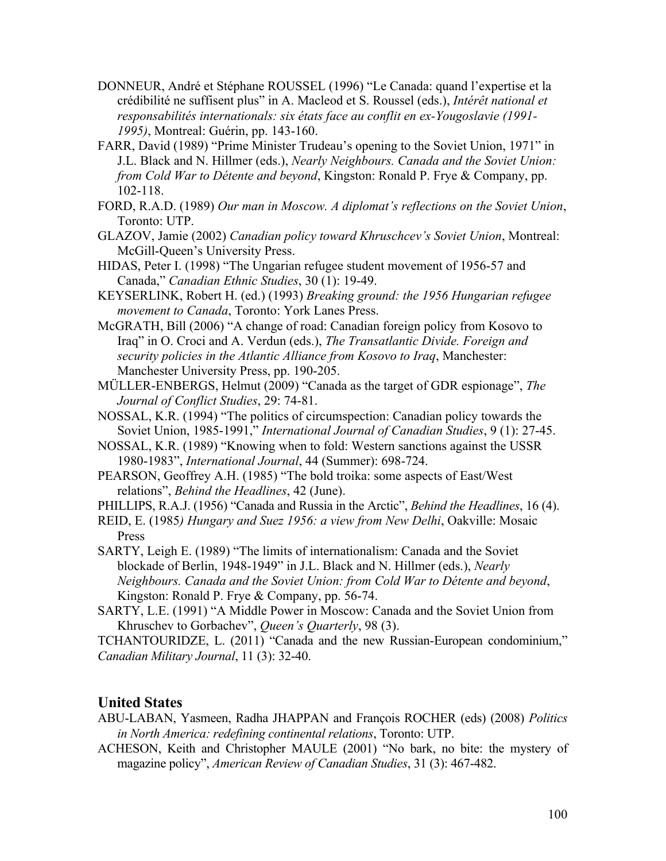- DONNEUR, André et Stéphane ROUSSEL (1996) "Le Canada: quand l'expertise et la crédibilité ne suffisent plus" in A. Macleod et S. Roussel (eds.), *Intérêt national et responsabilités internationals: six états face au conflit en ex-Yougoslavie (1991- 1995)*, Montreal: Guérin, pp. 143-160.
- FARR, David (1989) "Prime Minister Trudeau's opening to the Soviet Union, 1971" in J.L. Black and N. Hillmer (eds.), *Nearly Neighbours. Canada and the Soviet Union: from Cold War to Détente and beyond*, Kingston: Ronald P. Frye & Company, pp. 102-118.
- FORD, R.A.D. (1989) *Our man in Moscow. A diplomat's reflections on the Soviet Union*, Toronto: UTP.
- GLAZOV, Jamie (2002) *Canadian policy toward Khruschcev's Soviet Union*, Montreal: McGill-Queen's University Press.
- HIDAS, Peter I. (1998) "The Ungarian refugee student movement of 1956-57 and Canada," *Canadian Ethnic Studies*, 30 (1): 19-49.
- KEYSERLINK, Robert H. (ed.) (1993) *Breaking ground: the 1956 Hungarian refugee movement to Canada*, Toronto: York Lanes Press.
- McGRATH, Bill (2006) "A change of road: Canadian foreign policy from Kosovo to Iraq" in O. Croci and A. Verdun (eds.), *The Transatlantic Divide. Foreign and security policies in the Atlantic Alliance from Kosovo to Iraq*, Manchester: Manchester University Press, pp. 190-205.
- MÜLLER-ENBERGS, Helmut (2009) "Canada as the target of GDR espionage", *The Journal of Conflict Studies*, 29: 74-81.
- NOSSAL, K.R. (1994) "The politics of circumspection: Canadian policy towards the Soviet Union, 1985-1991," *International Journal of Canadian Studies*, 9 (1): 27-45.
- NOSSAL, K.R. (1989) "Knowing when to fold: Western sanctions against the USSR 1980-1983", *International Journal*, 44 (Summer): 698-724.
- PEARSON, Geoffrey A.H. (1985) "The bold troika: some aspects of East/West relations", *Behind the Headlines*, 42 (June).
- PHILLIPS, R.A.J. (1956) "Canada and Russia in the Arctic", *Behind the Headlines*, 16 (4).
- REID, E. (1985*) Hungary and Suez 1956: a view from New Delhi*, Oakville: Mosaic Press
- SARTY, Leigh E. (1989) "The limits of internationalism: Canada and the Soviet blockade of Berlin, 1948-1949" in J.L. Black and N. Hillmer (eds.), *Nearly Neighbours. Canada and the Soviet Union: from Cold War to Détente and beyond*, Kingston: Ronald P. Frye & Company, pp. 56-74.
- SARTY, L.E. (1991) "A Middle Power in Moscow: Canada and the Soviet Union from Khruschev to Gorbachev", *Queen's Quarterly*, 98 (3).

TCHANTOURIDZE, L. (2011) "Canada and the new Russian-European condominium," *Canadian Military Journal*, 11 (3): 32-40.

# **United States**

- ABU-LABAN, Yasmeen, Radha JHAPPAN and François ROCHER (eds) (2008) *Politics in North America: redefining continental relations*, Toronto: UTP.
- ACHESON, Keith and Christopher MAULE (2001) "No bark, no bite: the mystery of magazine policy", *American Review of Canadian Studies*, 31 (3): 467-482.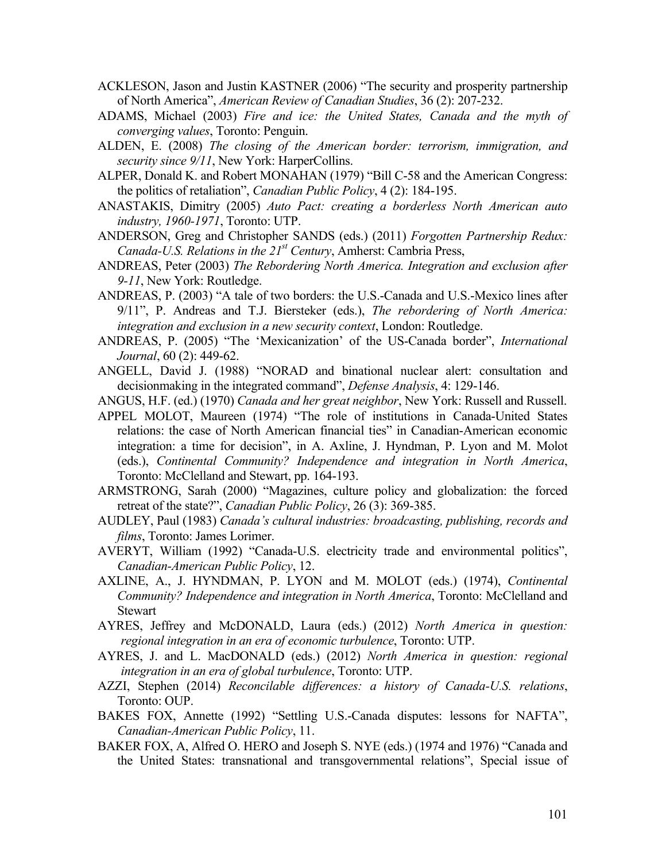- ACKLESON, Jason and Justin KASTNER (2006) "The security and prosperity partnership of North America", *American Review of Canadian Studies*, 36 (2): 207-232.
- ADAMS, Michael (2003) *Fire and ice: the United States, Canada and the myth of converging values*, Toronto: Penguin.
- ALDEN, E. (2008) *The closing of the American border: terrorism, immigration, and security since 9/11*, New York: HarperCollins.
- ALPER, Donald K. and Robert MONAHAN (1979) "Bill C-58 and the American Congress: the politics of retaliation", *Canadian Public Policy*, 4 (2): 184-195.
- ANASTAKIS, Dimitry (2005) *Auto Pact: creating a borderless North American auto industry, 1960-1971*, Toronto: UTP.
- ANDERSON, Greg and Christopher SANDS (eds.) (2011) *Forgotten Partnership Redux: Canada-U.S. Relations in the 21st Century*, Amherst: Cambria Press,
- ANDREAS, Peter (2003) *The Rebordering North America. Integration and exclusion after 9-11*, New York: Routledge.
- ANDREAS, P. (2003) "A tale of two borders: the U.S.-Canada and U.S.-Mexico lines after 9/11", P. Andreas and T.J. Biersteker (eds.), *The rebordering of North America: integration and exclusion in a new security context*, London: Routledge.
- ANDREAS, P. (2005) "The 'Mexicanization' of the US-Canada border", *International Journal*, 60 (2): 449-62.
- ANGELL, David J. (1988) "NORAD and binational nuclear alert: consultation and decisionmaking in the integrated command", *Defense Analysis*, 4: 129-146.
- ANGUS, H.F. (ed.) (1970) *Canada and her great neighbor*, New York: Russell and Russell.
- APPEL MOLOT, Maureen (1974) "The role of institutions in Canada-United States relations: the case of North American financial ties" in Canadian-American economic integration: a time for decision", in A. Axline, J. Hyndman, P. Lyon and M. Molot (eds.), *Continental Community? Independence and integration in North America*, Toronto: McClelland and Stewart, pp. 164-193.
- ARMSTRONG, Sarah (2000) "Magazines, culture policy and globalization: the forced retreat of the state?", *Canadian Public Policy*, 26 (3): 369-385.
- AUDLEY, Paul (1983) *Canada's cultural industries: broadcasting, publishing, records and films*, Toronto: James Lorimer.
- AVERYT, William (1992) "Canada-U.S. electricity trade and environmental politics", *Canadian-American Public Policy*, 12.
- AXLINE, A., J. HYNDMAN, P. LYON and M. MOLOT (eds.) (1974), *Continental Community? Independence and integration in North America*, Toronto: McClelland and **Stewart**
- AYRES, Jeffrey and McDONALD, Laura (eds.) (2012) *North America in question: regional integration in an era of economic turbulence*, Toronto: UTP.
- AYRES, J. and L. MacDONALD (eds.) (2012) *North America in question: regional integration in an era of global turbulence*, Toronto: UTP.
- AZZI, Stephen (2014) *Reconcilable differences: a history of Canada-U.S. relations*, Toronto: OUP.
- BAKES FOX, Annette (1992) "Settling U.S.-Canada disputes: lessons for NAFTA", *Canadian-American Public Policy*, 11.
- BAKER FOX, A, Alfred O. HERO and Joseph S. NYE (eds.) (1974 and 1976) "Canada and the United States: transnational and transgovernmental relations", Special issue of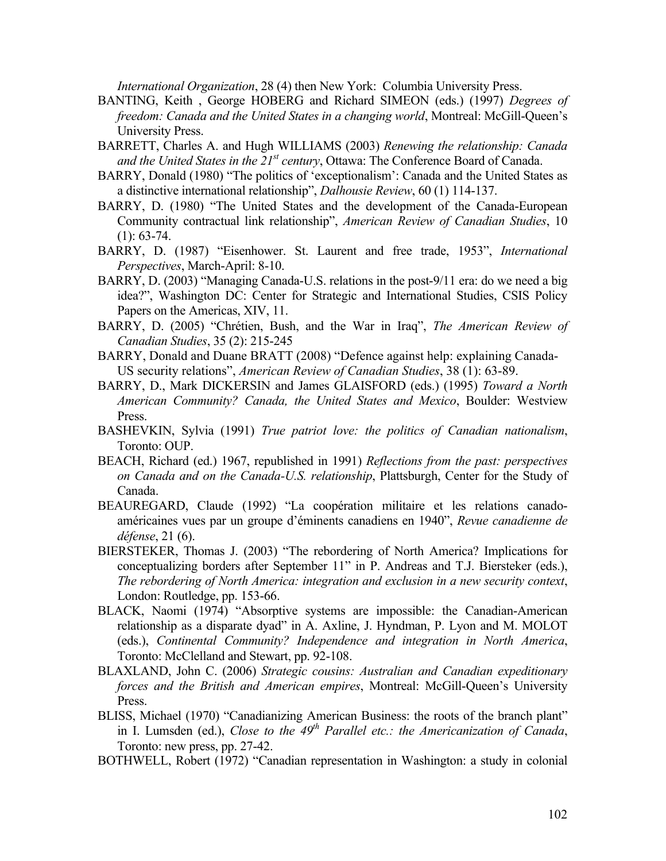*International Organization*, 28 (4) then New York: Columbia University Press.

- BANTING, Keith , George HOBERG and Richard SIMEON (eds.) (1997) *Degrees of freedom: Canada and the United States in a changing world*, Montreal: McGill-Queen's University Press.
- BARRETT, Charles A. and Hugh WILLIAMS (2003) *Renewing the relationship: Canada and the United States in the 21st century*, Ottawa: The Conference Board of Canada.
- BARRY, Donald (1980) "The politics of 'exceptionalism': Canada and the United States as a distinctive international relationship", *Dalhousie Review*, 60 (1) 114-137.
- BARRY, D. (1980) "The United States and the development of the Canada-European Community contractual link relationship", *American Review of Canadian Studies*, 10  $(1): 63-74.$
- BARRY, D. (1987) "Eisenhower. St. Laurent and free trade, 1953", *International Perspectives*, March-April: 8-10.
- BARRY, D. (2003) "Managing Canada-U.S. relations in the post-9/11 era: do we need a big idea?", Washington DC: Center for Strategic and International Studies, CSIS Policy Papers on the Americas, XIV, 11.
- BARRY, D. (2005) "Chrétien, Bush, and the War in Iraq", *The American Review of Canadian Studies*, 35 (2): 215-245
- BARRY, Donald and Duane BRATT (2008) "Defence against help: explaining Canada-US security relations", *American Review of Canadian Studies*, 38 (1): 63-89.
- BARRY, D., Mark DICKERSIN and James GLAISFORD (eds.) (1995) *Toward a North American Community? Canada, the United States and Mexico*, Boulder: Westview Press.
- BASHEVKIN, Sylvia (1991) *True patriot love: the politics of Canadian nationalism*, Toronto: OUP.
- BEACH, Richard (ed.) 1967, republished in 1991) *Reflections from the past: perspectives on Canada and on the Canada-U.S. relationship*, Plattsburgh, Center for the Study of Canada.
- BEAUREGARD, Claude (1992) "La coopération militaire et les relations canadoaméricaines vues par un groupe d'éminents canadiens en 1940", *Revue canadienne de défense*, 21 (6).
- BIERSTEKER, Thomas J. (2003) "The rebordering of North America? Implications for conceptualizing borders after September 11" in P. Andreas and T.J. Biersteker (eds.), *The rebordering of North America: integration and exclusion in a new security context*, London: Routledge, pp. 153-66.
- BLACK, Naomi (1974) "Absorptive systems are impossible: the Canadian-American relationship as a disparate dyad" in A. Axline, J. Hyndman, P. Lyon and M. MOLOT (eds.), *Continental Community? Independence and integration in North America*, Toronto: McClelland and Stewart, pp. 92-108.
- BLAXLAND, John C. (2006) *Strategic cousins: Australian and Canadian expeditionary forces and the British and American empires*, Montreal: McGill-Queen's University Press.
- BLISS, Michael (1970) "Canadianizing American Business: the roots of the branch plant" in I. Lumsden (ed.), *Close to the 49<sup>th</sup> Parallel etc.: the Americanization of Canada*, Toronto: new press, pp. 27-42.
- BOTHWELL, Robert (1972) "Canadian representation in Washington: a study in colonial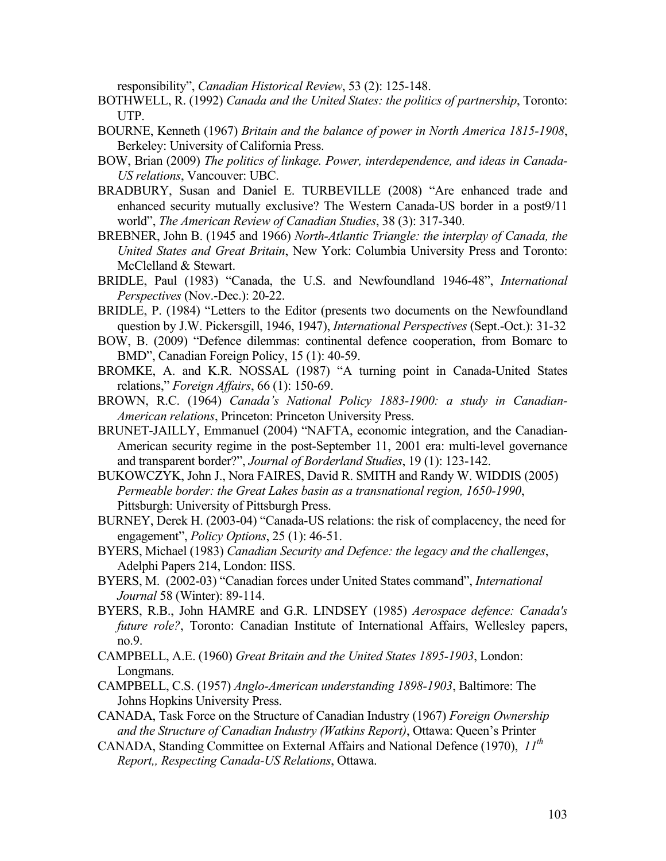responsibility", *Canadian Historical Review*, 53 (2): 125-148.

- BOTHWELL, R. (1992) *Canada and the United States: the politics of partnership*, Toronto: UTP.
- BOURNE, Kenneth (1967) *Britain and the balance of power in North America 1815-1908*, Berkeley: University of California Press.
- BOW, Brian (2009) *The politics of linkage. Power, interdependence, and ideas in Canada-US relations*, Vancouver: UBC.
- BRADBURY, Susan and Daniel E. TURBEVILLE (2008) "Are enhanced trade and enhanced security mutually exclusive? The Western Canada-US border in a post9/11 world", *The American Review of Canadian Studies*, 38 (3): 317-340.
- BREBNER, John B. (1945 and 1966) *North-Atlantic Triangle: the interplay of Canada, the United States and Great Britain*, New York: Columbia University Press and Toronto: McClelland & Stewart.
- BRIDLE, Paul (1983) "Canada, the U.S. and Newfoundland 1946-48", *International Perspectives* (Nov.-Dec.): 20-22.
- BRIDLE, P. (1984) "Letters to the Editor (presents two documents on the Newfoundland question by J.W. Pickersgill, 1946, 1947), *International Perspectives* (Sept.-Oct.): 31-32
- BOW, B. (2009) "Defence dilemmas: continental defence cooperation, from Bomarc to BMD", Canadian Foreign Policy, 15 (1): 40-59.
- BROMKE, A. and K.R. NOSSAL (1987) "A turning point in Canada-United States relations," *Foreign Affairs*, 66 (1): 150-69.
- BROWN, R.C. (1964) *Canada's National Policy 1883-1900: a study in Canadian-American relations*, Princeton: Princeton University Press.
- BRUNET-JAILLY, Emmanuel (2004) "NAFTA, economic integration, and the Canadian-American security regime in the post-September 11, 2001 era: multi-level governance and transparent border?", *Journal of Borderland Studies*, 19 (1): 123-142.
- BUKOWCZYK, John J., Nora FAIRES, David R. SMITH and Randy W. WIDDIS (2005) *Permeable border: the Great Lakes basin as a transnational region, 1650-1990*, Pittsburgh: University of Pittsburgh Press.
- BURNEY, Derek H. (2003-04) "Canada-US relations: the risk of complacency, the need for engagement", *Policy Options*, 25 (1): 46-51.
- BYERS, Michael (1983) *Canadian Security and Defence: the legacy and the challenges*, Adelphi Papers 214, London: IISS.
- BYERS, M. (2002-03) "Canadian forces under United States command", *International Journal* 58 (Winter): 89-114.
- BYERS, R.B., John HAMRE and G.R. LINDSEY (1985) *Aerospace defence: Canada's future role?*, Toronto: Canadian Institute of International Affairs, Wellesley papers, no.9.
- CAMPBELL, A.E. (1960) *Great Britain and the United States 1895-1903*, London: Longmans.
- CAMPBELL, C.S. (1957) *Anglo-American understanding 1898-1903*, Baltimore: The Johns Hopkins University Press.
- CANADA, Task Force on the Structure of Canadian Industry (1967) *Foreign Ownership and the Structure of Canadian Industry (Watkins Report)*, Ottawa: Queen's Printer
- CANADA, Standing Committee on External Affairs and National Defence (1970), *11th Report,, Respecting Canada-US Relations*, Ottawa.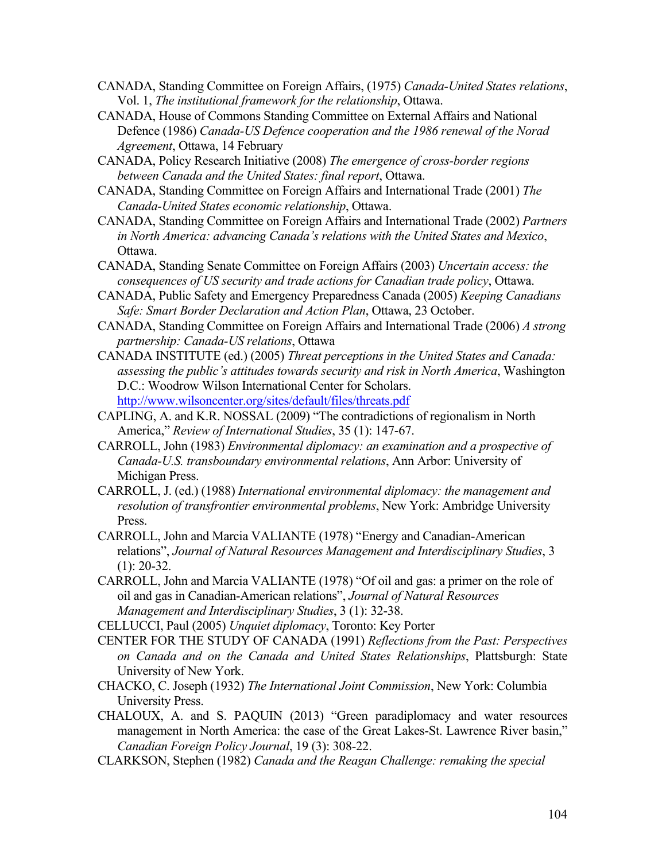- CANADA, Standing Committee on Foreign Affairs, (1975) *Canada-United States relations*, Vol. 1, *The institutional framework for the relationship*, Ottawa.
- CANADA, House of Commons Standing Committee on External Affairs and National Defence (1986) *Canada-US Defence cooperation and the 1986 renewal of the Norad Agreement*, Ottawa, 14 February
- CANADA, Policy Research Initiative (2008) *The emergence of cross-border regions between Canada and the United States: final report*, Ottawa.
- CANADA, Standing Committee on Foreign Affairs and International Trade (2001) *The Canada-United States economic relationship*, Ottawa.
- CANADA, Standing Committee on Foreign Affairs and International Trade (2002) *Partners in North America: advancing Canada's relations with the United States and Mexico*, Ottawa.
- CANADA, Standing Senate Committee on Foreign Affairs (2003) *Uncertain access: the consequences of US security and trade actions for Canadian trade policy*, Ottawa.
- CANADA, Public Safety and Emergency Preparedness Canada (2005) *Keeping Canadians Safe: Smart Border Declaration and Action Plan*, Ottawa, 23 October.
- CANADA, Standing Committee on Foreign Affairs and International Trade (2006) *A strong partnership: Canada-US relations*, Ottawa
- CANADA INSTITUTE (ed.) (2005) *Threat perceptions in the United States and Canada: assessing the public's attitudes towards security and risk in North America*, Washington D.C.: Woodrow Wilson International Center for Scholars. http://www.wilsoncenter.org/sites/default/files/threats.pdf
- CAPLING, A. and K.R. NOSSAL (2009) "The contradictions of regionalism in North America," *Review of International Studies*, 35 (1): 147-67.
- CARROLL, John (1983) *Environmental diplomacy: an examination and a prospective of Canada-U.S. transboundary environmental relations*, Ann Arbor: University of Michigan Press.
- CARROLL, J. (ed.) (1988) *International environmental diplomacy: the management and resolution of transfrontier environmental problems*, New York: Ambridge University Press.
- CARROLL, John and Marcia VALIANTE (1978) "Energy and Canadian-American relations", *Journal of Natural Resources Management and Interdisciplinary Studies*, 3  $(1)$ : 20-32.
- CARROLL, John and Marcia VALIANTE (1978) "Of oil and gas: a primer on the role of oil and gas in Canadian-American relations", *Journal of Natural Resources Management and Interdisciplinary Studies*, 3 (1): 32-38.
- CELLUCCI, Paul (2005) *Unquiet diplomacy*, Toronto: Key Porter
- CENTER FOR THE STUDY OF CANADA (1991) *Reflections from the Past: Perspectives on Canada and on the Canada and United States Relationships*, Plattsburgh: State University of New York.
- CHACKO, C. Joseph (1932) *The International Joint Commission*, New York: Columbia University Press.
- CHALOUX, A. and S. PAQUIN (2013) "Green paradiplomacy and water resources management in North America: the case of the Great Lakes-St. Lawrence River basin," *Canadian Foreign Policy Journal*, 19 (3): 308-22.
- CLARKSON, Stephen (1982) *Canada and the Reagan Challenge: remaking the special*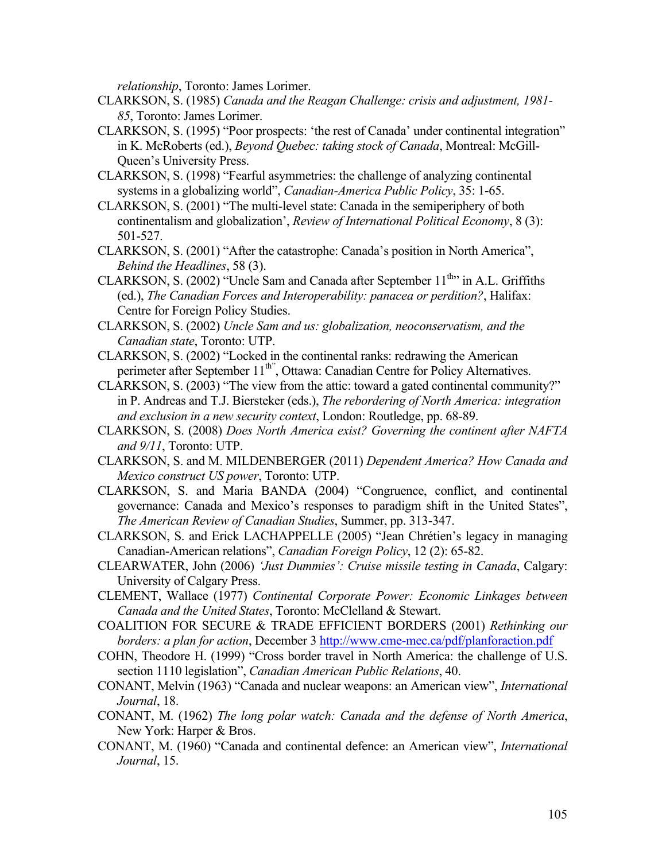*relationship*, Toronto: James Lorimer.

- CLARKSON, S. (1985) *Canada and the Reagan Challenge: crisis and adjustment, 1981- 85*, Toronto: James Lorimer.
- CLARKSON, S. (1995) "Poor prospects: 'the rest of Canada' under continental integration" in K. McRoberts (ed.), *Beyond Quebec: taking stock of Canada*, Montreal: McGill-Queen's University Press.
- CLARKSON, S. (1998) "Fearful asymmetries: the challenge of analyzing continental systems in a globalizing world", *Canadian-America Public Policy*, 35: 1-65.
- CLARKSON, S. (2001) "The multi-level state: Canada in the semiperiphery of both continentalism and globalization', *Review of International Political Economy*, 8 (3): 501-527.
- CLARKSON, S. (2001) "After the catastrophe: Canada's position in North America", *Behind the Headlines*, 58 (3).
- CLARKSON, S. (2002) "Uncle Sam and Canada after September  $11^{th}$ " in A.L. Griffiths (ed.), *The Canadian Forces and Interoperability: panacea or perdition?*, Halifax: Centre for Foreign Policy Studies.
- CLARKSON, S. (2002) *Uncle Sam and us: globalization, neoconservatism, and the Canadian state*, Toronto: UTP.
- CLARKSON, S. (2002) "Locked in the continental ranks: redrawing the American perimeter after September 11<sup>th"</sup>, Ottawa: Canadian Centre for Policy Alternatives.
- CLARKSON, S. (2003) "The view from the attic: toward a gated continental community?" in P. Andreas and T.J. Biersteker (eds.), *The rebordering of North America: integration and exclusion in a new security context*, London: Routledge, pp. 68-89.
- CLARKSON, S. (2008) *Does North America exist? Governing the continent after NAFTA and 9/11*, Toronto: UTP.
- CLARKSON, S. and M. MILDENBERGER (2011) *Dependent America? How Canada and Mexico construct US power*, Toronto: UTP.
- CLARKSON, S. and Maria BANDA (2004) "Congruence, conflict, and continental governance: Canada and Mexico's responses to paradigm shift in the United States", *The American Review of Canadian Studies*, Summer, pp. 313-347.
- CLARKSON, S. and Erick LACHAPPELLE (2005) "Jean Chrétien's legacy in managing Canadian-American relations", *Canadian Foreign Policy*, 12 (2): 65-82.
- CLEARWATER, John (2006) *'Just Dummies': Cruise missile testing in Canada*, Calgary: University of Calgary Press.
- CLEMENT, Wallace (1977) *Continental Corporate Power: Economic Linkages between Canada and the United States*, Toronto: McClelland & Stewart.
- COALITION FOR SECURE & TRADE EFFICIENT BORDERS (2001) *Rethinking our borders: a plan for action*, December 3 http://www.cme-mec.ca/pdf/planforaction.pdf
- COHN, Theodore H. (1999) "Cross border travel in North America: the challenge of U.S. section 1110 legislation", *Canadian American Public Relations*, 40.
- CONANT, Melvin (1963) "Canada and nuclear weapons: an American view", *International Journal*, 18.
- CONANT, M. (1962) *The long polar watch: Canada and the defense of North America*, New York: Harper & Bros.
- CONANT, M. (1960) "Canada and continental defence: an American view", *International Journal*, 15.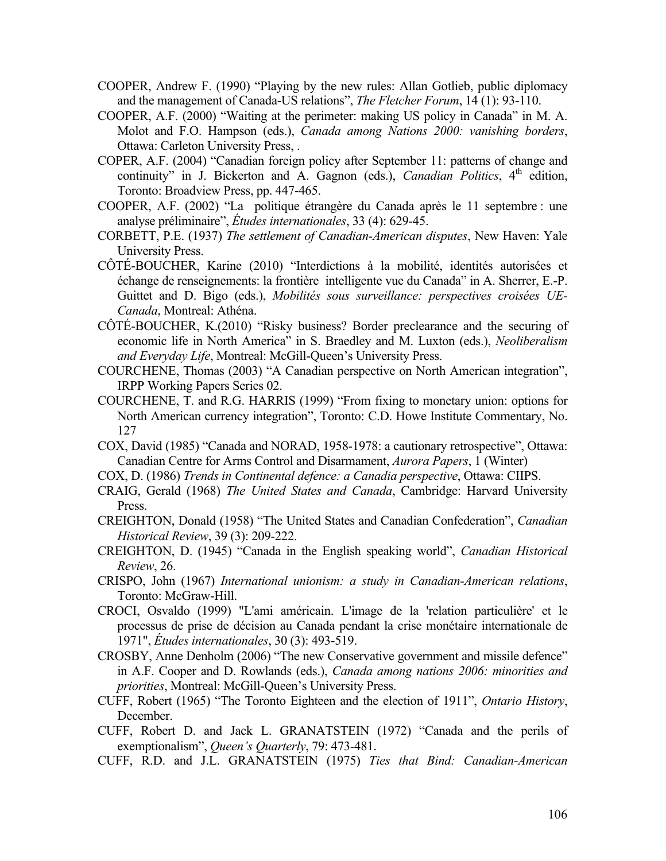- COOPER, Andrew F. (1990) "Playing by the new rules: Allan Gotlieb, public diplomacy and the management of Canada-US relations", *The Fletcher Forum*, 14 (1): 93-110.
- COOPER, A.F. (2000) "Waiting at the perimeter: making US policy in Canada" in M. A. Molot and F.O. Hampson (eds.), *Canada among Nations 2000: vanishing borders*, Ottawa: Carleton University Press, .
- COPER, A.F. (2004) "Canadian foreign policy after September 11: patterns of change and continuity" in J. Bickerton and A. Gagnon (eds.), *Canadian Politics*,  $4<sup>th</sup>$  edition, Toronto: Broadview Press, pp. 447-465.
- COOPER, A.F. (2002) "La politique étrangère du Canada après le 11 septembre : une analyse préliminaire", *Études internationales*, 33 (4): 629-45.
- CORBETT, P.E. (1937) *The settlement of Canadian-American disputes*, New Haven: Yale University Press.
- CÔTÉ-BOUCHER, Karine (2010) "Interdictions à la mobilité, identités autorisées et échange de renseignements: la frontière intelligente vue du Canada" in A. Sherrer, E.-P. Guittet and D. Bigo (eds.), *Mobilités sous surveillance: perspectives croisées UE-Canada*, Montreal: Athéna.
- CÔTÉ-BOUCHER, K.(2010) "Risky business? Border preclearance and the securing of economic life in North America" in S. Braedley and M. Luxton (eds.), *Neoliberalism and Everyday Life*, Montreal: McGill-Queen's University Press.
- COURCHENE, Thomas (2003) "A Canadian perspective on North American integration", IRPP Working Papers Series 02.
- COURCHENE, T. and R.G. HARRIS (1999) "From fixing to monetary union: options for North American currency integration", Toronto: C.D. Howe Institute Commentary, No. 127
- COX, David (1985) "Canada and NORAD, 1958-1978: a cautionary retrospective", Ottawa: Canadian Centre for Arms Control and Disarmament, *Aurora Papers*, 1 (Winter)
- COX, D. (1986) *Trends in Continental defence: a Canadia perspective*, Ottawa: CIIPS.
- CRAIG, Gerald (1968) *The United States and Canada*, Cambridge: Harvard University Press.
- CREIGHTON, Donald (1958) "The United States and Canadian Confederation", *Canadian Historical Review*, 39 (3): 209-222.
- CREIGHTON, D. (1945) "Canada in the English speaking world", *Canadian Historical Review*, 26.
- CRISPO, John (1967) *International unionism: a study in Canadian-American relations*, Toronto: McGraw-Hill.
- CROCI, Osvaldo (1999) "L'ami américain. L'image de la 'relation particulière' et le processus de prise de décision au Canada pendant la crise monétaire internationale de 1971", *Études internationales*, 30 (3): 493-519.
- CROSBY, Anne Denholm (2006) "The new Conservative government and missile defence" in A.F. Cooper and D. Rowlands (eds.), *Canada among nations 2006: minorities and priorities*, Montreal: McGill-Queen's University Press.
- CUFF, Robert (1965) "The Toronto Eighteen and the election of 1911", *Ontario History*, December.
- CUFF, Robert D. and Jack L. GRANATSTEIN (1972) "Canada and the perils of exemptionalism", *Queen's Quarterly*, 79: 473-481.
- CUFF, R.D. and J.L. GRANATSTEIN (1975) *Ties that Bind: Canadian-American*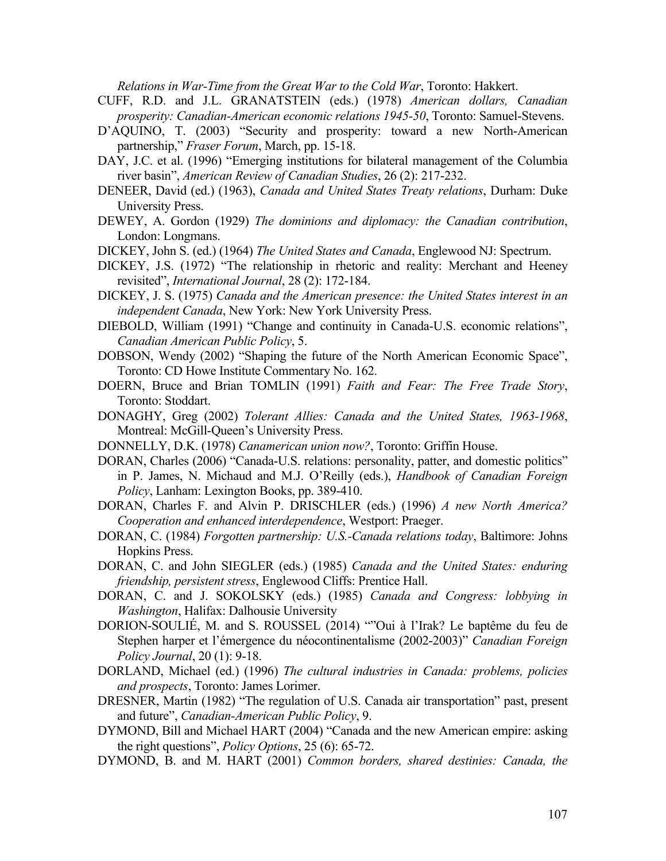*Relations in War-Time from the Great War to the Cold War*, Toronto: Hakkert.

- CUFF, R.D. and J.L. GRANATSTEIN (eds.) (1978) *American dollars, Canadian prosperity: Canadian-American economic relations 1945-50*, Toronto: Samuel-Stevens.
- D'AQUINO, T. (2003) "Security and prosperity: toward a new North-American partnership," *Fraser Forum*, March, pp. 15-18.
- DAY, J.C. et al. (1996) "Emerging institutions for bilateral management of the Columbia river basin", *American Review of Canadian Studies*, 26 (2): 217-232.
- DENEER, David (ed.) (1963), *Canada and United States Treaty relations*, Durham: Duke University Press.
- DEWEY, A. Gordon (1929) *The dominions and diplomacy: the Canadian contribution*, London: Longmans.
- DICKEY, John S. (ed.) (1964) *The United States and Canada*, Englewood NJ: Spectrum.
- DICKEY, J.S. (1972) "The relationship in rhetoric and reality: Merchant and Heeney revisited", *International Journal*, 28 (2): 172-184.
- DICKEY, J. S. (1975) *Canada and the American presence: the United States interest in an independent Canada*, New York: New York University Press.
- DIEBOLD, William (1991) "Change and continuity in Canada-U.S. economic relations", *Canadian American Public Policy*, 5.
- DOBSON, Wendy (2002) "Shaping the future of the North American Economic Space", Toronto: CD Howe Institute Commentary No. 162.
- DOERN, Bruce and Brian TOMLIN (1991) *Faith and Fear: The Free Trade Story*, Toronto: Stoddart.
- DONAGHY, Greg (2002) *Tolerant Allies: Canada and the United States, 1963-1968*, Montreal: McGill-Queen's University Press.
- DONNELLY, D.K. (1978) *Canamerican union now?*, Toronto: Griffin House.
- DORAN, Charles (2006) "Canada-U.S. relations: personality, patter, and domestic politics" in P. James, N. Michaud and M.J. O'Reilly (eds.), *Handbook of Canadian Foreign Policy*, Lanham: Lexington Books, pp. 389-410.
- DORAN, Charles F. and Alvin P. DRISCHLER (eds.) (1996) *A new North America? Cooperation and enhanced interdependence*, Westport: Praeger.
- DORAN, C. (1984) *Forgotten partnership: U.S.-Canada relations today*, Baltimore: Johns Hopkins Press.
- DORAN, C. and John SIEGLER (eds.) (1985) *Canada and the United States: enduring friendship, persistent stress*, Englewood Cliffs: Prentice Hall.
- DORAN, C. and J. SOKOLSKY (eds.) (1985) *Canada and Congress: lobbying in Washington*, Halifax: Dalhousie University
- DORION-SOULIÉ, M. and S. ROUSSEL (2014) ""Oui à l'Irak? Le baptême du feu de Stephen harper et l'émergence du néocontinentalisme (2002-2003)" *Canadian Foreign Policy Journal*, 20 (1): 9-18.
- DORLAND, Michael (ed.) (1996) *The cultural industries in Canada: problems, policies and prospects*, Toronto: James Lorimer.
- DRESNER, Martin (1982) "The regulation of U.S. Canada air transportation" past, present and future", *Canadian-American Public Policy*, 9.
- DYMOND, Bill and Michael HART (2004) "Canada and the new American empire: asking the right questions", *Policy Options*, 25 (6): 65-72.
- DYMOND, B. and M. HART (2001) *Common borders, shared destinies: Canada, the*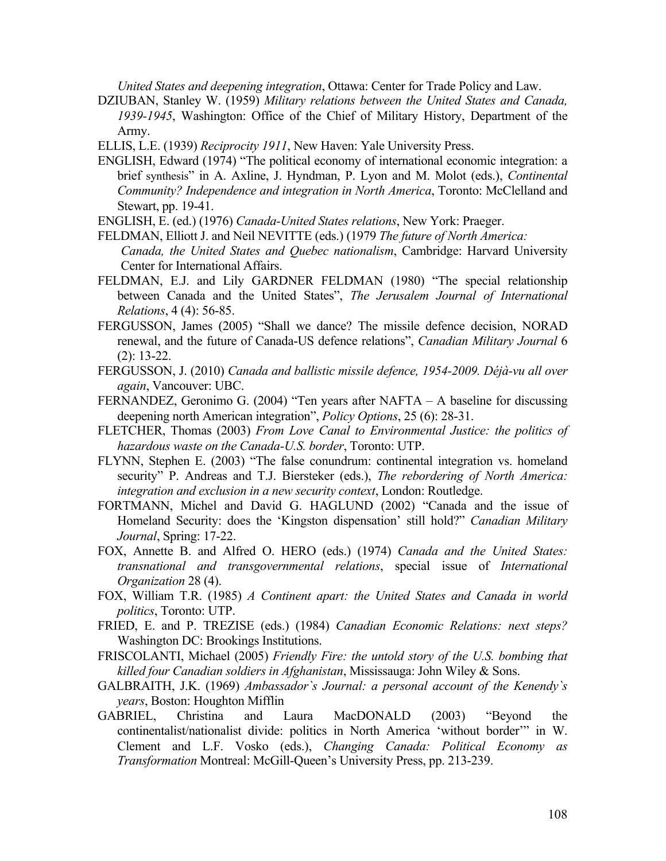*United States and deepening integration*, Ottawa: Center for Trade Policy and Law.

- DZIUBAN, Stanley W. (1959) *Military relations between the United States and Canada, 1939-1945*, Washington: Office of the Chief of Military History, Department of the Army.
- ELLIS, L.E. (1939) *Reciprocity 1911*, New Haven: Yale University Press.
- ENGLISH, Edward (1974) "The political economy of international economic integration: a brief synthesis" in A. Axline, J. Hyndman, P. Lyon and M. Molot (eds.), *Continental Community? Independence and integration in North America*, Toronto: McClelland and Stewart, pp. 19-41.
- ENGLISH, E. (ed.) (1976) *Canada-United States relations*, New York: Praeger.
- FELDMAN, Elliott J. and Neil NEVITTE (eds.) (1979 *The future of North America:*
- *Canada, the United States and Quebec nationalism*, Cambridge: Harvard University Center for International Affairs.
- FELDMAN, E.J. and Lily GARDNER FELDMAN (1980) "The special relationship between Canada and the United States", *The Jerusalem Journal of International Relations*, 4 (4): 56-85.
- FERGUSSON, James (2005) "Shall we dance? The missile defence decision, NORAD renewal, and the future of Canada-US defence relations", *Canadian Military Journal* 6 (2): 13-22.
- FERGUSSON, J. (2010) *Canada and ballistic missile defence, 1954-2009. Déjà-vu all over again*, Vancouver: UBC.
- FERNANDEZ, Geronimo G. (2004) "Ten years after NAFTA A baseline for discussing deepening north American integration", *Policy Options*, 25 (6): 28-31.
- FLETCHER, Thomas (2003) *From Love Canal to Environmental Justice: the politics of hazardous waste on the Canada-U.S. border*, Toronto: UTP.
- FLYNN, Stephen E. (2003) "The false conundrum: continental integration vs. homeland security" P. Andreas and T.J. Biersteker (eds.), *The rebordering of North America: integration and exclusion in a new security context*, London: Routledge.
- FORTMANN, Michel and David G. HAGLUND (2002) "Canada and the issue of Homeland Security: does the 'Kingston dispensation' still hold?" *Canadian Military Journal*, Spring: 17-22.
- FOX, Annette B. and Alfred O. HERO (eds.) (1974) *Canada and the United States: transnational and transgovernmental relations*, special issue of *International Organization* 28 (4).
- FOX, William T.R. (1985) *A Continent apart: the United States and Canada in world politics*, Toronto: UTP.
- FRIED, E. and P. TREZISE (eds.) (1984) *Canadian Economic Relations: next steps?* Washington DC: Brookings Institutions.
- FRISCOLANTI, Michael (2005) *Friendly Fire: the untold story of the U.S. bombing that killed four Canadian soldiers in Afghanistan*, Mississauga: John Wiley & Sons.
- GALBRAITH, J.K. (1969) *Ambassador`s Journal: a personal account of the Kenendy`s years*, Boston: Houghton Mifflin
- GABRIEL, Christina and Laura MacDONALD (2003) "Beyond the continentalist/nationalist divide: politics in North America 'without border'" in W. Clement and L.F. Vosko (eds.), *Changing Canada: Political Economy as Transformation* Montreal: McGill-Queen's University Press, pp. 213-239.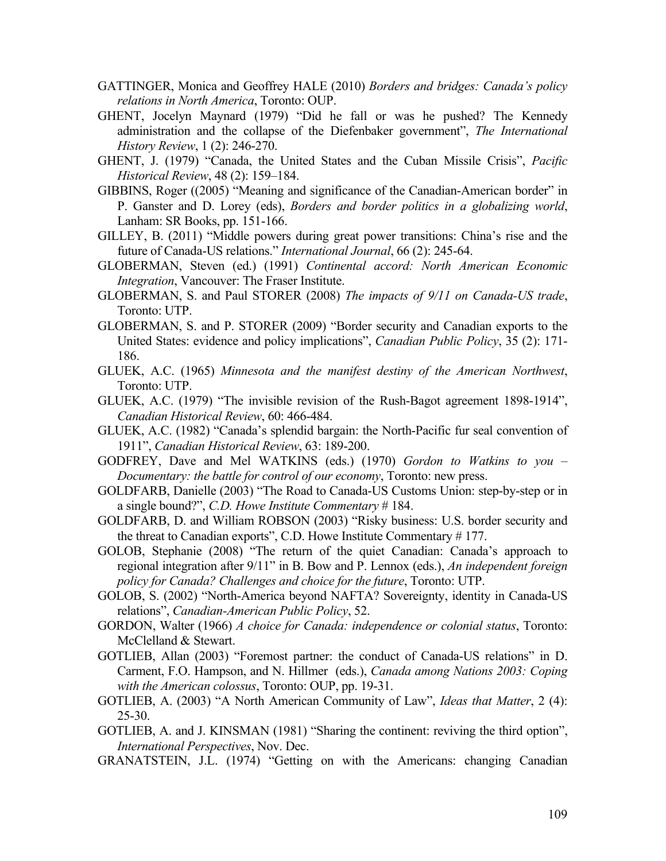- GATTINGER, Monica and Geoffrey HALE (2010) *Borders and bridges: Canada's policy relations in North America*, Toronto: OUP.
- GHENT, Jocelyn Maynard (1979) "Did he fall or was he pushed? The Kennedy administration and the collapse of the Diefenbaker government", *The International History Review*, 1 (2): 246-270.
- GHENT, J. (1979) "Canada, the United States and the Cuban Missile Crisis", *Pacific Historical Review*, 48 (2): 159–184.
- GIBBINS, Roger ((2005) "Meaning and significance of the Canadian-American border" in P. Ganster and D. Lorey (eds), *Borders and border politics in a globalizing world*, Lanham: SR Books, pp. 151-166.
- GILLEY, B. (2011) "Middle powers during great power transitions: China's rise and the future of Canada-US relations." *International Journal*, 66 (2): 245-64.
- GLOBERMAN, Steven (ed.) (1991) *Continental accord: North American Economic Integration*, Vancouver: The Fraser Institute.
- GLOBERMAN, S. and Paul STORER (2008) *The impacts of 9/11 on Canada-US trade*, Toronto: UTP.
- GLOBERMAN, S. and P. STORER (2009) "Border security and Canadian exports to the United States: evidence and policy implications", *Canadian Public Policy*, 35 (2): 171- 186.
- GLUEK, A.C. (1965) *Minnesota and the manifest destiny of the American Northwest*, Toronto: UTP.
- GLUEK, A.C. (1979) "The invisible revision of the Rush-Bagot agreement 1898-1914", *Canadian Historical Review*, 60: 466-484.
- GLUEK, A.C. (1982) "Canada's splendid bargain: the North-Pacific fur seal convention of 1911", *Canadian Historical Review*, 63: 189-200.
- GODFREY, Dave and Mel WATKINS (eds.) (1970) *Gordon to Watkins to you – Documentary: the battle for control of our economy*, Toronto: new press.
- GOLDFARB, Danielle (2003) "The Road to Canada-US Customs Union: step-by-step or in a single bound?", *C.D. Howe Institute Commentary* # 184.
- GOLDFARB, D. and William ROBSON (2003) "Risky business: U.S. border security and the threat to Canadian exports", C.D. Howe Institute Commentary # 177.
- GOLOB, Stephanie (2008) "The return of the quiet Canadian: Canada's approach to regional integration after 9/11" in B. Bow and P. Lennox (eds.), *An independent foreign policy for Canada? Challenges and choice for the future*, Toronto: UTP.
- GOLOB, S. (2002) "North-America beyond NAFTA? Sovereignty, identity in Canada-US relations", *Canadian-American Public Policy*, 52.
- GORDON, Walter (1966) *A choice for Canada: independence or colonial status*, Toronto: McClelland & Stewart.
- GOTLIEB, Allan (2003) "Foremost partner: the conduct of Canada-US relations" in D. Carment, F.O. Hampson, and N. Hillmer (eds.), *Canada among Nations 2003: Coping with the American colossus*, Toronto: OUP, pp. 19-31.
- GOTLIEB, A. (2003) "A North American Community of Law", *Ideas that Matter*, 2 (4): 25-30.
- GOTLIEB, A. and J. KINSMAN (1981) "Sharing the continent: reviving the third option", *International Perspectives*, Nov. Dec.
- GRANATSTEIN, J.L. (1974) "Getting on with the Americans: changing Canadian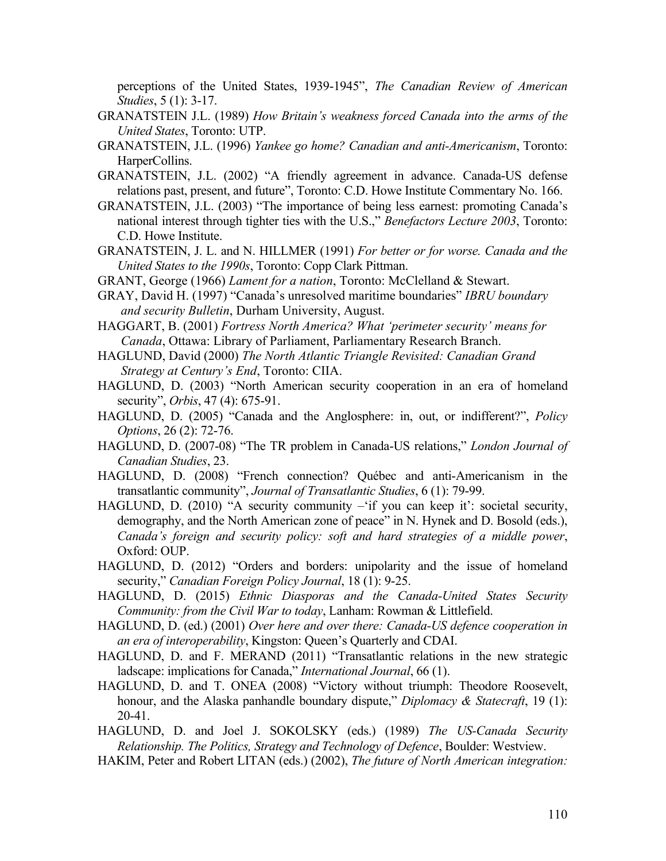perceptions of the United States, 1939-1945", *The Canadian Review of American Studies*, 5 (1): 3-17.

- GRANATSTEIN J.L. (1989) *How Britain's weakness forced Canada into the arms of the United States*, Toronto: UTP.
- GRANATSTEIN, J.L. (1996) *Yankee go home? Canadian and anti-Americanism*, Toronto: HarperCollins.
- GRANATSTEIN, J.L. (2002) "A friendly agreement in advance. Canada-US defense relations past, present, and future", Toronto: C.D. Howe Institute Commentary No. 166.
- GRANATSTEIN, J.L. (2003) "The importance of being less earnest: promoting Canada's national interest through tighter ties with the U.S.," *Benefactors Lecture 2003*, Toronto: C.D. Howe Institute.
- GRANATSTEIN, J. L. and N. HILLMER (1991) *For better or for worse. Canada and the United States to the 1990s*, Toronto: Copp Clark Pittman.
- GRANT, George (1966) *Lament for a nation*, Toronto: McClelland & Stewart.
- GRAY, David H. (1997) "Canada's unresolved maritime boundaries" *IBRU boundary and security Bulletin*, Durham University, August.
- HAGGART, B. (2001) *Fortress North America? What 'perimeter security' means for Canada*, Ottawa: Library of Parliament, Parliamentary Research Branch.
- HAGLUND, David (2000) *The North Atlantic Triangle Revisited: Canadian Grand Strategy at Century's End*, Toronto: CIIA.
- HAGLUND, D. (2003) "North American security cooperation in an era of homeland security", *Orbis*, 47 (4): 675-91.
- HAGLUND, D. (2005) "Canada and the Anglosphere: in, out, or indifferent?", *Policy Options*, 26 (2): 72-76.
- HAGLUND, D. (2007-08) "The TR problem in Canada-US relations," *London Journal of Canadian Studies*, 23.
- HAGLUND, D. (2008) "French connection? Québec and anti-Americanism in the transatlantic community", *Journal of Transatlantic Studies*, 6 (1): 79-99.
- HAGLUND, D. (2010) "A security community –'if you can keep it': societal security, demography, and the North American zone of peace" in N. Hynek and D. Bosold (eds.), *Canada's foreign and security policy: soft and hard strategies of a middle power*, Oxford: OUP.
- HAGLUND, D. (2012) "Orders and borders: unipolarity and the issue of homeland security," *Canadian Foreign Policy Journal*, 18 (1): 9-25.
- HAGLUND, D. (2015) *Ethnic Diasporas and the Canada-United States Security Community: from the Civil War to today*, Lanham: Rowman & Littlefield.
- HAGLUND, D. (ed.) (2001) *Over here and over there: Canada-US defence cooperation in an era of interoperability*, Kingston: Queen's Quarterly and CDAI.
- HAGLUND, D. and F. MERAND (2011) "Transatlantic relations in the new strategic ladscape: implications for Canada," *International Journal*, 66 (1).
- HAGLUND, D. and T. ONEA (2008) "Victory without triumph: Theodore Roosevelt, honour, and the Alaska panhandle boundary dispute," *Diplomacy & Statecraft*, 19 (1): 20-41.
- HAGLUND, D. and Joel J. SOKOLSKY (eds.) (1989) *The US-Canada Security Relationship. The Politics, Strategy and Technology of Defence*, Boulder: Westview.
- HAKIM, Peter and Robert LITAN (eds.) (2002), *The future of North American integration:*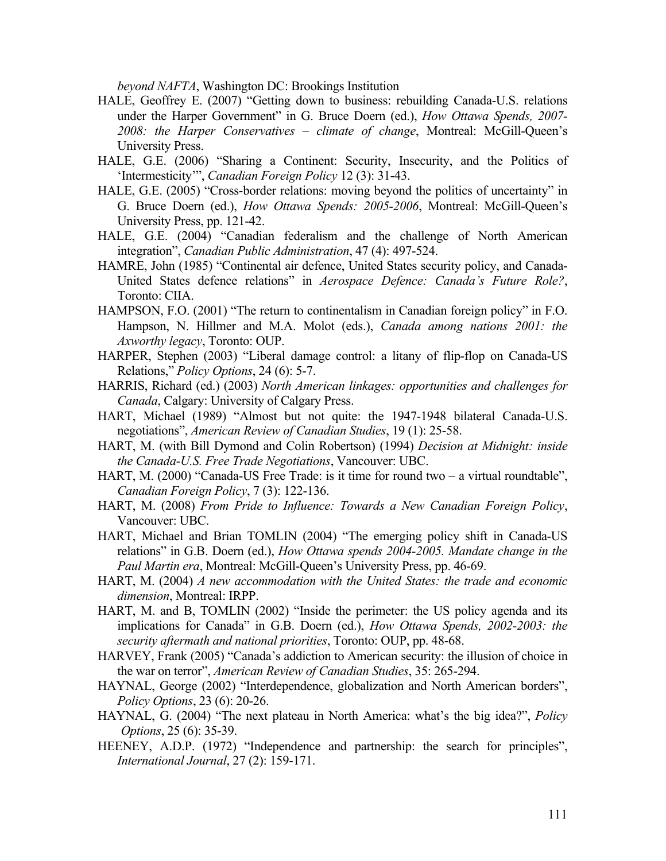*beyond NAFTA*, Washington DC: Brookings Institution

- HALE, Geoffrey E. (2007) "Getting down to business: rebuilding Canada-U.S. relations under the Harper Government" in G. Bruce Doern (ed.), *How Ottawa Spends, 2007- 2008: the Harper Conservatives – climate of change*, Montreal: McGill-Queen's University Press.
- HALE, G.E. (2006) "Sharing a Continent: Security, Insecurity, and the Politics of 'Intermesticity'", *Canadian Foreign Policy* 12 (3): 31-43.
- HALE, G.E. (2005) "Cross-border relations: moving beyond the politics of uncertainty" in G. Bruce Doern (ed.), *How Ottawa Spends: 2005-2006*, Montreal: McGill-Queen's University Press, pp. 121-42.
- HALE, G.E. (2004) "Canadian federalism and the challenge of North American integration", *Canadian Public Administration*, 47 (4): 497-524.
- HAMRE, John (1985) "Continental air defence, United States security policy, and Canada-United States defence relations" in *Aerospace Defence: Canada's Future Role?*, Toronto: CIIA.
- HAMPSON, F.O. (2001) "The return to continentalism in Canadian foreign policy" in F.O. Hampson, N. Hillmer and M.A. Molot (eds.), *Canada among nations 2001: the Axworthy legacy*, Toronto: OUP.
- HARPER, Stephen (2003) "Liberal damage control: a litany of flip-flop on Canada-US Relations," *Policy Options*, 24 (6): 5-7.
- HARRIS, Richard (ed.) (2003) *North American linkages: opportunities and challenges for Canada*, Calgary: University of Calgary Press.
- HART, Michael (1989) "Almost but not quite: the 1947-1948 bilateral Canada-U.S. negotiations", *American Review of Canadian Studies*, 19 (1): 25-58.
- HART, M. (with Bill Dymond and Colin Robertson) (1994) *Decision at Midnight: inside the Canada-U.S. Free Trade Negotiations*, Vancouver: UBC.
- HART, M. (2000) "Canada-US Free Trade: is it time for round two a virtual roundtable", *Canadian Foreign Policy*, 7 (3): 122-136.
- HART, M. (2008) *From Pride to Influence: Towards a New Canadian Foreign Policy*, Vancouver: UBC.
- HART, Michael and Brian TOMLIN (2004) "The emerging policy shift in Canada-US relations" in G.B. Doern (ed.), *How Ottawa spends 2004-2005. Mandate change in the Paul Martin era*, Montreal: McGill-Queen's University Press, pp. 46-69.
- HART, M. (2004) *A new accommodation with the United States: the trade and economic dimension*, Montreal: IRPP.
- HART, M. and B, TOMLIN (2002) "Inside the perimeter: the US policy agenda and its implications for Canada" in G.B. Doern (ed.), *How Ottawa Spends, 2002-2003: the security aftermath and national priorities*, Toronto: OUP, pp. 48-68.
- HARVEY, Frank (2005) "Canada's addiction to American security: the illusion of choice in the war on terror", *American Review of Canadian Studies*, 35: 265-294.
- HAYNAL, George (2002) "Interdependence, globalization and North American borders", *Policy Options*, 23 (6): 20-26.
- HAYNAL, G. (2004) "The next plateau in North America: what's the big idea?", *Policy Options*, 25 (6): 35-39.
- HEENEY, A.D.P. (1972) "Independence and partnership: the search for principles", *International Journal*, 27 (2): 159-171.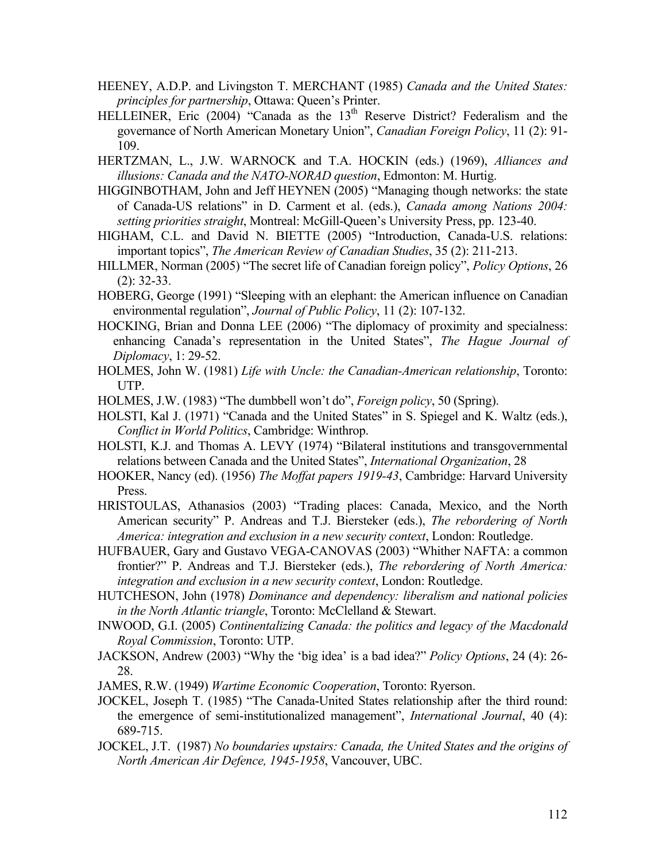- HEENEY, A.D.P. and Livingston T. MERCHANT (1985) *Canada and the United States: principles for partnership*, Ottawa: Queen's Printer.
- HELLEINER, Eric (2004) "Canada as the 13<sup>th</sup> Reserve District? Federalism and the governance of North American Monetary Union", *Canadian Foreign Policy*, 11 (2): 91- 109.
- HERTZMAN, L., J.W. WARNOCK and T.A. HOCKIN (eds.) (1969), *Alliances and illusions: Canada and the NATO-NORAD question*, Edmonton: M. Hurtig.
- HIGGINBOTHAM, John and Jeff HEYNEN (2005) "Managing though networks: the state of Canada-US relations" in D. Carment et al. (eds.), *Canada among Nations 2004: setting priorities straight*, Montreal: McGill-Queen's University Press, pp. 123-40.
- HIGHAM, C.L. and David N. BIETTE (2005) "Introduction, Canada-U.S. relations: important topics", *The American Review of Canadian Studies*, 35 (2): 211-213.
- HILLMER, Norman (2005) "The secret life of Canadian foreign policy", *Policy Options*, 26 (2): 32-33.
- HOBERG, George (1991) "Sleeping with an elephant: the American influence on Canadian environmental regulation", *Journal of Public Policy*, 11 (2): 107-132.
- HOCKING, Brian and Donna LEE (2006) "The diplomacy of proximity and specialness: enhancing Canada's representation in the United States", *The Hague Journal of Diplomacy*, 1: 29-52.
- HOLMES, John W. (1981) *Life with Uncle: the Canadian-American relationship*, Toronto: UTP.
- HOLMES, J.W. (1983) "The dumbbell won't do", *Foreign policy*, 50 (Spring).
- HOLSTI, Kal J. (1971) "Canada and the United States" in S. Spiegel and K. Waltz (eds.), *Conflict in World Politics*, Cambridge: Winthrop.
- HOLSTI, K.J. and Thomas A. LEVY (1974) "Bilateral institutions and transgovernmental relations between Canada and the United States", *International Organization*, 28
- HOOKER, Nancy (ed). (1956) *The Moffat papers 1919-43*, Cambridge: Harvard University Press.
- HRISTOULAS, Athanasios (2003) "Trading places: Canada, Mexico, and the North American security" P. Andreas and T.J. Biersteker (eds.), *The rebordering of North America: integration and exclusion in a new security context*, London: Routledge.
- HUFBAUER, Gary and Gustavo VEGA-CANOVAS (2003) "Whither NAFTA: a common frontier?" P. Andreas and T.J. Biersteker (eds.), *The rebordering of North America: integration and exclusion in a new security context*, London: Routledge.
- HUTCHESON, John (1978) *Dominance and dependency: liberalism and national policies in the North Atlantic triangle*, Toronto: McClelland & Stewart.
- INWOOD, G.I. (2005) *Continentalizing Canada: the politics and legacy of the Macdonald Royal Commission*, Toronto: UTP.
- JACKSON, Andrew (2003) "Why the 'big idea' is a bad idea?" *Policy Options*, 24 (4): 26- 28.
- JAMES, R.W. (1949) *Wartime Economic Cooperation*, Toronto: Ryerson.
- JOCKEL, Joseph T. (1985) "The Canada-United States relationship after the third round: the emergence of semi-institutionalized management", *International Journal*, 40 (4): 689-715.
- JOCKEL, J.T. (1987) *No boundaries upstairs: Canada, the United States and the origins of North American Air Defence, 1945-1958*, Vancouver, UBC.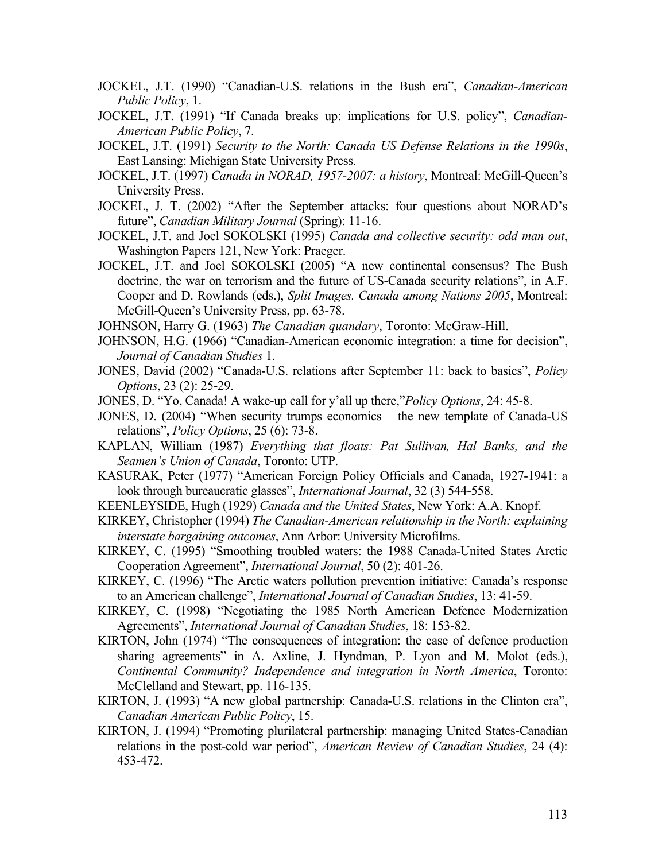- JOCKEL, J.T. (1990) "Canadian-U.S. relations in the Bush era", *Canadian-American Public Policy*, 1.
- JOCKEL, J.T. (1991) "If Canada breaks up: implications for U.S. policy", *Canadian-American Public Policy*, 7.
- JOCKEL, J.T. (1991) *Security to the North: Canada US Defense Relations in the 1990s*, East Lansing: Michigan State University Press.
- JOCKEL, J.T. (1997) *Canada in NORAD, 1957-2007: a history*, Montreal: McGill-Queen's University Press.
- JOCKEL, J. T. (2002) "After the September attacks: four questions about NORAD's future", *Canadian Military Journal* (Spring): 11-16.
- JOCKEL, J.T. and Joel SOKOLSKI (1995) *Canada and collective security: odd man out*, Washington Papers 121, New York: Praeger.
- JOCKEL, J.T. and Joel SOKOLSKI (2005) "A new continental consensus? The Bush doctrine, the war on terrorism and the future of US-Canada security relations", in A.F. Cooper and D. Rowlands (eds.), *Split Images. Canada among Nations 2005*, Montreal: McGill-Queen's University Press, pp. 63-78.
- JOHNSON, Harry G. (1963) *The Canadian quandary*, Toronto: McGraw-Hill.
- JOHNSON, H.G. (1966) "Canadian-American economic integration: a time for decision", *Journal of Canadian Studies* 1.
- JONES, David (2002) "Canada-U.S. relations after September 11: back to basics", *Policy Options*, 23 (2): 25-29.
- JONES, D. "Yo, Canada! A wake-up call for y'all up there,"*Policy Options*, 24: 45-8.
- JONES, D. (2004) "When security trumps economics the new template of Canada-US relations", *Policy Options*, 25 (6): 73-8.
- KAPLAN, William (1987) *Everything that floats: Pat Sullivan, Hal Banks, and the Seamen's Union of Canada*, Toronto: UTP.
- KASURAK, Peter (1977) "American Foreign Policy Officials and Canada, 1927-1941: a look through bureaucratic glasses", *International Journal*, 32 (3) 544-558.
- KEENLEYSIDE, Hugh (1929) *Canada and the United States*, New York: A.A. Knopf.
- KIRKEY, Christopher (1994) *The Canadian-American relationship in the North: explaining interstate bargaining outcomes*, Ann Arbor: University Microfilms.
- KIRKEY, C. (1995) "Smoothing troubled waters: the 1988 Canada-United States Arctic Cooperation Agreement", *International Journal*, 50 (2): 401-26.
- KIRKEY, C. (1996) "The Arctic waters pollution prevention initiative: Canada's response to an American challenge", *International Journal of Canadian Studies*, 13: 41-59.
- KIRKEY, C. (1998) "Negotiating the 1985 North American Defence Modernization Agreements", *International Journal of Canadian Studies*, 18: 153-82.
- KIRTON, John (1974) "The consequences of integration: the case of defence production sharing agreements" in A. Axline, J. Hyndman, P. Lyon and M. Molot (eds.), *Continental Community? Independence and integration in North America*, Toronto: McClelland and Stewart, pp. 116-135.
- KIRTON, J. (1993) "A new global partnership: Canada-U.S. relations in the Clinton era", *Canadian American Public Policy*, 15.
- KIRTON, J. (1994) "Promoting plurilateral partnership: managing United States-Canadian relations in the post-cold war period", *American Review of Canadian Studies*, 24 (4): 453-472.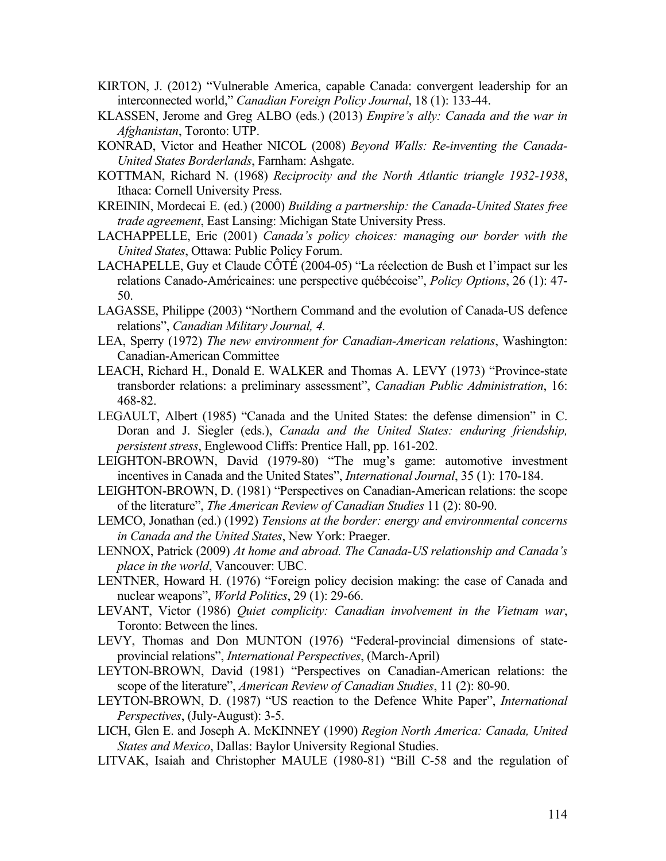- KIRTON, J. (2012) "Vulnerable America, capable Canada: convergent leadership for an interconnected world," *Canadian Foreign Policy Journal*, 18 (1): 133-44.
- KLASSEN, Jerome and Greg ALBO (eds.) (2013) *Empire's ally: Canada and the war in Afghanistan*, Toronto: UTP.
- KONRAD, Victor and Heather NICOL (2008) *Beyond Walls: Re-inventing the Canada-United States Borderlands*, Farnham: Ashgate.
- KOTTMAN, Richard N. (1968) *Reciprocity and the North Atlantic triangle 1932-1938*, Ithaca: Cornell University Press.
- KREININ, Mordecai E. (ed.) (2000) *Building a partnership: the Canada-United States free trade agreement*, East Lansing: Michigan State University Press.
- LACHAPPELLE, Eric (2001) *Canada's policy choices: managing our border with the United States*, Ottawa: Public Policy Forum.
- LACHAPELLE, Guy et Claude CÔTÉ (2004-05) "La réelection de Bush et l'impact sur les relations Canado-Américaines: une perspective québécoise", *Policy Options*, 26 (1): 47- 50.
- LAGASSE, Philippe (2003) "Northern Command and the evolution of Canada-US defence relations", *Canadian Military Journal, 4.*
- LEA, Sperry (1972) *The new environment for Canadian-American relations*, Washington: Canadian-American Committee
- LEACH, Richard H., Donald E. WALKER and Thomas A. LEVY (1973) "Province-state transborder relations: a preliminary assessment", *Canadian Public Administration*, 16: 468-82.
- LEGAULT, Albert (1985) "Canada and the United States: the defense dimension" in C. Doran and J. Siegler (eds.), *Canada and the United States: enduring friendship, persistent stress*, Englewood Cliffs: Prentice Hall, pp. 161-202.
- LEIGHTON-BROWN, David (1979-80) "The mug's game: automotive investment incentives in Canada and the United States", *International Journal*, 35 (1): 170-184.
- LEIGHTON-BROWN, D. (1981) "Perspectives on Canadian-American relations: the scope of the literature", *The American Review of Canadian Studies* 11 (2): 80-90.
- LEMCO, Jonathan (ed.) (1992) *Tensions at the border: energy and environmental concerns in Canada and the United States*, New York: Praeger.
- LENNOX, Patrick (2009) *At home and abroad. The Canada-US relationship and Canada's place in the world*, Vancouver: UBC.
- LENTNER, Howard H. (1976) "Foreign policy decision making: the case of Canada and nuclear weapons", *World Politics*, 29 (1): 29-66.
- LEVANT, Victor (1986) *Quiet complicity: Canadian involvement in the Vietnam war*, Toronto: Between the lines.
- LEVY, Thomas and Don MUNTON (1976) "Federal-provincial dimensions of stateprovincial relations", *International Perspectives*, (March-April)
- LEYTON-BROWN, David (1981) "Perspectives on Canadian-American relations: the scope of the literature", *American Review of Canadian Studies*, 11 (2): 80-90.
- LEYTON-BROWN, D. (1987) "US reaction to the Defence White Paper", *International Perspectives*, (July-August): 3-5.
- LICH, Glen E. and Joseph A. McKINNEY (1990) *Region North America: Canada, United States and Mexico*, Dallas: Baylor University Regional Studies.
- LITVAK, Isaiah and Christopher MAULE (1980-81) "Bill C-58 and the regulation of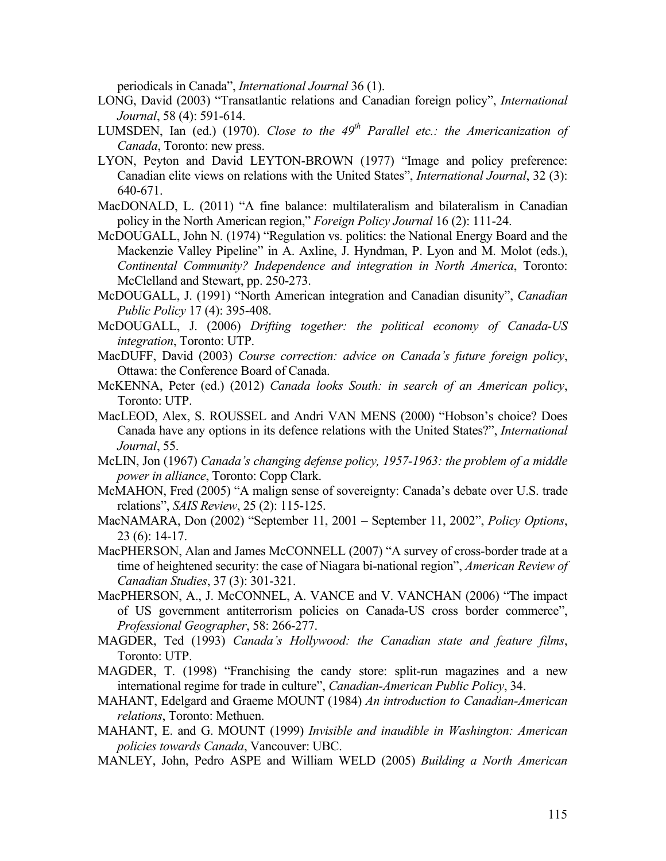periodicals in Canada", *International Journal* 36 (1).

- LONG, David (2003) "Transatlantic relations and Canadian foreign policy", *International Journal*, 58 (4): 591-614.
- LUMSDEN, Ian (ed.) (1970). *Close to the 49<sup>th</sup> Parallel etc.: the Americanization of Canada*, Toronto: new press.
- LYON, Peyton and David LEYTON-BROWN (1977) "Image and policy preference: Canadian elite views on relations with the United States", *International Journal*, 32 (3): 640-671.
- MacDONALD, L. (2011) "A fine balance: multilateralism and bilateralism in Canadian policy in the North American region," *Foreign Policy Journal* 16 (2): 111-24.
- McDOUGALL, John N. (1974) "Regulation vs. politics: the National Energy Board and the Mackenzie Valley Pipeline" in A. Axline, J. Hyndman, P. Lyon and M. Molot (eds.), *Continental Community? Independence and integration in North America*, Toronto: McClelland and Stewart, pp. 250-273.
- McDOUGALL, J. (1991) "North American integration and Canadian disunity", *Canadian Public Policy* 17 (4): 395-408.
- McDOUGALL, J. (2006) *Drifting together: the political economy of Canada-US integration*, Toronto: UTP.
- MacDUFF, David (2003) *Course correction: advice on Canada's future foreign policy*, Ottawa: the Conference Board of Canada.
- McKENNA, Peter (ed.) (2012) *Canada looks South: in search of an American policy*, Toronto: UTP.
- MacLEOD, Alex, S. ROUSSEL and Andri VAN MENS (2000) "Hobson's choice? Does Canada have any options in its defence relations with the United States?", *International Journal*, 55.
- McLIN, Jon (1967) *Canada's changing defense policy, 1957-1963: the problem of a middle power in alliance*, Toronto: Copp Clark.
- McMAHON, Fred (2005) "A malign sense of sovereignty: Canada's debate over U.S. trade relations", *SAIS Review*, 25 (2): 115-125.
- MacNAMARA, Don (2002) "September 11, 2001 September 11, 2002", *Policy Options*, 23 (6): 14-17.
- MacPHERSON, Alan and James McCONNELL (2007) "A survey of cross-border trade at a time of heightened security: the case of Niagara bi-national region", *American Review of Canadian Studies*, 37 (3): 301-321.
- MacPHERSON, A., J. McCONNEL, A. VANCE and V. VANCHAN (2006) "The impact of US government antiterrorism policies on Canada-US cross border commerce", *Professional Geographer*, 58: 266-277.
- MAGDER, Ted (1993) *Canada's Hollywood: the Canadian state and feature films*, Toronto: UTP.
- MAGDER, T. (1998) "Franchising the candy store: split-run magazines and a new international regime for trade in culture", *Canadian-American Public Policy*, 34.
- MAHANT, Edelgard and Graeme MOUNT (1984) *An introduction to Canadian-American relations*, Toronto: Methuen.
- MAHANT, E. and G. MOUNT (1999) *Invisible and inaudible in Washington: American policies towards Canada*, Vancouver: UBC.
- MANLEY, John, Pedro ASPE and William WELD (2005) *Building a North American*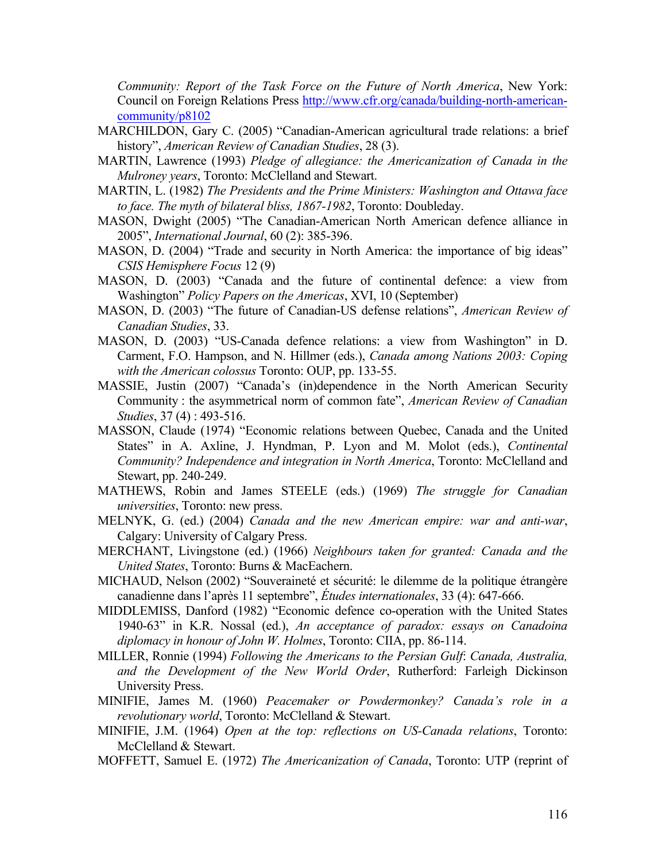*Community: Report of the Task Force on the Future of North America*, New York: Council on Foreign Relations Press http://www.cfr.org/canada/building-north-americancommunity/p8102

- MARCHILDON, Gary C. (2005) "Canadian-American agricultural trade relations: a brief history", *American Review of Canadian Studies*, 28 (3).
- MARTIN, Lawrence (1993) *Pledge of allegiance: the Americanization of Canada in the Mulroney years*, Toronto: McClelland and Stewart.
- MARTIN, L. (1982) *The Presidents and the Prime Ministers: Washington and Ottawa face to face. The myth of bilateral bliss, 1867-1982*, Toronto: Doubleday.
- MASON, Dwight (2005) "The Canadian-American North American defence alliance in 2005", *International Journal*, 60 (2): 385-396.
- MASON, D. (2004) "Trade and security in North America: the importance of big ideas" *CSIS Hemisphere Focus* 12 (9)
- MASON, D. (2003) "Canada and the future of continental defence: a view from Washington" *Policy Papers on the Americas*, XVI, 10 (September)
- MASON, D. (2003) "The future of Canadian-US defense relations", *American Review of Canadian Studies*, 33.
- MASON, D. (2003) "US-Canada defence relations: a view from Washington" in D. Carment, F.O. Hampson, and N. Hillmer (eds.), *Canada among Nations 2003: Coping with the American colossus* Toronto: OUP, pp. 133-55.
- MASSIE, Justin (2007) "Canada's (in)dependence in the North American Security Community : the asymmetrical norm of common fate", *American Review of Canadian Studies*, 37 (4) : 493-516.
- MASSON, Claude (1974) "Economic relations between Quebec, Canada and the United States" in A. Axline, J. Hyndman, P. Lyon and M. Molot (eds.), *Continental Community? Independence and integration in North America*, Toronto: McClelland and Stewart, pp. 240-249.
- MATHEWS, Robin and James STEELE (eds.) (1969) *The struggle for Canadian universities*, Toronto: new press.
- MELNYK, G. (ed.) (2004) *Canada and the new American empire: war and anti-war*, Calgary: University of Calgary Press.
- MERCHANT, Livingstone (ed.) (1966) *Neighbours taken for granted: Canada and the United States*, Toronto: Burns & MacEachern.
- MICHAUD, Nelson (2002) "Souveraineté et sécurité: le dilemme de la politique étrangère canadienne dans l'après 11 septembre", *Études internationales*, 33 (4): 647-666.
- MIDDLEMISS, Danford (1982) "Economic defence co-operation with the United States 1940-63" in K.R. Nossal (ed.), *An acceptance of paradox: essays on Canadoina diplomacy in honour of John W. Holmes*, Toronto: CIIA, pp. 86-114.
- MILLER, Ronnie (1994) *Following the Americans to the Persian Gulf*: *Canada, Australia, and the Development of the New World Order*, Rutherford: Farleigh Dickinson University Press.
- MINIFIE, James M. (1960) *Peacemaker or Powdermonkey? Canada's role in a revolutionary world*, Toronto: McClelland & Stewart.
- MINIFIE, J.M. (1964) *Open at the top: reflections on US-Canada relations*, Toronto: McClelland & Stewart.
- MOFFETT, Samuel E. (1972) *The Americanization of Canada*, Toronto: UTP (reprint of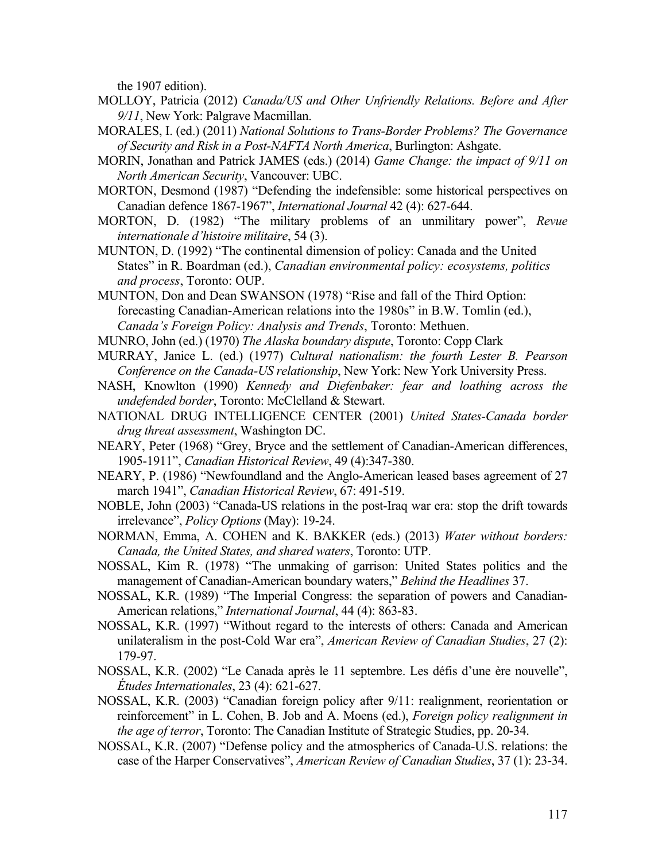the 1907 edition).

- MOLLOY, Patricia (2012) *Canada/US and Other Unfriendly Relations. Before and After 9/11*, New York: Palgrave Macmillan.
- MORALES, I. (ed.) (2011) *National Solutions to Trans-Border Problems? The Governance of Security and Risk in a Post-NAFTA North America*, Burlington: Ashgate.
- MORIN, Jonathan and Patrick JAMES (eds.) (2014) *Game Change: the impact of 9/11 on North American Security*, Vancouver: UBC.
- MORTON, Desmond (1987) "Defending the indefensible: some historical perspectives on Canadian defence 1867-1967", *International Journal* 42 (4): 627-644.
- MORTON, D. (1982) "The military problems of an unmilitary power", *Revue internationale d'histoire militaire*, 54 (3).
- MUNTON, D. (1992) "The continental dimension of policy: Canada and the United States" in R. Boardman (ed.), *Canadian environmental policy: ecosystems, politics and process*, Toronto: OUP.
- MUNTON, Don and Dean SWANSON (1978) "Rise and fall of the Third Option: forecasting Canadian-American relations into the 1980s" in B.W. Tomlin (ed.), *Canada's Foreign Policy: Analysis and Trends*, Toronto: Methuen.
- MUNRO, John (ed.) (1970) *The Alaska boundary dispute*, Toronto: Copp Clark
- MURRAY, Janice L. (ed.) (1977) *Cultural nationalism: the fourth Lester B. Pearson Conference on the Canada-US relationship*, New York: New York University Press.
- NASH, Knowlton (1990) *Kennedy and Diefenbaker: fear and loathing across the undefended border*, Toronto: McClelland & Stewart.
- NATIONAL DRUG INTELLIGENCE CENTER (2001) *United States-Canada border drug threat assessment*, Washington DC.
- NEARY, Peter (1968) "Grey, Bryce and the settlement of Canadian-American differences, 1905-1911", *Canadian Historical Review*, 49 (4):347-380.
- NEARY, P. (1986) "Newfoundland and the Anglo-American leased bases agreement of 27 march 1941", *Canadian Historical Review*, 67: 491-519.
- NOBLE, John (2003) "Canada-US relations in the post-Iraq war era: stop the drift towards irrelevance", *Policy Options* (May): 19-24.
- NORMAN, Emma, A. COHEN and K. BAKKER (eds.) (2013) *Water without borders: Canada, the United States, and shared waters*, Toronto: UTP.
- NOSSAL, Kim R. (1978) "The unmaking of garrison: United States politics and the management of Canadian-American boundary waters," *Behind the Headlines* 37.
- NOSSAL, K.R. (1989) "The Imperial Congress: the separation of powers and Canadian-American relations," *International Journal*, 44 (4): 863-83.
- NOSSAL, K.R. (1997) "Without regard to the interests of others: Canada and American unilateralism in the post-Cold War era", *American Review of Canadian Studies*, 27 (2): 179-97.
- NOSSAL, K.R. (2002) "Le Canada après le 11 septembre. Les défis d'une ère nouvelle", *Études Internationales*, 23 (4): 621-627.
- NOSSAL, K.R. (2003) "Canadian foreign policy after 9/11: realignment, reorientation or reinforcement" in L. Cohen, B. Job and A. Moens (ed.), *Foreign policy realignment in the age of terror*, Toronto: The Canadian Institute of Strategic Studies, pp. 20-34.
- NOSSAL, K.R. (2007) "Defense policy and the atmospherics of Canada-U.S. relations: the case of the Harper Conservatives", *American Review of Canadian Studies*, 37 (1): 23-34.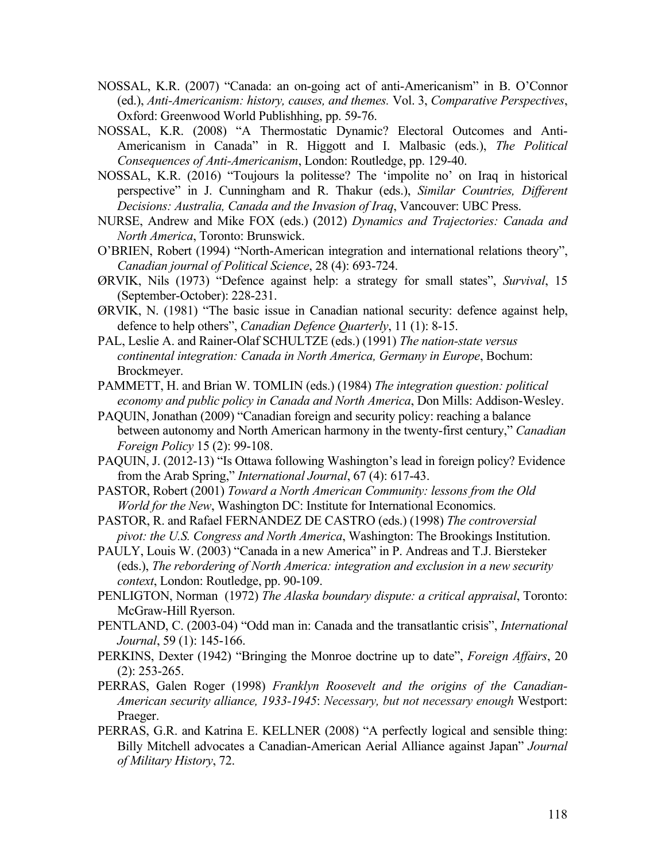- NOSSAL, K.R. (2007) "Canada: an on-going act of anti-Americanism" in B. O'Connor (ed.), *Anti-Americanism: history, causes, and themes.* Vol. 3, *Comparative Perspectives*, Oxford: Greenwood World Publishhing, pp. 59-76.
- NOSSAL, K.R. (2008) "A Thermostatic Dynamic? Electoral Outcomes and Anti-Americanism in Canada" in R. Higgott and I. Malbasic (eds.), *The Political Consequences of Anti-Americanism*, London: Routledge, pp. 129-40.
- NOSSAL, K.R. (2016) "Toujours la politesse? The 'impolite no' on Iraq in historical perspective" in J. Cunningham and R. Thakur (eds.), *Similar Countries, Different Decisions: Australia, Canada and the Invasion of Iraq*, Vancouver: UBC Press.
- NURSE, Andrew and Mike FOX (eds.) (2012) *Dynamics and Trajectories: Canada and North America*, Toronto: Brunswick.
- O'BRIEN, Robert (1994) "North-American integration and international relations theory", *Canadian journal of Political Science*, 28 (4): 693-724.
- ØRVIK, Nils (1973) "Defence against help: a strategy for small states", *Survival*, 15 (September-October): 228-231.
- ØRVIK, N. (1981) "The basic issue in Canadian national security: defence against help, defence to help others", *Canadian Defence Quarterly*, 11 (1): 8-15.
- PAL, Leslie A. and Rainer-Olaf SCHULTZE (eds.) (1991) *The nation-state versus continental integration: Canada in North America, Germany in Europe*, Bochum: Brockmeyer.
- PAMMETT, H. and Brian W. TOMLIN (eds.) (1984) *The integration question: political economy and public policy in Canada and North America*, Don Mills: Addison-Wesley.
- PAQUIN, Jonathan (2009) "Canadian foreign and security policy: reaching a balance between autonomy and North American harmony in the twenty-first century," *Canadian Foreign Policy* 15 (2): 99-108.
- PAQUIN, J. (2012-13) "Is Ottawa following Washington's lead in foreign policy? Evidence from the Arab Spring," *International Journal*, 67 (4): 617-43.
- PASTOR, Robert (2001) *Toward a North American Community: lessons from the Old World for the New*, Washington DC: Institute for International Economics.
- PASTOR, R. and Rafael FERNANDEZ DE CASTRO (eds.) (1998) *The controversial pivot: the U.S. Congress and North America*, Washington: The Brookings Institution.
- PAULY, Louis W. (2003) "Canada in a new America" in P. Andreas and T.J. Biersteker (eds.), *The rebordering of North America: integration and exclusion in a new security context*, London: Routledge, pp. 90-109.
- PENLIGTON, Norman (1972) *The Alaska boundary dispute: a critical appraisal*, Toronto: McGraw-Hill Ryerson.
- PENTLAND, C. (2003-04) "Odd man in: Canada and the transatlantic crisis", *International Journal*, 59 (1): 145-166.
- PERKINS, Dexter (1942) "Bringing the Monroe doctrine up to date", *Foreign Affairs*, 20 (2): 253-265.
- PERRAS, Galen Roger (1998) *Franklyn Roosevelt and the origins of the Canadian-American security alliance, 1933-1945*: *Necessary, but not necessary enough* Westport: Praeger.
- PERRAS, G.R. and Katrina E. KELLNER (2008) "A perfectly logical and sensible thing: Billy Mitchell advocates a Canadian-American Aerial Alliance against Japan" *Journal of Military History*, 72.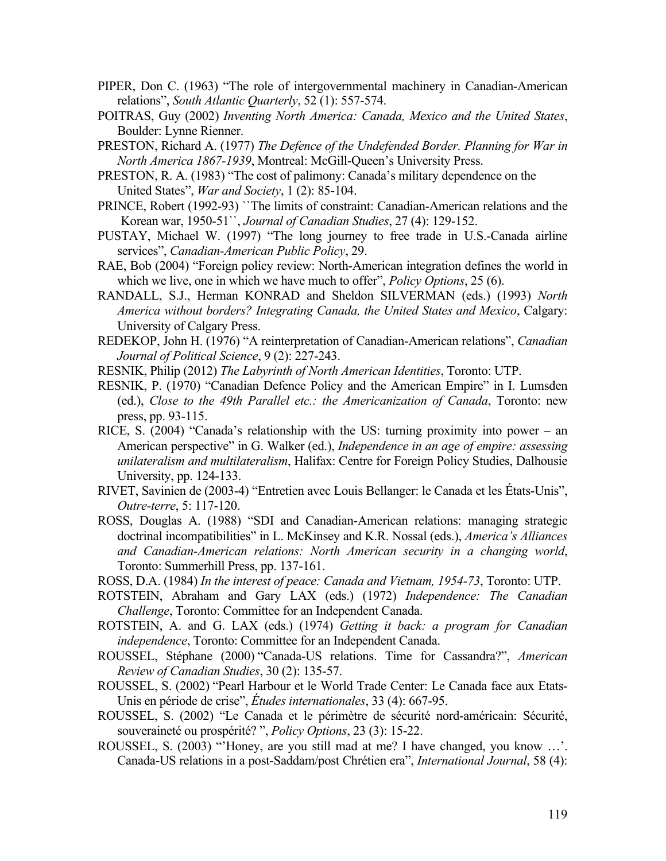- PIPER, Don C. (1963) "The role of intergovernmental machinery in Canadian-American relations", *South Atlantic Quarterly*, 52 (1): 557-574.
- POITRAS, Guy (2002) *Inventing North America: Canada, Mexico and the United States*, Boulder: Lynne Rienner.
- PRESTON, Richard A. (1977) *The Defence of the Undefended Border. Planning for War in North America 1867-1939*, Montreal: McGill-Queen's University Press.
- PRESTON, R. A. (1983) "The cost of palimony: Canada's military dependence on the United States", *War and Society*, 1 (2): 85-104.
- PRINCE, Robert (1992-93) ``The limits of constraint: Canadian-American relations and the Korean war, 1950-51``, *Journal of Canadian Studies*, 27 (4): 129-152.
- PUSTAY, Michael W. (1997) "The long journey to free trade in U.S.-Canada airline services", *Canadian-American Public Policy*, 29.
- RAE, Bob (2004) "Foreign policy review: North-American integration defines the world in which we live, one in which we have much to offer", *Policy Options*, 25 (6).
- RANDALL, S.J., Herman KONRAD and Sheldon SILVERMAN (eds.) (1993) *North America without borders? Integrating Canada, the United States and Mexico*, Calgary: University of Calgary Press.
- REDEKOP, John H. (1976) "A reinterpretation of Canadian-American relations", *Canadian Journal of Political Science*, 9 (2): 227-243.
- RESNIK, Philip (2012) *The Labyrinth of North American Identities*, Toronto: UTP.
- RESNIK, P. (1970) "Canadian Defence Policy and the American Empire" in I. Lumsden (ed.), *Close to the 49th Parallel etc.: the Americanization of Canada*, Toronto: new press, pp. 93-115.
- RICE, S. (2004) "Canada's relationship with the US: turning proximity into power an American perspective" in G. Walker (ed.), *Independence in an age of empire: assessing unilateralism and multilateralism*, Halifax: Centre for Foreign Policy Studies, Dalhousie University, pp. 124-133.
- RIVET, Savinien de (2003-4) "Entretien avec Louis Bellanger: le Canada et les États-Unis", *Outre-terre*, 5: 117-120.
- ROSS, Douglas A. (1988) "SDI and Canadian-American relations: managing strategic doctrinal incompatibilities" in L. McKinsey and K.R. Nossal (eds.), *America's Alliances and Canadian-American relations: North American security in a changing world*, Toronto: Summerhill Press, pp. 137-161.
- ROSS, D.A. (1984) *In the interest of peace: Canada and Vietnam, 1954-73*, Toronto: UTP.
- ROTSTEIN, Abraham and Gary LAX (eds.) (1972) *Independence: The Canadian Challenge*, Toronto: Committee for an Independent Canada.
- ROTSTEIN, A. and G. LAX (eds.) (1974) *Getting it back: a program for Canadian independence*, Toronto: Committee for an Independent Canada.
- ROUSSEL, Stéphane (2000) "Canada-US relations. Time for Cassandra?", *American Review of Canadian Studies*, 30 (2): 135-57.
- ROUSSEL, S. (2002) "Pearl Harbour et le World Trade Center: Le Canada face aux Etats-Unis en période de crise", *Études internationales*, 33 (4): 667-95.
- ROUSSEL, S. (2002) "Le Canada et le périmètre de sécurité nord-américain: Sécurité, souveraineté ou prospérité? ", *Policy Options*, 23 (3): 15-22.
- ROUSSEL, S. (2003) "Honey, are you still mad at me? I have changed, you know ...'. Canada-US relations in a post-Saddam/post Chrétien era", *International Journal*, 58 (4):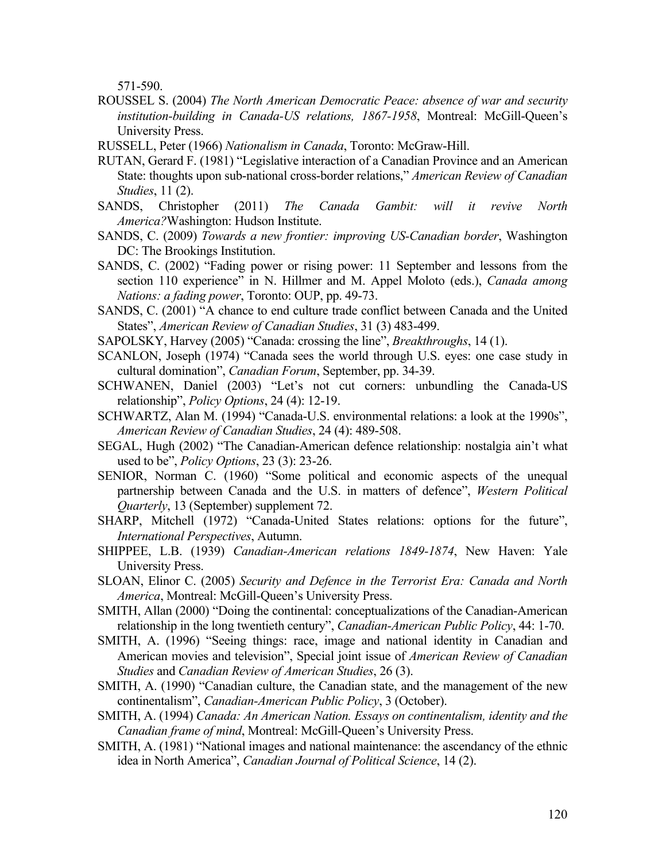571-590.

- ROUSSEL S. (2004) *The North American Democratic Peace: absence of war and security institution-building in Canada-US relations, 1867-1958*, Montreal: McGill-Queen's University Press.
- RUSSELL, Peter (1966) *Nationalism in Canada*, Toronto: McGraw-Hill.
- RUTAN, Gerard F. (1981) "Legislative interaction of a Canadian Province and an American State: thoughts upon sub-national cross-border relations," *American Review of Canadian Studies*, 11 (2).
- SANDS, Christopher (2011) *The Canada Gambit: will it revive North America?*Washington: Hudson Institute.
- SANDS, C. (2009) *Towards a new frontier: improving US-Canadian border*, Washington DC: The Brookings Institution.
- SANDS, C. (2002) "Fading power or rising power: 11 September and lessons from the section 110 experience" in N. Hillmer and M. Appel Moloto (eds.), *Canada among Nations: a fading power*, Toronto: OUP, pp. 49-73.
- SANDS, C. (2001) "A chance to end culture trade conflict between Canada and the United States", *American Review of Canadian Studies*, 31 (3) 483-499.
- SAPOLSKY, Harvey (2005) "Canada: crossing the line", *Breakthroughs*, 14 (1).
- SCANLON, Joseph (1974) "Canada sees the world through U.S. eyes: one case study in cultural domination", *Canadian Forum*, September, pp. 34-39.
- SCHWANEN, Daniel (2003) "Let's not cut corners: unbundling the Canada-US relationship", *Policy Options*, 24 (4): 12-19.
- SCHWARTZ, Alan M. (1994) "Canada-U.S. environmental relations: a look at the 1990s", *American Review of Canadian Studies*, 24 (4): 489-508.
- SEGAL, Hugh (2002) "The Canadian-American defence relationship: nostalgia ain't what used to be", *Policy Options*, 23 (3): 23-26.
- SENIOR, Norman C. (1960) "Some political and economic aspects of the unequal partnership between Canada and the U.S. in matters of defence", *Western Political Quarterly*, 13 (September) supplement 72.
- SHARP, Mitchell (1972) "Canada-United States relations: options for the future", *International Perspectives*, Autumn.
- SHIPPEE, L.B. (1939) *Canadian-American relations 1849-1874*, New Haven: Yale University Press.
- SLOAN, Elinor C. (2005) *Security and Defence in the Terrorist Era: Canada and North America*, Montreal: McGill-Queen's University Press.
- SMITH, Allan (2000) "Doing the continental: conceptualizations of the Canadian-American relationship in the long twentieth century", *Canadian-American Public Policy*, 44: 1-70.
- SMITH, A. (1996) "Seeing things: race, image and national identity in Canadian and American movies and television", Special joint issue of *American Review of Canadian Studies* and *Canadian Review of American Studies*, 26 (3).
- SMITH, A. (1990) "Canadian culture, the Canadian state, and the management of the new continentalism", *Canadian-American Public Policy*, 3 (October).
- SMITH, A. (1994) *Canada: An American Nation. Essays on continentalism, identity and the Canadian frame of mind*, Montreal: McGill-Queen's University Press.
- SMITH, A. (1981) "National images and national maintenance: the ascendancy of the ethnic idea in North America", *Canadian Journal of Political Science*, 14 (2).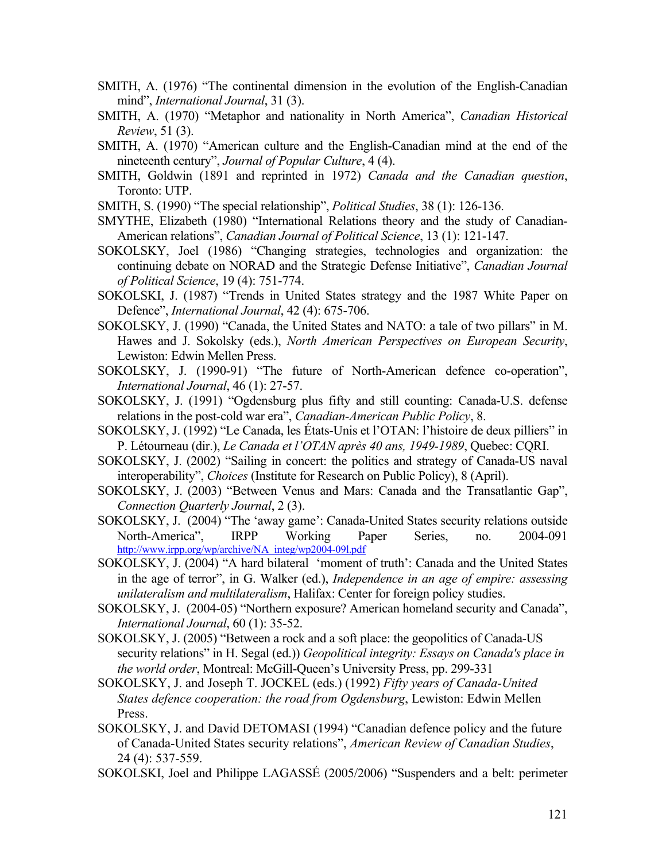- SMITH, A. (1976) "The continental dimension in the evolution of the English-Canadian mind", *International Journal*, 31 (3).
- SMITH, A. (1970) "Metaphor and nationality in North America", *Canadian Historical Review*, 51 (3).
- SMITH, A. (1970) "American culture and the English-Canadian mind at the end of the nineteenth century", *Journal of Popular Culture*, 4 (4).
- SMITH, Goldwin (1891 and reprinted in 1972) *Canada and the Canadian question*, Toronto: UTP.
- SMITH, S. (1990) "The special relationship", *Political Studies*, 38 (1): 126-136.
- SMYTHE, Elizabeth (1980) "International Relations theory and the study of Canadian-American relations", *Canadian Journal of Political Science*, 13 (1): 121-147.
- SOKOLSKY, Joel (1986) "Changing strategies, technologies and organization: the continuing debate on NORAD and the Strategic Defense Initiative", *Canadian Journal of Political Science*, 19 (4): 751-774.
- SOKOLSKI, J. (1987) "Trends in United States strategy and the 1987 White Paper on Defence", *International Journal*, 42 (4): 675-706.
- SOKOLSKY, J. (1990) "Canada, the United States and NATO: a tale of two pillars" in M. Hawes and J. Sokolsky (eds.), *North American Perspectives on European Security*, Lewiston: Edwin Mellen Press.
- SOKOLSKY, J. (1990-91) "The future of North-American defence co-operation", *International Journal*, 46 (1): 27-57.
- SOKOLSKY, J. (1991) "Ogdensburg plus fifty and still counting: Canada-U.S. defense relations in the post-cold war era", *Canadian-American Public Policy*, 8.
- SOKOLSKY, J. (1992) "Le Canada, les États-Unis et l'OTAN: l'histoire de deux pilliers" in P. Létourneau (dir.), *Le Canada et l'OTAN après 40 ans, 1949-1989*, Quebec: CQRI.
- SOKOLSKY, J. (2002) "Sailing in concert: the politics and strategy of Canada-US naval interoperability", *Choices* (Institute for Research on Public Policy), 8 (April).
- SOKOLSKY, J. (2003) "Between Venus and Mars: Canada and the Transatlantic Gap", *Connection Quarterly Journal*, 2 (3).
- SOKOLSKY, J. (2004) "The 'away game': Canada-United States security relations outside North-America", IRPP Working Paper Series, no. 2004-091 http://www.irpp.org/wp/archive/NA\_integ/wp2004-09l.pdf
- SOKOLSKY, J. (2004) "A hard bilateral 'moment of truth': Canada and the United States in the age of terror", in G. Walker (ed.), *Independence in an age of empire: assessing unilateralism and multilateralism*, Halifax: Center for foreign policy studies.
- SOKOLSKY, J. (2004-05) "Northern exposure? American homeland security and Canada", *International Journal*, 60 (1): 35-52.
- SOKOLSKY, J. (2005) "Between a rock and a soft place: the geopolitics of Canada-US security relations" in H. Segal (ed.)) *Geopolitical integrity: Essays on Canada's place in the world order*, Montreal: McGill-Queen's University Press, pp. 299-331
- SOKOLSKY, J. and Joseph T. JOCKEL (eds.) (1992) *Fifty years of Canada-United States defence cooperation: the road from Ogdensburg*, Lewiston: Edwin Mellen Press.
- SOKOLSKY, J. and David DETOMASI (1994) "Canadian defence policy and the future of Canada-United States security relations", *American Review of Canadian Studies*, 24 (4): 537-559.
- SOKOLSKI, Joel and Philippe LAGASSÉ (2005/2006) "Suspenders and a belt: perimeter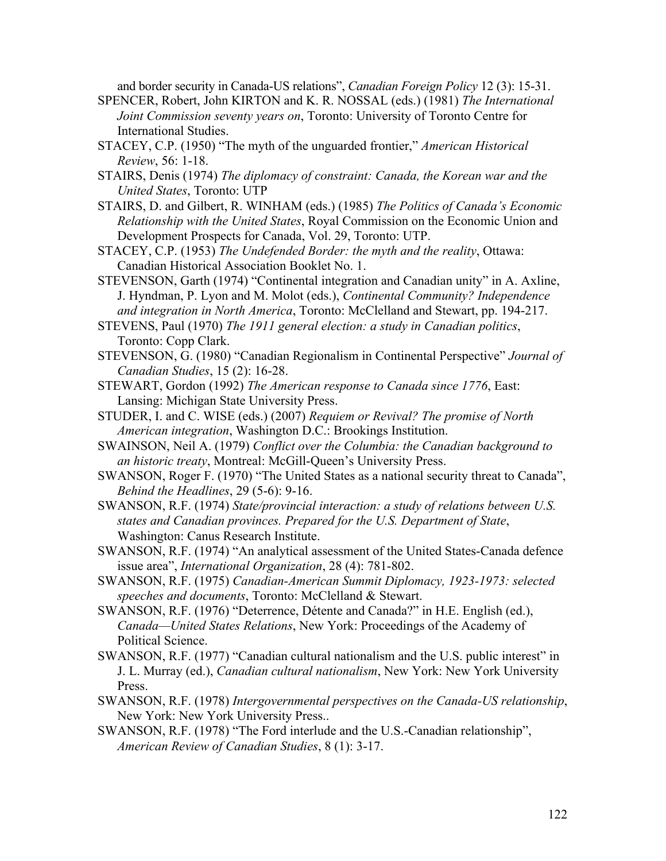and border security in Canada-US relations", *Canadian Foreign Policy* 12 (3): 15-31.

- SPENCER, Robert, John KIRTON and K. R. NOSSAL (eds.) (1981) *The International Joint Commission seventy years on*, Toronto: University of Toronto Centre for International Studies.
- STACEY, C.P. (1950) "The myth of the unguarded frontier," *American Historical Review*, 56: 1-18.
- STAIRS, Denis (1974) *The diplomacy of constraint: Canada, the Korean war and the United States*, Toronto: UTP
- STAIRS, D. and Gilbert, R. WINHAM (eds.) (1985) *The Politics of Canada's Economic Relationship with the United States*, Royal Commission on the Economic Union and Development Prospects for Canada, Vol. 29, Toronto: UTP.
- STACEY, C.P. (1953) *The Undefended Border: the myth and the reality*, Ottawa: Canadian Historical Association Booklet No. 1.
- STEVENSON, Garth (1974) "Continental integration and Canadian unity" in A. Axline, J. Hyndman, P. Lyon and M. Molot (eds.), *Continental Community? Independence and integration in North America*, Toronto: McClelland and Stewart, pp. 194-217.
- STEVENS, Paul (1970) *The 1911 general election: a study in Canadian politics*, Toronto: Copp Clark.
- STEVENSON, G. (1980) "Canadian Regionalism in Continental Perspective" *Journal of Canadian Studies*, 15 (2): 16-28.
- STEWART, Gordon (1992) *The American response to Canada since 1776*, East: Lansing: Michigan State University Press.
- STUDER, I. and C. WISE (eds.) (2007) *Requiem or Revival? The promise of North American integration*, Washington D.C.: Brookings Institution.
- SWAINSON, Neil A. (1979) *Conflict over the Columbia: the Canadian background to an historic treaty*, Montreal: McGill-Queen's University Press.
- SWANSON, Roger F. (1970) "The United States as a national security threat to Canada", *Behind the Headlines*, 29 (5-6): 9-16.
- SWANSON, R.F. (1974) *State/provincial interaction: a study of relations between U.S. states and Canadian provinces. Prepared for the U.S. Department of State*, Washington: Canus Research Institute.
- SWANSON, R.F. (1974) "An analytical assessment of the United States-Canada defence issue area", *International Organization*, 28 (4): 781-802.
- SWANSON, R.F. (1975) *Canadian-American Summit Diplomacy, 1923-1973: selected speeches and documents*, Toronto: McClelland & Stewart.
- SWANSON, R.F. (1976) "Deterrence, Détente and Canada?" in H.E. English (ed.), *Canada—United States Relations*, New York: Proceedings of the Academy of Political Science.
- SWANSON, R.F. (1977) "Canadian cultural nationalism and the U.S. public interest" in J. L. Murray (ed.), *Canadian cultural nationalism*, New York: New York University Press.
- SWANSON, R.F. (1978) *Intergovernmental perspectives on the Canada-US relationship*, New York: New York University Press..
- SWANSON, R.F. (1978) "The Ford interlude and the U.S.-Canadian relationship", *American Review of Canadian Studies*, 8 (1): 3-17.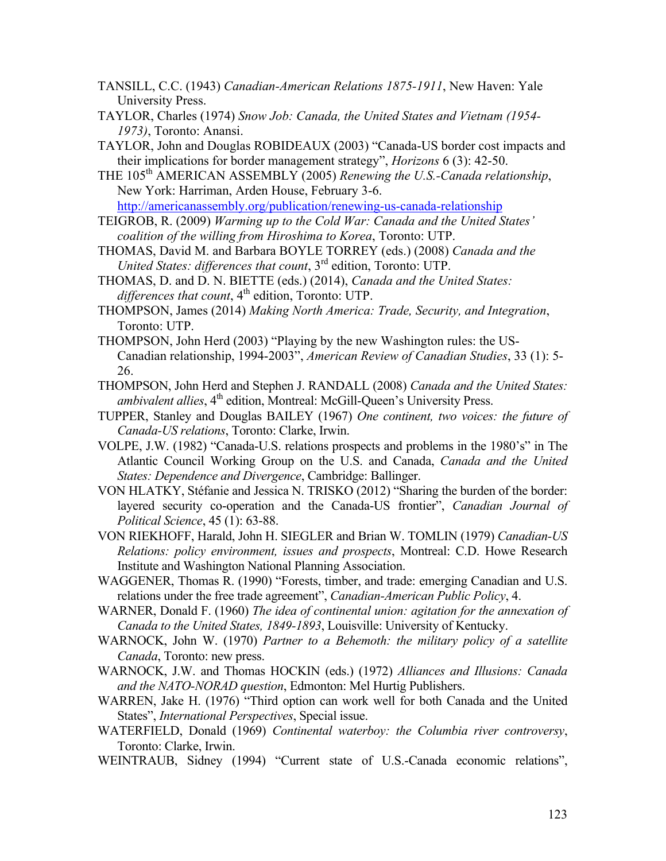- TANSILL, C.C. (1943) *Canadian-American Relations 1875-1911*, New Haven: Yale University Press.
- TAYLOR, Charles (1974) *Snow Job: Canada, the United States and Vietnam (1954- 1973)*, Toronto: Anansi.
- TAYLOR, John and Douglas ROBIDEAUX (2003) "Canada-US border cost impacts and their implications for border management strategy", *Horizons* 6 (3): 42-50.
- THE 105<sup>th</sup> AMERICAN ASSEMBLY (2005) *Renewing the U.S.-Canada relationship*, New York: Harriman, Arden House, February 3-6. http://americanassembly.org/publication/renewing-us-canada-relationship
- TEIGROB, R. (2009) *Warming up to the Cold War: Canada and the United States' coalition of the willing from Hiroshima to Korea*, Toronto: UTP.
- THOMAS, David M. and Barbara BOYLE TORREY (eds.) (2008) *Canada and the United States: differences that count*, 3rd edition, Toronto: UTP.
- THOMAS, D. and D. N. BIETTE (eds.) (2014), *Canada and the United States:*  differences that count, 4<sup>th</sup> edition, Toronto: UTP.
- THOMPSON, James (2014) *Making North America: Trade, Security, and Integration*, Toronto: UTP.
- THOMPSON, John Herd (2003) "Playing by the new Washington rules: the US-Canadian relationship, 1994-2003", *American Review of Canadian Studies*, 33 (1): 5- 26.
- THOMPSON, John Herd and Stephen J. RANDALL (2008) *Canada and the United States: ambivalent allies*, 4<sup>th</sup> edition, Montreal: McGill-Queen's University Press.
- TUPPER, Stanley and Douglas BAILEY (1967) *One continent, two voices: the future of Canada-US relations*, Toronto: Clarke, Irwin.
- VOLPE, J.W. (1982) "Canada-U.S. relations prospects and problems in the 1980's" in The Atlantic Council Working Group on the U.S. and Canada, *Canada and the United States: Dependence and Divergence*, Cambridge: Ballinger.
- VON HLATKY, Stéfanie and Jessica N. TRISKO (2012) "Sharing the burden of the border: layered security co-operation and the Canada-US frontier", *Canadian Journal of Political Science*, 45 (1): 63-88.
- VON RIEKHOFF, Harald, John H. SIEGLER and Brian W. TOMLIN (1979) *Canadian-US Relations: policy environment, issues and prospects*, Montreal: C.D. Howe Research Institute and Washington National Planning Association.
- WAGGENER, Thomas R. (1990) "Forests, timber, and trade: emerging Canadian and U.S. relations under the free trade agreement", *Canadian-American Public Policy*, 4.
- WARNER, Donald F. (1960) *The idea of continental union: agitation for the annexation of Canada to the United States, 1849-1893*, Louisville: University of Kentucky.
- WARNOCK, John W. (1970) *Partner to a Behemoth: the military policy of a satellite Canada*, Toronto: new press.
- WARNOCK, J.W. and Thomas HOCKIN (eds.) (1972) *Alliances and Illusions: Canada and the NATO-NORAD question*, Edmonton: Mel Hurtig Publishers.
- WARREN, Jake H. (1976) "Third option can work well for both Canada and the United States", *International Perspectives*, Special issue.
- WATERFIELD, Donald (1969) *Continental waterboy: the Columbia river controversy*, Toronto: Clarke, Irwin.
- WEINTRAUB, Sidney (1994) "Current state of U.S.-Canada economic relations",